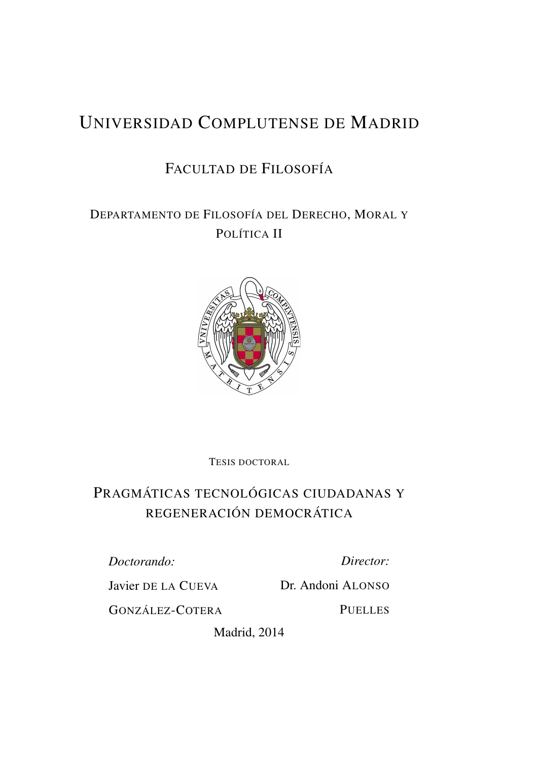# UNIVERSIDAD COMPLUTENSE DE MADRID

# FACULTAD DE FILOSOFÍA

DEPARTAMENTO DE FILOSOFÍA DEL DERECHO, MORAL Y POLÍTICA II



TESIS DOCTORAL

# PRAGMÁTICAS TECNOLÓGICAS CIUDADANAS Y REGENERACIÓN DEMOCRÁTICA

*Doctorando:*

*Director:*

Javier DE LA CUEVA

Dr. Andoni ALONSO

GONZÁLEZ-COTERA

**PUELLES** 

Madrid, 2014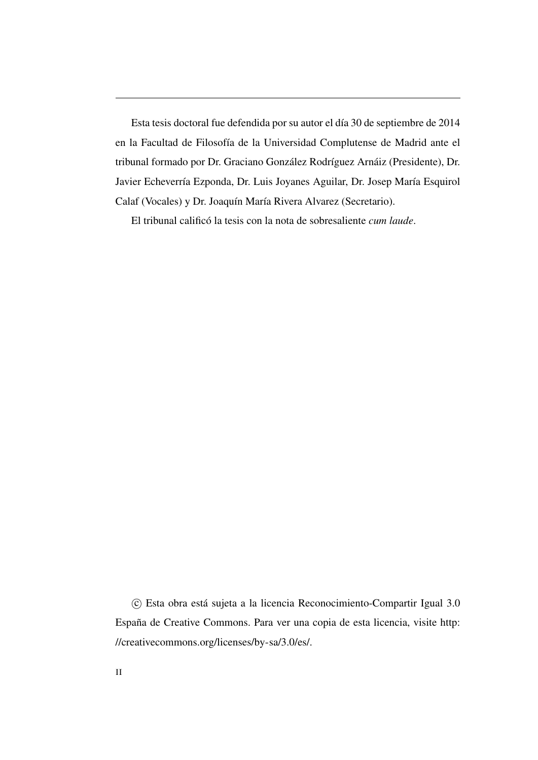Esta tesis doctoral fue defendida por su autor el día 30 de septiembre de 2014 en la Facultad de Filosofía de la Universidad Complutense de Madrid ante el tribunal formado por Dr. Graciano González Rodríguez Arnáiz (Presidente), Dr. Javier Echeverría Ezponda, Dr. Luis Joyanes Aguilar, Dr. Josep María Esquirol Calaf (Vocales) y Dr. Joaquín María Rivera Alvarez (Secretario).

El tribunal calificó la tesis con la nota de sobresaliente *cum laude*.

 c Esta obra está sujeta a la licencia Reconocimiento-Compartir Igual 3.0 España de Creative Commons. Para ver una copia de esta licencia, visite [http:](http://creativecommons.org/licenses/by-sa/3.0/es/) [//creativecommons.org/licenses/by-sa/3.0/es/.](http://creativecommons.org/licenses/by-sa/3.0/es/)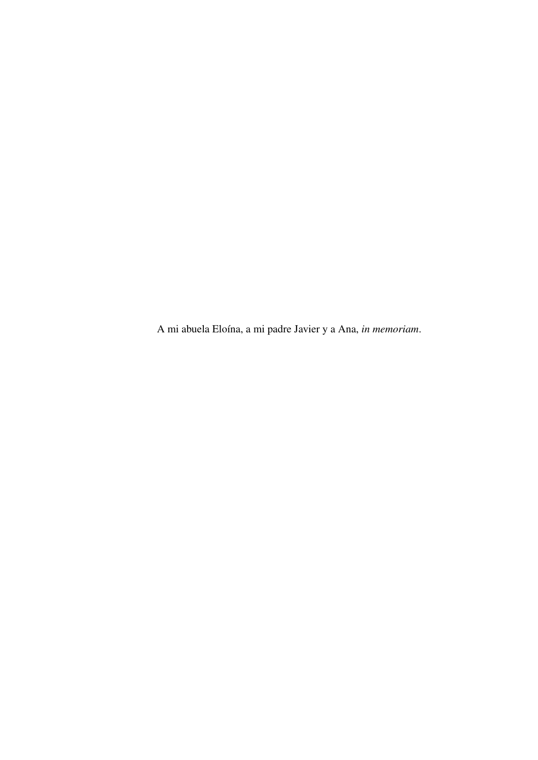A mi abuela Eloína, a mi padre Javier y a Ana, *in memoriam*.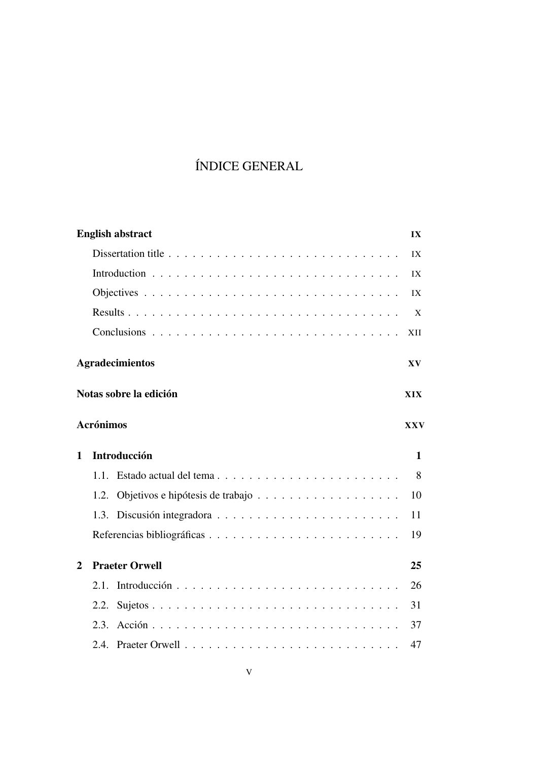# ÍNDICE GENERAL

|   | <b>English abstract</b>        | $\mathbf{I} \mathbf{X}$ |
|---|--------------------------------|-------------------------|
|   |                                | IX                      |
|   |                                | IX                      |
|   |                                | IX                      |
|   |                                | X                       |
|   |                                | XII                     |
|   | <b>Agradecimientos</b>         | XV                      |
|   | Notas sobre la edición         | XIX                     |
|   | <b>Acrónimos</b>               | <b>XXV</b>              |
| 1 | <b>Introducción</b>            | $\mathbf{1}$            |
|   | Estado actual del tema<br>1.1. | 8                       |
|   | 1.2.                           | 10                      |
|   |                                | 11                      |
|   |                                | 19                      |
| 2 | <b>Praeter Orwell</b>          | 25                      |
|   | 2.1.                           | 26                      |
|   | 2.2.                           | 31                      |
|   | 2.3.                           | 37                      |
|   |                                | 47                      |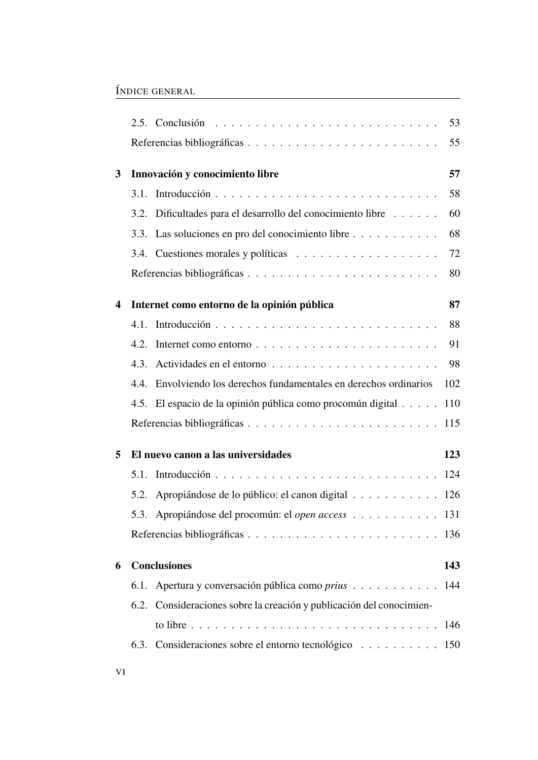|                  |      |                                                                      | 53  |
|------------------|------|----------------------------------------------------------------------|-----|
|                  |      |                                                                      | 55  |
| 3                |      | Innovación y conocimiento libre                                      | 57  |
|                  | 3.1. |                                                                      | 58  |
|                  | 3.2. | Dificultades para el desarrollo del conocimiento libre               | 60  |
|                  | 3.3. | Las soluciones en pro del conocimiento libre                         | 68  |
|                  |      |                                                                      | 72  |
|                  |      |                                                                      | 80  |
| $\boldsymbol{4}$ |      | Internet como entorno de la opinión pública                          | 87  |
|                  | 4.1. |                                                                      | 88  |
|                  | 4.2. | Internet como entorno                                                | 91  |
|                  | 4.3. |                                                                      | 98  |
|                  | 4.4. | Envolviendo los derechos fundamentales en derechos ordinarios        | 102 |
|                  |      | 4.5. El espacio de la opinión pública como procomún digital          | 110 |
|                  |      |                                                                      |     |
| 5                |      | El nuevo canon a las universidades                                   | 123 |
|                  | 5.1. |                                                                      |     |
|                  | 5.2. | Apropiándose de lo público: el canon digital 126                     |     |
|                  |      | 5.3. Apropiándose del procomún: el <i>open access</i> 131            |     |
|                  |      |                                                                      |     |
| 6                |      | <b>Conclusiones</b>                                                  | 143 |
|                  |      | 6.1. Apertura y conversación pública como prius 144                  |     |
|                  |      | 6.2. Consideraciones sobre la creación y publicación del conocimien- |     |
|                  |      |                                                                      |     |
|                  |      | 6.3. Consideraciones sobre el entorno tecnológico 150                |     |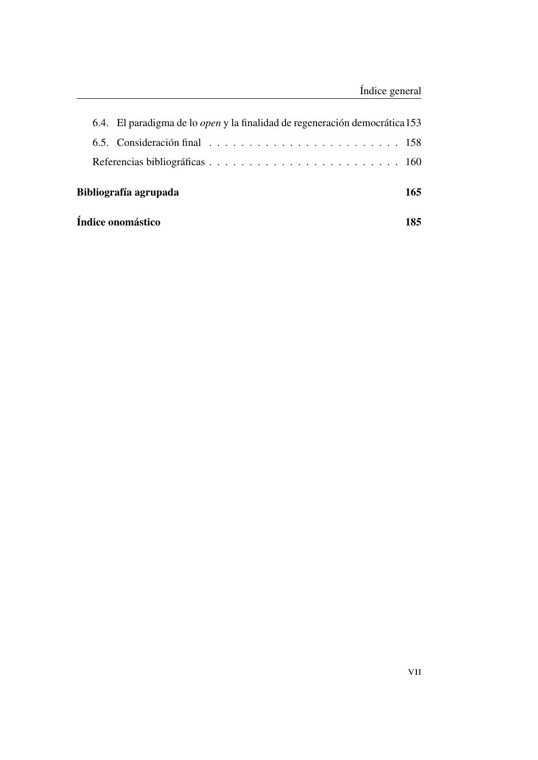| Índice onomástico                                                                  |  |  |  |  |  |  |  |  | 185 |
|------------------------------------------------------------------------------------|--|--|--|--|--|--|--|--|-----|
| Bibliografía agrupada                                                              |  |  |  |  |  |  |  |  | 165 |
|                                                                                    |  |  |  |  |  |  |  |  |     |
|                                                                                    |  |  |  |  |  |  |  |  |     |
| 6.4. El paradigma de lo <i>open</i> y la finalidad de regeneración democrática 153 |  |  |  |  |  |  |  |  |     |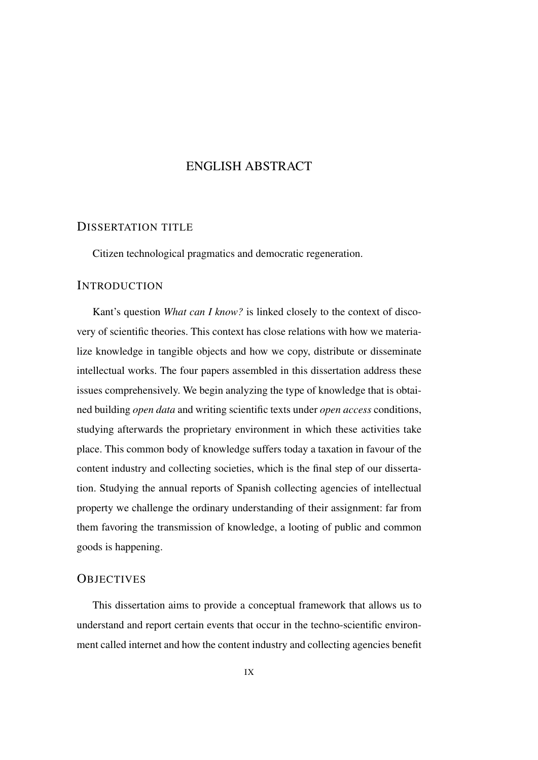## ENGLISH ABSTRACT

### <span id="page-8-1"></span><span id="page-8-0"></span>DISSERTATION TITLE

Citizen technological pragmatics and democratic regeneration.

### <span id="page-8-2"></span>**INTRODUCTION**

Kant's question *What can I know?* is linked closely to the context of discovery of scientific theories. This context has close relations with how we materialize knowledge in tangible objects and how we copy, distribute or disseminate intellectual works. The four papers assembled in this dissertation address these issues comprehensively. We begin analyzing the type of knowledge that is obtained building *open data* and writing scientific texts under *open access* conditions, studying afterwards the proprietary environment in which these activities take place. This common body of knowledge suffers today a taxation in favour of the content industry and collecting societies, which is the final step of our dissertation. Studying the annual reports of Spanish collecting agencies of intellectual property we challenge the ordinary understanding of their assignment: far from them favoring the transmission of knowledge, a looting of public and common goods is happening.

### <span id="page-8-3"></span>**OBJECTIVES**

This dissertation aims to provide a conceptual framework that allows us to understand and report certain events that occur in the techno-scientific environment called internet and how the content industry and collecting agencies benefit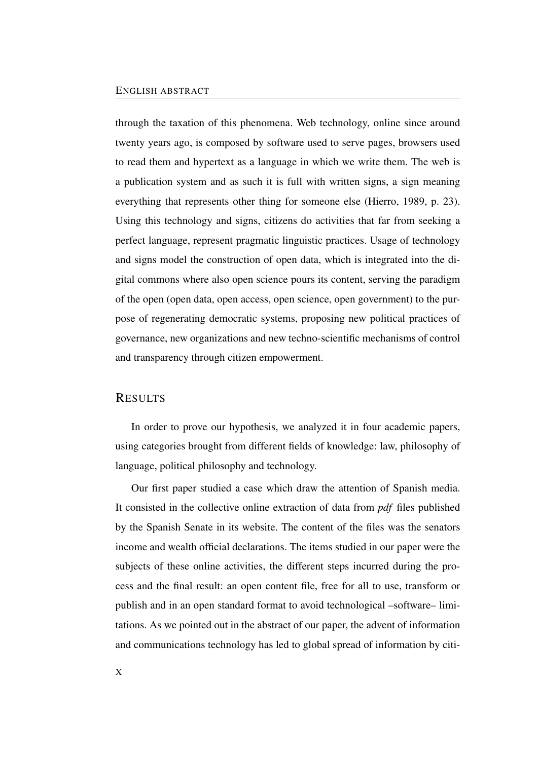#### ENGLISH ABSTRACT

through the taxation of this phenomena. Web technology, online since around twenty years ago, is composed by software used to serve pages, browsers used to read them and hypertext as a language in which we write them. The web is a publication system and as such it is full with written signs, a sign meaning everything that represents other thing for someone else (Hierro, 1989, p. 23). Using this technology and signs, citizens do activities that far from seeking a perfect language, represent pragmatic linguistic practices. Usage of technology and signs model the construction of open data, which is integrated into the digital commons where also open science pours its content, serving the paradigm of the open (open data, open access, open science, open government) to the purpose of regenerating democratic systems, proposing new political practices of governance, new organizations and new techno-scientific mechanisms of control and transparency through citizen empowerment.

#### <span id="page-9-0"></span>RESULTS

In order to prove our hypothesis, we analyzed it in four academic papers, using categories brought from different fields of knowledge: law, philosophy of language, political philosophy and technology.

Our first paper studied a case which draw the attention of Spanish media. It consisted in the collective online extraction of data from *pdf* files published by the Spanish Senate in its website. The content of the files was the senators income and wealth official declarations. The items studied in our paper were the subjects of these online activities, the different steps incurred during the process and the final result: an open content file, free for all to use, transform or publish and in an open standard format to avoid technological –software– limitations. As we pointed out in the abstract of our paper, the advent of information and communications technology has led to global spread of information by citi-

X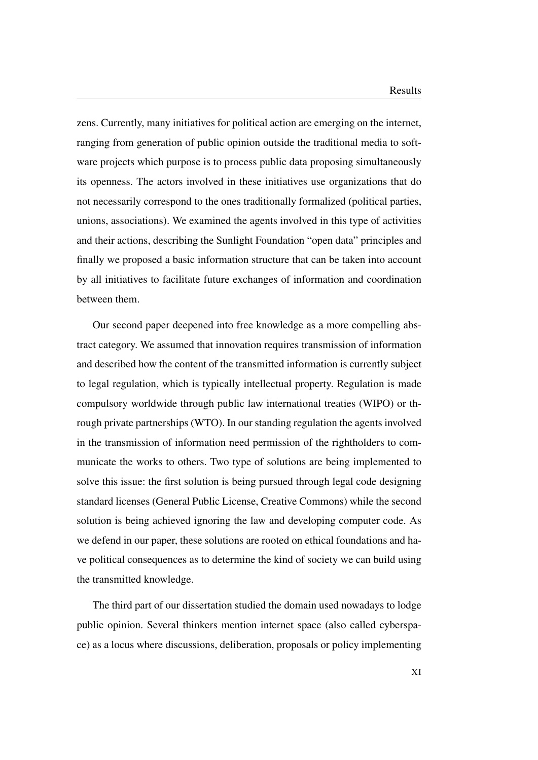zens. Currently, many initiatives for political action are emerging on the internet, ranging from generation of public opinion outside the traditional media to software projects which purpose is to process public data proposing simultaneously its openness. The actors involved in these initiatives use organizations that do not necessarily correspond to the ones traditionally formalized (political parties, unions, associations). We examined the agents involved in this type of activities and their actions, describing the Sunlight Foundation "open data" principles and finally we proposed a basic information structure that can be taken into account by all initiatives to facilitate future exchanges of information and coordination between them.

Our second paper deepened into free knowledge as a more compelling abstract category. We assumed that innovation requires transmission of information and described how the content of the transmitted information is currently subject to legal regulation, which is typically intellectual property. Regulation is made compulsory worldwide through public law international treaties (WIPO) or through private partnerships (WTO). In our standing regulation the agents involved in the transmission of information need permission of the rightholders to communicate the works to others. Two type of solutions are being implemented to solve this issue: the first solution is being pursued through legal code designing standard licenses (General Public License, Creative Commons) while the second solution is being achieved ignoring the law and developing computer code. As we defend in our paper, these solutions are rooted on ethical foundations and have political consequences as to determine the kind of society we can build using the transmitted knowledge.

The third part of our dissertation studied the domain used nowadays to lodge public opinion. Several thinkers mention internet space (also called cyberspace) as a locus where discussions, deliberation, proposals or policy implementing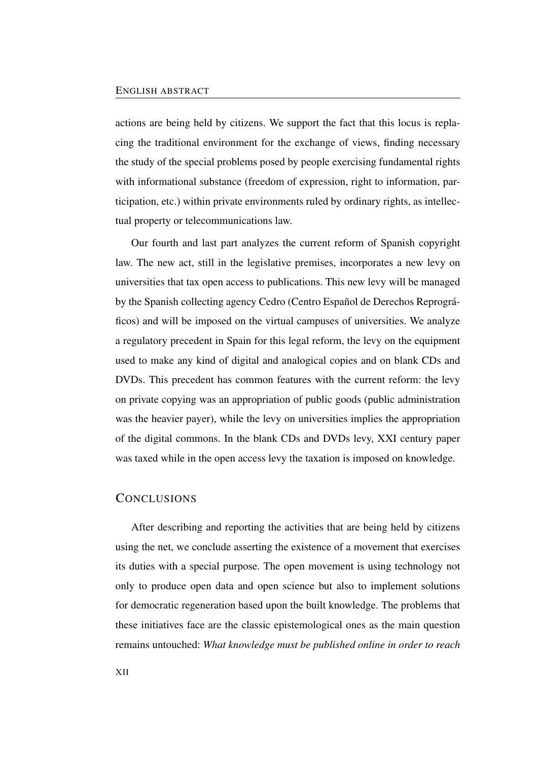actions are being held by citizens. We support the fact that this locus is replacing the traditional environment for the exchange of views, finding necessary the study of the special problems posed by people exercising fundamental rights with informational substance (freedom of expression, right to information, participation, etc.) within private environments ruled by ordinary rights, as intellectual property or telecommunications law.

Our fourth and last part analyzes the current reform of Spanish copyright law. The new act, still in the legislative premises, incorporates a new levy on universities that tax open access to publications. This new levy will be managed by the Spanish collecting agency Cedro (Centro Español de Derechos Reprográficos) and will be imposed on the virtual campuses of universities. We analyze a regulatory precedent in Spain for this legal reform, the levy on the equipment used to make any kind of digital and analogical copies and on blank CDs and DVDs. This precedent has common features with the current reform: the levy on private copying was an appropriation of public goods (public administration was the heavier payer), while the levy on universities implies the appropriation of the digital commons. In the blank CDs and DVDs levy, XXI century paper was taxed while in the open access levy the taxation is imposed on knowledge.

### <span id="page-11-0"></span>**CONCLUSIONS**

After describing and reporting the activities that are being held by citizens using the net, we conclude asserting the existence of a movement that exercises its duties with a special purpose. The open movement is using technology not only to produce open data and open science but also to implement solutions for democratic regeneration based upon the built knowledge. The problems that these initiatives face are the classic epistemological ones as the main question remains untouched: *What knowledge must be published online in order to reach*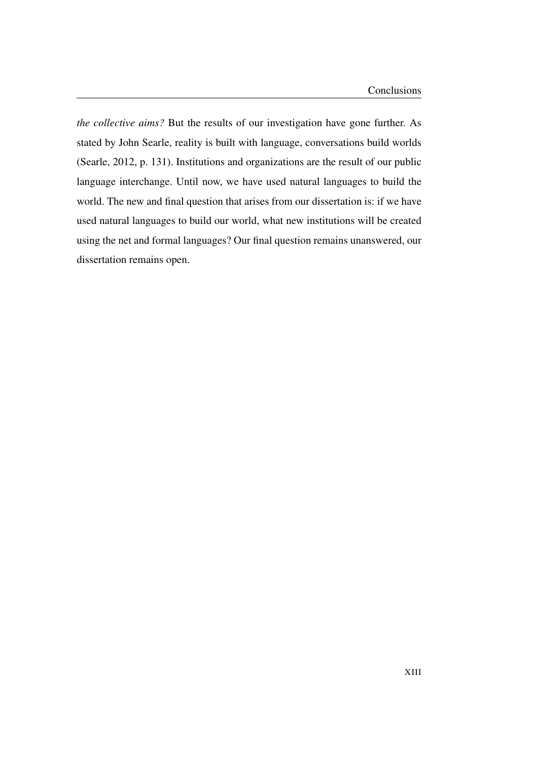*the collective aims?* But the results of our investigation have gone further. As stated by John Searle, reality is built with language, conversations build worlds (Searle, 2012, p. 131). Institutions and organizations are the result of our public language interchange. Until now, we have used natural languages to build the world. The new and final question that arises from our dissertation is: if we have used natural languages to build our world, what new institutions will be created using the net and formal languages? Our final question remains unanswered, our dissertation remains open.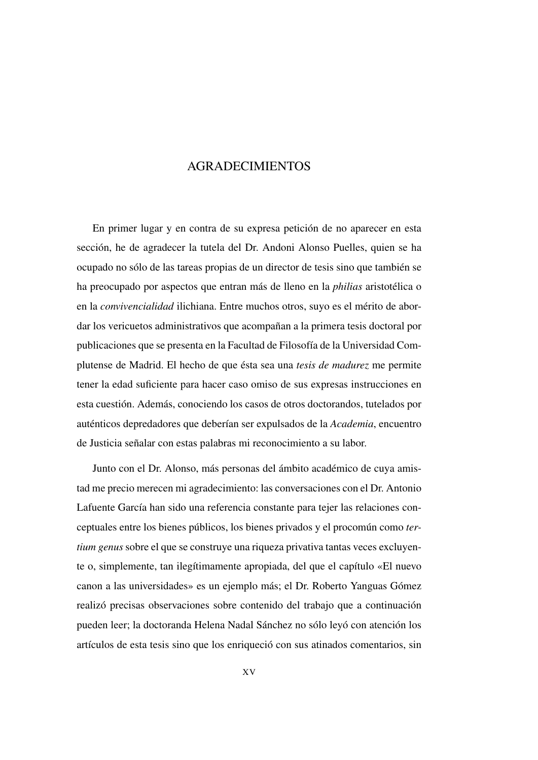## AGRADECIMIENTOS

<span id="page-14-0"></span>En primer lugar y en contra de su expresa petición de no aparecer en esta sección, he de agradecer la tutela del Dr. Andoni Alonso Puelles, quien se ha ocupado no sólo de las tareas propias de un director de tesis sino que también se ha preocupado por aspectos que entran más de lleno en la *philias* aristotélica o en la *convivencialidad* ilichiana. Entre muchos otros, suyo es el mérito de abordar los vericuetos administrativos que acompañan a la primera tesis doctoral por publicaciones que se presenta en la Facultad de Filosofía de la Universidad Complutense de Madrid. El hecho de que ésta sea una *tesis de madurez* me permite tener la edad suficiente para hacer caso omiso de sus expresas instrucciones en esta cuestión. Además, conociendo los casos de otros doctorandos, tutelados por auténticos depredadores que deberían ser expulsados de la *Academia*, encuentro de Justicia señalar con estas palabras mi reconocimiento a su labor.

Junto con el Dr. Alonso, más personas del ámbito académico de cuya amistad me precio merecen mi agradecimiento: las conversaciones con el Dr. Antonio Lafuente García han sido una referencia constante para tejer las relaciones conceptuales entre los bienes públicos, los bienes privados y el procomún como *tertium genus* sobre el que se construye una riqueza privativa tantas veces excluyente o, simplemente, tan ilegítimamente apropiada, del que el capítulo [«El nuevo](#page-152-0) [canon a las universidades»](#page-152-0) es un ejemplo más; el Dr. Roberto Yanguas Gómez realizó precisas observaciones sobre contenido del trabajo que a continuación pueden leer; la doctoranda Helena Nadal Sánchez no sólo leyó con atención los artículos de esta tesis sino que los enriqueció con sus atinados comentarios, sin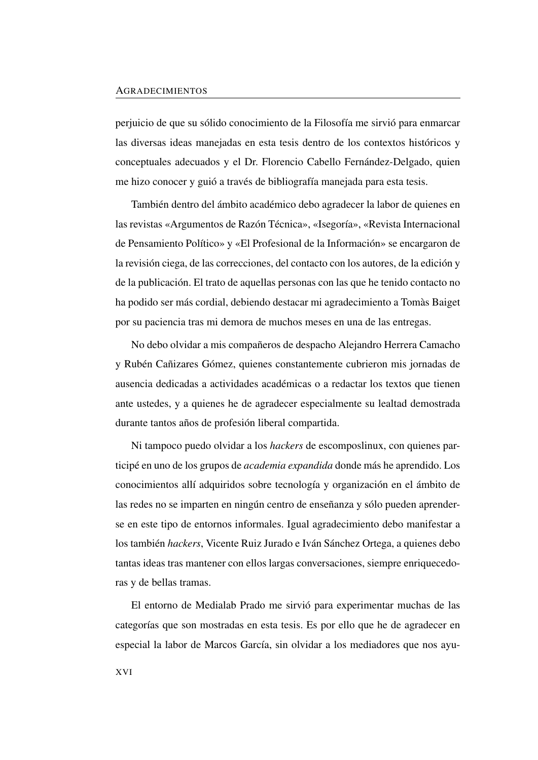perjuicio de que su sólido conocimiento de la Filosofía me sirvió para enmarcar las diversas ideas manejadas en esta tesis dentro de los contextos históricos y conceptuales adecuados y el Dr. Florencio Cabello Fernández-Delgado, quien me hizo conocer y guió a través de bibliografía manejada para esta tesis.

También dentro del ámbito académico debo agradecer la labor de quienes en las revistas «Argumentos de Razón Técnica», «Isegoría», «Revista Internacional de Pensamiento Político» y «El Profesional de la Información» se encargaron de la revisión ciega, de las correcciones, del contacto con los autores, de la edición y de la publicación. El trato de aquellas personas con las que he tenido contacto no ha podido ser más cordial, debiendo destacar mi agradecimiento a Tomàs Baiget por su paciencia tras mi demora de muchos meses en una de las entregas.

No debo olvidar a mis compañeros de despacho Alejandro Herrera Camacho y Rubén Cañizares Gómez, quienes constantemente cubrieron mis jornadas de ausencia dedicadas a actividades académicas o a redactar los textos que tienen ante ustedes, y a quienes he de agradecer especialmente su lealtad demostrada durante tantos años de profesión liberal compartida.

Ni tampoco puedo olvidar a los *hackers* de escomposlinux, con quienes participé en uno de los grupos de *academia expandida* donde más he aprendido. Los conocimientos allí adquiridos sobre tecnología y organización en el ámbito de las redes no se imparten en ningún centro de enseñanza y sólo pueden aprenderse en este tipo de entornos informales. Igual agradecimiento debo manifestar a los también *hackers*, Vicente Ruiz Jurado e Iván Sánchez Ortega, a quienes debo tantas ideas tras mantener con ellos largas conversaciones, siempre enriquecedoras y de bellas tramas.

El entorno de Medialab Prado me sirvió para experimentar muchas de las categorías que son mostradas en esta tesis. Es por ello que he de agradecer en especial la labor de Marcos García, sin olvidar a los mediadores que nos ayu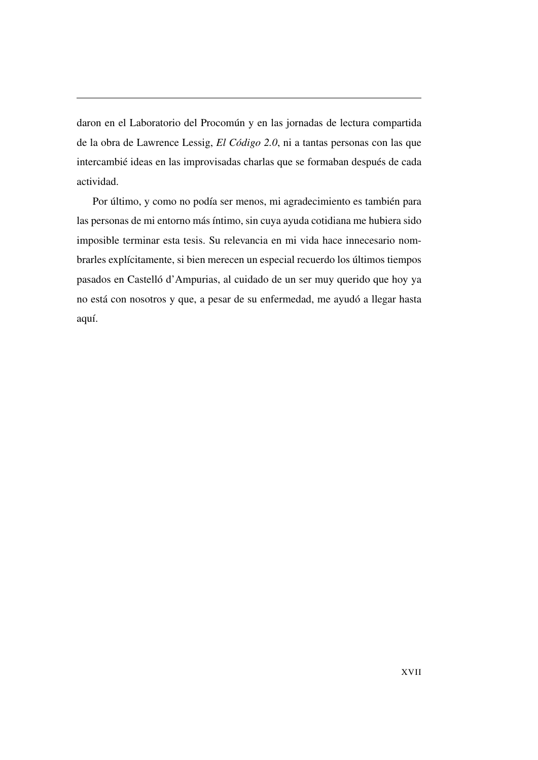daron en el Laboratorio del Procomún y en las jornadas de lectura compartida de la obra de Lawrence Lessig, *El Código 2.0*, ni a tantas personas con las que intercambié ideas en las improvisadas charlas que se formaban después de cada actividad.

Por último, y como no podía ser menos, mi agradecimiento es también para las personas de mi entorno más íntimo, sin cuya ayuda cotidiana me hubiera sido imposible terminar esta tesis. Su relevancia en mi vida hace innecesario nombrarles explícitamente, si bien merecen un especial recuerdo los últimos tiempos pasados en Castelló d'Ampurias, al cuidado de un ser muy querido que hoy ya no está con nosotros y que, a pesar de su enfermedad, me ayudó a llegar hasta aquí.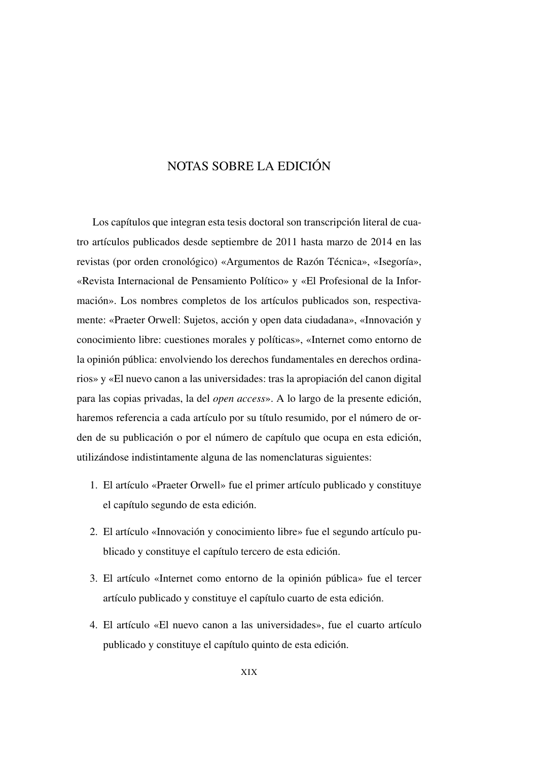## <span id="page-18-0"></span>NOTAS SOBRE LA EDICIÓN

Los capítulos que integran esta tesis doctoral son transcripción literal de cuatro artículos publicados desde septiembre de 2011 hasta marzo de 2014 en las revistas (por orden cronológico) «Argumentos de Razón Técnica», «Isegoría», «Revista Internacional de Pensamiento Político» y «El Profesional de la Información». Los nombres completos de los artículos publicados son, respectivamente: «Praeter Orwell: Sujetos, acción y open data ciudadana», «Innovación y conocimiento libre: cuestiones morales y políticas», «Internet como entorno de la opinión pública: envolviendo los derechos fundamentales en derechos ordinarios» y «El nuevo canon a las universidades: tras la apropiación del canon digital para las copias privadas, la del *open access*». A lo largo de la presente edición, haremos referencia a cada artículo por su título resumido, por el número de orden de su publicación o por el número de capítulo que ocupa en esta edición, utilizándose indistintamente alguna de las nomenclaturas siguientes:

- 1. El artículo [«Praeter Orwell»](#page-54-0) fue el primer artículo publicado y constituye el capítulo segundo de esta edición.
- 2. El artículo [«Innovación y conocimiento libre»](#page-86-0) fue el segundo artículo publicado y constituye el capítulo tercero de esta edición.
- 3. El artículo [«Internet como entorno de la opinión pública»](#page-116-0) fue el tercer artículo publicado y constituye el capítulo cuarto de esta edición.
- 4. El artículo [«El nuevo canon a las universidades»](#page-152-0), fue el cuarto artículo publicado y constituye el capítulo quinto de esta edición.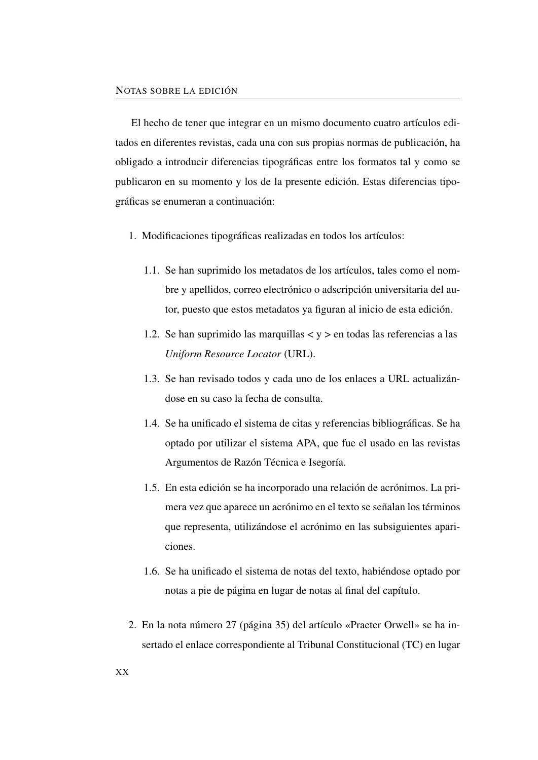El hecho de tener que integrar en un mismo documento cuatro artículos editados en diferentes revistas, cada una con sus propias normas de publicación, ha obligado a introducir diferencias tipográficas entre los formatos tal y como se publicaron en su momento y los de la presente edición. Estas diferencias tipográficas se enumeran a continuación:

- <span id="page-19-1"></span>1. Modificaciones tipográficas realizadas en todos los artículos:
	- 1.1. Se han suprimido los metadatos de los artículos, tales como el nombre y apellidos, correo electrónico o adscripción universitaria del autor, puesto que estos metadatos ya figuran al inicio de esta edición.
	- 1.2. Se han suprimido las marquillas  $\langle y \rangle$  en todas las referencias a las *Uniform Resource Locator* [\(URL\)](#page-27-0).
	- 1.3. Se han revisado todos y cada uno de los enlaces a [URL](#page-27-0) actualizándose en su caso la fecha de consulta.
	- 1.4. Se ha unificado el sistema de citas y referencias bibliográficas. Se ha optado por utilizar el sistema APA, que fue el usado en las revistas Argumentos de Razón Técnica e Isegoría.
	- 1.5. En esta edición se ha incorporado una relación de acrónimos. La primera vez que aparece un acrónimo en el texto se señalan los términos que representa, utilizándose el acrónimo en las subsiguientes apariciones.
	- 1.6. Se ha unificado el sistema de notas del texto, habiéndose optado por notas a pie de página en lugar de notas al final del capítulo.
- <span id="page-19-0"></span>2. En la nota número [27](#page-64-0) (página [35\)](#page-64-0) del artículo [«Praeter Orwell»](#page-54-0) se ha insertado el enlace correspondiente al Tribunal Constitucional [\(TC\)](#page-26-0) en lugar

XX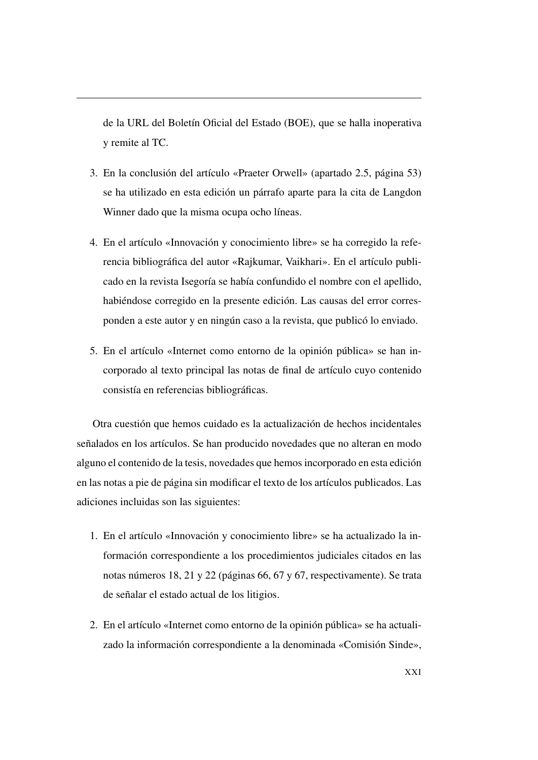<span id="page-20-0"></span>de la URL del Boletín Oficial del Estado [\(BOE\)](#page-24-1), que se halla inoperativa y remite al [TC.](#page-26-0)

- 3. En la conclusión del artículo [«Praeter Orwell»](#page-54-0) (apartado [2.5,](#page-82-0) página [53\)](#page-82-0) se ha utilizado en esta edición un párrafo aparte para la cita de Langdon Winner dado que la misma ocupa ocho líneas.
- 4. En el artículo [«Innovación y conocimiento libre»](#page-86-0) se ha corregido la referencia bibliográfica del autor «Rajkumar, Vaikhari». En el artículo publicado en la revista Isegoría se había confundido el nombre con el apellido, habiéndose corregido en la presente edición. Las causas del error corresponden a este autor y en ningún caso a la revista, que publicó lo enviado.
- 5. En el artículo [«Internet como entorno de la opinión pública»](#page-116-0) se han incorporado al texto principal las notas de final de artículo cuyo contenido consistía en referencias bibliográficas.

Otra cuestión que hemos cuidado es la actualización de hechos incidentales señalados en los artículos. Se han producido novedades que no alteran en modo alguno el contenido de la tesis, novedades que hemos incorporado en esta edición en las notas a pie de página sin modificar el texto de los artículos publicados. Las adiciones incluidas son las siguientes:

- 1. En el artículo [«Innovación y conocimiento libre»](#page-86-0) se ha actualizado la información correspondiente a los procedimientos judiciales citados en las notas números [18,](#page-95-0) [21](#page-96-0) y [22](#page-96-1) (páginas [66,](#page-95-0) [67](#page-96-1) y [67,](#page-96-1) respectivamente). Se trata de señalar el estado actual de los litigios.
- 2. En el artículo [«Internet como entorno de la opinión pública»](#page-116-0) se ha actualizado la información correspondiente a la denominada «Comisión Sinde»,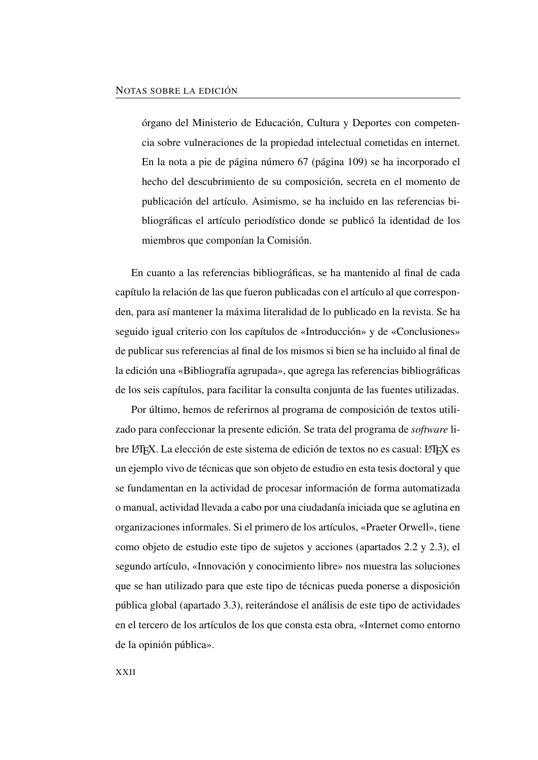órgano del Ministerio de Educación, Cultura y Deportes con competencia sobre vulneraciones de la propiedad intelectual cometidas en internet. En la nota a pie de página número [67](#page-138-0) (página [109\)](#page-138-0) se ha incorporado el hecho del descubrimiento de su composición, secreta en el momento de publicación del artículo. Asimismo, se ha incluido en las referencias bibliográficas el artículo periodístico donde se publicó la identidad de los miembros que componían la Comisión.

En cuanto a las referencias bibliográficas, se ha mantenido al final de cada capítulo la relación de las que fueron publicadas con el artículo al que corresponden, para así mantener la máxima literalidad de lo publicado en la revista. Se ha seguido igual criterio con los capítulos de «Introducción» y de «Conclusiones» de publicar sus referencias al final de los mismos si bien se ha incluido al final de la edición una «Bibliografía agrupada», que agrega las referencias bibliográficas de los seis capítulos, para facilitar la consulta conjunta de las fuentes utilizadas.

Por último, hemos de referirnos al programa de composición de textos utilizado para confeccionar la presente edición. Se trata del programa de *software* libre LATEX. La elección de este sistema de edición de textos no es casual: LATEX es un ejemplo vivo de técnicas que son objeto de estudio en esta tesis doctoral y que se fundamentan en la actividad de procesar información de forma automatizada o manual, actividad llevada a cabo por una ciudadanía iniciada que se aglutina en organizaciones informales. Si el primero de los artículos, [«Praeter Orwell»](#page-54-0), tiene como objeto de estudio este tipo de sujetos y acciones (apartados [2.2](#page-60-0) y [2.3\)](#page-66-0), el segundo artículo, [«Innovación y conocimiento libre»](#page-86-0) nos muestra las soluciones que se han utilizado para que este tipo de técnicas pueda ponerse a disposición pública global (apartado [3.3\)](#page-97-0), reiterándose el análisis de este tipo de actividades en el tercero de los artículos de los que consta esta obra, [«Internet como entorno](#page-116-0) [de la opinión pública»](#page-116-0).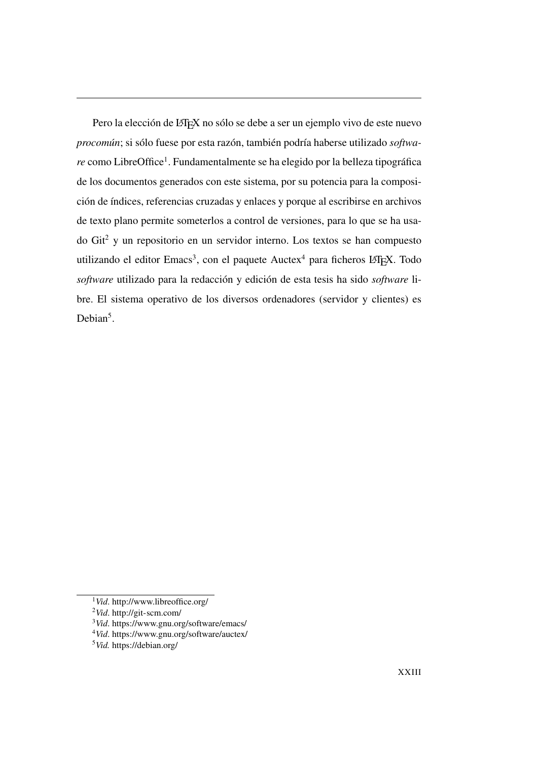Pero la elección de LATEX no sólo se debe a ser un ejemplo vivo de este nuevo *procomún*; si sólo fuese por esta razón, también podría haberse utilizado *softwa-*re como LibreOffice<sup>[1](#page-22-0)</sup>. Fundamentalmente se ha elegido por la belleza tipográfica de los documentos generados con este sistema, por su potencia para la composición de índices, referencias cruzadas y enlaces y porque al escribirse en archivos de texto plano permite someterlos a control de versiones, para lo que se ha usado Git[2](#page-22-1) y un repositorio en un servidor interno. Los textos se han compuesto utilizando el editor Emacs<sup>[3](#page-22-2)</sup>, con el paquete Auctex<sup>[4](#page-22-3)</sup> para ficheros L<sup>AT</sup>EX. Todo *software* utilizado para la redacción y edición de esta tesis ha sido *software* libre. El sistema operativo de los diversos ordenadores (servidor y clientes) es Debian<sup>[5](#page-22-4)</sup>.

<span id="page-22-0"></span><sup>1</sup>*Vid*.<http://www.libreoffice.org/>

<span id="page-22-1"></span><sup>2</sup>*Vid*.<http://git-scm.com/>

<span id="page-22-2"></span><sup>3</sup>*Vid*.<https://www.gnu.org/software/emacs/>

<span id="page-22-3"></span><sup>4</sup>*Vid*.<https://www.gnu.org/software/auctex/>

<span id="page-22-4"></span><sup>5</sup>*Vid.* <https://debian.org/>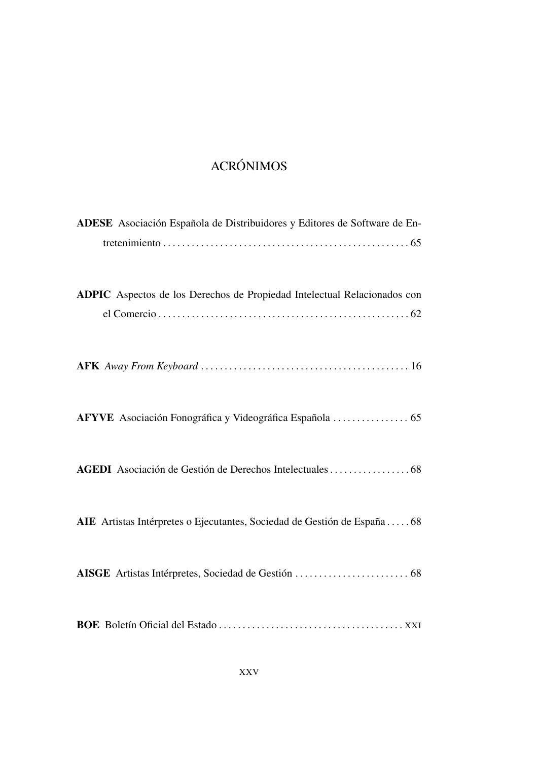# ACRÓNIMOS

<span id="page-24-1"></span><span id="page-24-0"></span>

| ADESE Asociación Española de Distribuidores y Editores de Software de En- |
|---------------------------------------------------------------------------|
| ADPIC Aspectos de los Derechos de Propiedad Intelectual Relacionados con  |
|                                                                           |
|                                                                           |
|                                                                           |
| AIE Artistas Intérpretes o Ejecutantes, Sociedad de Gestión de España68   |
|                                                                           |
|                                                                           |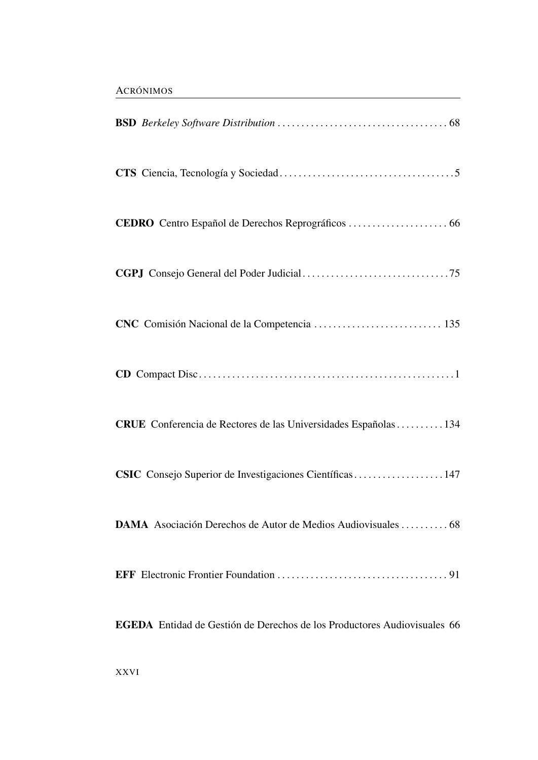<span id="page-25-1"></span><span id="page-25-0"></span>

| CRUE Conferencia de Rectores de las Universidades Españolas  134                |
|---------------------------------------------------------------------------------|
| CSIC Consejo Superior de Investigaciones Científicas 147                        |
|                                                                                 |
|                                                                                 |
| <b>EGEDA</b> Entidad de Gestión de Derechos de los Productores Audiovisuales 66 |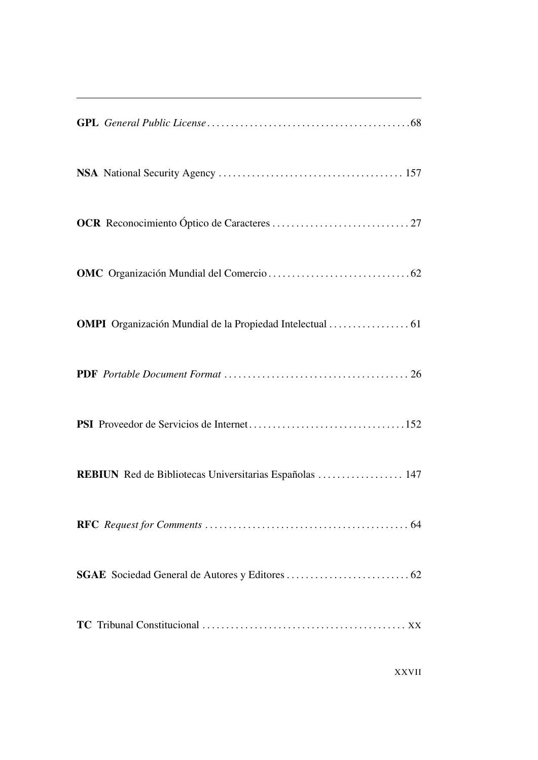<span id="page-26-0"></span>

| REBIUN Red de Bibliotecas Universitarias Españolas  147 |
|---------------------------------------------------------|
|                                                         |
|                                                         |
|                                                         |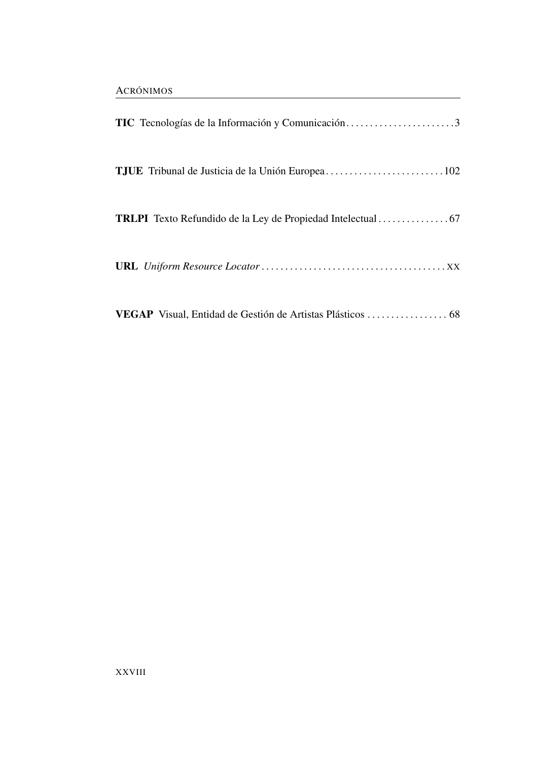<span id="page-27-1"></span><span id="page-27-0"></span>

| TIC Tecnologías de la Información y Comunicación3          |  |
|------------------------------------------------------------|--|
| TJUE Tribunal de Justicia de la Unión Europea102           |  |
|                                                            |  |
|                                                            |  |
| VEGAP Visual, Entidad de Gestión de Artistas Plásticos  68 |  |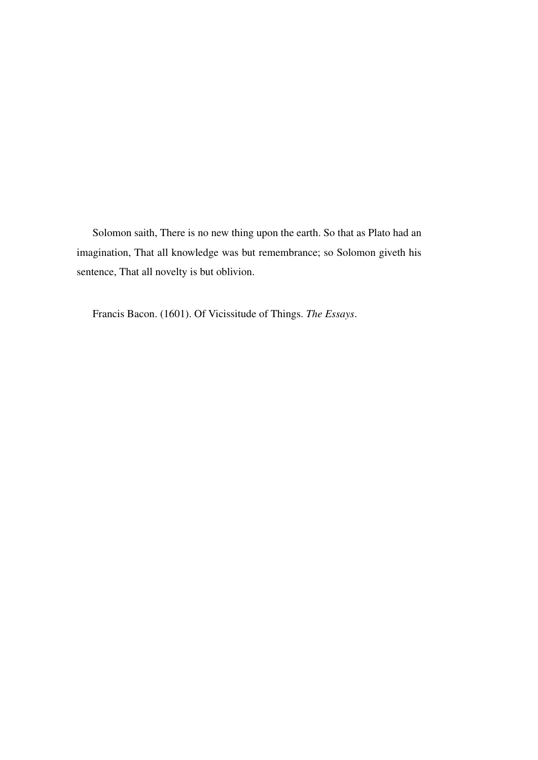Solomon saith, There is no new thing upon the earth. So that as Plato had an imagination, That all knowledge was but remembrance; so Solomon giveth his sentence, That all novelty is but oblivion.

Francis Bacon. (1601). Of Vicissitude of Things. *The Essays*.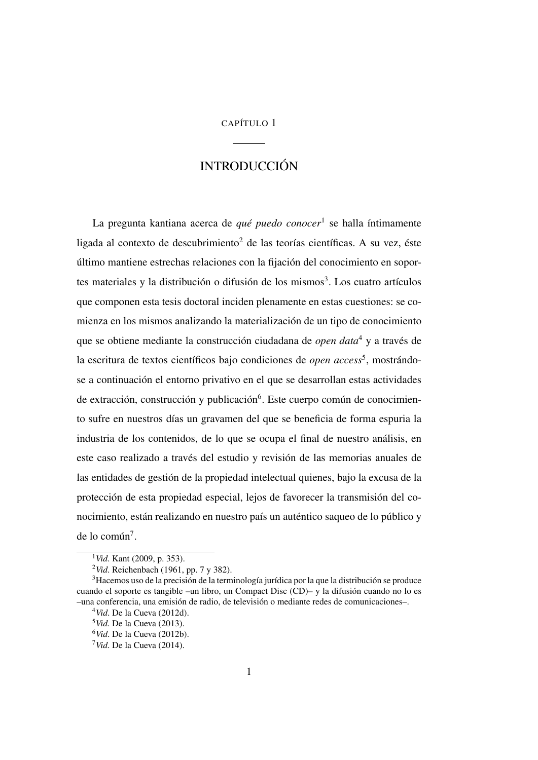### CAPÍTULO 1

# INTRODUCCIÓN

<span id="page-30-0"></span>La pregunta kantiana acerca de *qué puedo conocer*[1](#page-30-2) se halla íntimamente ligada al contexto de descubrimiento<sup>[2](#page-30-3)</sup> de las teorías científicas. A su vez, éste último mantiene estrechas relaciones con la fijación del conocimiento en sopor-tes materiales y la distribución o difusión de los mismos<sup>[3](#page-30-4)</sup>. Los cuatro artículos que componen esta tesis doctoral inciden plenamente en estas cuestiones: se comienza en los mismos analizando la materialización de un tipo de conocimiento que se obtiene mediante la construcción ciudadana de *open data*[4](#page-30-5) y a través de la escritura de textos científicos bajo condiciones de *open access*<sup>[5](#page-30-6)</sup>, mostrándose a continuación el entorno privativo en el que se desarrollan estas actividades de extracción, construcción y publicación<sup>[6](#page-30-7)</sup>. Este cuerpo común de conocimiento sufre en nuestros días un gravamen del que se beneficia de forma espuria la industria de los contenidos, de lo que se ocupa el final de nuestro análisis, en este caso realizado a través del estudio y revisión de las memorias anuales de las entidades de gestión de la propiedad intelectual quienes, bajo la excusa de la protección de esta propiedad especial, lejos de favorecer la transmisión del conocimiento, están realizando en nuestro país un auténtico saqueo de lo público y de lo común<sup>[7](#page-30-8)</sup>.

<span id="page-30-2"></span><sup>1</sup>*Vid*. Kant [\(2009,](#page-51-0) p. 353).

<span id="page-30-4"></span><span id="page-30-3"></span><span id="page-30-1"></span><sup>2</sup>*Vid*. Reichenbach [\(1961,](#page-53-0) pp. 7 y 382).

<sup>3</sup>Hacemos uso de la precisión de la terminología jurídica por la que la distribución se produce cuando el soporte es tangible –un libro, un Compact Disc [\(CD\)](#page-25-0)– y la difusión cuando no lo es –una conferencia, una emisión de radio, de televisión o mediante redes de comunicaciones–.

<span id="page-30-5"></span><sup>4</sup>*Vid*. De la Cueva [\(2012d\)](#page-50-0).

<span id="page-30-6"></span><sup>5</sup>*Vid*. De la Cueva [\(2013\)](#page-50-1).

<span id="page-30-7"></span><sup>6</sup>*Vid*. De la Cueva [\(2012b\)](#page-50-2).

<span id="page-30-8"></span><sup>7</sup>*Vid*. De la Cueva [\(2014\)](#page-50-3).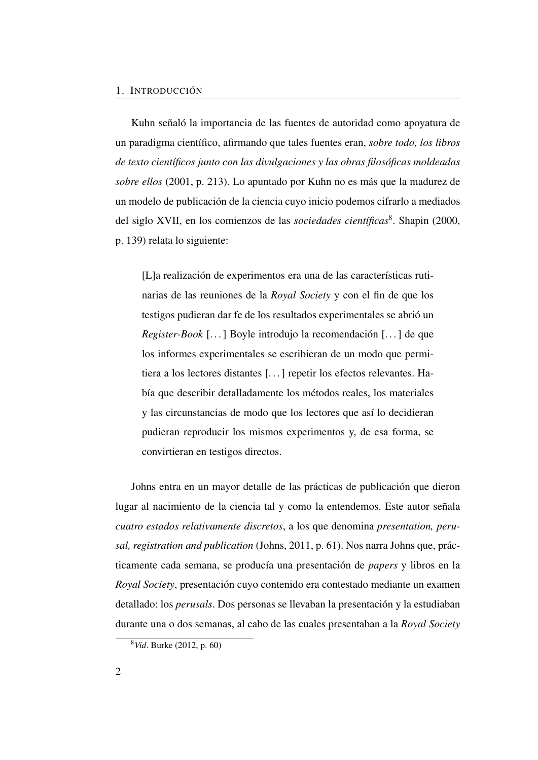Kuhn señaló la importancia de las fuentes de autoridad como apoyatura de un paradigma científico, afirmando que tales fuentes eran, *sobre todo, los libros de texto científicos junto con las divulgaciones y las obras filosóficas moldeadas sobre ellos* [\(2001,](#page-51-1) p. 213). Lo apuntado por Kuhn no es más que la madurez de un modelo de publicación de la ciencia cuyo inicio podemos cifrarlo a mediados del siglo XVII, en los comienzos de las *sociedades científicas*<sup>[8](#page-31-0)</sup>. Shapin [\(2000,](#page-53-1) p. 139) relata lo siguiente:

[L]a realización de experimentos era una de las características rutinarias de las reuniones de la *Royal Society* y con el fin de que los testigos pudieran dar fe de los resultados experimentales se abrió un *Register-Book* [. . . ] Boyle introdujo la recomendación [. . . ] de que los informes experimentales se escribieran de un modo que permitiera a los lectores distantes [. . . ] repetir los efectos relevantes. Había que describir detalladamente los métodos reales, los materiales y las circunstancias de modo que los lectores que así lo decidieran pudieran reproducir los mismos experimentos y, de esa forma, se convirtieran en testigos directos.

Johns entra en un mayor detalle de las prácticas de publicación que dieron lugar al nacimiento de la ciencia tal y como la entendemos. Este autor señala *cuatro estados relativamente discretos*, a los que denomina *presentation, perusal, registration and publication* (Johns, [2011,](#page-51-2) p. 61). Nos narra Johns que, prácticamente cada semana, se producía una presentación de *papers* y libros en la *Royal Society*, presentación cuyo contenido era contestado mediante un examen detallado: los *perusals*. Dos personas se llevaban la presentación y la estudiaban durante una o dos semanas, al cabo de las cuales presentaban a la *Royal Society*

<span id="page-31-0"></span><sup>8</sup>*Vid*. Burke [\(2012,](#page-49-0) p. 60)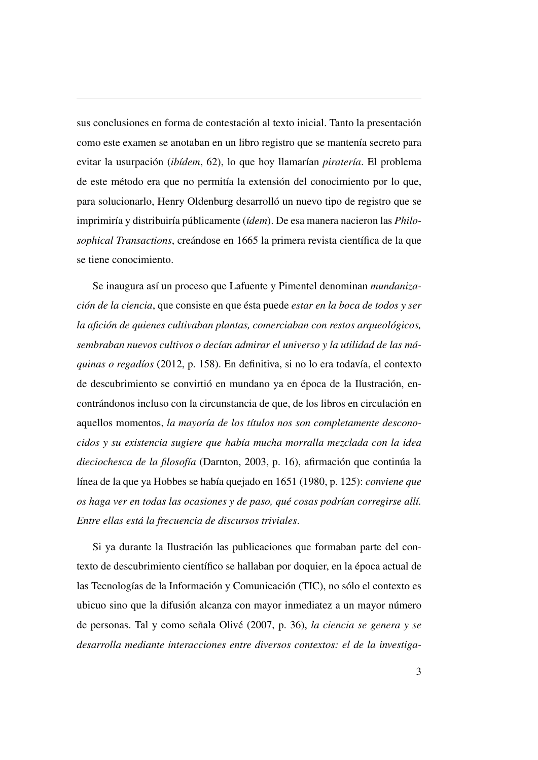sus conclusiones en forma de contestación al texto inicial. Tanto la presentación como este examen se anotaban en un libro registro que se mantenía secreto para evitar la usurpación (*ibídem*, 62), lo que hoy llamarían *piratería*. El problema de este método era que no permitía la extensión del conocimiento por lo que, para solucionarlo, Henry Oldenburg desarrolló un nuevo tipo de registro que se imprimiría y distribuiría públicamente (*ídem*). De esa manera nacieron las *Philosophical Transactions*, creándose en 1665 la primera revista científica de la que se tiene conocimiento.

Se inaugura así un proceso que Lafuente y Pimentel denominan *mundanización de la ciencia*, que consiste en que ésta puede *estar en la boca de todos y ser la afición de quienes cultivaban plantas, comerciaban con restos arqueológicos, sembraban nuevos cultivos o decían admirar el universo y la utilidad de las máquinas o regadíos* [\(2012,](#page-52-0) p. 158). En definitiva, si no lo era todavía, el contexto de descubrimiento se convirtió en mundano ya en época de la Ilustración, encontrándonos incluso con la circunstancia de que, de los libros en circulación en aquellos momentos, *la mayoría de los títulos nos son completamente desconocidos y su existencia sugiere que había mucha morralla mezclada con la idea dieciochesca de la filosofía* (Darnton, [2003,](#page-50-4) p. 16), afirmación que continúa la línea de la que ya Hobbes se había quejado en 1651 [\(1980,](#page-51-3) p. 125): *conviene que os haga ver en todas las ocasiones y de paso, qué cosas podrían corregirse allí. Entre ellas está la frecuencia de discursos triviales*.

<span id="page-32-0"></span>Si ya durante la Ilustración las publicaciones que formaban parte del contexto de descubrimiento científico se hallaban por doquier, en la época actual de las Tecnologías de la Información y Comunicación [\(TIC\)](#page-27-1), no sólo el contexto es ubicuo sino que la difusión alcanza con mayor inmediatez a un mayor número de personas. Tal y como señala Olivé [\(2007,](#page-52-1) p. 36), *la ciencia se genera y se desarrolla mediante interacciones entre diversos contextos: el de la investiga-*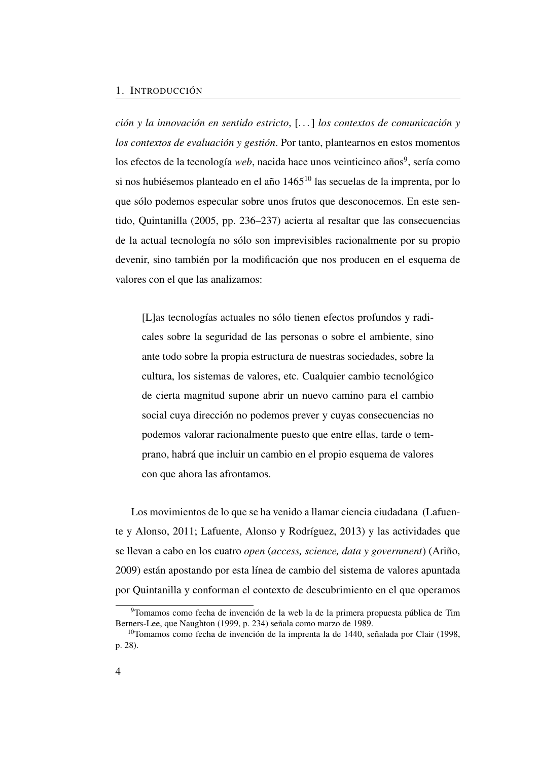#### 1. INTRODUCCIÓN

*ción y la innovación en sentido estricto*, [. . . ] *los contextos de comunicación y los contextos de evaluación y gestión*. Por tanto, plantearnos en estos momentos los efectos de la tecnología *web*, nacida hace unos veinticinco años<sup>[9](#page-33-0)</sup>, sería como si nos hubiésemos planteado en el año 1465<sup>[10](#page-33-1)</sup> las secuelas de la imprenta, por lo que sólo podemos especular sobre unos frutos que desconocemos. En este sentido, Quintanilla [\(2005,](#page-52-2) pp. 236–237) acierta al resaltar que las consecuencias de la actual tecnología no sólo son imprevisibles racionalmente por su propio devenir, sino también por la modificación que nos producen en el esquema de valores con el que las analizamos:

[L]as tecnologías actuales no sólo tienen efectos profundos y radicales sobre la seguridad de las personas o sobre el ambiente, sino ante todo sobre la propia estructura de nuestras sociedades, sobre la cultura, los sistemas de valores, etc. Cualquier cambio tecnológico de cierta magnitud supone abrir un nuevo camino para el cambio social cuya dirección no podemos prever y cuyas consecuencias no podemos valorar racionalmente puesto que entre ellas, tarde o temprano, habrá que incluir un cambio en el propio esquema de valores con que ahora las afrontamos.

Los movimientos de lo que se ha venido a llamar ciencia ciudadana (Lafuente y Alonso, [2011;](#page-51-4) Lafuente, Alonso y Rodríguez, [2013\)](#page-52-3) y las actividades que se llevan a cabo en los cuatro *open* (*access, science, data y government*) (Ariño, [2009\)](#page-48-1) están apostando por esta línea de cambio del sistema de valores apuntada por Quintanilla y conforman el contexto de descubrimiento en el que operamos

<span id="page-33-0"></span><sup>9</sup>Tomamos como fecha de invención de la web la de la primera propuesta pública de Tim Berners-Lee, que Naughton [\(1999,](#page-52-4) p. 234) señala como marzo de 1989.

<span id="page-33-1"></span> $10$ Tomamos como fecha de invención de la imprenta la de 1440, señalada por Clair [\(1998,](#page-49-1) p. 28).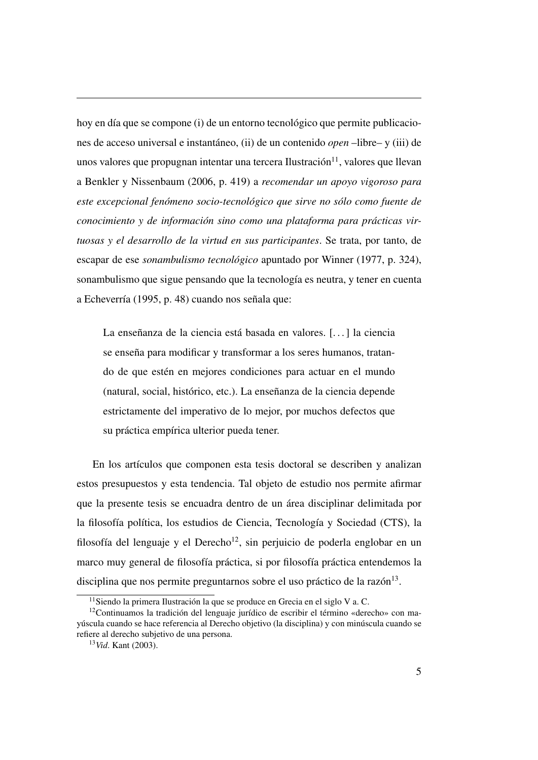hoy en día que se compone (i) de un entorno tecnológico que permite publicaciones de acceso universal e instantáneo, (ii) de un contenido *open* –libre– y (iii) de unos valores que propugnan intentar una tercera Ilustración<sup>[11](#page-34-1)</sup>, valores que llevan a Benkler y Nissenbaum [\(2006,](#page-49-2) p. 419) a *recomendar un apoyo vigoroso para este excepcional fenómeno socio-tecnológico que sirve no sólo como fuente de conocimiento y de información sino como una plataforma para prácticas virtuosas y el desarrollo de la virtud en sus participantes*. Se trata, por tanto, de escapar de ese *sonambulismo tecnológico* apuntado por Winner [\(1977,](#page-53-2) p. 324), sonambulismo que sigue pensando que la tecnología es neutra, y tener en cuenta a Echeverría [\(1995,](#page-50-5) p. 48) cuando nos señala que:

La enseñanza de la ciencia está basada en valores. [. . . ] la ciencia se enseña para modificar y transformar a los seres humanos, tratando de que estén en mejores condiciones para actuar en el mundo (natural, social, histórico, etc.). La enseñanza de la ciencia depende estrictamente del imperativo de lo mejor, por muchos defectos que su práctica empírica ulterior pueda tener.

<span id="page-34-0"></span>En los artículos que componen esta tesis doctoral se describen y analizan estos presupuestos y esta tendencia. Tal objeto de estudio nos permite afirmar que la presente tesis se encuadra dentro de un área disciplinar delimitada por la filosofía política, los estudios de Ciencia, Tecnología y Sociedad [\(CTS\)](#page-25-1), la filosofía del lenguaje y el Derecho<sup>[12](#page-34-2)</sup>, sin perjuicio de poderla englobar en un marco muy general de filosofía práctica, si por filosofía práctica entendemos la disciplina que nos permite preguntarnos sobre el uso práctico de la razón<sup>[13](#page-34-3)</sup>.

<span id="page-34-2"></span><span id="page-34-1"></span> $11$ Siendo la primera Ilustración la que se produce en Grecia en el siglo V a.C.

<sup>12</sup>Continuamos la tradición del lenguaje jurídico de escribir el término «derecho» con mayúscula cuando se hace referencia al Derecho objetivo (la disciplina) y con minúscula cuando se refiere al derecho subjetivo de una persona.

<span id="page-34-3"></span><sup>13</sup>*Vid*. Kant [\(2003\)](#page-51-5).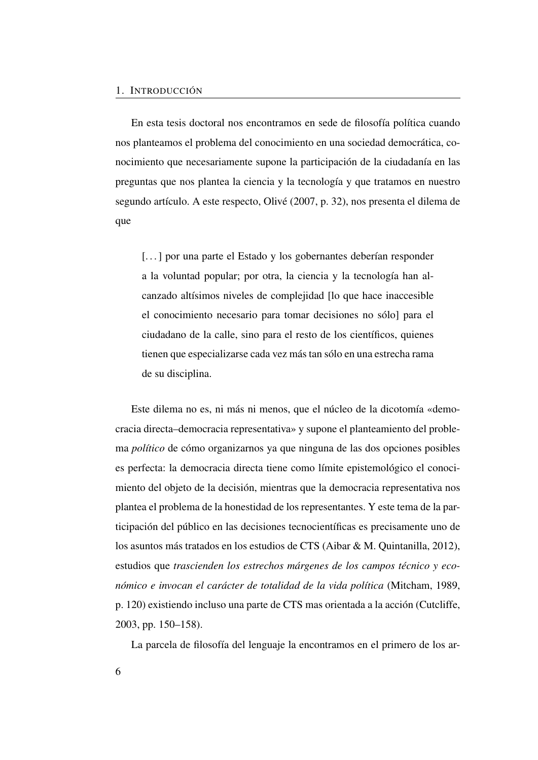En esta tesis doctoral nos encontramos en sede de filosofía política cuando nos planteamos el problema del conocimiento en una sociedad democrática, conocimiento que necesariamente supone la participación de la ciudadanía en las preguntas que nos plantea la ciencia y la tecnología y que tratamos en nuestro segundo artículo. A este respecto, Olivé [\(2007,](#page-52-1) p. 32), nos presenta el dilema de que

[...] por una parte el Estado y los gobernantes deberían responder a la voluntad popular; por otra, la ciencia y la tecnología han alcanzado altísimos niveles de complejidad [lo que hace inaccesible el conocimiento necesario para tomar decisiones no sólo] para el ciudadano de la calle, sino para el resto de los científicos, quienes tienen que especializarse cada vez más tan sólo en una estrecha rama de su disciplina.

Este dilema no es, ni más ni menos, que el núcleo de la dicotomía «democracia directa–democracia representativa» y supone el planteamiento del problema *político* de cómo organizarnos ya que ninguna de las dos opciones posibles es perfecta: la democracia directa tiene como límite epistemológico el conocimiento del objeto de la decisión, mientras que la democracia representativa nos plantea el problema de la honestidad de los representantes. Y este tema de la participación del público en las decisiones tecnocientíficas es precisamente uno de los asuntos más tratados en los estudios de [CTS](#page-25-1) (Aibar & M. Quintanilla, [2012\)](#page-48-0), estudios que *trascienden los estrechos márgenes de los campos técnico y económico e invocan el carácter de totalidad de la vida política* (Mitcham, [1989,](#page-52-5) p. 120) existiendo incluso una parte de [CTS](#page-25-1) mas orientada a la acción (Cutcliffe, [2003,](#page-49-3) pp. 150–158).

La parcela de filosofía del lenguaje la encontramos en el primero de los ar-

6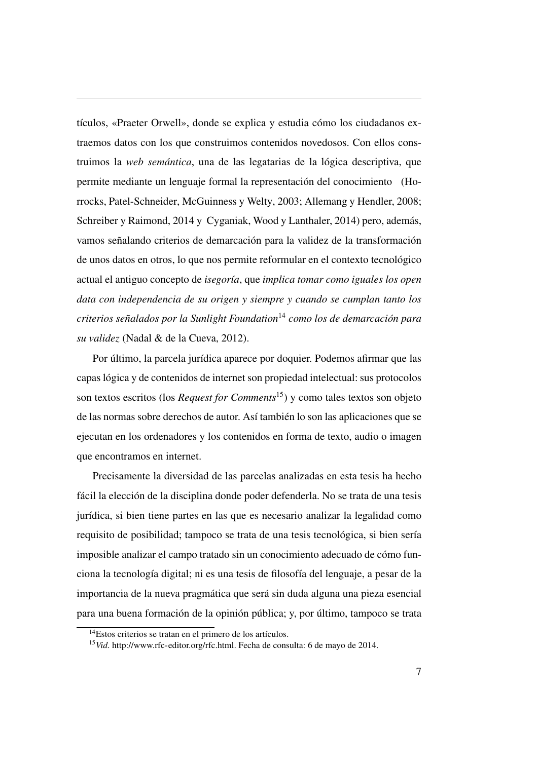tículos, [«Praeter Orwell»](#page-54-0), donde se explica y estudia cómo los ciudadanos extraemos datos con los que construimos contenidos novedosos. Con ellos construimos la *web semántica*, una de las legatarias de la lógica descriptiva, que permite mediante un lenguaje formal la representación del conocimiento (Horrocks, Patel-Schneider, McGuinness y Welty, [2003;](#page-51-0) Allemang y Hendler, [2008;](#page-48-0) Schreiber y Raimond, [2014](#page-53-0) y Cyganiak, Wood y Lanthaler, [2014\)](#page-50-0) pero, además, vamos señalando criterios de demarcación para la validez de la transformación de unos datos en otros, lo que nos permite reformular en el contexto tecnológico actual el antiguo concepto de *isegoría*, que *implica tomar como iguales los open data con independencia de su origen y siempre y cuando se cumplan tanto los criterios señalados por la Sunlight Foundation*[14](#page-36-0) *como los de demarcación para su validez* (Nadal & de la Cueva, [2012\)](#page-52-0).

Por último, la parcela jurídica aparece por doquier. Podemos afirmar que las capas lógica y de contenidos de internet son propiedad intelectual: sus protocolos son textos escritos (los *Request for Comments*[15](#page-36-1)) y como tales textos son objeto de las normas sobre derechos de autor. Así también lo son las aplicaciones que se ejecutan en los ordenadores y los contenidos en forma de texto, audio o imagen que encontramos en internet.

Precisamente la diversidad de las parcelas analizadas en esta tesis ha hecho fácil la elección de la disciplina donde poder defenderla. No se trata de una tesis jurídica, si bien tiene partes en las que es necesario analizar la legalidad como requisito de posibilidad; tampoco se trata de una tesis tecnológica, si bien sería imposible analizar el campo tratado sin un conocimiento adecuado de cómo funciona la tecnología digital; ni es una tesis de filosofía del lenguaje, a pesar de la importancia de la nueva pragmática que será sin duda alguna una pieza esencial para una buena formación de la opinión pública; y, por último, tampoco se trata

<span id="page-36-0"></span><sup>14</sup>Estos criterios se tratan en el primero de los artículos.

<span id="page-36-1"></span><sup>15</sup>*Vid*. [http://www.rfc-editor.org/rfc.html.](http://www.rfc-editor.org/rfc.html) Fecha de consulta: 6 de mayo de 2014.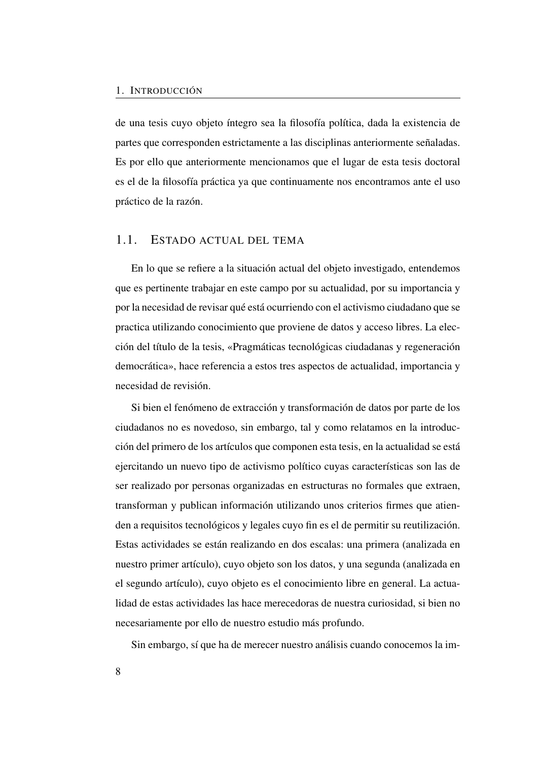de una tesis cuyo objeto íntegro sea la filosofía política, dada la existencia de partes que corresponden estrictamente a las disciplinas anteriormente señaladas. Es por ello que anteriormente mencionamos que el lugar de esta tesis doctoral es el de la filosofía práctica ya que continuamente nos encontramos ante el uso práctico de la razón.

## <span id="page-37-0"></span>1.1. ESTADO ACTUAL DEL TEMA

En lo que se refiere a la situación actual del objeto investigado, entendemos que es pertinente trabajar en este campo por su actualidad, por su importancia y por la necesidad de revisar qué está ocurriendo con el activismo ciudadano que se practica utilizando conocimiento que proviene de datos y acceso libres. La elección del título de la tesis, «Pragmáticas tecnológicas ciudadanas y regeneración democrática», hace referencia a estos tres aspectos de actualidad, importancia y necesidad de revisión.

Si bien el fenómeno de extracción y transformación de datos por parte de los ciudadanos no es novedoso, sin embargo, tal y como relatamos en la introducción del primero de los artículos que componen esta tesis, en la actualidad se está ejercitando un nuevo tipo de activismo político cuyas características son las de ser realizado por personas organizadas en estructuras no formales que extraen, transforman y publican información utilizando unos criterios firmes que atienden a requisitos tecnológicos y legales cuyo fin es el de permitir su reutilización. Estas actividades se están realizando en dos escalas: una primera (analizada en nuestro primer artículo), cuyo objeto son los datos, y una segunda (analizada en el segundo artículo), cuyo objeto es el conocimiento libre en general. La actualidad de estas actividades las hace merecedoras de nuestra curiosidad, si bien no necesariamente por ello de nuestro estudio más profundo.

Sin embargo, sí que ha de merecer nuestro análisis cuando conocemos la im-

8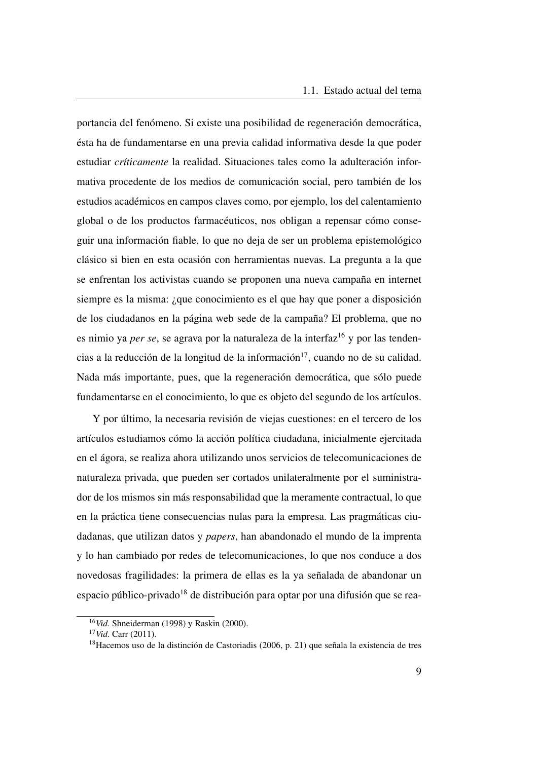portancia del fenómeno. Si existe una posibilidad de regeneración democrática, ésta ha de fundamentarse en una previa calidad informativa desde la que poder estudiar *críticamente* la realidad. Situaciones tales como la adulteración informativa procedente de los medios de comunicación social, pero también de los estudios académicos en campos claves como, por ejemplo, los del calentamiento global o de los productos farmacéuticos, nos obligan a repensar cómo conseguir una información fiable, lo que no deja de ser un problema epistemológico clásico si bien en esta ocasión con herramientas nuevas. La pregunta a la que se enfrentan los activistas cuando se proponen una nueva campaña en internet siempre es la misma: ¿que conocimiento es el que hay que poner a disposición de los ciudadanos en la página web sede de la campaña? El problema, que no es nimio ya *per se*, se agrava por la naturaleza de la interfaz<sup>[16](#page-38-0)</sup> y por las tenden-cias a la reducción de la longitud de la información<sup>[17](#page-38-1)</sup>, cuando no de su calidad. Nada más importante, pues, que la regeneración democrática, que sólo puede fundamentarse en el conocimiento, lo que es objeto del segundo de los artículos.

Y por último, la necesaria revisión de viejas cuestiones: en el tercero de los artículos estudiamos cómo la acción política ciudadana, inicialmente ejercitada en el ágora, se realiza ahora utilizando unos servicios de telecomunicaciones de naturaleza privada, que pueden ser cortados unilateralmente por el suministrador de los mismos sin más responsabilidad que la meramente contractual, lo que en la práctica tiene consecuencias nulas para la empresa. Las pragmáticas ciudadanas, que utilizan datos y *papers*, han abandonado el mundo de la imprenta y lo han cambiado por redes de telecomunicaciones, lo que nos conduce a dos novedosas fragilidades: la primera de ellas es la ya señalada de abandonar un espacio público-privado<sup>[18](#page-38-2)</sup> de distribución para optar por una difusión que se rea-

<span id="page-38-0"></span><sup>16</sup>*Vid*. Shneiderman [\(1998\)](#page-53-1) y Raskin [\(2000\)](#page-53-2).

<span id="page-38-1"></span><sup>17</sup>*Vid*. Carr [\(2011\)](#page-49-0).

<span id="page-38-2"></span><sup>18</sup>Hacemos uso de la distinción de Castoriadis [\(2006,](#page-49-1) p. 21) que señala la existencia de tres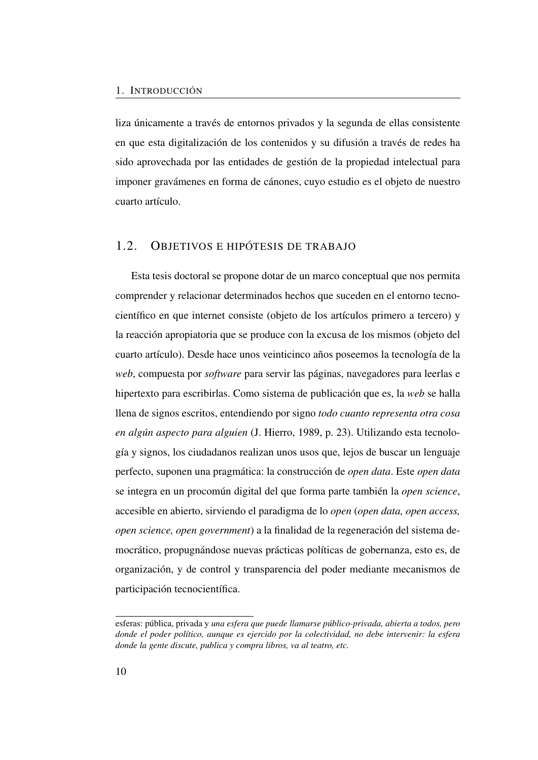liza únicamente a través de entornos privados y la segunda de ellas consistente en que esta digitalización de los contenidos y su difusión a través de redes ha sido aprovechada por las entidades de gestión de la propiedad intelectual para imponer gravámenes en forma de cánones, cuyo estudio es el objeto de nuestro cuarto artículo.

## 1.2. OBJETIVOS E HIPÓTESIS DE TRABAJO

Esta tesis doctoral se propone dotar de un marco conceptual que nos permita comprender y relacionar determinados hechos que suceden en el entorno tecnocientífico en que internet consiste (objeto de los artículos primero a tercero) y la reacción apropiatoria que se produce con la excusa de los mismos (objeto del cuarto artículo). Desde hace unos veinticinco años poseemos la tecnología de la *web*, compuesta por *software* para servir las páginas, navegadores para leerlas e hipertexto para escribirlas. Como sistema de publicación que es, la *web* se halla llena de signos escritos, entendiendo por signo *todo cuanto representa otra cosa en algún aspecto para alguien* (J. Hierro, [1989,](#page-51-1) p. 23). Utilizando esta tecnología y signos, los ciudadanos realizan unos usos que, lejos de buscar un lenguaje perfecto, suponen una pragmática: la construcción de *open data*. Este *open data* se integra en un procomún digital del que forma parte también la *open science*, accesible en abierto, sirviendo el paradigma de lo *open* (*open data, open access, open science, open government*) a la finalidad de la regeneración del sistema democrático, propugnándose nuevas prácticas políticas de gobernanza, esto es, de organización, y de control y transparencia del poder mediante mecanismos de participación tecnocientífica.

esferas: pública, privada y *una esfera que puede llamarse público-privada, abierta a todos, pero donde el poder político, aunque es ejercido por la colectividad, no debe intervenir: la esfera donde la gente discute, publica y compra libros, va al teatro, etc.*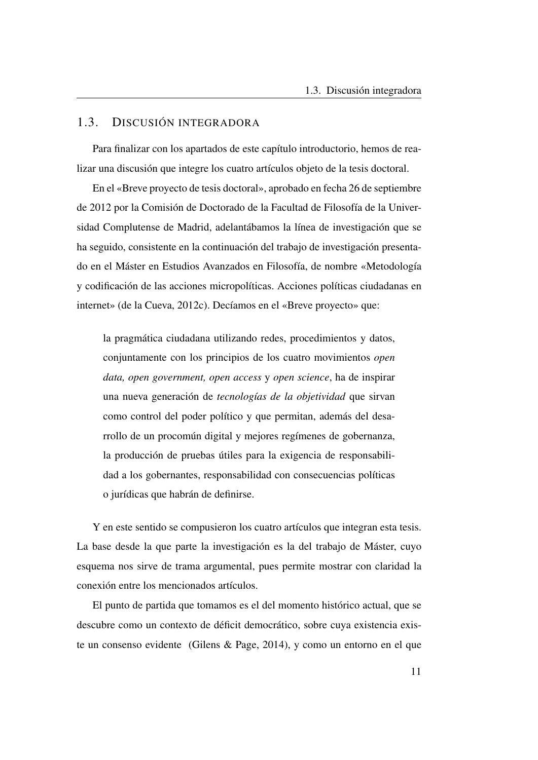### 1.3. DISCUSIÓN INTEGRADORA

Para finalizar con los apartados de este capítulo introductorio, hemos de realizar una discusión que integre los cuatro artículos objeto de la tesis doctoral.

En el «Breve proyecto de tesis doctoral», aprobado en fecha 26 de septiembre de 2012 por la Comisión de Doctorado de la Facultad de Filosofía de la Universidad Complutense de Madrid, adelantábamos la línea de investigación que se ha seguido, consistente en la continuación del trabajo de investigación presentado en el Máster en Estudios Avanzados en Filosofía, de nombre «Metodología y codificación de las acciones micropolíticas. Acciones políticas ciudadanas en internet» (de la Cueva, [2012c\)](#page-50-1). Decíamos en el «Breve proyecto» que:

la pragmática ciudadana utilizando redes, procedimientos y datos, conjuntamente con los principios de los cuatro movimientos *open data, open government, open access* y *open science*, ha de inspirar una nueva generación de *tecnologías de la objetividad* que sirvan como control del poder político y que permitan, además del desarrollo de un procomún digital y mejores regímenes de gobernanza, la producción de pruebas útiles para la exigencia de responsabilidad a los gobernantes, responsabilidad con consecuencias políticas o jurídicas que habrán de definirse.

Y en este sentido se compusieron los cuatro artículos que integran esta tesis. La base desde la que parte la investigación es la del trabajo de Máster, cuyo esquema nos sirve de trama argumental, pues permite mostrar con claridad la conexión entre los mencionados artículos.

El punto de partida que tomamos es el del momento histórico actual, que se descubre como un contexto de déficit democrático, sobre cuya existencia existe un consenso evidente (Gilens & Page, [2014\)](#page-51-2), y como un entorno en el que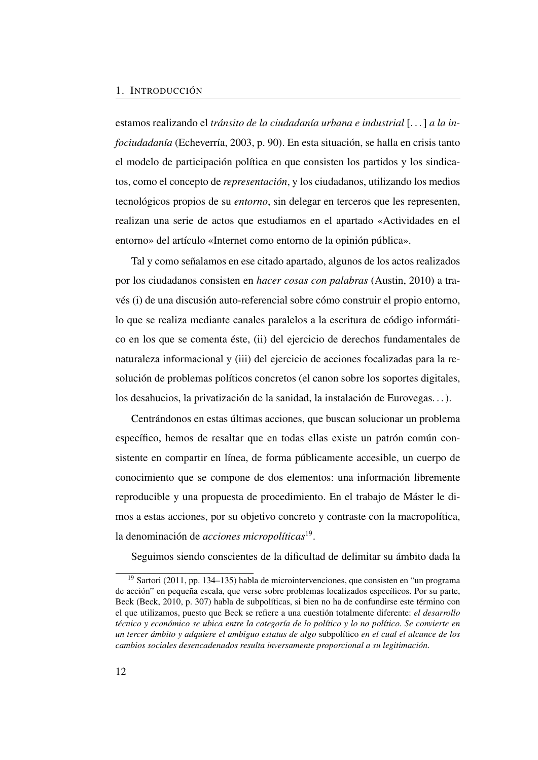#### 1. INTRODUCCIÓN

estamos realizando el *tránsito de la ciudadanía urbana e industrial* [. . . ] *a la infociudadanía* (Echeverría, [2003,](#page-51-3) p. 90). En esta situación, se halla en crisis tanto el modelo de participación política en que consisten los partidos y los sindicatos, como el concepto de *representación*, y los ciudadanos, utilizando los medios tecnológicos propios de su *entorno*, sin delegar en terceros que les representen, realizan una serie de actos que estudiamos en el apartado [«Actividades en el](#page-127-0) [entorno»](#page-127-0) del artículo [«Internet como entorno de la opinión pública»](#page-116-0).

Tal y como señalamos en ese citado apartado, algunos de los actos realizados por los ciudadanos consisten en *hacer cosas con palabras* (Austin, [2010\)](#page-49-2) a través (i) de una discusión auto-referencial sobre cómo construir el propio entorno, lo que se realiza mediante canales paralelos a la escritura de código informático en los que se comenta éste, (ii) del ejercicio de derechos fundamentales de naturaleza informacional y (iii) del ejercicio de acciones focalizadas para la resolución de problemas políticos concretos (el canon sobre los soportes digitales, los desahucios, la privatización de la sanidad, la instalación de Eurovegas. . . ).

Centrándonos en estas últimas acciones, que buscan solucionar un problema específico, hemos de resaltar que en todas ellas existe un patrón común consistente en compartir en línea, de forma públicamente accesible, un cuerpo de conocimiento que se compone de dos elementos: una información libremente reproducible y una propuesta de procedimiento. En el trabajo de Máster le dimos a estas acciones, por su objetivo concreto y contraste con la macropolítica, la denominación de *acciones micropolíticas*[19](#page-41-0) .

Seguimos siendo conscientes de la dificultad de delimitar su ámbito dada la

<span id="page-41-0"></span> $19$  Sartori [\(2011,](#page-53-3) pp. 134–135) habla de microintervenciones, que consisten en "un programa" de acción" en pequeña escala, que verse sobre problemas localizados específicos. Por su parte, Beck (Beck, [2010,](#page-49-3) p. 307) habla de subpolíticas, si bien no ha de confundirse este término con el que utilizamos, puesto que Beck se refiere a una cuestión totalmente diferente: *el desarrollo técnico y económico se ubica entre la categoría de lo político y lo no político. Se convierte en un tercer ámbito y adquiere el ambiguo estatus de algo* subpolítico *en el cual el alcance de los cambios sociales desencadenados resulta inversamente proporcional a su legitimación*.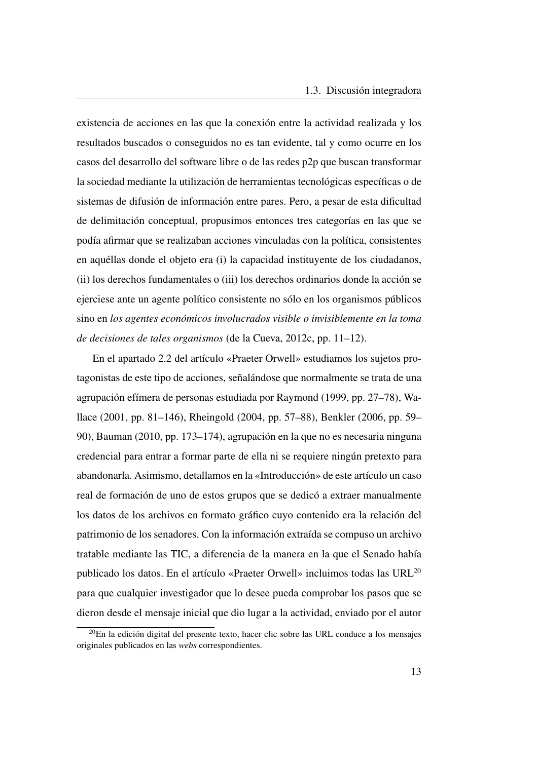existencia de acciones en las que la conexión entre la actividad realizada y los resultados buscados o conseguidos no es tan evidente, tal y como ocurre en los casos del desarrollo del software libre o de las redes p2p que buscan transformar la sociedad mediante la utilización de herramientas tecnológicas específicas o de sistemas de difusión de información entre pares. Pero, a pesar de esta dificultad de delimitación conceptual, propusimos entonces tres categorías en las que se podía afirmar que se realizaban acciones vinculadas con la política, consistentes en aquéllas donde el objeto era (i) la capacidad instituyente de los ciudadanos, (ii) los derechos fundamentales o (iii) los derechos ordinarios donde la acción se ejerciese ante un agente político consistente no sólo en los organismos públicos sino en *los agentes económicos involucrados visible o invisiblemente en la toma de decisiones de tales organismos* (de la Cueva, [2012c,](#page-50-1) pp. 11–12).

En el apartado [2.2](#page-60-0) del artículo [«Praeter Orwell»](#page-54-0) estudiamos los sujetos protagonistas de este tipo de acciones, señalándose que normalmente se trata de una agrupación efímera de personas estudiada por Raymond [\(1999,](#page-53-4) pp. 27–78), Wallace [\(2001,](#page-53-5) pp. 81–146), Rheingold [\(2004,](#page-53-6) pp. 57–88), Benkler [\(2006,](#page-49-4) pp. 59– 90), Bauman [\(2010,](#page-49-5) pp. 173–174), agrupación en la que no es necesaria ninguna credencial para entrar a formar parte de ella ni se requiere ningún pretexto para abandonarla. Asimismo, detallamos en la [«Introducción»](#page-55-0) de este artículo un caso real de formación de uno de estos grupos que se dedicó a extraer manualmente los datos de los archivos en formato gráfico cuyo contenido era la relación del patrimonio de los senadores. Con la información extraída se compuso un archivo tratable mediante las [TIC,](#page-27-0) a diferencia de la manera en la que el Senado había publicado los datos. En el artículo [«Praeter Orwell»](#page-54-0) incluimos todas las [URL](#page-27-1)[20](#page-42-0) para que cualquier investigador que lo desee pueda comprobar los pasos que se dieron desde el mensaje inicial que dio lugar a la actividad, enviado por el autor

<span id="page-42-0"></span> $^{20}$ En la edición digital del presente texto, hacer clic sobre las [URL](#page-27-1) conduce a los mensajes originales publicados en las *webs* correspondientes.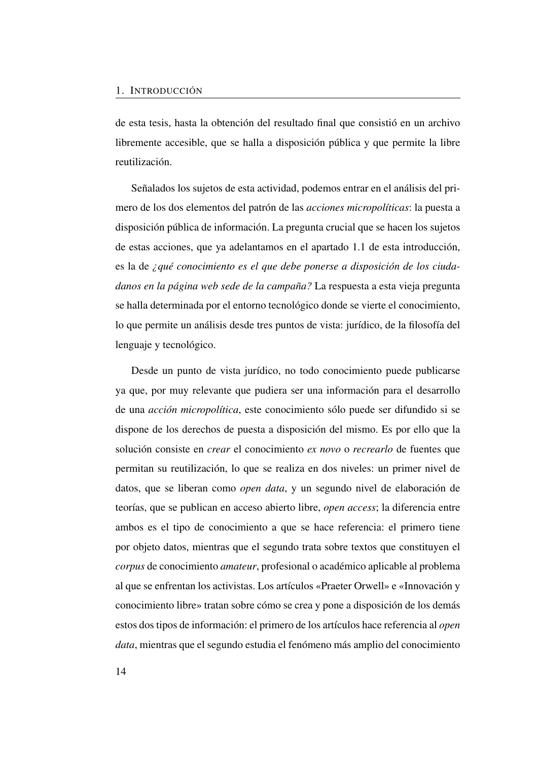de esta tesis, hasta la obtención del resultado final que consistió en un archivo libremente accesible, que se halla a disposición pública y que permite la libre reutilización.

Señalados los sujetos de esta actividad, podemos entrar en el análisis del primero de los dos elementos del patrón de las *acciones micropolíticas*: la puesta a disposición pública de información. La pregunta crucial que se hacen los sujetos de estas acciones, que ya adelantamos en el apartado [1.1](#page-37-0) de esta introducción, es la de *¿qué conocimiento es el que debe ponerse a disposición de los ciudadanos en la página web sede de la campaña?* La respuesta a esta vieja pregunta se halla determinada por el entorno tecnológico donde se vierte el conocimiento, lo que permite un análisis desde tres puntos de vista: jurídico, de la filosofía del lenguaje y tecnológico.

Desde un punto de vista jurídico, no todo conocimiento puede publicarse ya que, por muy relevante que pudiera ser una información para el desarrollo de una *acción micropolítica*, este conocimiento sólo puede ser difundido si se dispone de los derechos de puesta a disposición del mismo. Es por ello que la solución consiste en *crear* el conocimiento *ex novo* o *recrearlo* de fuentes que permitan su reutilización, lo que se realiza en dos niveles: un primer nivel de datos, que se liberan como *open data*, y un segundo nivel de elaboración de teorías, que se publican en acceso abierto libre, *open access*; la diferencia entre ambos es el tipo de conocimiento a que se hace referencia: el primero tiene por objeto datos, mientras que el segundo trata sobre textos que constituyen el *corpus* de conocimiento *amateur*, profesional o académico aplicable al problema al que se enfrentan los activistas. Los artículos [«Praeter Orwell»](#page-54-0) e [«Innovación y](#page-86-0) [conocimiento libre»](#page-86-0) tratan sobre cómo se crea y pone a disposición de los demás estos dos tipos de información: el primero de los artículos hace referencia al *open data*, mientras que el segundo estudia el fenómeno más amplio del conocimiento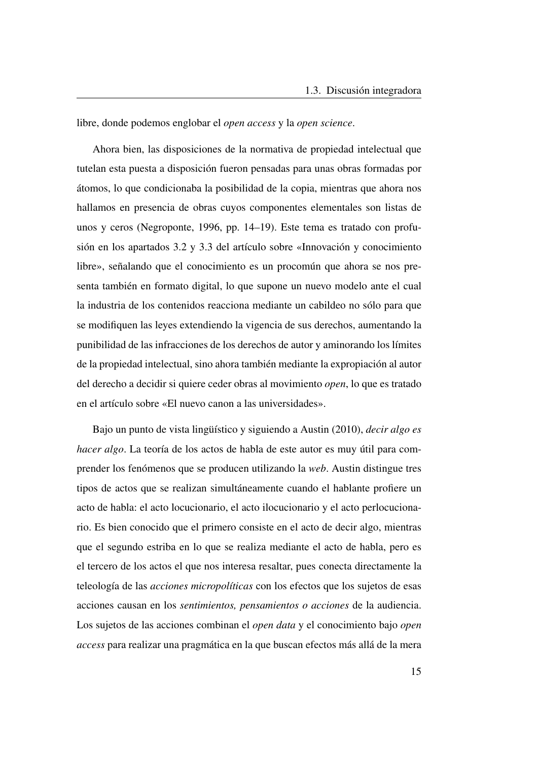libre, donde podemos englobar el *open access* y la *open science*.

Ahora bien, las disposiciones de la normativa de propiedad intelectual que tutelan esta puesta a disposición fueron pensadas para unas obras formadas por átomos, lo que condicionaba la posibilidad de la copia, mientras que ahora nos hallamos en presencia de obras cuyos componentes elementales son listas de unos y ceros (Negroponte, [1996,](#page-52-1) pp. 14–19). Este tema es tratado con profusión en los apartados [3.2](#page-89-0) y [3.3](#page-97-0) del artículo sobre [«Innovación y conocimiento](#page-86-0) [libre»](#page-86-0), señalando que el conocimiento es un procomún que ahora se nos presenta también en formato digital, lo que supone un nuevo modelo ante el cual la industria de los contenidos reacciona mediante un cabildeo no sólo para que se modifiquen las leyes extendiendo la vigencia de sus derechos, aumentando la punibilidad de las infracciones de los derechos de autor y aminorando los límites de la propiedad intelectual, sino ahora también mediante la expropiación al autor del derecho a decidir si quiere ceder obras al movimiento *open*, lo que es tratado en el artículo sobre [«El nuevo canon a las universidades»](#page-152-0).

Bajo un punto de vista lingüístico y siguiendo a Austin [\(2010\)](#page-49-2), *decir algo es hacer algo*. La teoría de los actos de habla de este autor es muy útil para comprender los fenómenos que se producen utilizando la *web*. Austin distingue tres tipos de actos que se realizan simultáneamente cuando el hablante profiere un acto de habla: el acto locucionario, el acto ilocucionario y el acto perlocucionario. Es bien conocido que el primero consiste en el acto de decir algo, mientras que el segundo estriba en lo que se realiza mediante el acto de habla, pero es el tercero de los actos el que nos interesa resaltar, pues conecta directamente la teleología de las *acciones micropolíticas* con los efectos que los sujetos de esas acciones causan en los *sentimientos, pensamientos o acciones* de la audiencia. Los sujetos de las acciones combinan el *open data* y el conocimiento bajo *open access* para realizar una pragmática en la que buscan efectos más allá de la mera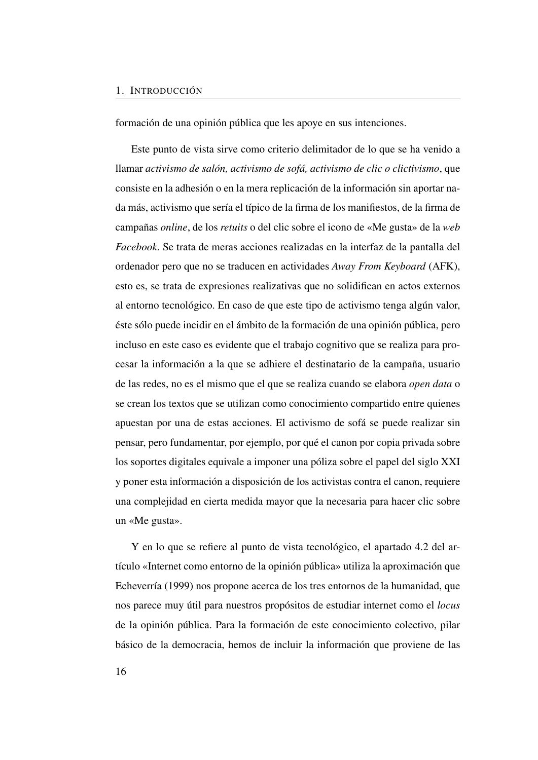#### 1. INTRODUCCIÓN

formación de una opinión pública que les apoye en sus intenciones.

Este punto de vista sirve como criterio delimitador de lo que se ha venido a llamar *activismo de salón, activismo de sofá, activismo de clic o clictivismo*, que consiste en la adhesión o en la mera replicación de la información sin aportar nada más, activismo que sería el típico de la firma de los manifiestos, de la firma de campañas *online*, de los *retuits* o del clic sobre el icono de «Me gusta» de la *web Facebook*. Se trata de meras acciones realizadas en la interfaz de la pantalla del ordenador pero que no se traducen en actividades *Away From Keyboard* [\(AFK\)](#page-24-0), esto es, se trata de expresiones realizativas que no solidifican en actos externos al entorno tecnológico. En caso de que este tipo de activismo tenga algún valor, éste sólo puede incidir en el ámbito de la formación de una opinión pública, pero incluso en este caso es evidente que el trabajo cognitivo que se realiza para procesar la información a la que se adhiere el destinatario de la campaña, usuario de las redes, no es el mismo que el que se realiza cuando se elabora *open data* o se crean los textos que se utilizan como conocimiento compartido entre quienes apuestan por una de estas acciones. El activismo de sofá se puede realizar sin pensar, pero fundamentar, por ejemplo, por qué el canon por copia privada sobre los soportes digitales equivale a imponer una póliza sobre el papel del siglo XXI y poner esta información a disposición de los activistas contra el canon, requiere una complejidad en cierta medida mayor que la necesaria para hacer clic sobre un «Me gusta».

Y en lo que se refiere al punto de vista tecnológico, el apartado [4.2](#page-120-0) del artículo [«Internet como entorno de la opinión pública»](#page-116-0) utiliza la aproximación que Echeverría [\(1999\)](#page-50-2) nos propone acerca de los tres entornos de la humanidad, que nos parece muy útil para nuestros propósitos de estudiar internet como el *locus* de la opinión pública. Para la formación de este conocimiento colectivo, pilar básico de la democracia, hemos de incluir la información que proviene de las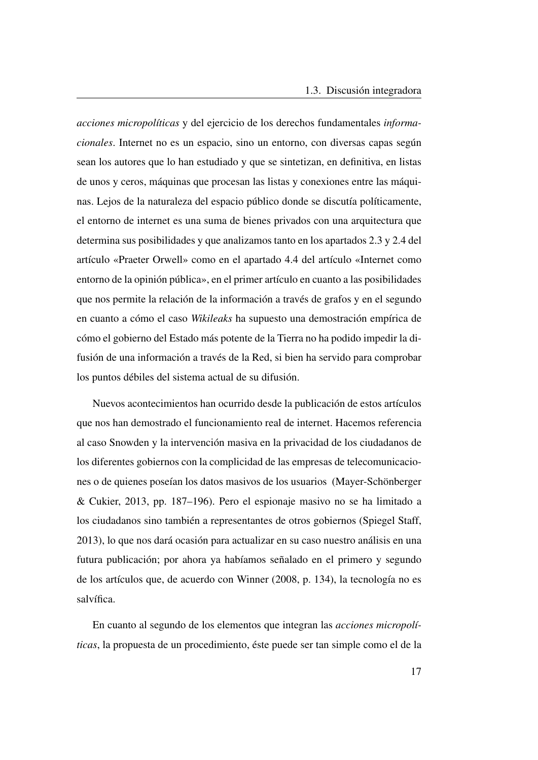*acciones micropolíticas* y del ejercicio de los derechos fundamentales *informacionales*. Internet no es un espacio, sino un entorno, con diversas capas según sean los autores que lo han estudiado y que se sintetizan, en definitiva, en listas de unos y ceros, máquinas que procesan las listas y conexiones entre las máquinas. Lejos de la naturaleza del espacio público donde se discutía políticamente, el entorno de internet es una suma de bienes privados con una arquitectura que determina sus posibilidades y que analizamos tanto en los apartados [2.3](#page-66-0) y [2.4](#page-76-0) del artículo [«Praeter Orwell»](#page-54-0) como en el apartado [4.4](#page-131-0) del artículo [«Internet como](#page-116-0) [entorno de la opinión pública»](#page-116-0), en el primer artículo en cuanto a las posibilidades que nos permite la relación de la información a través de grafos y en el segundo en cuanto a cómo el caso *Wikileaks* ha supuesto una demostración empírica de cómo el gobierno del Estado más potente de la Tierra no ha podido impedir la difusión de una información a través de la Red, si bien ha servido para comprobar los puntos débiles del sistema actual de su difusión.

Nuevos acontecimientos han ocurrido desde la publicación de estos artículos que nos han demostrado el funcionamiento real de internet. Hacemos referencia al caso Snowden y la intervención masiva en la privacidad de los ciudadanos de los diferentes gobiernos con la complicidad de las empresas de telecomunicaciones o de quienes poseían los datos masivos de los usuarios (Mayer-Schönberger & Cukier, [2013,](#page-52-2) pp. 187–196). Pero el espionaje masivo no se ha limitado a los ciudadanos sino también a representantes de otros gobiernos (Spiegel Staff, [2013\)](#page-53-7), lo que nos dará ocasión para actualizar en su caso nuestro análisis en una futura publicación; por ahora ya habíamos señalado en el primero y segundo de los artículos que, de acuerdo con Winner [\(2008,](#page-53-8) p. 134), la tecnología no es salvífica.

En cuanto al segundo de los elementos que integran las *acciones micropolíticas*, la propuesta de un procedimiento, éste puede ser tan simple como el de la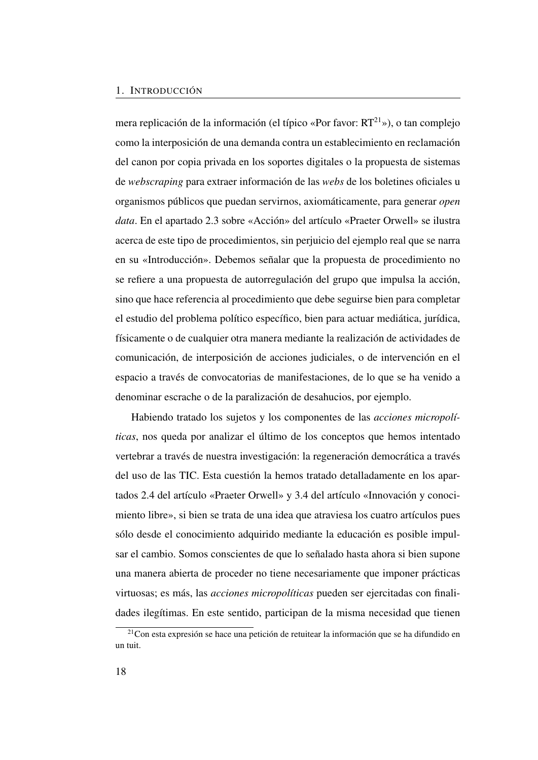#### 1. INTRODUCCIÓN

mera replicación de la información (el típico «Por favor:  $RT^{21}$  $RT^{21}$  $RT^{21}$ »), o tan complejo como la interposición de una demanda contra un establecimiento en reclamación del canon por copia privada en los soportes digitales o la propuesta de sistemas de *webscraping* para extraer información de las *webs* de los boletines oficiales u organismos públicos que puedan servirnos, axiomáticamente, para generar *open data*. En el apartado [2.3](#page-66-0) sobre [«Acción»](#page-66-0) del artículo [«Praeter Orwell»](#page-54-0) se ilustra acerca de este tipo de procedimientos, sin perjuicio del ejemplo real que se narra en su [«Introducción»](#page-55-0). Debemos señalar que la propuesta de procedimiento no se refiere a una propuesta de autorregulación del grupo que impulsa la acción, sino que hace referencia al procedimiento que debe seguirse bien para completar el estudio del problema político específico, bien para actuar mediática, jurídica, físicamente o de cualquier otra manera mediante la realización de actividades de comunicación, de interposición de acciones judiciales, o de intervención en el espacio a través de convocatorias de manifestaciones, de lo que se ha venido a denominar escrache o de la paralización de desahucios, por ejemplo.

Habiendo tratado los sujetos y los componentes de las *acciones micropolíticas*, nos queda por analizar el último de los conceptos que hemos intentado vertebrar a través de nuestra investigación: la regeneración democrática a través del uso de las [TIC.](#page-27-0) Esta cuestión la hemos tratado detalladamente en los apartados [2.4](#page-76-0) del artículo [«Praeter Orwell»](#page-54-0) y [3.4](#page-101-0) del artículo [«Innovación y conoci](#page-86-0)[miento libre»](#page-86-0), si bien se trata de una idea que atraviesa los cuatro artículos pues sólo desde el conocimiento adquirido mediante la educación es posible impulsar el cambio. Somos conscientes de que lo señalado hasta ahora si bien supone una manera abierta de proceder no tiene necesariamente que imponer prácticas virtuosas; es más, las *acciones micropolíticas* pueden ser ejercitadas con finalidades ilegítimas. En este sentido, participan de la misma necesidad que tienen

<span id="page-47-0"></span><sup>21</sup>Con esta expresión se hace una petición de retuitear la información que se ha difundido en un tuit.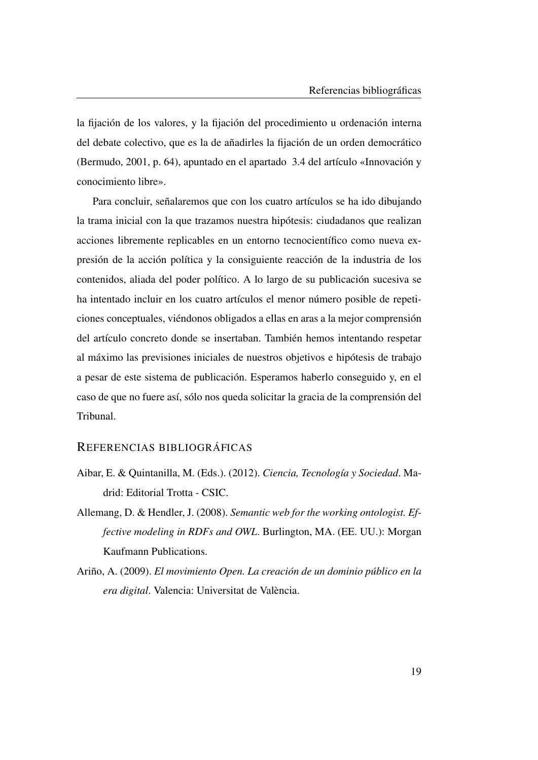la fijación de los valores, y la fijación del procedimiento u ordenación interna del debate colectivo, que es la de añadirles la fijación de un orden democrático (Bermudo, [2001,](#page-49-6) p. 64), apuntado en el apartado [3.4](#page-101-0) del artículo [«Innovación y](#page-86-0) [conocimiento libre»](#page-86-0).

Para concluir, señalaremos que con los cuatro artículos se ha ido dibujando la trama inicial con la que trazamos nuestra hipótesis: ciudadanos que realizan acciones libremente replicables en un entorno tecnocientífico como nueva expresión de la acción política y la consiguiente reacción de la industria de los contenidos, aliada del poder político. A lo largo de su publicación sucesiva se ha intentado incluir en los cuatro artículos el menor número posible de repeticiones conceptuales, viéndonos obligados a ellas en aras a la mejor comprensión del artículo concreto donde se insertaban. También hemos intentando respetar al máximo las previsiones iniciales de nuestros objetivos e hipótesis de trabajo a pesar de este sistema de publicación. Esperamos haberlo conseguido y, en el caso de que no fuere así, sólo nos queda solicitar la gracia de la comprensión del Tribunal.

#### REFERENCIAS BIBLIOGRÁFICAS

- Aibar, E. & Quintanilla, M. (Eds.). (2012). *Ciencia, Tecnología y Sociedad*. Madrid: Editorial Trotta - CSIC.
- <span id="page-48-0"></span>Allemang, D. & Hendler, J. (2008). *Semantic web for the working ontologist. Effective modeling in RDFs and OWL*. Burlington, MA. (EE. UU.): Morgan Kaufmann Publications.
- Ariño, A. (2009). *El movimiento Open. La creación de un dominio público en la era digital*. Valencia: Universitat de València.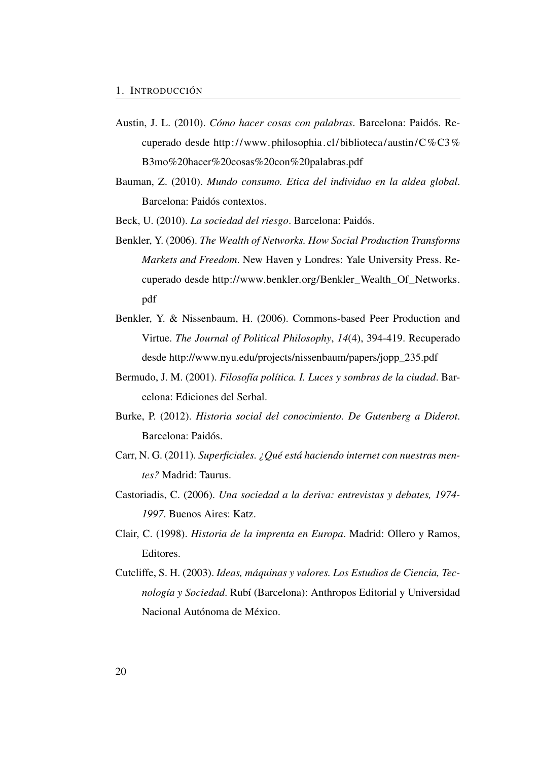- <span id="page-49-2"></span>Austin, J. L. (2010). *Cómo hacer cosas con palabras*. Barcelona: Paidós. Recuperado desde [http://www. philosophia.cl/ biblioteca/austin/C%C3%](http://www.philosophia.cl/biblioteca/austin/C%C3%B3mo%20hacer%20cosas%20con%20palabras.pdf) [B3mo%20hacer%20cosas%20con%20palabras.pdf](http://www.philosophia.cl/biblioteca/austin/C%C3%B3mo%20hacer%20cosas%20con%20palabras.pdf)
- <span id="page-49-5"></span>Bauman, Z. (2010). *Mundo consumo. Etica del individuo en la aldea global*. Barcelona: Paidós contextos.
- <span id="page-49-4"></span><span id="page-49-3"></span>Beck, U. (2010). *La sociedad del riesgo*. Barcelona: Paidós.
- Benkler, Y. (2006). *The Wealth of Networks. How Social Production Transforms Markets and Freedom*. New Haven y Londres: Yale University Press. Recuperado desde [http://www.benkler.org/Benkler\\_Wealth\\_Of\\_Networks.](http://www.benkler.org/Benkler_Wealth_Of_Networks.pdf) [pdf](http://www.benkler.org/Benkler_Wealth_Of_Networks.pdf)
- Benkler, Y. & Nissenbaum, H. (2006). Commons-based Peer Production and Virtue. *The Journal of Political Philosophy*, *14*(4), 394-419. Recuperado desde [http://www.nyu.edu/projects/nissenbaum/papers/jopp\\_235.pdf](http://www.nyu.edu/projects/nissenbaum/papers/jopp_235.pdf)
- <span id="page-49-6"></span>Bermudo, J. M. (2001). *Filosofía política. I. Luces y sombras de la ciudad*. Barcelona: Ediciones del Serbal.
- Burke, P. (2012). *Historia social del conocimiento. De Gutenberg a Diderot*. Barcelona: Paidós.
- <span id="page-49-0"></span>Carr, N. G. (2011). *Superficiales. ¿Qué está haciendo internet con nuestras mentes?* Madrid: Taurus.
- <span id="page-49-1"></span>Castoriadis, C. (2006). *Una sociedad a la deriva: entrevistas y debates, 1974- 1997*. Buenos Aires: Katz.
- Clair, C. (1998). *Historia de la imprenta en Europa*. Madrid: Ollero y Ramos, Editores.
- Cutcliffe, S. H. (2003). *Ideas, máquinas y valores. Los Estudios de Ciencia, Tecnología y Sociedad*. Rubí (Barcelona): Anthropos Editorial y Universidad Nacional Autónoma de México.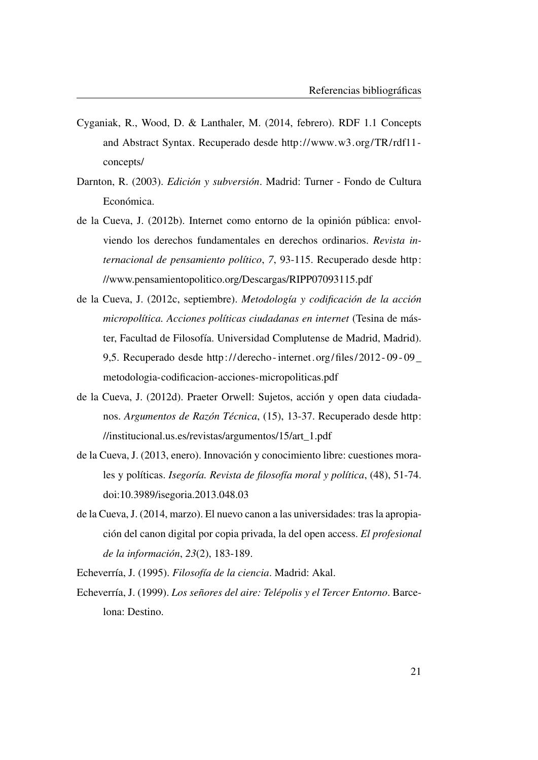- <span id="page-50-0"></span>Cyganiak, R., Wood, D. & Lanthaler, M. (2014, febrero). RDF 1.1 Concepts and Abstract Syntax. Recuperado desde [http://www.w3.org/TR/rdf11](http://www.w3.org/TR/rdf11-concepts/) [concepts/](http://www.w3.org/TR/rdf11-concepts/)
- Darnton, R. (2003). *Edición y subversión*. Madrid: Turner Fondo de Cultura Económica.
- de la Cueva, J. (2012b). Internet como entorno de la opinión pública: envolviendo los derechos fundamentales en derechos ordinarios. *Revista internacional de pensamiento político*, *7*, 93-115. Recuperado desde [http:](http://www.pensamientopolitico.org/Descargas/RIPP07093115.pdf) [//www.pensamientopolitico.org/Descargas/RIPP07093115.pdf](http://www.pensamientopolitico.org/Descargas/RIPP07093115.pdf)
- <span id="page-50-1"></span>de la Cueva, J. (2012c, septiembre). *Metodología y codificación de la acción micropolítica. Acciones políticas ciudadanas en internet* (Tesina de máster, Facultad de Filosofía. Universidad Complutense de Madrid, Madrid). 9,5. Recuperado desde [http:// derecho - internet. org/files/ 2012 - 09 - 09 \\_](http://derecho-internet.org/files/2012-09-09_metodologia-codificacion-acciones-micropoliticas.pdf) [metodologia-codificacion-acciones-micropoliticas.pdf](http://derecho-internet.org/files/2012-09-09_metodologia-codificacion-acciones-micropoliticas.pdf)
- de la Cueva, J. (2012d). Praeter Orwell: Sujetos, acción y open data ciudadanos. *Argumentos de Razón Técnica*, (15), 13-37. Recuperado desde [http:](http://institucional.us.es/revistas/argumentos/15/art_1.pdf) [//institucional.us.es/revistas/argumentos/15/art\\_1.pdf](http://institucional.us.es/revistas/argumentos/15/art_1.pdf)
- de la Cueva, J. (2013, enero). Innovación y conocimiento libre: cuestiones morales y políticas. *Isegoría. Revista de filosofía moral y política*, (48), 51-74. doi[:10.3989/isegoria.2013.048.03](http://dx.doi.org/10.3989/isegoria.2013.048.03)
- de la Cueva, J. (2014, marzo). El nuevo canon a las universidades: tras la apropiación del canon digital por copia privada, la del open access. *El profesional de la información*, *23*(2), 183-189.
- Echeverría, J. (1995). *Filosofía de la ciencia*. Madrid: Akal.
- <span id="page-50-2"></span>Echeverría, J. (1999). *Los señores del aire: Telépolis y el Tercer Entorno*. Barcelona: Destino.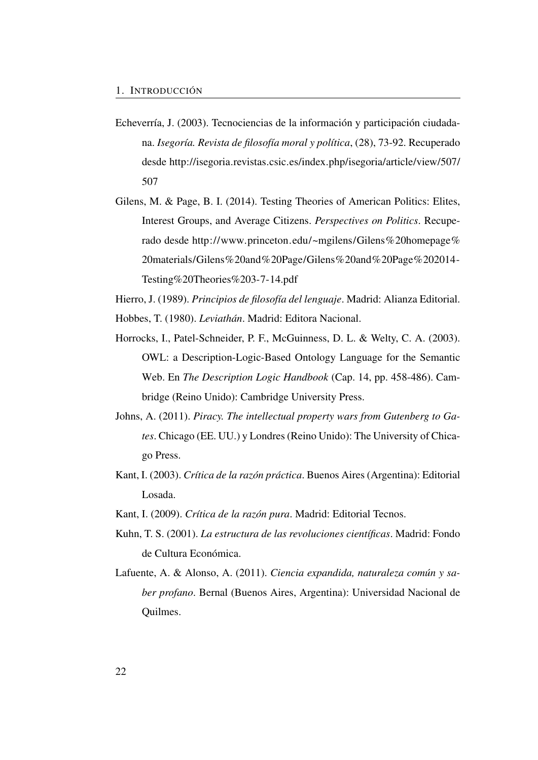- <span id="page-51-3"></span>Echeverría, J. (2003). Tecnociencias de la información y participación ciudadana. *Isegoría. Revista de filosofía moral y política*, (28), 73-92. Recuperado desde [http://isegoria.revistas.csic.es/index.php/isegoria/article/view/507/](http://isegoria.revistas.csic.es/index.php/isegoria/article/view/507/507) [507](http://isegoria.revistas.csic.es/index.php/isegoria/article/view/507/507)
- <span id="page-51-2"></span>Gilens, M. & Page, B. I. (2014). Testing Theories of American Politics: Elites, Interest Groups, and Average Citizens. *Perspectives on Politics*. Recuperado desde [http://www.princeton.edu/~mgilens/Gilens%20homepage%](http://www.princeton.edu/~mgilens/Gilens%20homepage%20materials/Gilens%20and%20Page/Gilens%20and%20Page%202014-Testing%20Theories%203-7-14.pdf) [20materials/Gilens%20and%20Page/Gilens%20and%20Page%202014-](http://www.princeton.edu/~mgilens/Gilens%20homepage%20materials/Gilens%20and%20Page/Gilens%20and%20Page%202014-Testing%20Theories%203-7-14.pdf) [Testing%20Theories%203-7-14.pdf](http://www.princeton.edu/~mgilens/Gilens%20homepage%20materials/Gilens%20and%20Page/Gilens%20and%20Page%202014-Testing%20Theories%203-7-14.pdf)

<span id="page-51-1"></span>Hierro, J. (1989). *Principios de filosofía del lenguaje*. Madrid: Alianza Editorial. Hobbes, T. (1980). *Leviathán*. Madrid: Editora Nacional.

- <span id="page-51-0"></span>Horrocks, I., Patel-Schneider, P. F., McGuinness, D. L. & Welty, C. A. (2003). OWL: a Description-Logic-Based Ontology Language for the Semantic Web. En *The Description Logic Handbook* (Cap. 14, pp. 458-486). Cambridge (Reino Unido): Cambridge University Press.
- Johns, A. (2011). *Piracy. The intellectual property wars from Gutenberg to Gates*. Chicago (EE. UU.) y Londres (Reino Unido): The University of Chicago Press.
- Kant, I. (2003). *Crítica de la razón práctica*. Buenos Aires (Argentina): Editorial Losada.
- Kant, I. (2009). *Crítica de la razón pura*. Madrid: Editorial Tecnos.
- Kuhn, T. S. (2001). *La estructura de las revoluciones científicas*. Madrid: Fondo de Cultura Económica.
- Lafuente, A. & Alonso, A. (2011). *Ciencia expandida, naturaleza común y saber profano*. Bernal (Buenos Aires, Argentina): Universidad Nacional de Quilmes.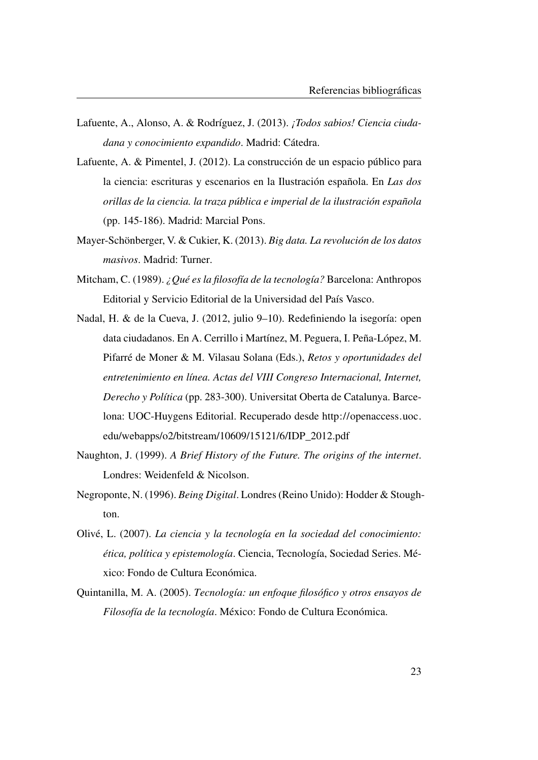- Lafuente, A., Alonso, A. & Rodríguez, J. (2013). *¡Todos sabios! Ciencia ciudadana y conocimiento expandido*. Madrid: Cátedra.
- Lafuente, A. & Pimentel, J. (2012). La construcción de un espacio público para la ciencia: escrituras y escenarios en la Ilustración española. En *Las dos orillas de la ciencia. la traza pública e imperial de la ilustración española* (pp. 145-186). Madrid: Marcial Pons.
- <span id="page-52-2"></span>Mayer-Schönberger, V. & Cukier, K. (2013). *Big data. La revolución de los datos masivos*. Madrid: Turner.
- Mitcham, C. (1989). *¿Qué es la filosofía de la tecnología?* Barcelona: Anthropos Editorial y Servicio Editorial de la Universidad del País Vasco.
- <span id="page-52-0"></span>Nadal, H. & de la Cueva, J. (2012, julio 9–10). Redefiniendo la isegoría: open data ciudadanos. En A. Cerrillo i Martínez, M. Peguera, I. Peña-López, M. Pifarré de Moner & M. Vilasau Solana (Eds.), *Retos y oportunidades del entretenimiento en línea. Actas del VIII Congreso Internacional, Internet, Derecho y Política* (pp. 283-300). Universitat Oberta de Catalunya. Barcelona: UOC-Huygens Editorial. Recuperado desde [http://openaccess.uoc.](http://openaccess.uoc.edu/webapps/o2/bitstream/10609/15121/6/IDP_2012.pdf) [edu/webapps/o2/bitstream/10609/15121/6/IDP\\_2012.pdf](http://openaccess.uoc.edu/webapps/o2/bitstream/10609/15121/6/IDP_2012.pdf)
- Naughton, J. (1999). *A Brief History of the Future. The origins of the internet*. Londres: Weidenfeld & Nicolson.
- <span id="page-52-1"></span>Negroponte, N. (1996). *Being Digital*. Londres (Reino Unido): Hodder & Stoughton.
- Olivé, L. (2007). *La ciencia y la tecnología en la sociedad del conocimiento: ética, política y epistemología*. Ciencia, Tecnología, Sociedad Series. México: Fondo de Cultura Económica.
- Quintanilla, M. A. (2005). *Tecnología: un enfoque filosófico y otros ensayos de Filosofía de la tecnología*. México: Fondo de Cultura Económica.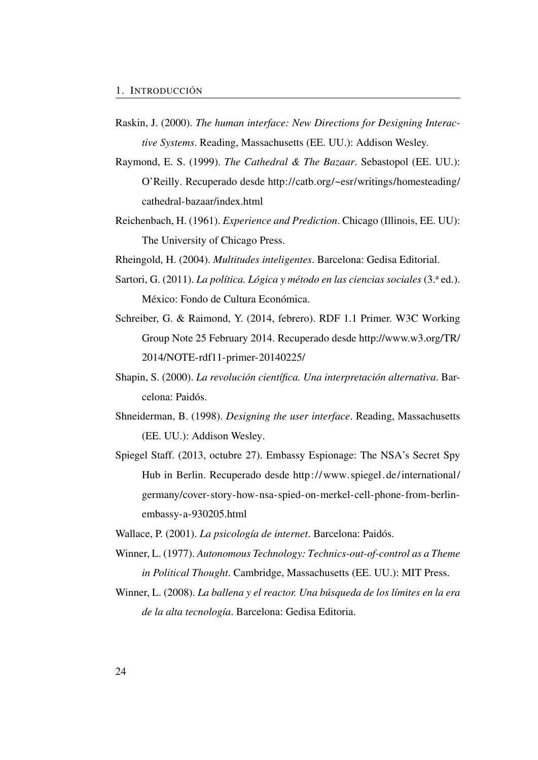- <span id="page-53-2"></span>Raskin, J. (2000). *The human interface: New Directions for Designing Interactive Systems*. Reading, Massachusetts (EE. UU.): Addison Wesley.
- <span id="page-53-4"></span>Raymond, E. S. (1999). *The Cathedral & The Bazaar*. Sebastopol (EE. UU.): O'Reilly. Recuperado desde [http://catb.org/~esr/writings/homesteading/](http://catb.org/~esr/writings/homesteading/cathedral-bazaar/index.html) [cathedral-bazaar/index.html](http://catb.org/~esr/writings/homesteading/cathedral-bazaar/index.html)
- Reichenbach, H. (1961). *Experience and Prediction*. Chicago (Illinois, EE. UU): The University of Chicago Press.
- <span id="page-53-6"></span>Rheingold, H. (2004). *Multitudes inteligentes*. Barcelona: Gedisa Editorial.
- <span id="page-53-3"></span>Sartori, G. (2011). *La política. Lógica y método en las ciencias sociales* (3.ª ed.). México: Fondo de Cultura Económica.
- <span id="page-53-0"></span>Schreiber, G. & Raimond, Y. (2014, febrero). RDF 1.1 Primer. W3C Working Group Note 25 February 2014. Recuperado desde [http://www.w3.org/TR/](http://www.w3.org/TR/2014/NOTE-rdf11-primer-20140225/) [2014/NOTE-rdf11-primer-20140225/](http://www.w3.org/TR/2014/NOTE-rdf11-primer-20140225/)
- Shapin, S. (2000). *La revolución científica. Una interpretación alternativa*. Barcelona: Paidós.
- <span id="page-53-1"></span>Shneiderman, B. (1998). *Designing the user interface*. Reading, Massachusetts (EE. UU.): Addison Wesley.
- <span id="page-53-7"></span>Spiegel Staff. (2013, octubre 27). Embassy Espionage: The NSA's Secret Spy Hub in Berlin. Recuperado desde [http://www. spiegel. de/international/](http://www.spiegel.de/international/germany/cover-story-how-nsa-spied-on-merkel-cell-phone-from-berlin-embassy-a-930205.html) [germany/cover-story-how-nsa-spied-on-merkel-cell-phone-from-berlin](http://www.spiegel.de/international/germany/cover-story-how-nsa-spied-on-merkel-cell-phone-from-berlin-embassy-a-930205.html)[embassy-a-930205.html](http://www.spiegel.de/international/germany/cover-story-how-nsa-spied-on-merkel-cell-phone-from-berlin-embassy-a-930205.html)
- <span id="page-53-5"></span>Wallace, P. (2001). *La psicología de internet*. Barcelona: Paidós.
- Winner, L. (1977). *Autonomous Technology: Technics-out-of-control as a Theme in Political Thought*. Cambridge, Massachusetts (EE. UU.): MIT Press.
- <span id="page-53-8"></span>Winner, L. (2008). *La ballena y el reactor. Una búsqueda de los límites en la era de la alta tecnología*. Barcelona: Gedisa Editoria.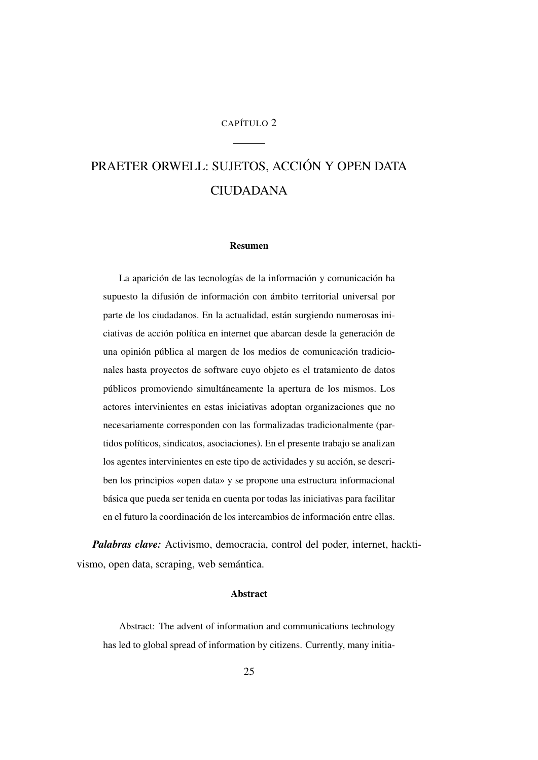#### CAPÍTULO 2

# <span id="page-54-0"></span>PRAETER ORWELL: SUJETOS, ACCIÓN Y OPEN DATA CIUDADANA

#### Resumen

La aparición de las tecnologías de la información y comunicación ha supuesto la difusión de información con ámbito territorial universal por parte de los ciudadanos. En la actualidad, están surgiendo numerosas iniciativas de acción política en internet que abarcan desde la generación de una opinión pública al margen de los medios de comunicación tradicionales hasta proyectos de software cuyo objeto es el tratamiento de datos públicos promoviendo simultáneamente la apertura de los mismos. Los actores intervinientes en estas iniciativas adoptan organizaciones que no necesariamente corresponden con las formalizadas tradicionalmente (partidos políticos, sindicatos, asociaciones). En el presente trabajo se analizan los agentes intervinientes en este tipo de actividades y su acción, se describen los principios «open data» y se propone una estructura informacional básica que pueda ser tenida en cuenta por todas las iniciativas para facilitar en el futuro la coordinación de los intercambios de información entre ellas.

*Palabras clave:* Activismo, democracia, control del poder, internet, hacktivismo, open data, scraping, web semántica.

#### Abstract

Abstract: The advent of information and communications technology has led to global spread of information by citizens. Currently, many initia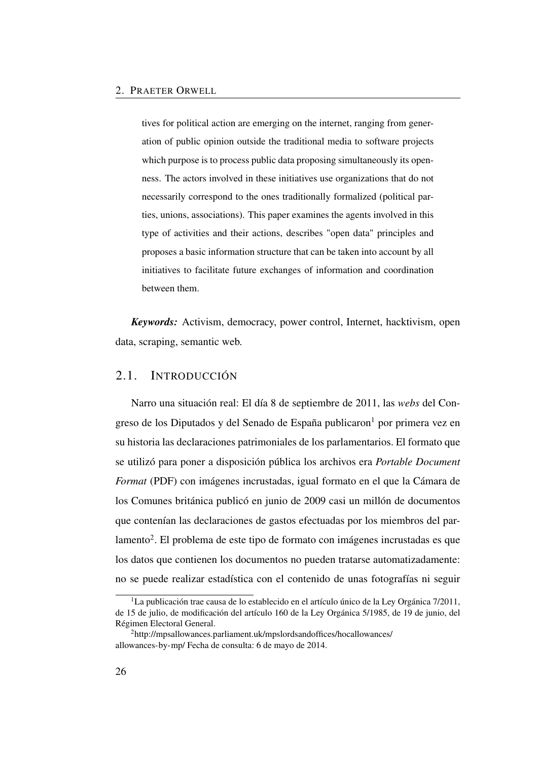tives for political action are emerging on the internet, ranging from generation of public opinion outside the traditional media to software projects which purpose is to process public data proposing simultaneously its openness. The actors involved in these initiatives use organizations that do not necessarily correspond to the ones traditionally formalized (political parties, unions, associations). This paper examines the agents involved in this type of activities and their actions, describes "open data" principles and proposes a basic information structure that can be taken into account by all initiatives to facilitate future exchanges of information and coordination between them.

*Keywords:* Activism, democracy, power control, Internet, hacktivism, open data, scraping, semantic web.

## <span id="page-55-0"></span>2.1. INTRODUCCIÓN

Narro una situación real: El día 8 de septiembre de 2011, las *webs* del Con-greso de los Diputados y del Senado de España publicaron<sup>[1](#page-55-1)</sup> por primera vez en su historia las declaraciones patrimoniales de los parlamentarios. El formato que se utilizó para poner a disposición pública los archivos era *Portable Document Format* [\(PDF\)](#page-26-0) con imágenes incrustadas, igual formato en el que la Cámara de los Comunes británica publicó en junio de 2009 casi un millón de documentos que contenían las declaraciones de gastos efectuadas por los miembros del par-lamento<sup>[2](#page-55-2)</sup>. El problema de este tipo de formato con imágenes incrustadas es que los datos que contienen los documentos no pueden tratarse automatizadamente: no se puede realizar estadística con el contenido de unas fotografías ni seguir

<span id="page-55-1"></span><sup>&</sup>lt;sup>1</sup>La publicación trae causa de lo establecido en el artículo único de la Ley Orgánica 7/2011, de 15 de julio, de modificación del artículo 160 de la Ley Orgánica 5/1985, de 19 de junio, del Régimen Electoral General.

<span id="page-55-2"></span><sup>2</sup>[http://mpsallowances.parliament.uk/mpslordsandoffices/hocallowances/](http://mpsallowances.parliament.uk/mpslordsandoffices/hocallowances/allowances-by-mp/) [allowances-by-mp/](http://mpsallowances.parliament.uk/mpslordsandoffices/hocallowances/allowances-by-mp/) Fecha de consulta: 6 de mayo de 2014.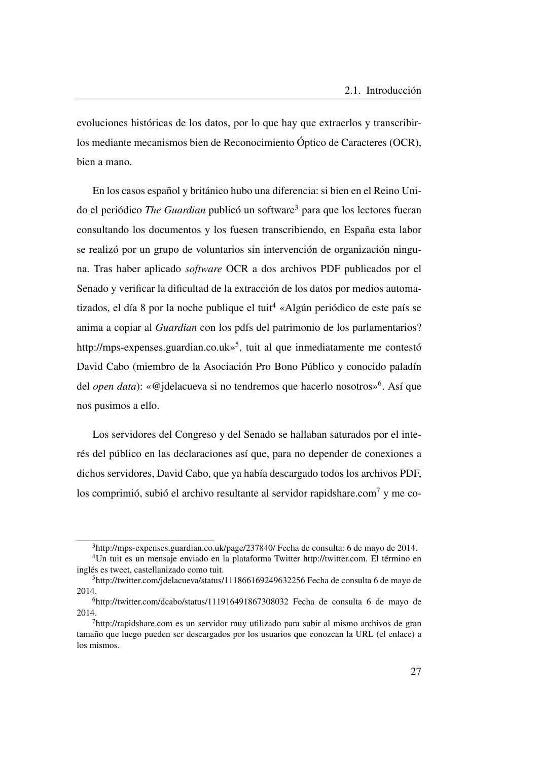evoluciones históricas de los datos, por lo que hay que extraerlos y transcribirlos mediante mecanismos bien de Reconocimiento Óptico de Caracteres [\(OCR\)](#page-26-1), bien a mano.

En los casos español y británico hubo una diferencia: si bien en el Reino Unido el periódico *The Guardian* publicó un software[3](#page-56-0) para que los lectores fueran consultando los documentos y los fuesen transcribiendo, en España esta labor se realizó por un grupo de voluntarios sin intervención de organización ninguna. Tras haber aplicado *software* [OCR](#page-26-1) a dos archivos [PDF](#page-26-0) publicados por el Senado y verificar la dificultad de la extracción de los datos por medios automa-tizados, el día 8 por la noche publique el tuit<sup>[4](#page-56-1)</sup> «Algún periódico de este país se anima a copiar al *Guardian* con los pdfs del patrimonio de los parlamentarios? http://mps-expenses.guardian.co.uk»<sup>[5](#page-56-2)</sup>, tuit al que inmediatamente me contestó David Cabo (miembro de la Asociación Pro Bono Público y conocido paladín del *open data*): «@jdelacueva si no tendremos que hacerlo nosotros»[6](#page-56-3) . Así que nos pusimos a ello.

Los servidores del Congreso y del Senado se hallaban saturados por el interés del público en las declaraciones así que, para no depender de conexiones a dichos servidores, David Cabo, que ya había descargado todos los archivos PDF, los comprimió, subió el archivo resultante al servidor<rapidshare.com><sup>[7](#page-56-4)</sup> y me co-

<span id="page-56-1"></span><span id="page-56-0"></span><sup>3</sup><http://mps-expenses.guardian.co.uk/page/237840/> Fecha de consulta: 6 de mayo de 2014.

<sup>4</sup>Un tuit es un mensaje enviado en la plataforma Twitter [http://twitter.com.](http://twitter.com) El término en inglés es tweet, castellanizado como tuit.

<span id="page-56-2"></span><sup>5</sup><http://twitter.com/jdelacueva/status/111866169249632256> Fecha de consulta 6 de mayo de 2014.

<span id="page-56-3"></span><sup>6</sup><http://twitter.com/dcabo/status/111916491867308032> Fecha de consulta 6 de mayo de 2014.

<span id="page-56-4"></span> $<sup>7</sup>$ <http://rapidshare.com> es un servidor muy utilizado para subir al mismo archivos de gran</sup> tamaño que luego pueden ser descargados por los usuarios que conozcan la URL (el enlace) a los mismos.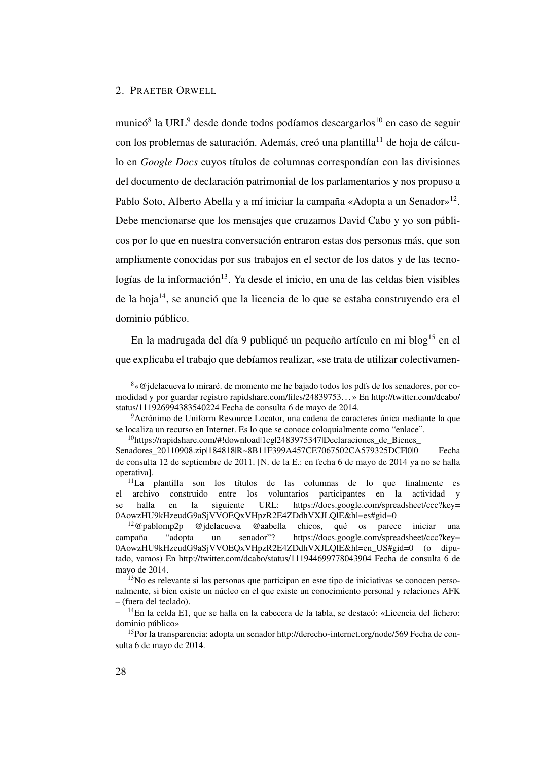municó $^8$  $^8$  la URL<sup>[9](#page-57-1)</sup> desde donde todos podíamos descargarlos<sup>[10](#page-57-2)</sup> en caso de seguir con los problemas de saturación. Además, creó una plantilla<sup>[11](#page-57-3)</sup> de hoja de cálculo en *Google Docs* cuyos títulos de columnas correspondían con las divisiones del documento de declaración patrimonial de los parlamentarios y nos propuso a Pablo Soto, Alberto Abella y a mí iniciar la campaña «Adopta a un Senador»<sup>[12](#page-57-4)</sup>. Debe mencionarse que los mensajes que cruzamos David Cabo y yo son públicos por lo que en nuestra conversación entraron estas dos personas más, que son ampliamente conocidas por sus trabajos en el sector de los datos y de las tecno- $logías de la información<sup>13</sup>$  $logías de la información<sup>13</sup>$  $logías de la información<sup>13</sup>$ . Ya desde el inicio, en una de las celdas bien visibles de la hoja[14](#page-57-6), se anunció que la licencia de lo que se estaba construyendo era el dominio público.

En la madrugada del día 9 publiqué un pequeño artículo en mi blog<sup>[15](#page-57-7)</sup> en el que explicaba el trabajo que debíamos realizar, «se trata de utilizar colectivamen-

<span id="page-57-0"></span><sup>8</sup>«@jdelacueva lo miraré. de momento me he bajado todos los pdfs de los senadores, por comodidad y por guardar registro rapidshare.com/files/24839753. . . » En [http://twitter.com/dcabo/](http://twitter.com/dcabo/status/111926994383540224) [status/111926994383540224](http://twitter.com/dcabo/status/111926994383540224) Fecha de consulta 6 de mayo de 2014.

<span id="page-57-1"></span><sup>9</sup>Acrónimo de Uniform Resource Locator, una cadena de caracteres única mediante la que se localiza un recurso en Internet. Es lo que se conoce coloquialmente como "enlace".

<span id="page-57-2"></span> $10$ https://rapidshare.com/#!download|1cg|2483975347|Declaraciones de Bienes [Senadores\\_20110908.zip|184818|R~8B11F399A457CE7067502CA579325DCF|0|0](https://rapidshare.com/#!download|1cg|2483975347|Declaraciones_de_Bienes_Senadores_20110908.zip|184818|R~8B11F399A457CE7067502CA579325DCF|0|0) Fecha de consulta 12 de septiembre de 2011. [N. de la E.: en fecha 6 de mayo de 2014 ya no se halla operativa].

<span id="page-57-3"></span><sup>11</sup>La plantilla son los títulos de las columnas de lo que finalmente es archivo construido entre los voluntarios participantes en la actividad y se halla en la siguiente URL: [https://docs.google.com/spreadsheet/ccc?key=](https://docs.google.com/spreadsheet/ccc?key=0AowzHU9kHzeudG9aSjVVOEQxVHpzR2E4ZDdhVXJLQlE&hl=es#gid=0) [0AowzHU9kHzeudG9aSjVVOEQxVHpzR2E4ZDdhVXJLQlE&hl=es#gid=0](https://docs.google.com/spreadsheet/ccc?key=0AowzHU9kHzeudG9aSjVVOEQxVHpzR2E4ZDdhVXJLQlE&hl=es#gid=0)<br><sup>12</sup>@pablomp2p @idelacueva @aabella chicos, qué os parec

<span id="page-57-4"></span><sup>@</sup>jdelacueva @aabella chicos, qué os parece iniciar una campaña "adopta un senador"? [https://docs.google.com/spreadsheet/ccc?key=](https://docs.google.com/spreadsheet/ccc?key=0AowzHU9kHzeudG9aSjVVOEQxVHpzR2E4ZDdhVXJLQlE&hl=en_US#gid=0) [0AowzHU9kHzeudG9aSjVVOEQxVHpzR2E4ZDdhVXJLQlE&hl=en\\_US#gid=0](https://docs.google.com/spreadsheet/ccc?key=0AowzHU9kHzeudG9aSjVVOEQxVHpzR2E4ZDdhVXJLQlE&hl=en_US#gid=0) (o diputado, vamos) En<http://twitter.com/dcabo/status/111944699778043904> Fecha de consulta 6 de mayo de 2014.

<span id="page-57-5"></span><sup>&</sup>lt;sup>13</sup>No es relevante si las personas que participan en este tipo de iniciativas se conocen personalmente, si bien existe un núcleo en el que existe un conocimiento personal y relaciones [AFK](#page-24-0) – (fuera del teclado).

<span id="page-57-6"></span><sup>&</sup>lt;sup>14</sup>En la celda E1, que se halla en la cabecera de la tabla, se destacó: «Licencia del fichero: dominio público»

<span id="page-57-7"></span><sup>15</sup>Por la transparencia: adopta un senador<http://derecho-internet.org/node/569> Fecha de consulta 6 de mayo de 2014.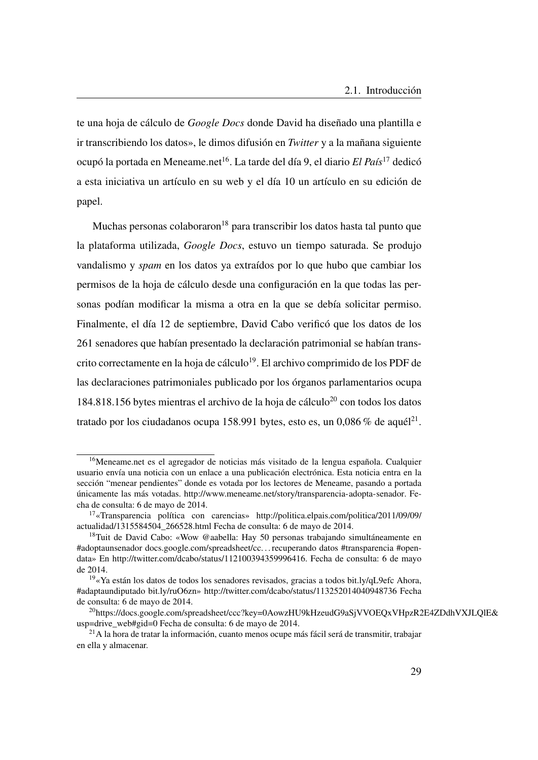te una hoja de cálculo de *Google Docs* donde David ha diseñado una plantilla e ir transcribiendo los datos», le dimos difusión en *Twitter* y a la mañana siguiente ocupó la portada en Meneame.net[16](#page-58-0). La tarde del día 9, el diario *El País*[17](#page-58-1) dedicó a esta iniciativa un artículo en su web y el día 10 un artículo en su edición de papel.

Muchas personas colaboraron<sup>[18](#page-58-2)</sup> para transcribir los datos hasta tal punto que la plataforma utilizada, *Google Docs*, estuvo un tiempo saturada. Se produjo vandalismo y *spam* en los datos ya extraídos por lo que hubo que cambiar los permisos de la hoja de cálculo desde una configuración en la que todas las personas podían modificar la misma a otra en la que se debía solicitar permiso. Finalmente, el día 12 de septiembre, David Cabo verificó que los datos de los 261 senadores que habían presentado la declaración patrimonial se habían trans-crito correctamente en la hoja de cálculo<sup>[19](#page-58-3)</sup>. El archivo comprimido de los [PDF](#page-26-0) de las declaraciones patrimoniales publicado por los órganos parlamentarios ocupa  $184.818.156$  bytes mientras el archivo de la hoja de cálculo<sup>[20](#page-58-4)</sup> con todos los datos tratado por los ciudadanos ocupa 158.991 bytes, esto es, un  $0.086\%$  de aquél $^{21}$  $^{21}$  $^{21}$ .

<span id="page-58-0"></span><sup>&</sup>lt;sup>16</sup>Meneame.net es el agregador de noticias más visitado de la lengua española. Cualquier usuario envía una noticia con un enlace a una publicación electrónica. Esta noticia entra en la sección "menear pendientes" donde es votada por los lectores de Meneame, pasando a portada únicamente las más votadas. [http://www.meneame.net/story/transparencia-adopta-senador.](http://www.meneame.net/story/transparencia-adopta-senador) Fecha de consulta: 6 de mayo de 2014.

<span id="page-58-1"></span><sup>17</sup>«Transparencia política con carencias» [http://politica.elpais.com/politica/2011/09/09/](http://politica.elpais.com/politica/2011/09/09/actualidad/1315584504_266528.html) [actualidad/1315584504\\_266528.html](http://politica.elpais.com/politica/2011/09/09/actualidad/1315584504_266528.html) Fecha de consulta: 6 de mayo de 2014.

<span id="page-58-2"></span><sup>&</sup>lt;sup>18</sup>Tuit de David Cabo: «Wow @aabella: Hay 50 personas trabajando simultáneamente en #adoptaunsenador docs.google.com/spreadsheet/cc. . . recuperando datos #transparencia #opendata» En [http://twitter.com/dcabo/status/112100394359996416.](http://twitter.com/dcabo/status/112100394359996416) Fecha de consulta: 6 de mayo de 2014.

<span id="page-58-3"></span><sup>19</sup>«Ya están los datos de todos los senadores revisados, gracias a todos bit.ly/qL9efc Ahora, #adaptaundiputado bit.ly/ruO6zn»<http://twitter.com/dcabo/status/113252014040948736> Fecha de consulta: 6 de mayo de 2014.

<span id="page-58-4"></span><sup>&</sup>lt;sup>20</sup>[https://docs.google.com/spreadsheet/ccc?key=0AowzHU9kHzeudG9aSjVVOEQxVHpzR2](https://docs.google.com/spreadsheet/ccc?key=0AowzHU9kHzeudG9aSjVVOEQxVHpzR2E4ZDdhVXJLQlE&usp=drive_web#gid=0)E4ZDdhVXJLQlE& [usp=drive\\_web#gid=0](https://docs.google.com/spreadsheet/ccc?key=0AowzHU9kHzeudG9aSjVVOEQxVHpzR2E4ZDdhVXJLQlE&usp=drive_web#gid=0) Fecha de consulta: 6 de mayo de 2014.

<span id="page-58-5"></span><sup>21</sup>A la hora de tratar la información, cuanto menos ocupe más fácil será de transmitir, trabajar en ella y almacenar.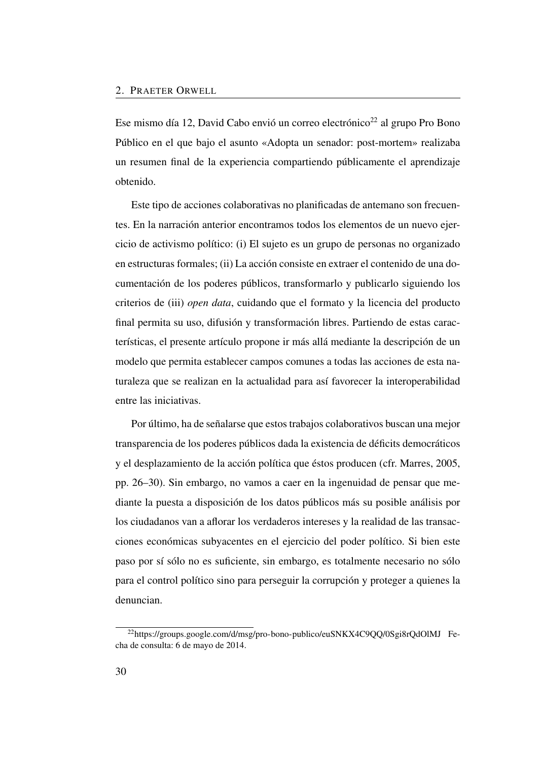Ese mismo día 12, David Cabo envió un correo electrónico<sup>[22](#page-59-0)</sup> al grupo Pro Bono Público en el que bajo el asunto «Adopta un senador: post-mortem» realizaba un resumen final de la experiencia compartiendo públicamente el aprendizaje obtenido.

Este tipo de acciones colaborativas no planificadas de antemano son frecuentes. En la narración anterior encontramos todos los elementos de un nuevo ejercicio de activismo político: (i) El sujeto es un grupo de personas no organizado en estructuras formales; (ii) La acción consiste en extraer el contenido de una documentación de los poderes públicos, transformarlo y publicarlo siguiendo los criterios de (iii) *open data*, cuidando que el formato y la licencia del producto final permita su uso, difusión y transformación libres. Partiendo de estas características, el presente artículo propone ir más allá mediante la descripción de un modelo que permita establecer campos comunes a todas las acciones de esta naturaleza que se realizan en la actualidad para así favorecer la interoperabilidad entre las iniciativas.

Por último, ha de señalarse que estos trabajos colaborativos buscan una mejor transparencia de los poderes públicos dada la existencia de déficits democráticos y el desplazamiento de la acción política que éstos producen (cfr. Marres, [2005,](#page-85-0) pp. 26–30). Sin embargo, no vamos a caer en la ingenuidad de pensar que mediante la puesta a disposición de los datos públicos más su posible análisis por los ciudadanos van a aflorar los verdaderos intereses y la realidad de las transacciones económicas subyacentes en el ejercicio del poder político. Si bien este paso por sí sólo no es suficiente, sin embargo, es totalmente necesario no sólo para el control político sino para perseguir la corrupción y proteger a quienes la denuncian.

<span id="page-59-0"></span><sup>&</sup>lt;sup>22</sup><https://groups.google.com/d/msg/pro-bono-publico/euSNKX4C9QQ/0Sgi8rQdOlMJ> Fecha de consulta: 6 de mayo de 2014.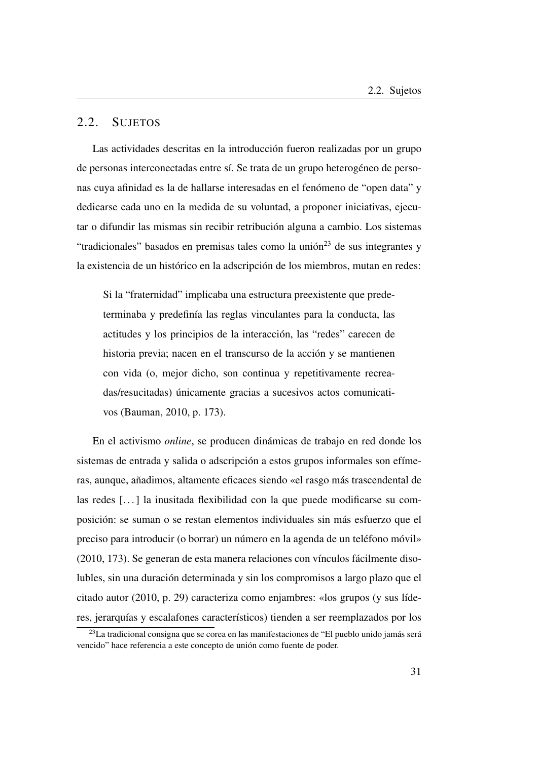## <span id="page-60-0"></span>2.2. SUJETOS

Las actividades descritas en la introducción fueron realizadas por un grupo de personas interconectadas entre sí. Se trata de un grupo heterogéneo de personas cuya afinidad es la de hallarse interesadas en el fenómeno de "open data" y dedicarse cada uno en la medida de su voluntad, a proponer iniciativas, ejecutar o difundir las mismas sin recibir retribución alguna a cambio. Los sistemas "tradicionales" basados en premisas tales como la unión $^{23}$  $^{23}$  $^{23}$  de sus integrantes y la existencia de un histórico en la adscripción de los miembros, mutan en redes:

Si la "fraternidad" implicaba una estructura preexistente que predeterminaba y predefinía las reglas vinculantes para la conducta, las actitudes y los principios de la interacción, las "redes" carecen de historia previa; nacen en el transcurso de la acción y se mantienen con vida (o, mejor dicho, son continua y repetitivamente recreadas/resucitadas) únicamente gracias a sucesivos actos comunicativos (Bauman, [2010,](#page-49-5) p. 173).

En el activismo *online*, se producen dinámicas de trabajo en red donde los sistemas de entrada y salida o adscripción a estos grupos informales son efímeras, aunque, añadimos, altamente eficaces siendo «el rasgo más trascendental de las redes [...] la inusitada flexibilidad con la que puede modificarse su composición: se suman o se restan elementos individuales sin más esfuerzo que el preciso para introducir (o borrar) un número en la agenda de un teléfono móvil» (2010, 173). Se generan de esta manera relaciones con vínculos fácilmente disolubles, sin una duración determinada y sin los compromisos a largo plazo que el citado autor (2010, p. 29) caracteriza como enjambres: «los grupos (y sus líderes, jerarquías y escalafones característicos) tienden a ser reemplazados por los

<span id="page-60-1"></span><sup>&</sup>lt;sup>23</sup>La tradicional consigna que se corea en las manifestaciones de "El pueblo unido jamás será vencido" hace referencia a este concepto de unión como fuente de poder.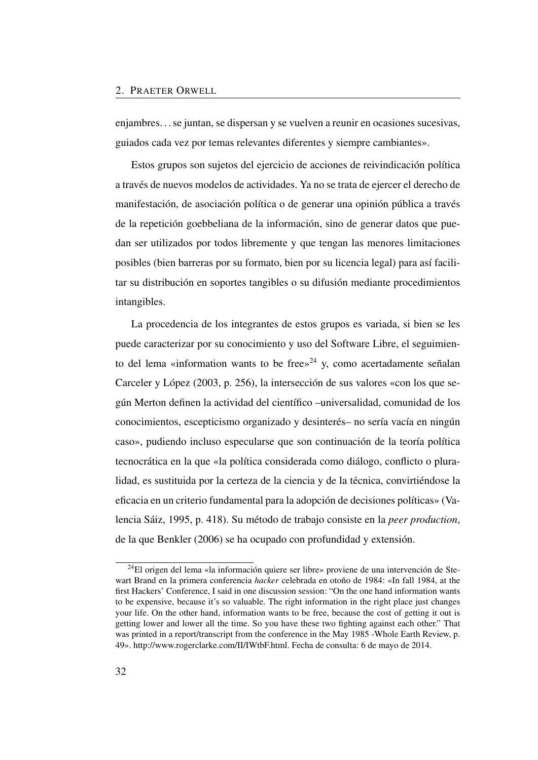enjambres. . . se juntan, se dispersan y se vuelven a reunir en ocasiones sucesivas, guiados cada vez por temas relevantes diferentes y siempre cambiantes».

Estos grupos son sujetos del ejercicio de acciones de reivindicación política a través de nuevos modelos de actividades. Ya no se trata de ejercer el derecho de manifestación, de asociación política o de generar una opinión pública a través de la repetición goebbeliana de la información, sino de generar datos que puedan ser utilizados por todos libremente y que tengan las menores limitaciones posibles (bien barreras por su formato, bien por su licencia legal) para así facilitar su distribución en soportes tangibles o su difusión mediante procedimientos intangibles.

La procedencia de los integrantes de estos grupos es variada, si bien se les puede caracterizar por su conocimiento y uso del Software Libre, el seguimien-to del lema «information wants to be free»<sup>[24](#page-61-0)</sup> y, como acertadamente señalan Carceler y López [\(2003,](#page-84-0) p. 256), la intersección de sus valores «con los que según Merton definen la actividad del científico –universalidad, comunidad de los conocimientos, escepticismo organizado y desinterés– no sería vacía en ningún caso», pudiendo incluso especularse que son continuación de la teoría política tecnocrática en la que «la política considerada como diálogo, conflicto o pluralidad, es sustituida por la certeza de la ciencia y de la técnica, convirtiéndose la eficacia en un criterio fundamental para la adopción de decisiones políticas» (Valencia Sáiz, [1995,](#page-85-1) p. 418). Su método de trabajo consiste en la *peer production*, de la que Benkler [\(2006\)](#page-49-4) se ha ocupado con profundidad y extensión.

<span id="page-61-0"></span><sup>24</sup>El origen del lema «la información quiere ser libre» proviene de una intervención de Stewart Brand en la primera conferencia *hacker* celebrada en otoño de 1984: «In fall 1984, at the first Hackers' Conference, I said in one discussion session: "On the one hand information wants to be expensive, because it's so valuable. The right information in the right place just changes your life. On the other hand, information wants to be free, because the cost of getting it out is getting lower and lower all the time. So you have these two fighting against each other." That was printed in a report/transcript from the conference in the May 1985 -Whole Earth Review, p. 49». [http://www.rogerclarke.com/II/IWtbF.html.](http://www.rogerclarke.com/II/IWtbF.html) Fecha de consulta: 6 de mayo de 2014.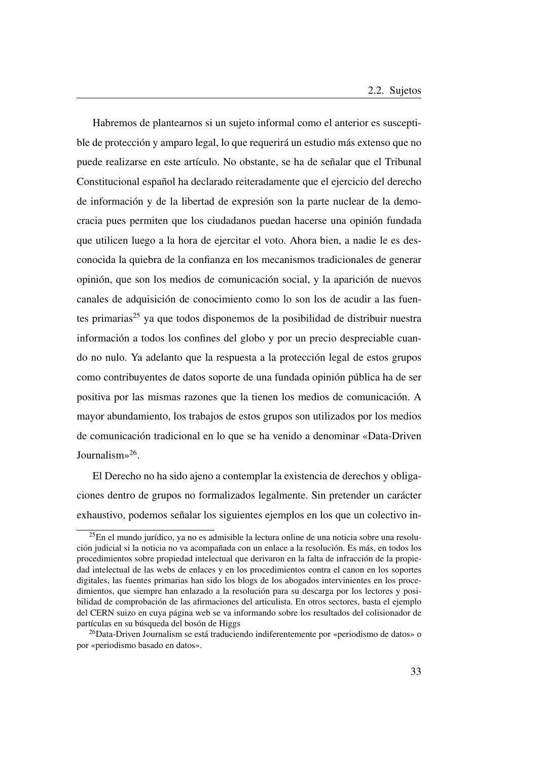Habremos de plantearnos si un sujeto informal como el anterior es susceptible de protección y amparo legal, lo que requerirá un estudio más extenso que no puede realizarse en este artículo. No obstante, se ha de señalar que el Tribunal Constitucional español ha declarado reiteradamente que el ejercicio del derecho de información y de la libertad de expresión son la parte nuclear de la democracia pues permiten que los ciudadanos puedan hacerse una opinión fundada que utilicen luego a la hora de ejercitar el voto. Ahora bien, a nadie le es desconocida la quiebra de la confianza en los mecanismos tradicionales de generar opinión, que son los medios de comunicación social, y la aparición de nuevos canales de adquisición de conocimiento como lo son los de acudir a las fuentes primarias $^{25}$  $^{25}$  $^{25}$  ya que todos disponemos de la posibilidad de distribuir nuestra información a todos los confines del globo y por un precio despreciable cuando no nulo. Ya adelanto que la respuesta a la protección legal de estos grupos como contribuyentes de datos soporte de una fundada opinión pública ha de ser positiva por las mismas razones que la tienen los medios de comunicación. A mayor abundamiento, los trabajos de estos grupos son utilizados por los medios de comunicación tradicional en lo que se ha venido a denominar «Data-Driven Journalism»[26](#page-62-1) .

El Derecho no ha sido ajeno a contemplar la existencia de derechos y obligaciones dentro de grupos no formalizados legalmente. Sin pretender un carácter exhaustivo, podemos señalar los siguientes ejemplos en los que un colectivo in-

<span id="page-62-0"></span> $^{25}$ En el mundo jurídico, ya no es admisible la lectura online de una noticia sobre una resolución judicial si la noticia no va acompañada con un enlace a la resolución. Es más, en todos los procedimientos sobre propiedad intelectual que derivaron en la falta de infracción de la propiedad intelectual de las webs de enlaces y en los procedimientos contra el canon en los soportes digitales, las fuentes primarias han sido los blogs de los abogados intervinientes en los procedimientos, que siempre han enlazado a la resolución para su descarga por los lectores y posibilidad de comprobación de las afirmaciones del articulista. En otros sectores, basta el ejemplo del CERN suizo en cuya página web se va informando sobre los resultados del colisionador de partículas en su búsqueda del bosón de Higgs

<span id="page-62-1"></span> $^{26}$ Data-Driven Journalism se está traduciendo indiferentemente por «periodismo de datos» o por «periodismo basado en datos».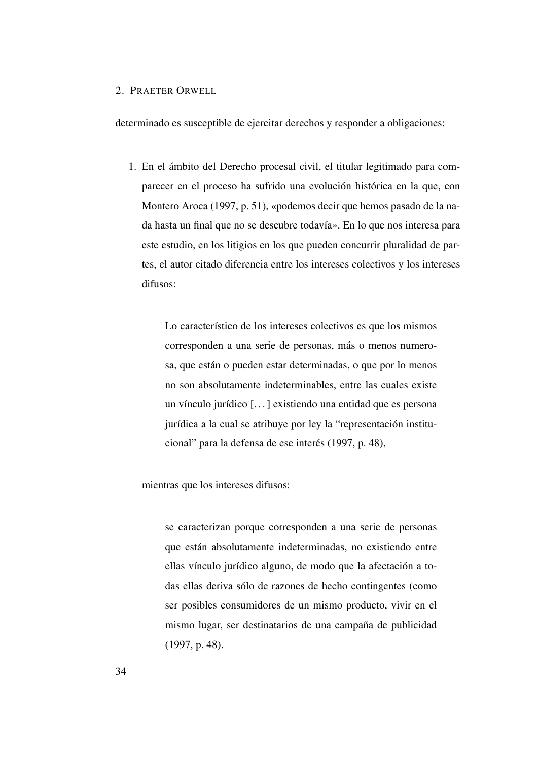determinado es susceptible de ejercitar derechos y responder a obligaciones:

1. En el ámbito del Derecho procesal civil, el titular legitimado para comparecer en el proceso ha sufrido una evolución histórica en la que, con Montero Aroca [\(1997,](#page-85-2) p. 51), «podemos decir que hemos pasado de la nada hasta un final que no se descubre todavía». En lo que nos interesa para este estudio, en los litigios en los que pueden concurrir pluralidad de partes, el autor citado diferencia entre los intereses colectivos y los intereses difusos:

> Lo característico de los intereses colectivos es que los mismos corresponden a una serie de personas, más o menos numerosa, que están o pueden estar determinadas, o que por lo menos no son absolutamente indeterminables, entre las cuales existe un vínculo jurídico [. . . ] existiendo una entidad que es persona jurídica a la cual se atribuye por ley la "representación institucional" para la defensa de ese interés [\(1997,](#page-85-2) p. 48),

mientras que los intereses difusos:

se caracterizan porque corresponden a una serie de personas que están absolutamente indeterminadas, no existiendo entre ellas vínculo jurídico alguno, de modo que la afectación a todas ellas deriva sólo de razones de hecho contingentes (como ser posibles consumidores de un mismo producto, vivir en el mismo lugar, ser destinatarios de una campaña de publicidad [\(1997,](#page-85-2) p. 48).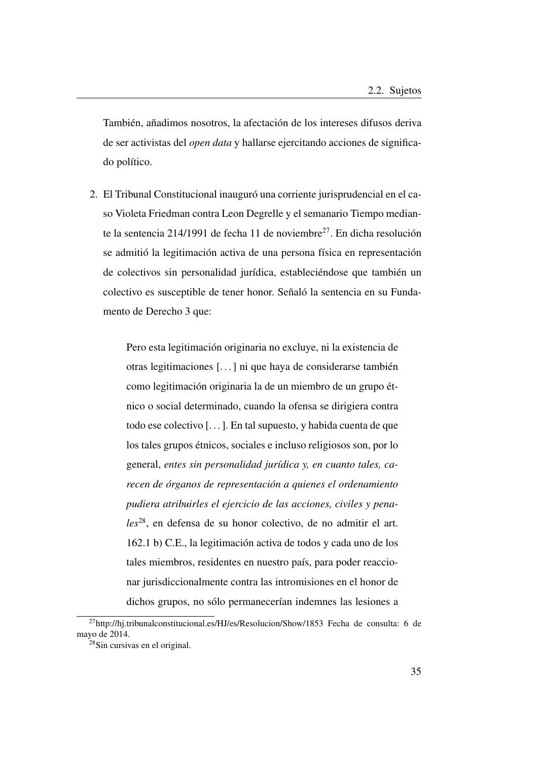También, añadimos nosotros, la afectación de los intereses difusos deriva de ser activistas del *open data* y hallarse ejercitando acciones de significado político.

2. El Tribunal Constitucional inauguró una corriente jurisprudencial en el caso Violeta Friedman contra Leon Degrelle y el semanario Tiempo median-te la sentencia 214/1991 de fecha 11 de noviembre<sup>[27](#page-64-0)</sup>. En dicha resolución se admitió la legitimación activa de una persona física en representación de colectivos sin personalidad jurídica, estableciéndose que también un colectivo es susceptible de tener honor. Señaló la sentencia en su Fundamento de Derecho 3 que:

> Pero esta legitimación originaria no excluye, ni la existencia de otras legitimaciones [. . . ] ni que haya de considerarse también como legitimación originaria la de un miembro de un grupo étnico o social determinado, cuando la ofensa se dirigiera contra todo ese colectivo [. . . ]. En tal supuesto, y habida cuenta de que los tales grupos étnicos, sociales e incluso religiosos son, por lo general, *entes sin personalidad jurídica y, en cuanto tales, carecen de órganos de representación a quienes el ordenamiento pudiera atribuirles el ejercicio de las acciones, civiles y penales*[28](#page-64-1), en defensa de su honor colectivo, de no admitir el art. 162.1 b) C.E., la legitimación activa de todos y cada uno de los tales miembros, residentes en nuestro país, para poder reaccionar jurisdiccionalmente contra las intromisiones en el honor de dichos grupos, no sólo permanecerían indemnes las lesiones a

<span id="page-64-0"></span><sup>27</sup><http://hj.tribunalconstitucional.es/HJ/es/Resolucion/Show/1853> Fecha de consulta: 6 de mayo de 2014.

<span id="page-64-1"></span><sup>&</sup>lt;sup>28</sup>Sin cursivas en el original.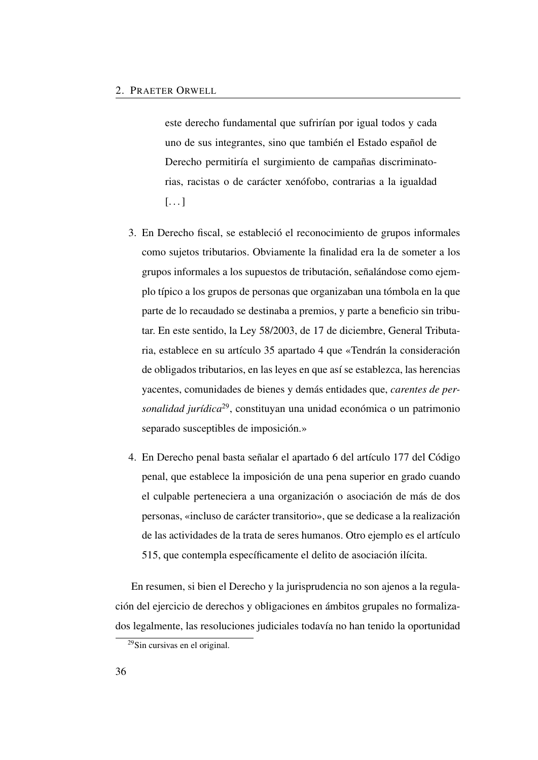este derecho fundamental que sufrirían por igual todos y cada uno de sus integrantes, sino que también el Estado español de Derecho permitiría el surgimiento de campañas discriminatorias, racistas o de carácter xenófobo, contrarias a la igualdad  $[\ldots]$ 

- 3. En Derecho fiscal, se estableció el reconocimiento de grupos informales como sujetos tributarios. Obviamente la finalidad era la de someter a los grupos informales a los supuestos de tributación, señalándose como ejemplo típico a los grupos de personas que organizaban una tómbola en la que parte de lo recaudado se destinaba a premios, y parte a beneficio sin tributar. En este sentido, la Ley 58/2003, de 17 de diciembre, General Tributaria, establece en su artículo 35 apartado 4 que «Tendrán la consideración de obligados tributarios, en las leyes en que así se establezca, las herencias yacentes, comunidades de bienes y demás entidades que, *carentes de personalidad jurídica*[29](#page-65-0), constituyan una unidad económica o un patrimonio separado susceptibles de imposición.»
- 4. En Derecho penal basta señalar el apartado 6 del artículo 177 del Código penal, que establece la imposición de una pena superior en grado cuando el culpable perteneciera a una organización o asociación de más de dos personas, «incluso de carácter transitorio», que se dedicase a la realización de las actividades de la trata de seres humanos. Otro ejemplo es el artículo 515, que contempla específicamente el delito de asociación ilícita.

En resumen, si bien el Derecho y la jurisprudencia no son ajenos a la regulación del ejercicio de derechos y obligaciones en ámbitos grupales no formalizados legalmente, las resoluciones judiciales todavía no han tenido la oportunidad

<span id="page-65-0"></span><sup>29</sup>Sin cursivas en el original.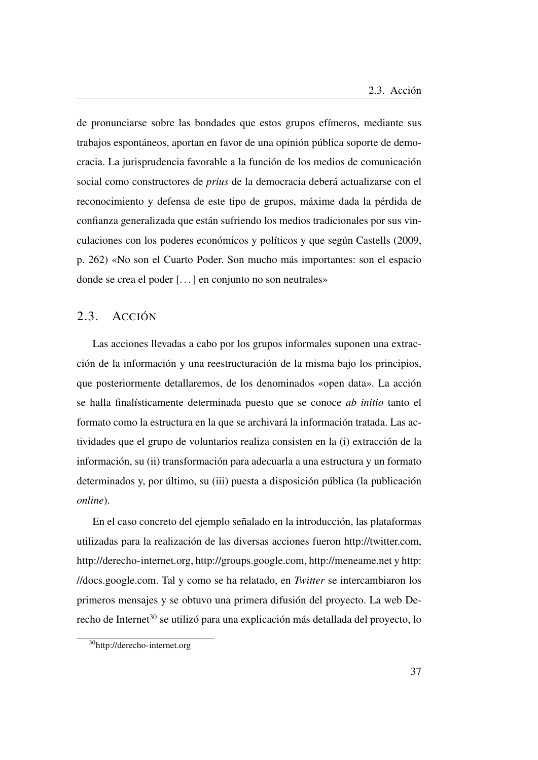de pronunciarse sobre las bondades que estos grupos efímeros, mediante sus trabajos espontáneos, aportan en favor de una opinión pública soporte de democracia. La jurisprudencia favorable a la función de los medios de comunicación social como constructores de *prius* de la democracia deberá actualizarse con el reconocimiento y defensa de este tipo de grupos, máxime dada la pérdida de confianza generalizada que están sufriendo los medios tradicionales por sus vinculaciones con los poderes económicos y políticos y que según Castells [\(2009,](#page-85-3) p. 262) «No son el Cuarto Poder. Son mucho más importantes: son el espacio donde se crea el poder [. . . ] en conjunto no son neutrales»

## <span id="page-66-0"></span>2.3. ACCIÓN

Las acciones llevadas a cabo por los grupos informales suponen una extracción de la información y una reestructuración de la misma bajo los principios, que posteriormente detallaremos, de los denominados «open data». La acción se halla finalísticamente determinada puesto que se conoce *ab initio* tanto el formato como la estructura en la que se archivará la información tratada. Las actividades que el grupo de voluntarios realiza consisten en la (i) extracción de la información, su (ii) transformación para adecuarla a una estructura y un formato determinados y, por último, su (iii) puesta a disposición pública (la publicación *online*).

En el caso concreto del ejemplo señalado en la introducción, las plataformas utilizadas para la realización de las diversas acciones fueron [http://twitter.com,](http://twitter.com) [http://derecho-internet.org,]( http://derecho-internet.org) [http://groups.google.com,](http://groups.google.com)<http://meneame.net> y [http:](http://docs.google.com) [//docs.google.com.](http://docs.google.com) Tal y como se ha relatado, en *Twitter* se intercambiaron los primeros mensajes y se obtuvo una primera difusión del proyecto. La web De-recho de Internet<sup>[30](#page-66-1)</sup> se utilizó para una explicación más detallada del proyecto, lo

<span id="page-66-1"></span><sup>30</sup><http://derecho-internet.org>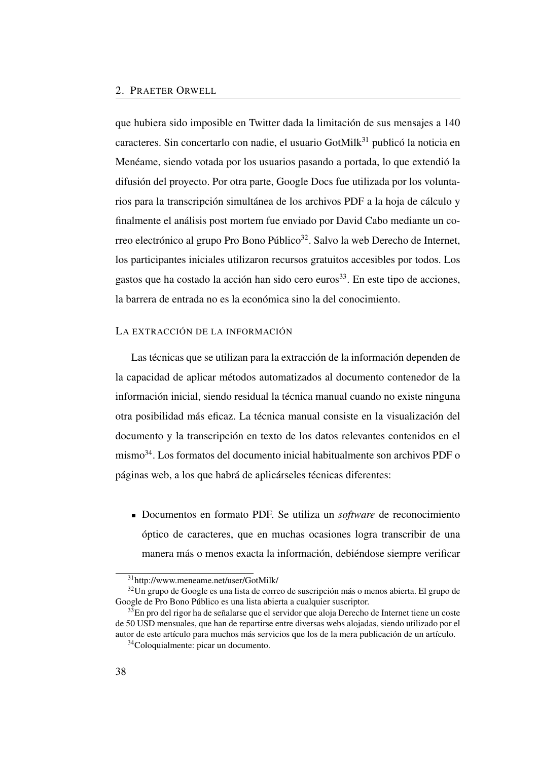que hubiera sido imposible en Twitter dada la limitación de sus mensajes a 140 caracteres. Sin concertarlo con nadie, el usuario GotMilk<sup>[31](#page-67-0)</sup> publicó la noticia en Menéame, siendo votada por los usuarios pasando a portada, lo que extendió la difusión del proyecto. Por otra parte, Google Docs fue utilizada por los voluntarios para la transcripción simultánea de los archivos PDF a la hoja de cálculo y finalmente el análisis post mortem fue enviado por David Cabo mediante un co-rreo electrónico al grupo Pro Bono Público<sup>[32](#page-67-1)</sup>. Salvo la web Derecho de Internet, los participantes iniciales utilizaron recursos gratuitos accesibles por todos. Los gastos que ha costado la acción han sido cero euros $33$ . En este tipo de acciones, la barrera de entrada no es la económica sino la del conocimiento.

#### LA EXTRACCIÓN DE LA INFORMACIÓN

Las técnicas que se utilizan para la extracción de la información dependen de la capacidad de aplicar métodos automatizados al documento contenedor de la información inicial, siendo residual la técnica manual cuando no existe ninguna otra posibilidad más eficaz. La técnica manual consiste en la visualización del documento y la transcripción en texto de los datos relevantes contenidos en el mismo[34](#page-67-3). Los formatos del documento inicial habitualmente son archivos PDF o páginas web, a los que habrá de aplicárseles técnicas diferentes:

Documentos en formato PDF. Se utiliza un *software* de reconocimiento óptico de caracteres, que en muchas ocasiones logra transcribir de una manera más o menos exacta la información, debiéndose siempre verificar

<span id="page-67-1"></span><span id="page-67-0"></span><sup>31</sup><http://www.meneame.net/user/GotMilk/>

 $32$ Un grupo de Google es una lista de correo de suscripción más o menos abierta. El grupo de Google de Pro Bono Público es una lista abierta a cualquier suscriptor.

<span id="page-67-2"></span><sup>&</sup>lt;sup>33</sup>En pro del rigor ha de señalarse que el servidor que aloja Derecho de Internet tiene un coste de 50 USD mensuales, que han de repartirse entre diversas webs alojadas, siendo utilizado por el autor de este artículo para muchos más servicios que los de la mera publicación de un artículo.

<span id="page-67-3"></span><sup>34</sup>Coloquialmente: picar un documento.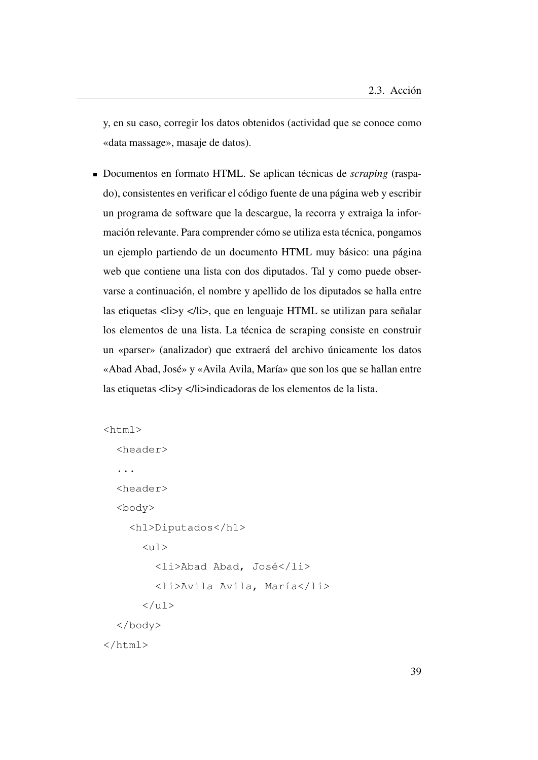y, en su caso, corregir los datos obtenidos (actividad que se conoce como «data massage», masaje de datos).

Documentos en formato HTML. Se aplican técnicas de *scraping* (raspado), consistentes en verificar el código fuente de una página web y escribir un programa de software que la descargue, la recorra y extraiga la información relevante. Para comprender cómo se utiliza esta técnica, pongamos un ejemplo partiendo de un documento HTML muy básico: una página web que contiene una lista con dos diputados. Tal y como puede observarse a continuación, el nombre y apellido de los diputados se halla entre las etiquetas <li>y </li>, que en lenguaje HTML se utilizan para señalar los elementos de una lista. La técnica de scraping consiste en construir un «parser» (analizador) que extraerá del archivo únicamente los datos «Abad Abad, José» y «Avila Avila, María» que son los que se hallan entre las etiquetas <li>y </li>indicadoras de los elementos de la lista.

```
<html>
  <header>
  ...
  <header>
  <body>
    <h1>Diputados</h1>
       <sub>u</sub>1></sub>
         <li>Abad Abad, José</li>
          <li>Avila Avila, María</li>
       \langle/ul>
  </body>
</html>
```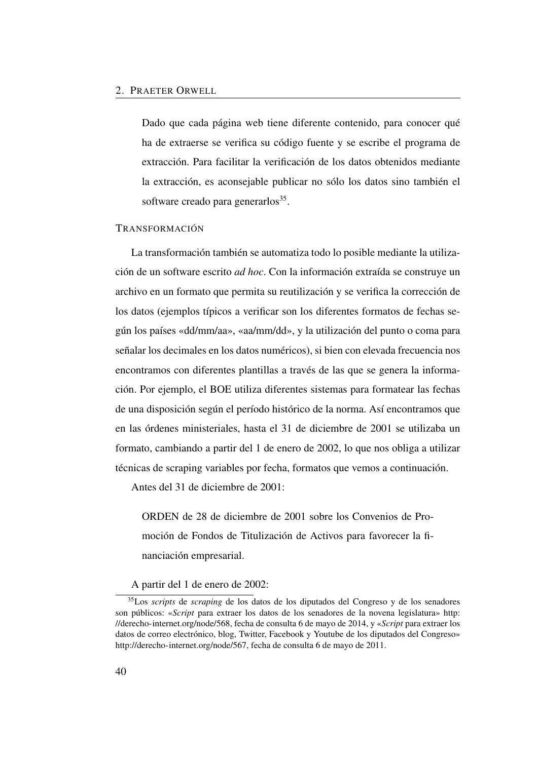Dado que cada página web tiene diferente contenido, para conocer qué ha de extraerse se verifica su código fuente y se escribe el programa de extracción. Para facilitar la verificación de los datos obtenidos mediante la extracción, es aconsejable publicar no sólo los datos sino también el software creado para generarlos<sup>[35](#page-69-0)</sup>.

#### TRANSFORMACIÓN

La transformación también se automatiza todo lo posible mediante la utilización de un software escrito *ad hoc*. Con la información extraída se construye un archivo en un formato que permita su reutilización y se verifica la corrección de los datos (ejemplos típicos a verificar son los diferentes formatos de fechas según los países «dd/mm/aa», «aa/mm/dd», y la utilización del punto o coma para señalar los decimales en los datos numéricos), si bien con elevada frecuencia nos encontramos con diferentes plantillas a través de las que se genera la información. Por ejemplo, el [BOE](#page-24-1) utiliza diferentes sistemas para formatear las fechas de una disposición según el período histórico de la norma. Así encontramos que en las órdenes ministeriales, hasta el 31 de diciembre de 2001 se utilizaba un formato, cambiando a partir del 1 de enero de 2002, lo que nos obliga a utilizar técnicas de scraping variables por fecha, formatos que vemos a continuación.

Antes del 31 de diciembre de 2001:

ORDEN de 28 de diciembre de 2001 sobre los Convenios de Promoción de Fondos de Titulización de Activos para favorecer la financiación empresarial.

<span id="page-69-0"></span>A partir del 1 de enero de 2002:

<sup>35</sup>Los *scripts* de *scraping* de los datos de los diputados del Congreso y de los senadores son públicos: «*Script* para extraer los datos de los senadores de la novena legislatura» [http:](http://derecho-internet.org/node/568) [//derecho-internet.org/node/568,](http://derecho-internet.org/node/568) fecha de consulta 6 de mayo de 2014, y «*Script* para extraer los datos de correo electrónico, blog, Twitter, Facebook y Youtube de los diputados del Congreso» [http://derecho-internet.org/node/567,](http://derecho-internet.org/node/567) fecha de consulta 6 de mayo de 2011.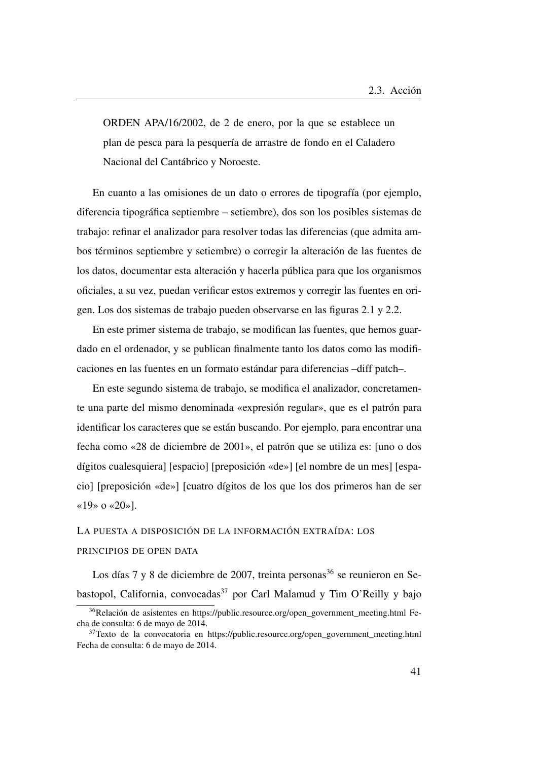ORDEN APA/16/2002, de 2 de enero, por la que se establece un plan de pesca para la pesquería de arrastre de fondo en el Caladero Nacional del Cantábrico y Noroeste.

En cuanto a las omisiones de un dato o errores de tipografía (por ejemplo, diferencia tipográfica septiembre – setiembre), dos son los posibles sistemas de trabajo: refinar el analizador para resolver todas las diferencias (que admita ambos términos septiembre y setiembre) o corregir la alteración de las fuentes de los datos, documentar esta alteración y hacerla pública para que los organismos oficiales, a su vez, puedan verificar estos extremos y corregir las fuentes en origen. Los dos sistemas de trabajo pueden observarse en las figuras [2.1](#page-71-0) y [2.2.](#page-72-0)

En este primer sistema de trabajo, se modifican las fuentes, que hemos guardado en el ordenador, y se publican finalmente tanto los datos como las modificaciones en las fuentes en un formato estándar para diferencias –diff patch–.

En este segundo sistema de trabajo, se modifica el analizador, concretamente una parte del mismo denominada «expresión regular», que es el patrón para identificar los caracteres que se están buscando. Por ejemplo, para encontrar una fecha como «28 de diciembre de 2001», el patrón que se utiliza es: [uno o dos dígitos cualesquiera] [espacio] [preposición «de»] [el nombre de un mes] [espacio] [preposición «de»] [cuatro dígitos de los que los dos primeros han de ser «19» o «20»].

## LA PUESTA A DISPOSICIÓN DE LA INFORMACIÓN EXTRAÍDA: LOS PRINCIPIOS DE OPEN DATA

Los días 7 y 8 de diciembre de 2007, treinta personas  $36$  se reunieron en Se-bastopol, California, convocadas<sup>[37](#page-70-1)</sup> por Carl Malamud y Tim O'Reilly y bajo

<span id="page-70-0"></span><sup>36</sup>Relación de asistentes en [https://public.resource.org/open\\_government\\_meeting.html](https://public.resource.org/open_government_meeting.html) Fecha de consulta: 6 de mayo de 2014.

<span id="page-70-1"></span><sup>&</sup>lt;sup>37</sup>Texto de la convocatoria en [https://public.resource.org/open\\_government\\_meeting.html](https://public.resource.org/open_government_meeting.html) Fecha de consulta: 6 de mayo de 2014.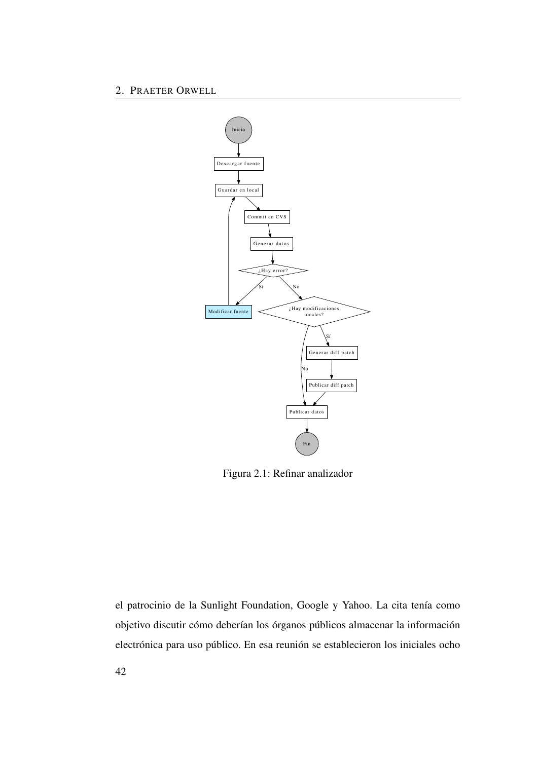2. PRAETER ORWELL



<span id="page-71-0"></span>Figura 2.1: Refinar analizador

el patrocinio de la Sunlight Foundation, Google y Yahoo. La cita tenía como objetivo discutir cómo deberían los órganos públicos almacenar la información electrónica para uso público. En esa reunión se establecieron los iniciales ocho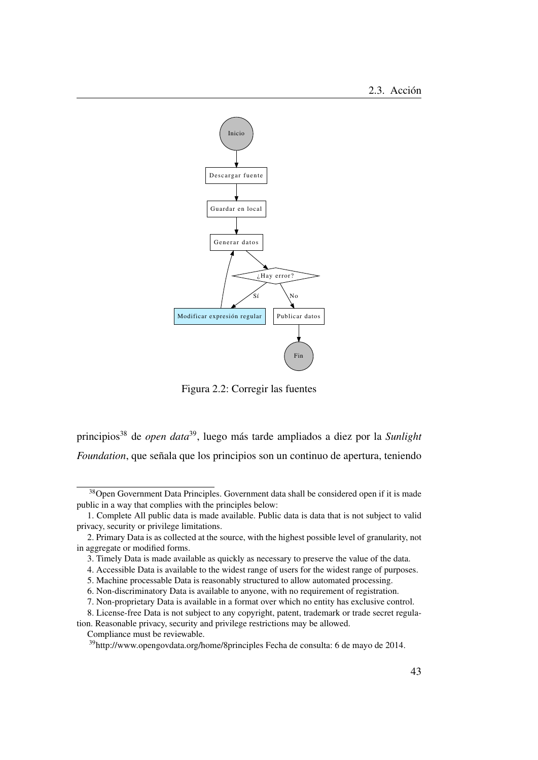

Figura 2.2: Corregir las fuentes

principios[38](#page-72-0) de *open data*[39](#page-72-1), luego más tarde ampliados a diez por la *Sunlight Foundation*, que señala que los principios son un continuo de apertura, teniendo

<span id="page-72-0"></span><sup>&</sup>lt;sup>38</sup>Open Government Data Principles. Government data shall be considered open if it is made public in a way that complies with the principles below:

<sup>1.</sup> Complete All public data is made available. Public data is data that is not subject to valid privacy, security or privilege limitations.

<sup>2.</sup> Primary Data is as collected at the source, with the highest possible level of granularity, not in aggregate or modified forms.

<sup>3.</sup> Timely Data is made available as quickly as necessary to preserve the value of the data.

<sup>4.</sup> Accessible Data is available to the widest range of users for the widest range of purposes.

<sup>5.</sup> Machine processable Data is reasonably structured to allow automated processing.

<sup>6.</sup> Non-discriminatory Data is available to anyone, with no requirement of registration.

<sup>7.</sup> Non-proprietary Data is available in a format over which no entity has exclusive control.

<sup>8.</sup> License-free Data is not subject to any copyright, patent, trademark or trade secret regula-

tion. Reasonable privacy, security and privilege restrictions may be allowed.

Compliance must be reviewable.

<span id="page-72-1"></span><sup>39</sup><http://www.opengovdata.org/home/8principles> Fecha de consulta: 6 de mayo de 2014.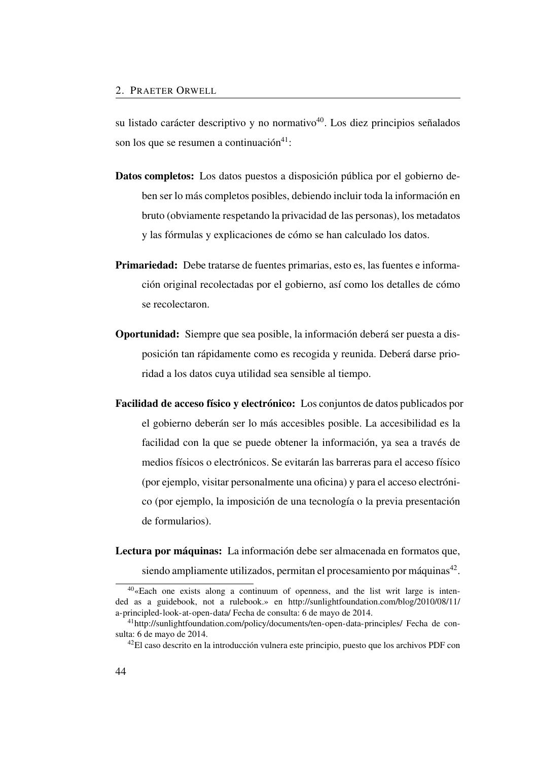su listado carácter descriptivo y no normativo $40$ . Los diez principios señalados son los que se resumen a continuación $41$ :

- Datos completos: Los datos puestos a disposición pública por el gobierno deben ser lo más completos posibles, debiendo incluir toda la información en bruto (obviamente respetando la privacidad de las personas), los metadatos y las fórmulas y explicaciones de cómo se han calculado los datos.
- Primariedad: Debe tratarse de fuentes primarias, esto es, las fuentes e información original recolectadas por el gobierno, así como los detalles de cómo se recolectaron.
- Oportunidad: Siempre que sea posible, la información deberá ser puesta a disposición tan rápidamente como es recogida y reunida. Deberá darse prioridad a los datos cuya utilidad sea sensible al tiempo.
- Facilidad de acceso físico y electrónico: Los conjuntos de datos publicados por el gobierno deberán ser lo más accesibles posible. La accesibilidad es la facilidad con la que se puede obtener la información, ya sea a través de medios físicos o electrónicos. Se evitarán las barreras para el acceso físico (por ejemplo, visitar personalmente una oficina) y para el acceso electrónico (por ejemplo, la imposición de una tecnología o la previa presentación de formularios).

Lectura por máquinas: La información debe ser almacenada en formatos que,

<span id="page-73-0"></span>siendo ampliamente utilizados, permitan el procesamiento por máquinas<sup>[42](#page-73-2)</sup>.

 $40\text{~}$  Each one exists along a continuum of openness, and the list writ large is intended as a guidebook, not a rulebook.» en [http://sunlightfoundation.com/blog/2010/08/11/](http://sunlightfoundation.com/blog/2010/08/11/a-principled-look-at-open-data/) [a-principled-look-at-open-data/](http://sunlightfoundation.com/blog/2010/08/11/a-principled-look-at-open-data/) Fecha de consulta: 6 de mayo de 2014.

<span id="page-73-1"></span><sup>41</sup><http://sunlightfoundation.com/policy/documents/ten-open-data-principles/> Fecha de consulta: 6 de mayo de 2014.

<span id="page-73-2"></span><sup>42</sup>El caso descrito en la introducción vulnera este principio, puesto que los archivos PDF con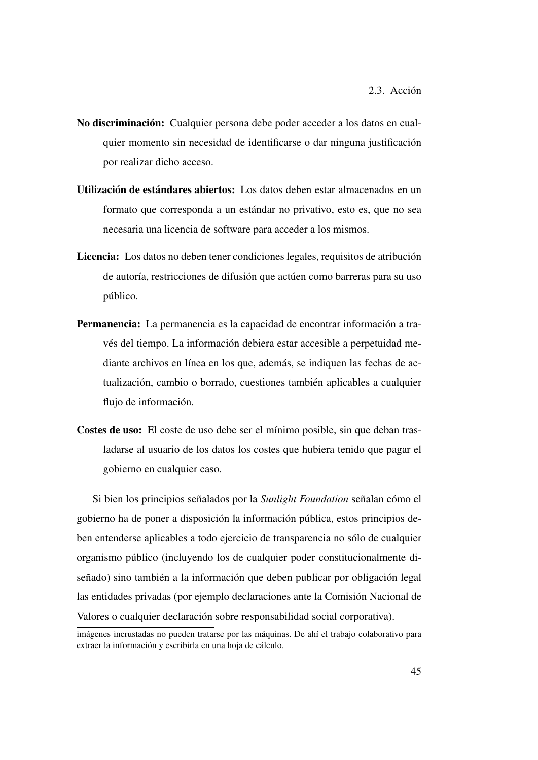- No discriminación: Cualquier persona debe poder acceder a los datos en cualquier momento sin necesidad de identificarse o dar ninguna justificación por realizar dicho acceso.
- Utilización de estándares abiertos: Los datos deben estar almacenados en un formato que corresponda a un estándar no privativo, esto es, que no sea necesaria una licencia de software para acceder a los mismos.
- Licencia: Los datos no deben tener condiciones legales, requisitos de atribución de autoría, restricciones de difusión que actúen como barreras para su uso público.
- Permanencia: La permanencia es la capacidad de encontrar información a través del tiempo. La información debiera estar accesible a perpetuidad mediante archivos en línea en los que, además, se indiquen las fechas de actualización, cambio o borrado, cuestiones también aplicables a cualquier flujo de información.
- Costes de uso: El coste de uso debe ser el mínimo posible, sin que deban trasladarse al usuario de los datos los costes que hubiera tenido que pagar el gobierno en cualquier caso.

Si bien los principios señalados por la *Sunlight Foundation* señalan cómo el gobierno ha de poner a disposición la información pública, estos principios deben entenderse aplicables a todo ejercicio de transparencia no sólo de cualquier organismo público (incluyendo los de cualquier poder constitucionalmente diseñado) sino también a la información que deben publicar por obligación legal las entidades privadas (por ejemplo declaraciones ante la Comisión Nacional de Valores o cualquier declaración sobre responsabilidad social corporativa).

imágenes incrustadas no pueden tratarse por las máquinas. De ahí el trabajo colaborativo para extraer la información y escribirla en una hoja de cálculo.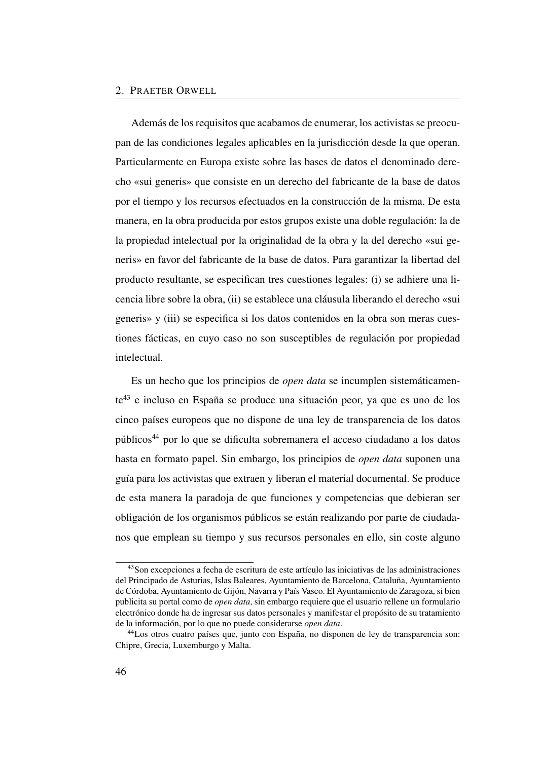#### 2. PRAETER ORWELL

Además de los requisitos que acabamos de enumerar, los activistas se preocupan de las condiciones legales aplicables en la jurisdicción desde la que operan. Particularmente en Europa existe sobre las bases de datos el denominado derecho «sui generis» que consiste en un derecho del fabricante de la base de datos por el tiempo y los recursos efectuados en la construcción de la misma. De esta manera, en la obra producida por estos grupos existe una doble regulación: la de la propiedad intelectual por la originalidad de la obra y la del derecho «sui generis» en favor del fabricante de la base de datos. Para garantizar la libertad del producto resultante, se especifican tres cuestiones legales: (i) se adhiere una licencia libre sobre la obra, (ii) se establece una cláusula liberando el derecho «sui generis» y (iii) se especifica si los datos contenidos en la obra son meras cuestiones fácticas, en cuyo caso no son susceptibles de regulación por propiedad intelectual.

Es un hecho que los principios de *open data* se incumplen sistemáticamente[43](#page-75-0) e incluso en España se produce una situación peor, ya que es uno de los cinco países europeos que no dispone de una ley de transparencia de los datos públicos[44](#page-75-1) por lo que se dificulta sobremanera el acceso ciudadano a los datos hasta en formato papel. Sin embargo, los principios de *open data* suponen una guía para los activistas que extraen y liberan el material documental. Se produce de esta manera la paradoja de que funciones y competencias que debieran ser obligación de los organismos públicos se están realizando por parte de ciudadanos que emplean su tiempo y sus recursos personales en ello, sin coste alguno

<span id="page-75-0"></span><sup>43</sup>Son excepciones a fecha de escritura de este artículo las iniciativas de las administraciones del Principado de Asturias, Islas Baleares, Ayuntamiento de Barcelona, Cataluña, Ayuntamiento de Córdoba, Ayuntamiento de Gijón, Navarra y País Vasco. El Ayuntamiento de Zaragoza, si bien publicita su portal como de *open data*, sin embargo requiere que el usuario rellene un formulario electrónico donde ha de ingresar sus datos personales y manifestar el propósito de su tratamiento de la información, por lo que no puede considerarse *open data*.

<span id="page-75-1"></span><sup>44</sup>Los otros cuatro países que, junto con España, no disponen de ley de transparencia son: Chipre, Grecia, Luxemburgo y Malta.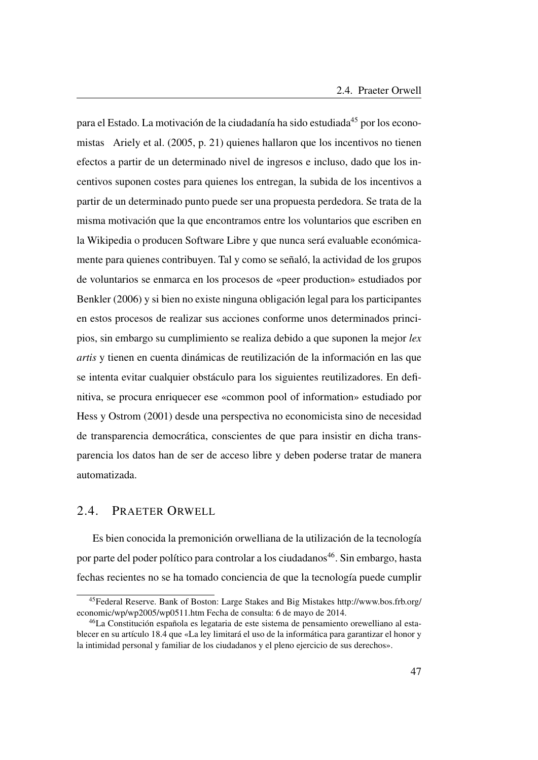para el Estado. La motivación de la ciudadanía ha sido estudiada<sup>[45](#page-76-0)</sup> por los economistas Ariely et al. [\(2005,](#page-84-0) p. 21) quienes hallaron que los incentivos no tienen efectos a partir de un determinado nivel de ingresos e incluso, dado que los incentivos suponen costes para quienes los entregan, la subida de los incentivos a partir de un determinado punto puede ser una propuesta perdedora. Se trata de la misma motivación que la que encontramos entre los voluntarios que escriben en la Wikipedia o producen Software Libre y que nunca será evaluable económicamente para quienes contribuyen. Tal y como se señaló, la actividad de los grupos de voluntarios se enmarca en los procesos de «peer production» estudiados por Benkler [\(2006\)](#page-49-0) y si bien no existe ninguna obligación legal para los participantes en estos procesos de realizar sus acciones conforme unos determinados principios, sin embargo su cumplimiento se realiza debido a que suponen la mejor *lex artis* y tienen en cuenta dinámicas de reutilización de la información en las que se intenta evitar cualquier obstáculo para los siguientes reutilizadores. En definitiva, se procura enriquecer ese «common pool of information» estudiado por Hess y Ostrom [\(2001\)](#page-85-0) desde una perspectiva no economicista sino de necesidad de transparencia democrática, conscientes de que para insistir en dicha transparencia los datos han de ser de acceso libre y deben poderse tratar de manera automatizada.

# 2.4. PRAETER ORWELL

Es bien conocida la premonición orwelliana de la utilización de la tecnología por parte del poder político para controlar a los ciudadanos<sup>[46](#page-76-1)</sup>. Sin embargo, hasta fechas recientes no se ha tomado conciencia de que la tecnología puede cumplir

<span id="page-76-0"></span><sup>45</sup>Federal Reserve. Bank of Boston: Large Stakes and Big Mistakes [http://www.bos.frb.org/](http://www.bos.frb.org/economic/wp/wp2005/wp0511.htm) [economic/wp/wp2005/wp0511.htm](http://www.bos.frb.org/economic/wp/wp2005/wp0511.htm) Fecha de consulta: 6 de mayo de 2014.

<span id="page-76-1"></span><sup>46</sup>La Constitución española es legataria de este sistema de pensamiento orewelliano al establecer en su artículo 18.4 que «La ley limitará el uso de la informática para garantizar el honor y la intimidad personal y familiar de los ciudadanos y el pleno ejercicio de sus derechos».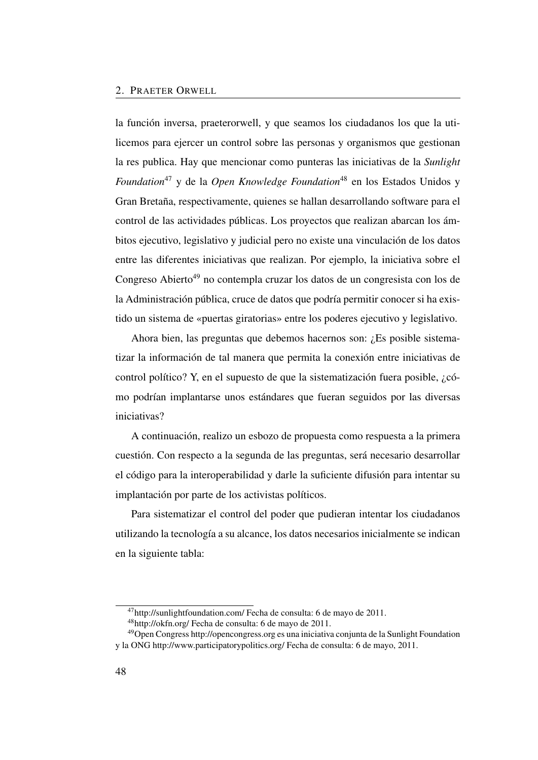la función inversa, praeterorwell, y que seamos los ciudadanos los que la utilicemos para ejercer un control sobre las personas y organismos que gestionan la res publica. Hay que mencionar como punteras las iniciativas de la *Sunlight Foundation*<sup>[47](#page-77-0)</sup> y de la *Open Knowledge Foundation*<sup>[48](#page-77-1)</sup> en los Estados Unidos y Gran Bretaña, respectivamente, quienes se hallan desarrollando software para el control de las actividades públicas. Los proyectos que realizan abarcan los ámbitos ejecutivo, legislativo y judicial pero no existe una vinculación de los datos entre las diferentes iniciativas que realizan. Por ejemplo, la iniciativa sobre el Congreso Abierto<sup>[49](#page-77-2)</sup> no contempla cruzar los datos de un congresista con los de la Administración pública, cruce de datos que podría permitir conocer si ha existido un sistema de «puertas giratorias» entre los poderes ejecutivo y legislativo.

Ahora bien, las preguntas que debemos hacernos son: ¿Es posible sistematizar la información de tal manera que permita la conexión entre iniciativas de control político? Y, en el supuesto de que la sistematización fuera posible, ¿cómo podrían implantarse unos estándares que fueran seguidos por las diversas iniciativas?

A continuación, realizo un esbozo de propuesta como respuesta a la primera cuestión. Con respecto a la segunda de las preguntas, será necesario desarrollar el código para la interoperabilidad y darle la suficiente difusión para intentar su implantación por parte de los activistas políticos.

Para sistematizar el control del poder que pudieran intentar los ciudadanos utilizando la tecnología a su alcance, los datos necesarios inicialmente se indican en la siguiente tabla:

<span id="page-77-0"></span><sup>47</sup><http://sunlightfoundation.com/> Fecha de consulta: 6 de mayo de 2011.

<span id="page-77-2"></span><span id="page-77-1"></span><sup>48</sup><http://okfn.org/> Fecha de consulta: 6 de mayo de 2011.

<sup>49</sup>Open Congress<http://opencongress.org> es una iniciativa conjunta de la Sunlight Foundation y la ONG<http://www.participatorypolitics.org/> Fecha de consulta: 6 de mayo, 2011.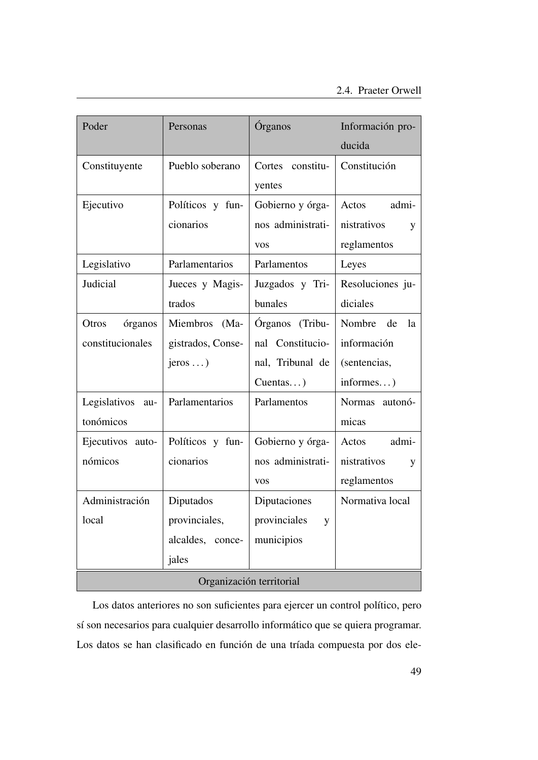| Poder                    | Personas           | Órganos             | Información pro- |
|--------------------------|--------------------|---------------------|------------------|
|                          |                    |                     | ducida           |
| Constituyente            | Pueblo soberano    | Cortes<br>constitu- | Constitución     |
|                          |                    | yentes              |                  |
| Ejecutivo                | Políticos y fun-   | Gobierno y órga-    | Actos<br>admi-   |
|                          | cionarios          | nos administrati-   | nistrativos<br>y |
|                          |                    | <b>VOS</b>          | reglamentos      |
| Legislativo              | Parlamentarios     | Parlamentos         | Leyes            |
| Judicial                 | Jueces y Magis-    | Juzgados y Tri-     | Resoluciones ju- |
|                          | trados             | bunales             | diciales         |
| órganos<br>Otros         | Miembros<br>$(Ma-$ | Órganos (Tribu-     | Nombre de<br>la  |
| constitucionales         | gistrados, Conse-  | nal Constitucio-    | información      |
|                          | $jeros \dots$      | nal, Tribunal de    | (sentencias,     |
|                          |                    | $Cuentas$ )         | informes)        |
| Legislativos<br>au-      | Parlamentarios     | Parlamentos         | Normas autonó-   |
| tonómicos                |                    |                     | micas            |
| Ejecutivos auto-         | Políticos y fun-   | Gobierno y órga-    | Actos<br>admi-   |
| nómicos                  | cionarios          | nos administrati-   | nistrativos<br>y |
|                          |                    | <b>VOS</b>          | reglamentos      |
| Administración           | Diputados          | Diputaciones        | Normativa local  |
| local                    | provinciales,      | provinciales<br>y   |                  |
|                          | alcaldes, conce-   | municipios          |                  |
|                          | jales              |                     |                  |
| Organización territorial |                    |                     |                  |

Los datos anteriores no son suficientes para ejercer un control político, pero sí son necesarios para cualquier desarrollo informático que se quiera programar. Los datos se han clasificado en función de una tríada compuesta por dos ele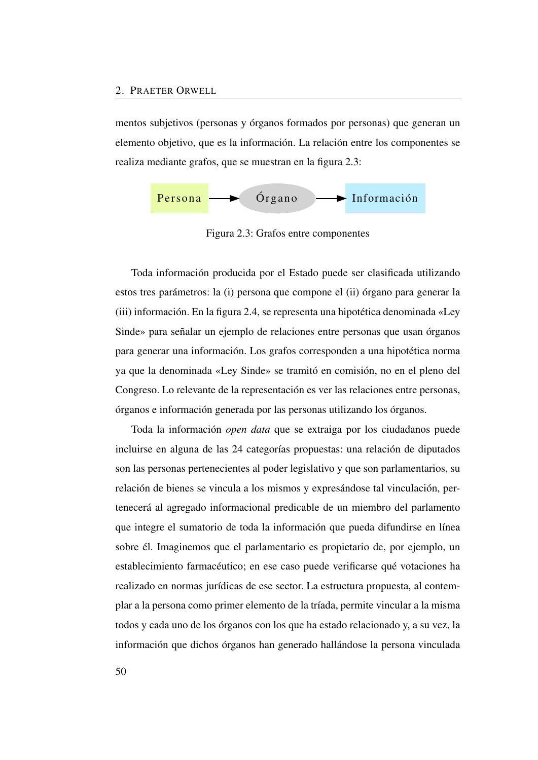mentos subjetivos (personas y órganos formados por personas) que generan un elemento objetivo, que es la información. La relación entre los componentes se realiza mediante grafos, que se muestran en la figura [2.3:](#page-79-0)



<span id="page-79-0"></span>Figura 2.3: Grafos entre componentes

Toda información producida por el Estado puede ser clasificada utilizando estos tres parámetros: la (i) persona que compone el (ii) órgano para generar la (iii) información. En la figura [2.4,](#page-80-0) se representa una hipotética denominada «Ley Sinde» para señalar un ejemplo de relaciones entre personas que usan órganos para generar una información. Los grafos corresponden a una hipotética norma ya que la denominada «Ley Sinde» se tramitó en comisión, no en el pleno del Congreso. Lo relevante de la representación es ver las relaciones entre personas, órganos e información generada por las personas utilizando los órganos.

Toda la información *open data* que se extraiga por los ciudadanos puede incluirse en alguna de las 24 categorías propuestas: una relación de diputados son las personas pertenecientes al poder legislativo y que son parlamentarios, su relación de bienes se vincula a los mismos y expresándose tal vinculación, pertenecerá al agregado informacional predicable de un miembro del parlamento que integre el sumatorio de toda la información que pueda difundirse en línea sobre él. Imaginemos que el parlamentario es propietario de, por ejemplo, un establecimiento farmacéutico; en ese caso puede verificarse qué votaciones ha realizado en normas jurídicas de ese sector. La estructura propuesta, al contemplar a la persona como primer elemento de la tríada, permite vincular a la misma todos y cada uno de los órganos con los que ha estado relacionado y, a su vez, la información que dichos órganos han generado hallándose la persona vinculada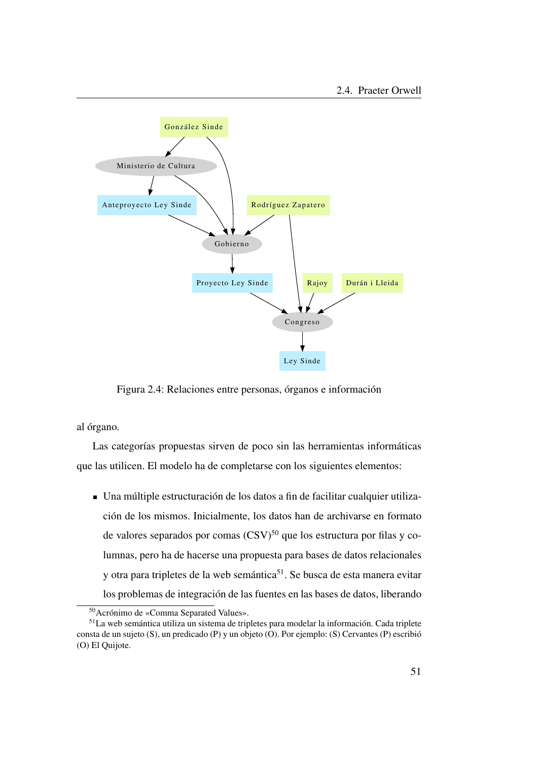

<span id="page-80-0"></span>Figura 2.4: Relaciones entre personas, órganos e información

al órgano.

Las categorías propuestas sirven de poco sin las herramientas informáticas que las utilicen. El modelo ha de completarse con los siguientes elementos:

Una múltiple estructuración de los datos a fin de facilitar cualquier utilización de los mismos. Inicialmente, los datos han de archivarse en formato de valores separados por comas  $(CSV)^{50}$  $(CSV)^{50}$  $(CSV)^{50}$  que los estructura por filas y columnas, pero ha de hacerse una propuesta para bases de datos relacionales y otra para tripletes de la web semántica<sup>[51](#page-80-2)</sup>. Se busca de esta manera evitar los problemas de integración de las fuentes en las bases de datos, liberando

<span id="page-80-2"></span><span id="page-80-1"></span><sup>50</sup>Acrónimo de «Comma Separated Values».

<sup>51</sup>La web semántica utiliza un sistema de tripletes para modelar la información. Cada triplete consta de un sujeto (S), un predicado (P) y un objeto (O). Por ejemplo: (S) Cervantes (P) escribió (O) El Quijote.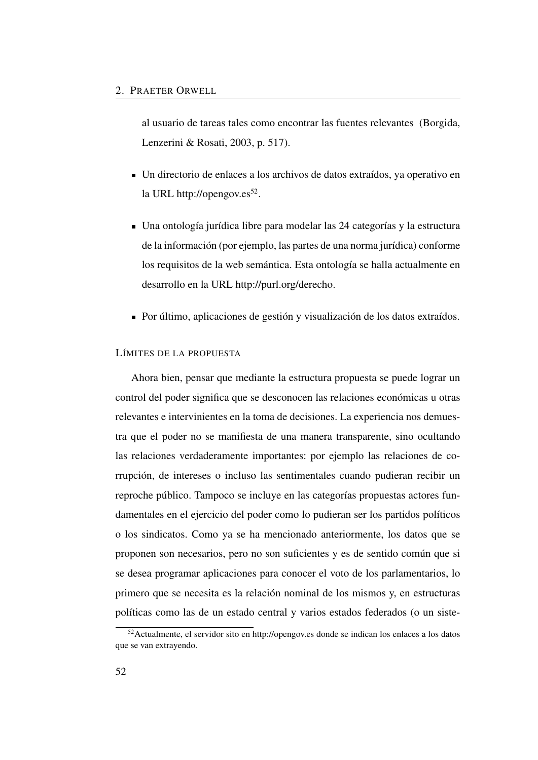al usuario de tareas tales como encontrar las fuentes relevantes (Borgida, Lenzerini & Rosati, [2003,](#page-84-1) p. 517).

- Un directorio de enlaces a los archivos de datos extraídos, ya operativo en la URL<http://opengov.es><sup>[52](#page-81-0)</sup>.
- Una ontología jurídica libre para modelar las 24 categorías y la estructura de la información (por ejemplo, las partes de una norma jurídica) conforme los requisitos de la web semántica. Esta ontología se halla actualmente en desarrollo en la URL [http://purl.org/derecho.](http://purl.org/derecho)
- Por último, aplicaciones de gestión y visualización de los datos extraídos.

## LÍMITES DE LA PROPUESTA

Ahora bien, pensar que mediante la estructura propuesta se puede lograr un control del poder significa que se desconocen las relaciones económicas u otras relevantes e intervinientes en la toma de decisiones. La experiencia nos demuestra que el poder no se manifiesta de una manera transparente, sino ocultando las relaciones verdaderamente importantes: por ejemplo las relaciones de corrupción, de intereses o incluso las sentimentales cuando pudieran recibir un reproche público. Tampoco se incluye en las categorías propuestas actores fundamentales en el ejercicio del poder como lo pudieran ser los partidos políticos o los sindicatos. Como ya se ha mencionado anteriormente, los datos que se proponen son necesarios, pero no son suficientes y es de sentido común que si se desea programar aplicaciones para conocer el voto de los parlamentarios, lo primero que se necesita es la relación nominal de los mismos y, en estructuras políticas como las de un estado central y varios estados federados (o un siste-

<span id="page-81-0"></span><sup>52</sup>Actualmente, el servidor sito en<http://opengov.es> donde se indican los enlaces a los datos que se van extrayendo.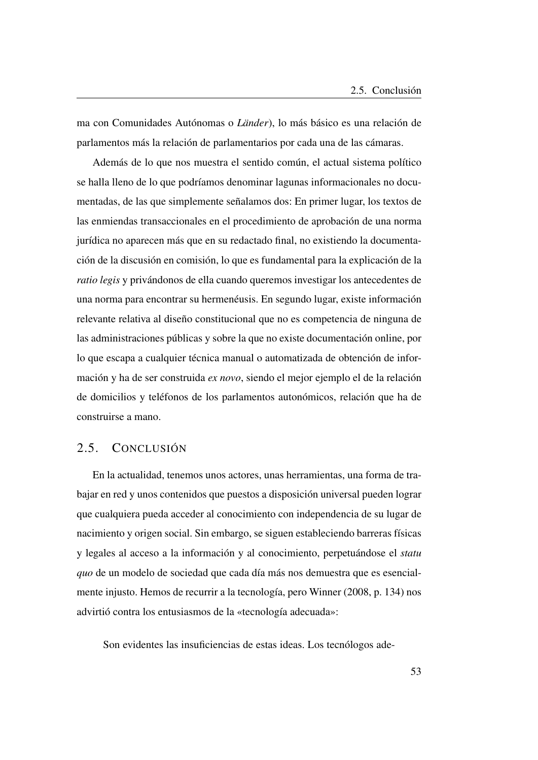ma con Comunidades Autónomas o *Länder*), lo más básico es una relación de parlamentos más la relación de parlamentarios por cada una de las cámaras.

Además de lo que nos muestra el sentido común, el actual sistema político se halla lleno de lo que podríamos denominar lagunas informacionales no documentadas, de las que simplemente señalamos dos: En primer lugar, los textos de las enmiendas transaccionales en el procedimiento de aprobación de una norma jurídica no aparecen más que en su redactado final, no existiendo la documentación de la discusión en comisión, lo que es fundamental para la explicación de la *ratio legis* y privándonos de ella cuando queremos investigar los antecedentes de una norma para encontrar su hermenéusis. En segundo lugar, existe información relevante relativa al diseño constitucional que no es competencia de ninguna de las administraciones públicas y sobre la que no existe documentación online, por lo que escapa a cualquier técnica manual o automatizada de obtención de información y ha de ser construida *ex novo*, siendo el mejor ejemplo el de la relación de domicilios y teléfonos de los parlamentos autonómicos, relación que ha de construirse a mano.

# 2.5. CONCLUSIÓN

En la actualidad, tenemos unos actores, unas herramientas, una forma de trabajar en red y unos contenidos que puestos a disposición universal pueden lograr que cualquiera pueda acceder al conocimiento con independencia de su lugar de nacimiento y origen social. Sin embargo, se siguen estableciendo barreras físicas y legales al acceso a la información y al conocimiento, perpetuándose el *statu quo* de un modelo de sociedad que cada día más nos demuestra que es esencialmente injusto. Hemos de recurrir a la tecnología, pero Winner [\(2008,](#page-53-0) p. 134) nos advirtió contra los entusiasmos de la «tecnología adecuada»:

Son evidentes las insuficiencias de estas ideas. Los tecnólogos ade-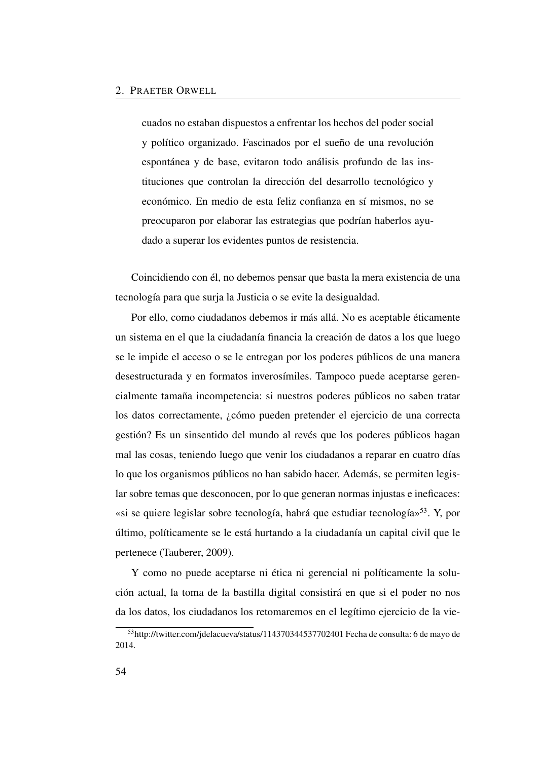cuados no estaban dispuestos a enfrentar los hechos del poder social y político organizado. Fascinados por el sueño de una revolución espontánea y de base, evitaron todo análisis profundo de las instituciones que controlan la dirección del desarrollo tecnológico y económico. En medio de esta feliz confianza en sí mismos, no se preocuparon por elaborar las estrategias que podrían haberlos ayudado a superar los evidentes puntos de resistencia.

Coincidiendo con él, no debemos pensar que basta la mera existencia de una tecnología para que surja la Justicia o se evite la desigualdad.

Por ello, como ciudadanos debemos ir más allá. No es aceptable éticamente un sistema en el que la ciudadanía financia la creación de datos a los que luego se le impide el acceso o se le entregan por los poderes públicos de una manera desestructurada y en formatos inverosímiles. Tampoco puede aceptarse gerencialmente tamaña incompetencia: si nuestros poderes públicos no saben tratar los datos correctamente, ¿cómo pueden pretender el ejercicio de una correcta gestión? Es un sinsentido del mundo al revés que los poderes públicos hagan mal las cosas, teniendo luego que venir los ciudadanos a reparar en cuatro días lo que los organismos públicos no han sabido hacer. Además, se permiten legislar sobre temas que desconocen, por lo que generan normas injustas e ineficaces: «si se quiere legislar sobre tecnología, habrá que estudiar tecnología»[53](#page-83-0). Y, por último, políticamente se le está hurtando a la ciudadanía un capital civil que le pertenece (Tauberer, [2009\)](#page-85-1).

Y como no puede aceptarse ni ética ni gerencial ni políticamente la solución actual, la toma de la bastilla digital consistirá en que si el poder no nos da los datos, los ciudadanos los retomaremos en el legítimo ejercicio de la vie-

<span id="page-83-0"></span><sup>53</sup><http://twitter.com/jdelacueva/status/114370344537702401> Fecha de consulta: 6 de mayo de 2014.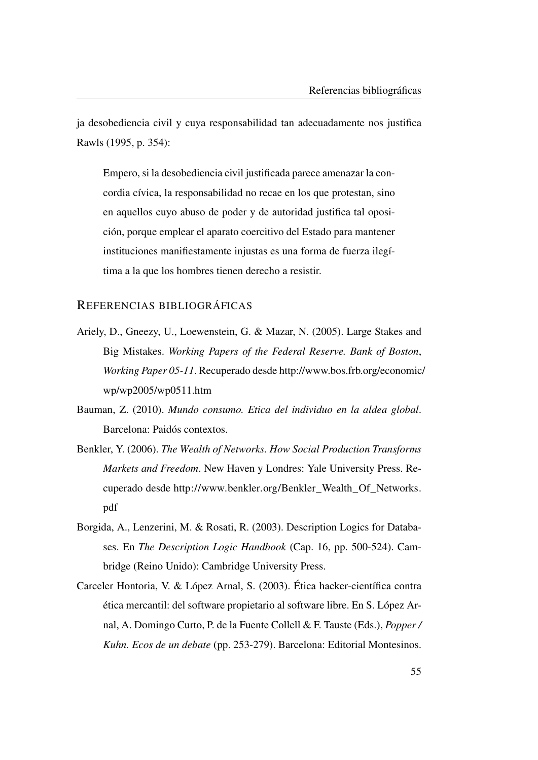ja desobediencia civil y cuya responsabilidad tan adecuadamente nos justifica Rawls [\(1995,](#page-85-2) p. 354):

Empero, si la desobediencia civil justificada parece amenazar la concordia cívica, la responsabilidad no recae en los que protestan, sino en aquellos cuyo abuso de poder y de autoridad justifica tal oposición, porque emplear el aparato coercitivo del Estado para mantener instituciones manifiestamente injustas es una forma de fuerza ilegítima a la que los hombres tienen derecho a resistir.

## REFERENCIAS BIBLIOGRÁFICAS

- <span id="page-84-0"></span>Ariely, D., Gneezy, U., Loewenstein, G. & Mazar, N. (2005). Large Stakes and Big Mistakes. *Working Papers of the Federal Reserve. Bank of Boston*, *Working Paper 05-11*. Recuperado desde [http://www.bos.frb.org/economic/](http://www.bos.frb.org/economic/wp/wp2005/wp0511.htm) [wp/wp2005/wp0511.htm](http://www.bos.frb.org/economic/wp/wp2005/wp0511.htm)
- Bauman, Z. (2010). *Mundo consumo. Etica del individuo en la aldea global*. Barcelona: Paidós contextos.
- Benkler, Y. (2006). *The Wealth of Networks. How Social Production Transforms Markets and Freedom*. New Haven y Londres: Yale University Press. Recuperado desde [http://www.benkler.org/Benkler\\_Wealth\\_Of\\_Networks.](http://www.benkler.org/Benkler_Wealth_Of_Networks.pdf) [pdf](http://www.benkler.org/Benkler_Wealth_Of_Networks.pdf)
- <span id="page-84-1"></span>Borgida, A., Lenzerini, M. & Rosati, R. (2003). Description Logics for Databases. En *The Description Logic Handbook* (Cap. 16, pp. 500-524). Cambridge (Reino Unido): Cambridge University Press.
- Carceler Hontoria, V. & López Arnal, S. (2003). Ética hacker-científica contra ética mercantil: del software propietario al software libre. En S. López Arnal, A. Domingo Curto, P. de la Fuente Collell & F. Tauste (Eds.), *Popper / Kuhn. Ecos de un debate* (pp. 253-279). Barcelona: Editorial Montesinos.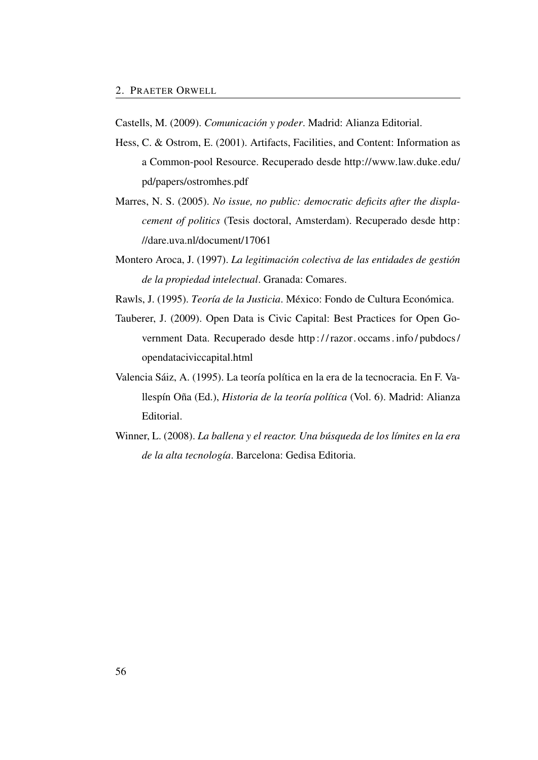<span id="page-85-4"></span>Castells, M. (2009). *Comunicación y poder*. Madrid: Alianza Editorial.

- <span id="page-85-0"></span>Hess, C. & Ostrom, E. (2001). Artifacts, Facilities, and Content: Information as a Common-pool Resource. Recuperado desde [http://www.law.duke.edu/](http://www.law.duke.edu/pd/papers/ostromhes.pdf) [pd/papers/ostromhes.pdf](http://www.law.duke.edu/pd/papers/ostromhes.pdf)
- Marres, N. S. (2005). *No issue, no public: democratic deficits after the displacement of politics* (Tesis doctoral, Amsterdam). Recuperado desde [http:](http://dare.uva.nl/document/17061) [//dare.uva.nl/document/17061](http://dare.uva.nl/document/17061)
- <span id="page-85-3"></span>Montero Aroca, J. (1997). *La legitimación colectiva de las entidades de gestión de la propiedad intelectual*. Granada: Comares.
- <span id="page-85-2"></span><span id="page-85-1"></span>Rawls, J. (1995). *Teoría de la Justicia*. México: Fondo de Cultura Económica.
- Tauberer, J. (2009). Open Data is Civic Capital: Best Practices for Open Government Data. Recuperado desde [http : / / razor. occams . info / pubdocs /](http://razor.occams.info/pubdocs/opendataciviccapital.html) [opendataciviccapital.html](http://razor.occams.info/pubdocs/opendataciviccapital.html)
- Valencia Sáiz, A. (1995). La teoría política en la era de la tecnocracia. En F. Vallespín Oña (Ed.), *Historia de la teoría política* (Vol. 6). Madrid: Alianza Editorial.
- Winner, L. (2008). *La ballena y el reactor. Una búsqueda de los límites en la era de la alta tecnología*. Barcelona: Gedisa Editoria.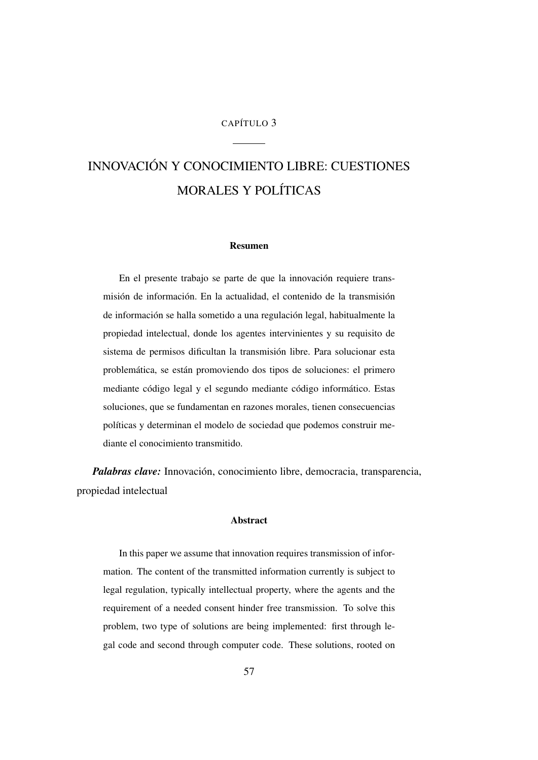## CAPÍTULO 3

# INNOVACIÓN Y CONOCIMIENTO LIBRE: CUESTIONES MORALES Y POLÍTICAS

### Resumen

En el presente trabajo se parte de que la innovación requiere transmisión de información. En la actualidad, el contenido de la transmisión de información se halla sometido a una regulación legal, habitualmente la propiedad intelectual, donde los agentes intervinientes y su requisito de sistema de permisos dificultan la transmisión libre. Para solucionar esta problemática, se están promoviendo dos tipos de soluciones: el primero mediante código legal y el segundo mediante código informático. Estas soluciones, que se fundamentan en razones morales, tienen consecuencias políticas y determinan el modelo de sociedad que podemos construir mediante el conocimiento transmitido.

*Palabras clave:* Innovación, conocimiento libre, democracia, transparencia, propiedad intelectual

### Abstract

In this paper we assume that innovation requires transmission of information. The content of the transmitted information currently is subject to legal regulation, typically intellectual property, where the agents and the requirement of a needed consent hinder free transmission. To solve this problem, two type of solutions are being implemented: first through legal code and second through computer code. These solutions, rooted on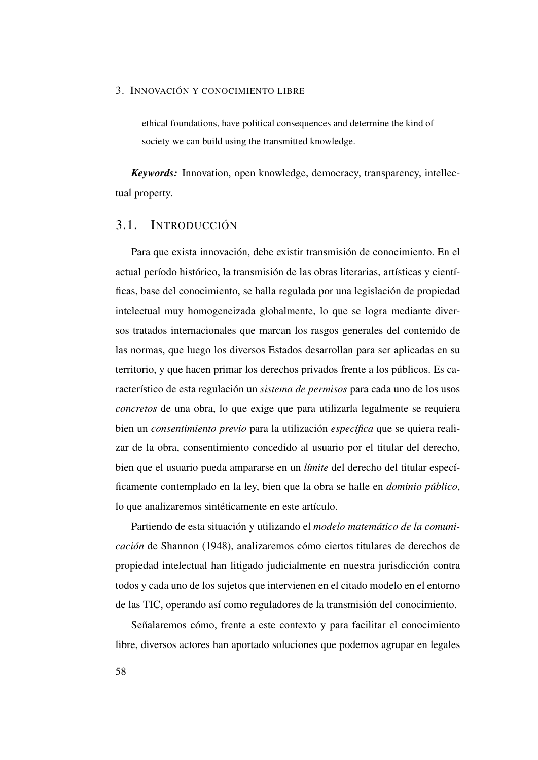ethical foundations, have political consequences and determine the kind of society we can build using the transmitted knowledge.

*Keywords:* Innovation, open knowledge, democracy, transparency, intellectual property.

## 3.1. INTRODUCCIÓN

Para que exista innovación, debe existir transmisión de conocimiento. En el actual período histórico, la transmisión de las obras literarias, artísticas y científicas, base del conocimiento, se halla regulada por una legislación de propiedad intelectual muy homogeneizada globalmente, lo que se logra mediante diversos tratados internacionales que marcan los rasgos generales del contenido de las normas, que luego los diversos Estados desarrollan para ser aplicadas en su territorio, y que hacen primar los derechos privados frente a los públicos. Es característico de esta regulación un *sistema de permisos* para cada uno de los usos *concretos* de una obra, lo que exige que para utilizarla legalmente se requiera bien un *consentimiento previo* para la utilización *específica* que se quiera realizar de la obra, consentimiento concedido al usuario por el titular del derecho, bien que el usuario pueda ampararse en un *límite* del derecho del titular específicamente contemplado en la ley, bien que la obra se halle en *dominio público*, lo que analizaremos sintéticamente en este artículo.

Partiendo de esta situación y utilizando el *modelo matemático de la comunicación* de Shannon [\(1948\)](#page-115-0), analizaremos cómo ciertos titulares de derechos de propiedad intelectual han litigado judicialmente en nuestra jurisdicción contra todos y cada uno de los sujetos que intervienen en el citado modelo en el entorno de las [TIC,](#page-27-0) operando así como reguladores de la transmisión del conocimiento.

Señalaremos cómo, frente a este contexto y para facilitar el conocimiento libre, diversos actores han aportado soluciones que podemos agrupar en legales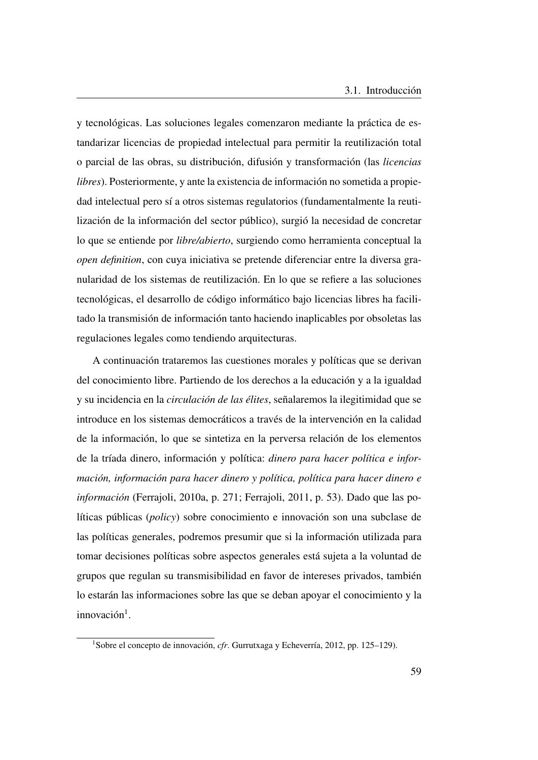y tecnológicas. Las soluciones legales comenzaron mediante la práctica de estandarizar licencias de propiedad intelectual para permitir la reutilización total o parcial de las obras, su distribución, difusión y transformación (las *licencias libres*). Posteriormente, y ante la existencia de información no sometida a propiedad intelectual pero sí a otros sistemas regulatorios (fundamentalmente la reutilización de la información del sector público), surgió la necesidad de concretar lo que se entiende por *libre/abierto*, surgiendo como herramienta conceptual la *open definition*, con cuya iniciativa se pretende diferenciar entre la diversa granularidad de los sistemas de reutilización. En lo que se refiere a las soluciones tecnológicas, el desarrollo de código informático bajo licencias libres ha facilitado la transmisión de información tanto haciendo inaplicables por obsoletas las regulaciones legales como tendiendo arquitecturas.

A continuación trataremos las cuestiones morales y políticas que se derivan del conocimiento libre. Partiendo de los derechos a la educación y a la igualdad y su incidencia en la *circulación de las élites*, señalaremos la ilegitimidad que se introduce en los sistemas democráticos a través de la intervención en la calidad de la información, lo que se sintetiza en la perversa relación de los elementos de la tríada dinero, información y política: *dinero para hacer política e información, información para hacer dinero y política, política para hacer dinero e información* (Ferrajoli, [2010a,](#page-111-0) p. 271; Ferrajoli, [2011,](#page-111-1) p. 53). Dado que las políticas públicas (*policy*) sobre conocimiento e innovación son una subclase de las políticas generales, podremos presumir que si la información utilizada para tomar decisiones políticas sobre aspectos generales está sujeta a la voluntad de grupos que regulan su transmisibilidad en favor de intereses privados, también lo estarán las informaciones sobre las que se deban apoyar el conocimiento y la innovación<sup>[1](#page-88-0)</sup>.

<span id="page-88-0"></span><sup>1</sup>Sobre el concepto de innovación, *cfr*. Gurrutxaga y Echeverría, [2012,](#page-111-2) pp. 125–129).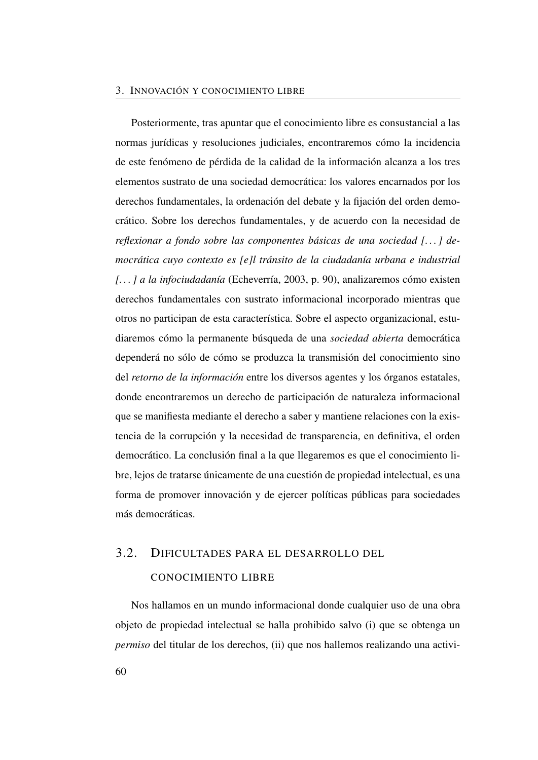### 3. INNOVACIÓN Y CONOCIMIENTO LIBRE

Posteriormente, tras apuntar que el conocimiento libre es consustancial a las normas jurídicas y resoluciones judiciales, encontraremos cómo la incidencia de este fenómeno de pérdida de la calidad de la información alcanza a los tres elementos sustrato de una sociedad democrática: los valores encarnados por los derechos fundamentales, la ordenación del debate y la fijación del orden democrático. Sobre los derechos fundamentales, y de acuerdo con la necesidad de *reflexionar a fondo sobre las componentes básicas de una sociedad [. . . ] democrática cuyo contexto es [e]l tránsito de la ciudadanía urbana e industrial [. . . ] a la infociudadanía* (Echeverría, [2003,](#page-51-0) p. 90), analizaremos cómo existen derechos fundamentales con sustrato informacional incorporado mientras que otros no participan de esta característica. Sobre el aspecto organizacional, estudiaremos cómo la permanente búsqueda de una *sociedad abierta* democrática dependerá no sólo de cómo se produzca la transmisión del conocimiento sino del *retorno de la información* entre los diversos agentes y los órganos estatales, donde encontraremos un derecho de participación de naturaleza informacional que se manifiesta mediante el derecho a saber y mantiene relaciones con la existencia de la corrupción y la necesidad de transparencia, en definitiva, el orden democrático. La conclusión final a la que llegaremos es que el conocimiento libre, lejos de tratarse únicamente de una cuestión de propiedad intelectual, es una forma de promover innovación y de ejercer políticas públicas para sociedades más democráticas.

# 3.2. DIFICULTADES PARA EL DESARROLLO DEL

## CONOCIMIENTO LIBRE

Nos hallamos en un mundo informacional donde cualquier uso de una obra objeto de propiedad intelectual se halla prohibido salvo (i) que se obtenga un *permiso* del titular de los derechos, (ii) que nos hallemos realizando una activi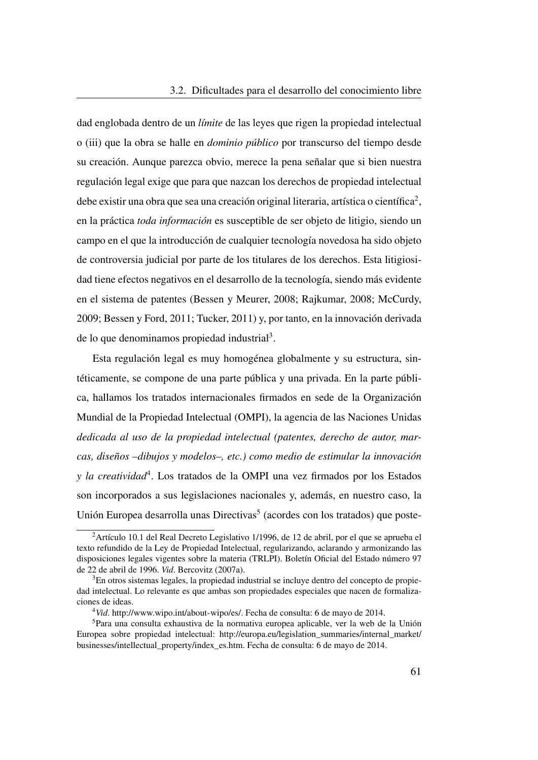dad englobada dentro de un *límite* de las leyes que rigen la propiedad intelectual o (iii) que la obra se halle en *dominio público* por transcurso del tiempo desde su creación. Aunque parezca obvio, merece la pena señalar que si bien nuestra regulación legal exige que para que nazcan los derechos de propiedad intelectual debe existir una obra que sea una creación original literaria, artística o científica<sup>[2](#page-90-0)</sup>, en la práctica *toda información* es susceptible de ser objeto de litigio, siendo un campo en el que la introducción de cualquier tecnología novedosa ha sido objeto de controversia judicial por parte de los titulares de los derechos. Esta litigiosidad tiene efectos negativos en el desarrollo de la tecnología, siendo más evidente en el sistema de patentes (Bessen y Meurer, [2008;](#page-110-0) Rajkumar, [2008;](#page-114-0) McCurdy, [2009;](#page-113-0) Bessen y Ford, [2011;](#page-110-1) Tucker, [2011\)](#page-115-1) y, por tanto, en la innovación derivada de lo que denominamos propiedad industrial<sup>[3](#page-90-1)</sup>.

Esta regulación legal es muy homogénea globalmente y su estructura, sintéticamente, se compone de una parte pública y una privada. En la parte pública, hallamos los tratados internacionales firmados en sede de la Organización Mundial de la Propiedad Intelectual [\(OMPI\)](#page-26-0), la agencia de las Naciones Unidas *dedicada al uso de la propiedad intelectual (patentes, derecho de autor, marcas, diseños –dibujos y modelos–, etc.) como medio de estimular la innovación y la creatividad*[4](#page-90-2) . Los tratados de la [OMPI](#page-26-0) una vez firmados por los Estados son incorporados a sus legislaciones nacionales y, además, en nuestro caso, la Unión Europea desarrolla unas Directivas<sup>[5](#page-90-3)</sup> (acordes con los tratados) que poste-

<span id="page-90-0"></span><sup>2</sup>Artículo 10.1 del Real Decreto Legislativo 1/1996, de 12 de abril, por el que se aprueba el texto refundido de la Ley de Propiedad Intelectual, regularizando, aclarando y armonizando las disposiciones legales vigentes sobre la materia (TRLPI). Boletín Oficial del Estado número 97 de 22 de abril de 1996. *Vid*. Bercovitz (2007a).

<span id="page-90-1"></span><sup>3</sup>En otros sistemas legales, la propiedad industrial se incluye dentro del concepto de propiedad intelectual. Lo relevante es que ambas son propiedades especiales que nacen de formalizaciones de ideas.

<span id="page-90-3"></span><span id="page-90-2"></span><sup>4</sup>*Vid*. [http://www.wipo.int/about-wipo/es/.](http://www.wipo.int/about-wipo/es/) Fecha de consulta: 6 de mayo de 2014.

<sup>5</sup>Para una consulta exhaustiva de la normativa europea aplicable, ver la web de la Unión Europea sobre propiedad intelectual: [http://europa.eu/legislation\\_summaries/internal\\_market/](http://europa.eu/legislation_summaries/internal_market/businesses/intellectual_property/index_es.htm) [businesses/intellectual\\_property/index\\_es.htm.](http://europa.eu/legislation_summaries/internal_market/businesses/intellectual_property/index_es.htm) Fecha de consulta: 6 de mayo de 2014.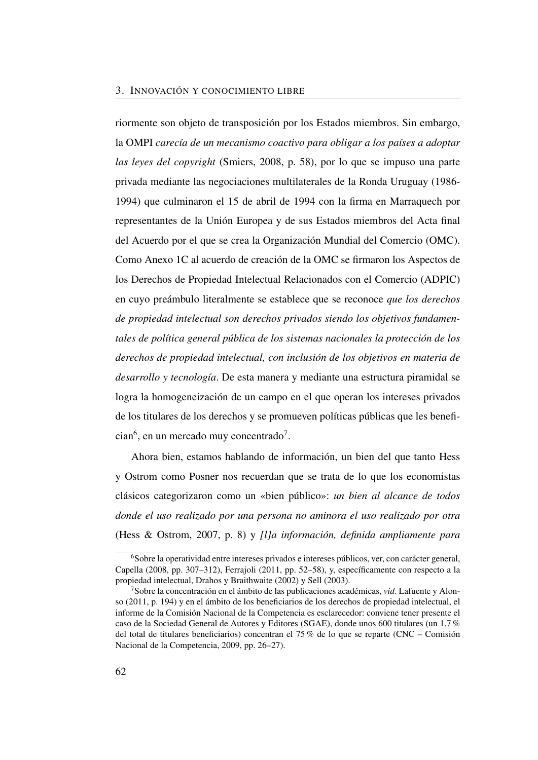riormente son objeto de transposición por los Estados miembros. Sin embargo, la [OMPI](#page-26-0) *carecía de un mecanismo coactivo para obligar a los países a adoptar las leyes del copyright* (Smiers, [2008,](#page-115-2) p. 58), por lo que se impuso una parte privada mediante las negociaciones multilaterales de la Ronda Uruguay (1986- 1994) que culminaron el 15 de abril de 1994 con la firma en Marraquech por representantes de la Unión Europea y de sus Estados miembros del Acta final del Acuerdo por el que se crea la Organización Mundial del Comercio [\(OMC\)](#page-26-1). Como Anexo 1C al acuerdo de creación de la [OMC](#page-26-1) se firmaron los Aspectos de los Derechos de Propiedad Intelectual Relacionados con el Comercio [\(ADPIC\)](#page-24-0) en cuyo preámbulo literalmente se establece que se reconoce *que los derechos de propiedad intelectual son derechos privados siendo los objetivos fundamentales de política general pública de los sistemas nacionales la protección de los derechos de propiedad intelectual, con inclusión de los objetivos en materia de desarrollo y tecnología*. De esta manera y mediante una estructura piramidal se logra la homogeneización de un campo en el que operan los intereses privados de los titulares de los derechos y se promueven políticas públicas que les benefi- $cian<sup>6</sup>$  $cian<sup>6</sup>$  $cian<sup>6</sup>$ , en un mercado muy concentrado<sup>[7](#page-91-1)</sup>.

Ahora bien, estamos hablando de información, un bien del que tanto Hess y Ostrom como Posner nos recuerdan que se trata de lo que los economistas clásicos categorizaron como un «bien público»: *un bien al alcance de todos donde el uso realizado por una persona no aminora el uso realizado por otra* (Hess & Ostrom, [2007,](#page-112-0) p. 8) y *[l]a información, definida ampliamente para*

<span id="page-91-0"></span><sup>6</sup>Sobre la operatividad entre intereses privados e intereses públicos, ver, con carácter general, Capella [\(2008,](#page-110-2) pp. 307–312), Ferrajoli [\(2011,](#page-111-1) pp. 52–58), y, específicamente con respecto a la propiedad intelectual, Drahos y Braithwaite [\(2002\)](#page-111-3) y Sell [\(2003\)](#page-114-1).

<span id="page-91-1"></span><sup>7</sup>Sobre la concentración en el ámbito de las publicaciones académicas, *vid*. Lafuente y Alonso [\(2011,](#page-51-1) p. 194) y en el ámbito de los beneficiarios de los derechos de propiedad intelectual, el informe de la Comisión Nacional de la Competencia es esclarecedor: conviene tener presente el caso de la Sociedad General de Autores y Editores [\(SGAE\)](#page-26-2), donde unos 600 titulares (un 1,7 % del total de titulares beneficiarios) concentran el 75 % de lo que se reparte (CNC – Comisión Nacional de la Competencia, [2009,](#page-110-3) pp. 26–27).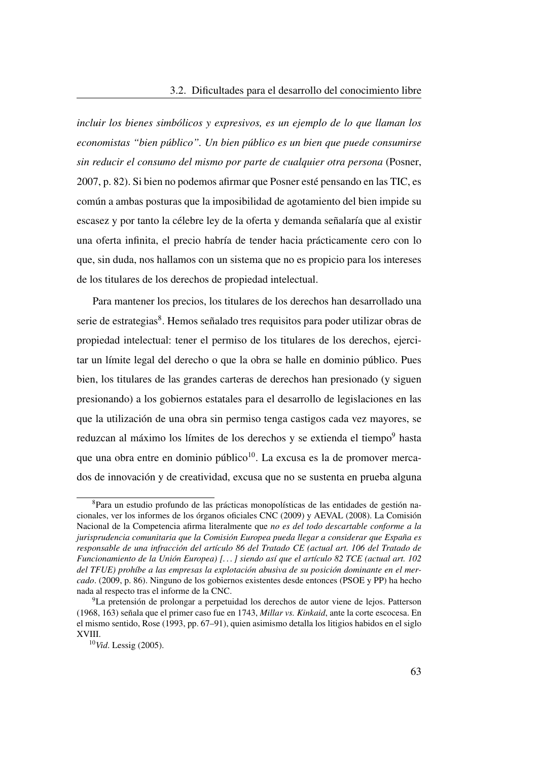*incluir los bienes simbólicos y expresivos, es un ejemplo de lo que llaman los economistas "bien público". Un bien público es un bien que puede consumirse sin reducir el consumo del mismo por parte de cualquier otra persona* (Posner, [2007,](#page-114-2) p. 82). Si bien no podemos afirmar que Posner esté pensando en las [TIC,](#page-27-0) es común a ambas posturas que la imposibilidad de agotamiento del bien impide su escasez y por tanto la célebre ley de la oferta y demanda señalaría que al existir una oferta infinita, el precio habría de tender hacia prácticamente cero con lo que, sin duda, nos hallamos con un sistema que no es propicio para los intereses de los titulares de los derechos de propiedad intelectual.

Para mantener los precios, los titulares de los derechos han desarrollado una serie de estrategias<sup>[8](#page-92-0)</sup>. Hemos señalado tres requisitos para poder utilizar obras de propiedad intelectual: tener el permiso de los titulares de los derechos, ejercitar un límite legal del derecho o que la obra se halle en dominio público. Pues bien, los titulares de las grandes carteras de derechos han presionado (y siguen presionando) a los gobiernos estatales para el desarrollo de legislaciones en las que la utilización de una obra sin permiso tenga castigos cada vez mayores, se reduzcan al máximo los límites de los derechos y se extienda el tiempo<sup>[9](#page-92-1)</sup> hasta que una obra entre en dominio público $10$ . La excusa es la de promover mercados de innovación y de creatividad, excusa que no se sustenta en prueba alguna

<span id="page-92-0"></span><sup>8</sup>Para un estudio profundo de las prácticas monopolísticas de las entidades de gestión nacionales, ver los informes de los órganos oficiales CNC (2009) y AEVAL (2008). La Comisión Nacional de la Competencia afirma literalmente que *no es del todo descartable conforme a la jurisprudencia comunitaria que la Comisión Europea pueda llegar a considerar que España es responsable de una infracción del artículo 86 del Tratado CE (actual art. 106 del Tratado de Funcionamiento de la Unión Europea) [. . . ] siendo así que el artículo 82 TCE (actual art. 102 del TFUE) prohíbe a las empresas la explotación abusiva de su posición dominante en el mercado*. [\(2009,](#page-110-3) p. 86). Ninguno de los gobiernos existentes desde entonces (PSOE y PP) ha hecho nada al respecto tras el informe de la CNC.

<span id="page-92-1"></span><sup>9</sup>La pretensión de prolongar a perpetuidad los derechos de autor viene de lejos. Patterson (1968, 163) señala que el primer caso fue en 1743, *Millar vs. Kinkaid*, ante la corte escocesa. En el mismo sentido, Rose [\(1993,](#page-114-3) pp. 67–91), quien asimismo detalla los litigios habidos en el siglo XVIII.

<span id="page-92-2"></span><sup>10</sup>*Vid*. Lessig [\(2005\)](#page-112-1).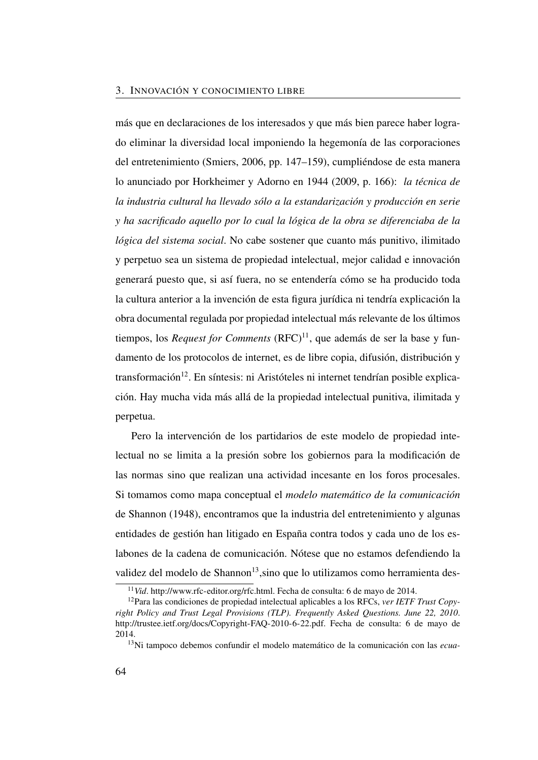más que en declaraciones de los interesados y que más bien parece haber logrado eliminar la diversidad local imponiendo la hegemonía de las corporaciones del entretenimiento (Smiers, [2006,](#page-115-3) pp. 147–159), cumpliéndose de esta manera lo anunciado por Horkheimer y Adorno en 1944 [\(2009,](#page-112-2) p. 166): *la técnica de la industria cultural ha llevado sólo a la estandarización y producción en serie y ha sacrificado aquello por lo cual la lógica de la obra se diferenciaba de la lógica del sistema social*. No cabe sostener que cuanto más punitivo, ilimitado y perpetuo sea un sistema de propiedad intelectual, mejor calidad e innovación generará puesto que, si así fuera, no se entendería cómo se ha producido toda la cultura anterior a la invención de esta figura jurídica ni tendría explicación la obra documental regulada por propiedad intelectual más relevante de los últimos tiempos, los *Request for Comments*  $(RFC)^{11}$  $(RFC)^{11}$  $(RFC)^{11}$  $(RFC)^{11}$ , que además de ser la base y fundamento de los protocolos de internet, es de libre copia, difusión, distribución y  $transformation<sup>12</sup>$  $transformation<sup>12</sup>$  $transformation<sup>12</sup>$ . En síntesis: ni Aristóteles ni internet tendrían posible explicación. Hay mucha vida más allá de la propiedad intelectual punitiva, ilimitada y perpetua.

Pero la intervención de los partidarios de este modelo de propiedad intelectual no se limita a la presión sobre los gobiernos para la modificación de las normas sino que realizan una actividad incesante en los foros procesales. Si tomamos como mapa conceptual el *modelo matemático de la comunicación* de Shannon [\(1948\)](#page-115-0), encontramos que la industria del entretenimiento y algunas entidades de gestión han litigado en España contra todos y cada uno de los eslabones de la cadena de comunicación. Nótese que no estamos defendiendo la validez del modelo de Shannon<sup>[13](#page-93-2)</sup>, sino que lo utilizamos como herramienta des-

<span id="page-93-1"></span><span id="page-93-0"></span><sup>11</sup>*Vid*. [http://www.rfc-editor.org/rfc.html.](http://www.rfc-editor.org/rfc.html) Fecha de consulta: 6 de mayo de 2014.

<sup>12</sup>Para las condiciones de propiedad intelectual aplicables a los RFCs, *ver IETF Trust Copyright Policy and Trust Legal Provisions (TLP). Frequently Asked Questions. June 22, 2010*. [http://trustee.ietf.org/docs/Copyright-FAQ-2010-6-22.pdf.](http://trustee.ietf.org/docs/Copyright-FAQ-2010-6-22.pdf) Fecha de consulta: 6 de mayo de 2014.

<span id="page-93-2"></span><sup>13</sup>Ni tampoco debemos confundir el modelo matemático de la comunicación con las *ecua-*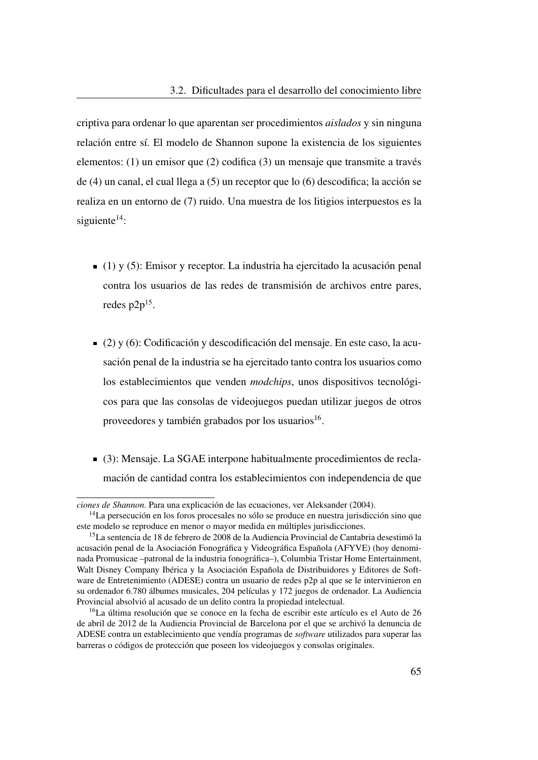criptiva para ordenar lo que aparentan ser procedimientos *aislados* y sin ninguna relación entre sí. El modelo de Shannon supone la existencia de los siguientes elementos: (1) un emisor que (2) codifica (3) un mensaje que transmite a través de (4) un canal, el cual llega a (5) un receptor que lo (6) descodifica; la acción se realiza en un entorno de (7) ruido. Una muestra de los litigios interpuestos es la siguiente $14$ :

- $(1)$  y (5): Emisor y receptor. La industria ha ejercitado la acusación penal contra los usuarios de las redes de transmisión de archivos entre pares, redes  $p2p^{15}$  $p2p^{15}$  $p2p^{15}$ .
- $(2)$  y (6): Codificación y descodificación del mensaje. En este caso, la acusación penal de la industria se ha ejercitado tanto contra los usuarios como los establecimientos que venden *modchips*, unos dispositivos tecnológicos para que las consolas de videojuegos puedan utilizar juegos de otros proveedores y también grabados por los usuarios<sup>[16](#page-94-2)</sup>.
- (3): Mensaje. La [SGAE](#page-26-2) interpone habitualmente procedimientos de reclamación de cantidad contra los establecimientos con independencia de que

*ciones de Shannon*. Para una explicación de las ecuaciones, ver Aleksander [\(2004\)](#page-109-0).

<span id="page-94-0"></span><sup>&</sup>lt;sup>14</sup>La persecución en los foros procesales no sólo se produce en nuestra jurisdicción sino que este modelo se reproduce en menor o mayor medida en múltiples jurisdicciones.

<span id="page-94-1"></span><sup>&</sup>lt;sup>15</sup>La sentencia de 18 de febrero de 2008 de la Audiencia Provincial de Cantabria desestimó la acusación penal de la Asociación Fonográfica y Videográfica Española [\(AFYVE\)](#page-24-1) (hoy denominada Promusicae –patronal de la industria fonográfica–), Columbia Tristar Home Entertainment, Walt Disney Company Ibérica y la Asociación Española de Distribuidores y Editores de Software de Entretenimiento [\(ADESE\)](#page-24-2) contra un usuario de redes p2p al que se le intervinieron en su ordenador 6.780 álbumes musicales, 204 películas y 172 juegos de ordenador. La Audiencia Provincial absolvió al acusado de un delito contra la propiedad intelectual.

<span id="page-94-2"></span><sup>16</sup>La última resolución que se conoce en la fecha de escribir este artículo es el Auto de 26 de abril de 2012 de la Audiencia Provincial de Barcelona por el que se archivó la denuncia de [ADESE](#page-24-2) contra un establecimiento que vendía programas de *software* utilizados para superar las barreras o códigos de protección que poseen los videojuegos y consolas originales.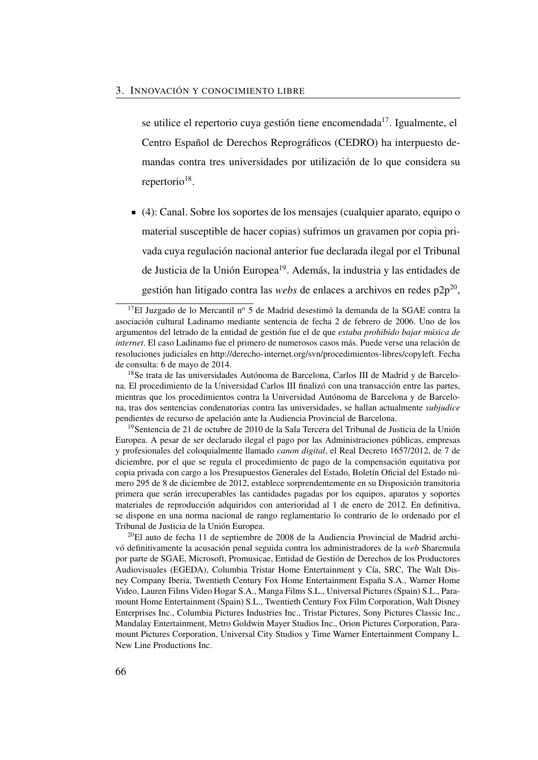se utilice el repertorio cuya gestión tiene encomendada $17$ . Igualmente, el Centro Español de Derechos Reprográficos [\(CEDRO\)](#page-25-0) ha interpuesto demandas contra tres universidades por utilización de lo que considera su repertorio<sup>[18](#page-95-1)</sup>.

(4): Canal. Sobre los soportes de los mensajes (cualquier aparato, equipo o material susceptible de hacer copias) sufrimos un gravamen por copia privada cuya regulación nacional anterior fue declarada ilegal por el Tribunal de Justicia de la Unión Europea<sup>[19](#page-95-2)</sup>. Además, la industria y las entidades de gestión han litigado contra las *webs* de enlaces a archivos en redes p2p<sup>[20](#page-95-3)</sup>,

<span id="page-95-2"></span><sup>19</sup>Sentencia de 21 de octubre de 2010 de la Sala Tercera del Tribunal de Justicia de la Unión Europea. A pesar de ser declarado ilegal el pago por las Administraciones públicas, empresas y profesionales del coloquialmente llamado *canon digital*, el Real Decreto 1657/2012, de 7 de diciembre, por el que se regula el procedimiento de pago de la compensación equitativa por copia privada con cargo a los Presupuestos Generales del Estado, Boletín Oficial del Estado número 295 de 8 de diciembre de 2012, establece sorprendentemente en su Disposición transitoria primera que serán irrecuperables las cantidades pagadas por los equipos, aparatos y soportes materiales de reproducción adquiridos con anterioridad al 1 de enero de 2012. En definitiva, se dispone en una norma nacional de rango reglamentario lo contrario de lo ordenado por el Tribunal de Justicia de la Unión Europea.

<span id="page-95-3"></span> $^{20}$ El auto de fecha 11 de septiembre de 2008 de la Audiencia Provincial de Madrid archivó definitivamente la acusación penal seguida contra los administradores de la *web* Sharemula por parte de [SGAE,](#page-26-2) Microsoft, Promusicae, Entidad de Gestión de Derechos de los Productores Audiovisuales [\(EGEDA\)](#page-25-1), Columbia Tristar Home Entertainment y Cía, SRC, The Walt Disney Company Iberia, Twentieth Century Fox Home Entertainment España S.A., Warner Home Video, Lauren Films Video Hogar S.A., Manga Films S.L., Universal Pictures (Spain) S.L., Paramount Home Entertainment (Spain) S.L., Twentieth Century Fox Film Corporation, Walt Disney Enterprises Inc., Columbia Pictures Industries Inc., Tristar Pictures, Sony Pictures Classic Inc., Mandalay Entertainment, Metro Goldwin Mayer Studios Inc., Orion Pictures Corporation, Paramount Pictures Corporation, Universal City Studios y Time Warner Entertainment Company L. New Line Productions Inc.

<span id="page-95-0"></span><sup>&</sup>lt;sup>17</sup>El Juzgado de lo Mercantil nº 5 de Madrid desestimó la demanda de la [SGAE](#page-26-2) contra la asociación cultural Ladinamo mediante sentencia de fecha 2 de febrero de 2006. Uno de los argumentos del letrado de la entidad de gestión fue el de que *estaba prohibido bajar música de internet*. El caso Ladinamo fue el primero de numerosos casos más. Puede verse una relación de resoluciones judiciales en [http://derecho-internet.org/svn/procedimientos-libres/copyleft.](http://derecho-internet.org/svn/procedimientos-libres/copyleft) Fecha de consulta: 6 de mayo de 2014.

<span id="page-95-1"></span><sup>18</sup>Se trata de las universidades Autónoma de Barcelona, Carlos III de Madrid y de Barcelona. El procedimiento de la Universidad Carlos III finalizó con una transacción entre las partes, mientras que los procedimientos contra la Universidad Autónoma de Barcelona y de Barcelona, tras dos sentencias condenatorias contra las universidades, se hallan actualmente *subjudice* pendientes de recurso de apelación ante la Audiencia Provincial de Barcelona.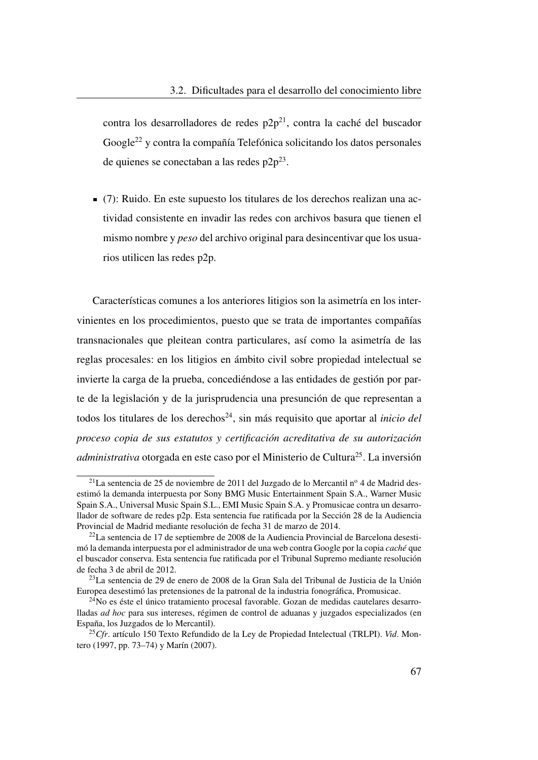contra los desarrolladores de redes  $p2p^{21}$  $p2p^{21}$  $p2p^{21}$ , contra la caché del buscador Google[22](#page-96-1) y contra la compañía Telefónica solicitando los datos personales de quienes se conectaban a las redes  $p2p^{23}$  $p2p^{23}$  $p2p^{23}$ .

(7): Ruido. En este supuesto los titulares de los derechos realizan una actividad consistente en invadir las redes con archivos basura que tienen el mismo nombre y *peso* del archivo original para desincentivar que los usuarios utilicen las redes p2p.

Características comunes a los anteriores litigios son la asimetría en los intervinientes en los procedimientos, puesto que se trata de importantes compañías transnacionales que pleitean contra particulares, así como la asimetría de las reglas procesales: en los litigios en ámbito civil sobre propiedad intelectual se invierte la carga de la prueba, concediéndose a las entidades de gestión por parte de la legislación y de la jurisprudencia una presunción de que representan a todos los titulares de los derechos<sup>[24](#page-96-3)</sup>, sin más requisito que aportar al *inicio del proceso copia de sus estatutos y certificación acreditativa de su autorización administrativa* otorgada en este caso por el Ministerio de Cultura<sup>[25](#page-96-4)</sup>. La inversión

<span id="page-96-0"></span><sup>&</sup>lt;sup>21</sup>La sentencia de 25 de noviembre de 2011 del Juzgado de lo Mercantil n<sup>o</sup> 4 de Madrid desestimó la demanda interpuesta por Sony BMG Music Entertainment Spain S.A., Warner Music Spain S.A., Universal Music Spain S.L., EMI Music Spain S.A. y Promusicae contra un desarrollador de software de redes p2p. Esta sentencia fue ratificada por la Sección 28 de la Audiencia Provincial de Madrid mediante resolución de fecha 31 de marzo de 2014.

<span id="page-96-1"></span> $^{22}$ La sentencia de 17 de septiembre de 2008 de la Audiencia Provincial de Barcelona desestimó la demanda interpuesta por el administrador de una web contra Google por la copia *caché* que el buscador conserva. Esta sentencia fue ratificada por el Tribunal Supremo mediante resolución de fecha 3 de abril de 2012.

<span id="page-96-2"></span><sup>23</sup>La sentencia de 29 de enero de 2008 de la Gran Sala del Tribunal de Justicia de la Unión Europea desestimó las pretensiones de la patronal de la industria fonográfica, Promusicae.

<span id="page-96-3"></span> $24$ No es éste el único tratamiento procesal favorable. Gozan de medidas cautelares desarrolladas *ad hoc* para sus intereses, régimen de control de aduanas y juzgados especializados (en España, los Juzgados de lo Mercantil).

<span id="page-96-4"></span><sup>25</sup>*Cfr*. artículo 150 Texto Refundido de la Ley de Propiedad Intelectual [\(TRLPI\)](#page-27-1). *Vid*. Montero [\(1997,](#page-85-3) pp. 73–74) y Marín [\(2007\)](#page-113-1).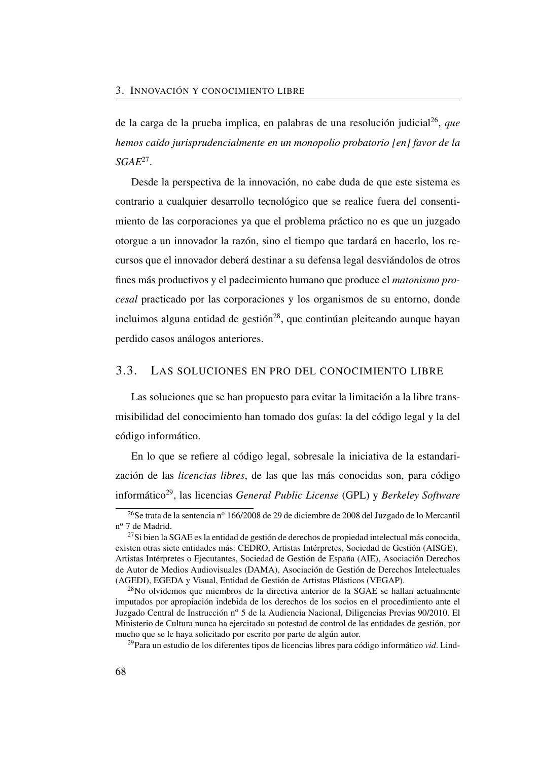de la carga de la prueba implica, en palabras de una resolución judicial<sup>[26](#page-97-0)</sup>, que *hemos caído jurisprudencialmente en un monopolio probatorio [en] favor de la [SGAE](#page-26-2)*[27](#page-97-1) .

Desde la perspectiva de la innovación, no cabe duda de que este sistema es contrario a cualquier desarrollo tecnológico que se realice fuera del consentimiento de las corporaciones ya que el problema práctico no es que un juzgado otorgue a un innovador la razón, sino el tiempo que tardará en hacerlo, los recursos que el innovador deberá destinar a su defensa legal desviándolos de otros fines más productivos y el padecimiento humano que produce el *matonismo procesal* practicado por las corporaciones y los organismos de su entorno, donde incluimos alguna entidad de gestión<sup>[28](#page-97-2)</sup>, que continúan pleiteando aunque hayan perdido casos análogos anteriores.

# 3.3. LAS SOLUCIONES EN PRO DEL CONOCIMIENTO LIBRE

Las soluciones que se han propuesto para evitar la limitación a la libre transmisibilidad del conocimiento han tomado dos guías: la del código legal y la del código informático.

En lo que se refiere al código legal, sobresale la iniciativa de la estandarización de las *licencias libres*, de las que las más conocidas son, para código informático[29](#page-97-3), las licencias *General Public License* [\(GPL\)](#page-26-4) y *Berkeley Software*

<span id="page-97-0"></span><sup>&</sup>lt;sup>26</sup>Se trata de la sentencia nº 166/2008 de 29 de diciembre de 2008 del Juzgado de lo Mercantil n<sup>o</sup> 7 de Madrid.

<span id="page-97-1"></span> $^{27}$ Si bien la SGAE es la entidad de gestión de derechos de propiedad intelectual más conocida, existen otras siete entidades más: [CEDRO,](#page-25-0) Artistas Intérpretes, Sociedad de Gestión [\(AISGE\)](#page-24-3), Artistas Intérpretes o Ejecutantes, Sociedad de Gestión de España [\(AIE\)](#page-24-4), Asociación Derechos de Autor de Medios Audiovisuales [\(DAMA\)](#page-25-2), Asociación de Gestión de Derechos Intelectuales [\(AGEDI\)](#page-24-5), [EGEDA](#page-25-1) y Visual, Entidad de Gestión de Artistas Plásticos [\(VEGAP\)](#page-27-2).

<span id="page-97-2"></span><sup>&</sup>lt;sup>28</sup>No olvidemos que miembros de la directiva anterior de la SGAE se hallan actualmente imputados por apropiación indebida de los derechos de los socios en el procedimiento ante el Juzgado Central de Instrucción nº 5 de la Audiencia Nacional, Diligencias Previas 90/2010. El Ministerio de Cultura nunca ha ejercitado su potestad de control de las entidades de gestión, por mucho que se le haya solicitado por escrito por parte de algún autor.

<span id="page-97-3"></span><sup>29</sup>Para un estudio de los diferentes tipos de licencias libres para código informático *vid*. Lind-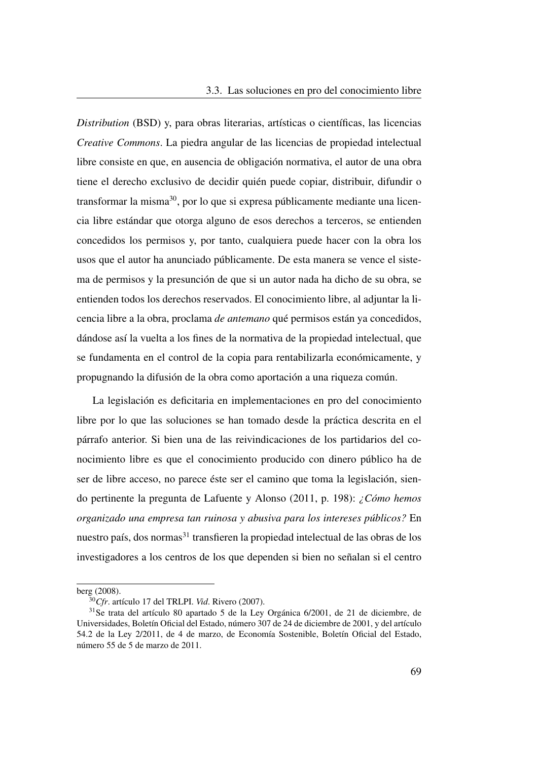*Distribution* [\(BSD\)](#page-25-3) y, para obras literarias, artísticas o científicas, las licencias *Creative Commons*. La piedra angular de las licencias de propiedad intelectual libre consiste en que, en ausencia de obligación normativa, el autor de una obra tiene el derecho exclusivo de decidir quién puede copiar, distribuir, difundir o transformar la misma<sup>[30](#page-98-0)</sup>, por lo que si expresa públicamente mediante una licencia libre estándar que otorga alguno de esos derechos a terceros, se entienden concedidos los permisos y, por tanto, cualquiera puede hacer con la obra los usos que el autor ha anunciado públicamente. De esta manera se vence el sistema de permisos y la presunción de que si un autor nada ha dicho de su obra, se entienden todos los derechos reservados. El conocimiento libre, al adjuntar la licencia libre a la obra, proclama *de antemano* qué permisos están ya concedidos, dándose así la vuelta a los fines de la normativa de la propiedad intelectual, que se fundamenta en el control de la copia para rentabilizarla económicamente, y propugnando la difusión de la obra como aportación a una riqueza común.

La legislación es deficitaria en implementaciones en pro del conocimiento libre por lo que las soluciones se han tomado desde la práctica descrita en el párrafo anterior. Si bien una de las reivindicaciones de los partidarios del conocimiento libre es que el conocimiento producido con dinero público ha de ser de libre acceso, no parece éste ser el camino que toma la legislación, siendo pertinente la pregunta de Lafuente y Alonso [\(2011,](#page-51-1) p. 198): *¿Cómo hemos organizado una empresa tan ruinosa y abusiva para los intereses públicos?* En nuestro país, dos normas<sup>[31](#page-98-1)</sup> transfieren la propiedad intelectual de las obras de los investigadores a los centros de los que dependen si bien no señalan si el centro

berg [\(2008\)](#page-112-3).

<span id="page-98-1"></span><span id="page-98-0"></span><sup>30</sup>*Cfr*. artículo 17 del [TRLPI.](#page-27-1) *Vid*. Rivero [\(2007\)](#page-114-4).

<sup>31</sup>Se trata del artículo 80 apartado 5 de la Ley Orgánica 6/2001, de 21 de diciembre, de Universidades, Boletín Oficial del Estado, número 307 de 24 de diciembre de 2001, y del artículo 54.2 de la Ley 2/2011, de 4 de marzo, de Economía Sostenible, Boletín Oficial del Estado, número 55 de 5 de marzo de 2011.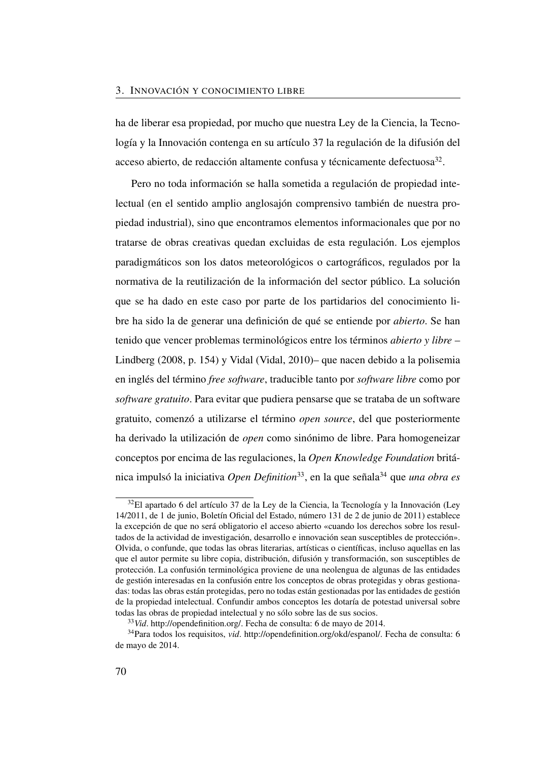ha de liberar esa propiedad, por mucho que nuestra Ley de la Ciencia, la Tecnología y la Innovación contenga en su artículo 37 la regulación de la difusión del acceso abierto, de redacción altamente confusa y técnicamente defectuosa<sup>[32](#page-99-0)</sup>.

Pero no toda información se halla sometida a regulación de propiedad intelectual (en el sentido amplio anglosajón comprensivo también de nuestra propiedad industrial), sino que encontramos elementos informacionales que por no tratarse de obras creativas quedan excluidas de esta regulación. Los ejemplos paradigmáticos son los datos meteorológicos o cartográficos, regulados por la normativa de la reutilización de la información del sector público. La solución que se ha dado en este caso por parte de los partidarios del conocimiento libre ha sido la de generar una definición de qué se entiende por *abierto*. Se han tenido que vencer problemas terminológicos entre los términos *abierto y libre* – Lindberg [\(2008,](#page-112-3) p. 154) y Vidal (Vidal, [2010\)](#page-115-4)– que nacen debido a la polisemia en inglés del término *free software*, traducible tanto por *software libre* como por *software gratuito*. Para evitar que pudiera pensarse que se trataba de un software gratuito, comenzó a utilizarse el término *open source*, del que posteriormente ha derivado la utilización de *open* como sinónimo de libre. Para homogeneizar conceptos por encima de las regulaciones, la *Open Knowledge Foundation* británica impulsó la iniciativa *Open Definition*[33](#page-99-1), en la que señala[34](#page-99-2) que *una obra es*

<span id="page-99-0"></span><sup>&</sup>lt;sup>32</sup>El apartado 6 del artículo 37 de la Ley de la Ciencia, la Tecnología y la Innovación (Ley 14/2011, de 1 de junio, Boletín Oficial del Estado, número 131 de 2 de junio de 2011) establece la excepción de que no será obligatorio el acceso abierto «cuando los derechos sobre los resultados de la actividad de investigación, desarrollo e innovación sean susceptibles de protección». Olvida, o confunde, que todas las obras literarias, artísticas o científicas, incluso aquellas en las que el autor permite su libre copia, distribución, difusión y transformación, son susceptibles de protección. La confusión terminológica proviene de una neolengua de algunas de las entidades de gestión interesadas en la confusión entre los conceptos de obras protegidas y obras gestionadas: todas las obras están protegidas, pero no todas están gestionadas por las entidades de gestión de la propiedad intelectual. Confundir ambos conceptos les dotaría de potestad universal sobre todas las obras de propiedad intelectual y no sólo sobre las de sus socios.

<span id="page-99-2"></span><span id="page-99-1"></span><sup>33</sup>*Vid*. [http://opendefinition.org/.](http://opendefinition.org/) Fecha de consulta: 6 de mayo de 2014.

<sup>34</sup>Para todos los requisitos, *vid*. [http://opendefinition.org/okd/espanol/.](http://opendefinition.org/okd/espanol/) Fecha de consulta: 6 de mayo de 2014.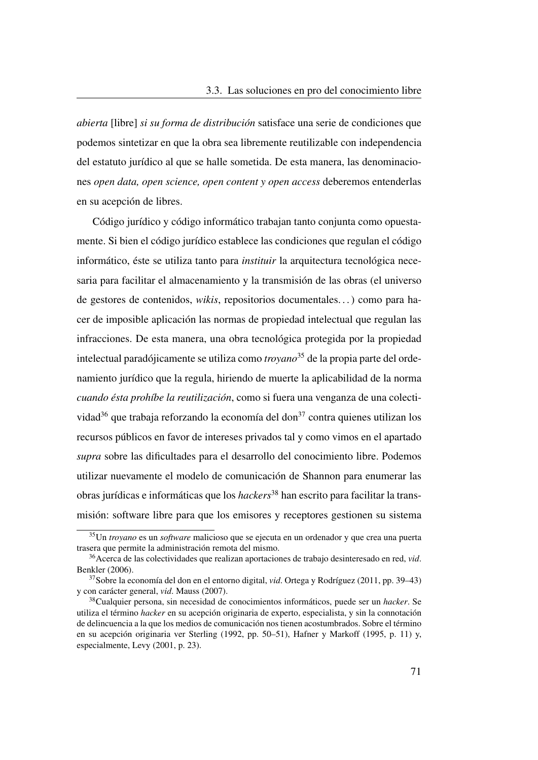*abierta* [libre] *si su forma de distribución* satisface una serie de condiciones que podemos sintetizar en que la obra sea libremente reutilizable con independencia del estatuto jurídico al que se halle sometida. De esta manera, las denominaciones *open data, open science, open content y open access* deberemos entenderlas en su acepción de libres.

Código jurídico y código informático trabajan tanto conjunta como opuestamente. Si bien el código jurídico establece las condiciones que regulan el código informático, éste se utiliza tanto para *instituir* la arquitectura tecnológica necesaria para facilitar el almacenamiento y la transmisión de las obras (el universo de gestores de contenidos, *wikis*, repositorios documentales. . . ) como para hacer de imposible aplicación las normas de propiedad intelectual que regulan las infracciones. De esta manera, una obra tecnológica protegida por la propiedad intelectual paradójicamente se utiliza como *troyano*[35](#page-100-0) de la propia parte del ordenamiento jurídico que la regula, hiriendo de muerte la aplicabilidad de la norma *cuando ésta prohíbe la reutilización*, como si fuera una venganza de una colecti-vidad<sup>[36](#page-100-1)</sup> que trabaja reforzando la economía del don<sup>[37](#page-100-2)</sup> contra quienes utilizan los recursos públicos en favor de intereses privados tal y como vimos en el apartado *supra* sobre las dificultades para el desarrollo del conocimiento libre. Podemos utilizar nuevamente el modelo de comunicación de Shannon para enumerar las obras jurídicas e informáticas que los *hackers*[38](#page-100-3) han escrito para facilitar la transmisión: software libre para que los emisores y receptores gestionen su sistema

<span id="page-100-0"></span><sup>35</sup>Un *troyano* es un *software* malicioso que se ejecuta en un ordenador y que crea una puerta trasera que permite la administración remota del mismo.

<span id="page-100-1"></span><sup>36</sup>Acerca de las colectividades que realizan aportaciones de trabajo desinteresado en red, *vid*. Benkler [\(2006\)](#page-49-0).

<span id="page-100-2"></span><sup>37</sup>Sobre la economía del don en el entorno digital, *vid*. Ortega y Rodríguez [\(2011,](#page-114-5) pp. 39–43) y con carácter general, *vid*. Mauss [\(2007\)](#page-113-2).

<span id="page-100-3"></span><sup>38</sup>Cualquier persona, sin necesidad de conocimientos informáticos, puede ser un *hacker*. Se utiliza el término *hacker* en su acepción originaria de experto, especialista, y sin la connotación de delincuencia a la que los medios de comunicación nos tienen acostumbrados. Sobre el término en su acepción originaria ver Sterling [\(1992,](#page-115-5) pp. 50–51), Hafner y Markoff [\(1995,](#page-111-4) p. 11) y, especialmente, Levy [\(2001,](#page-112-4) p. 23).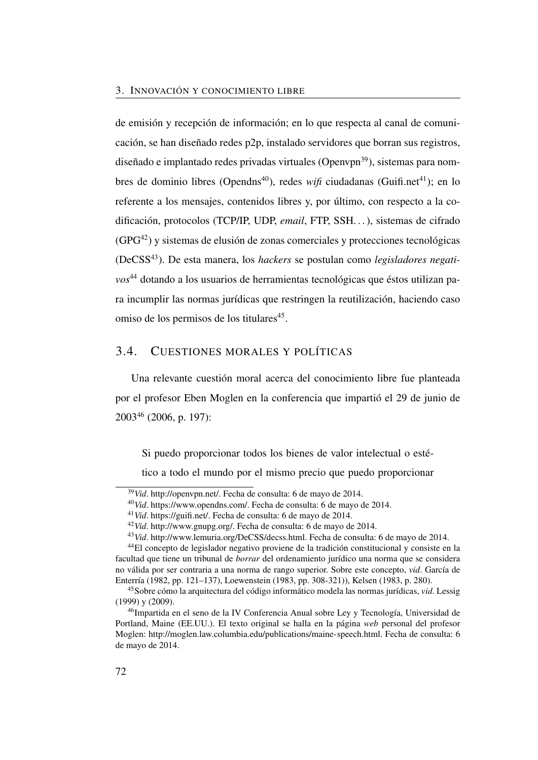de emisión y recepción de información; en lo que respecta al canal de comunicación, se han diseñado redes p2p, instalado servidores que borran sus registros, diseñado e implantado redes privadas virtuales (Openvpn $^{39}$  $^{39}$  $^{39}$ ), sistemas para nom-bres de dominio libres (Opendns<sup>[40](#page-101-1)</sup>), redes *wifi* ciudadanas (Guifi.net<sup>[41](#page-101-2)</sup>); en lo referente a los mensajes, contenidos libres y, por último, con respecto a la codificación, protocolos (TCP/IP, UDP, *email*, FTP, SSH. . . ), sistemas de cifrado  $(GPG<sup>42</sup>)$  $(GPG<sup>42</sup>)$  $(GPG<sup>42</sup>)$  y sistemas de elusión de zonas comerciales y protecciones tecnológicas (DeCSS[43](#page-101-4)). De esta manera, los *hackers* se postulan como *legisladores negativos*[44](#page-101-5) dotando a los usuarios de herramientas tecnológicas que éstos utilizan para incumplir las normas jurídicas que restringen la reutilización, haciendo caso omiso de los permisos de los titulares<sup>[45](#page-101-6)</sup>.

## 3.4. CUESTIONES MORALES Y POLÍTICAS

Una relevante cuestión moral acerca del conocimiento libre fue planteada por el profesor Eben Moglen en la conferencia que impartió el 29 de junio de 2003[46](#page-101-7) [\(2006,](#page-113-3) p. 197):

Si puedo proporcionar todos los bienes de valor intelectual o esté-

tico a todo el mundo por el mismo precio que puedo proporcionar

<span id="page-101-0"></span><sup>39</sup>*Vid*. [http://openvpn.net/.](http://openvpn.net/) Fecha de consulta: 6 de mayo de 2014.

<span id="page-101-1"></span><sup>40</sup>*Vid*. [https://www.opendns.com/.](https://www.opendns.com/) Fecha de consulta: 6 de mayo de 2014.

<span id="page-101-2"></span><sup>41</sup>*Vid*. [https://guifi.net/.](https://guifi.net/) Fecha de consulta: 6 de mayo de 2014.

<span id="page-101-3"></span><sup>42</sup>*Vid*. [http://www.gnupg.org/.](http://www.gnupg.org/) Fecha de consulta: 6 de mayo de 2014.

<span id="page-101-5"></span><span id="page-101-4"></span><sup>43</sup>*Vid*. [http://www.lemuria.org/DeCSS/decss.html.](http://www.lemuria.org/DeCSS/decss.html) Fecha de consulta: 6 de mayo de 2014.

<sup>44</sup>El concepto de legislador negativo proviene de la tradición constitucional y consiste en la facultad que tiene un tribunal de *borrar* del ordenamiento jurídico una norma que se considera no válida por ser contraria a una norma de rango superior. Sobre este concepto, *vid*. García de Enterría [\(1982,](#page-111-5) pp. 121–137), Loewenstein [\(1983,](#page-112-5) pp. 308-321)), Kelsen [\(1983,](#page-112-6) p. 280).

<span id="page-101-6"></span><sup>45</sup>Sobre cómo la arquitectura del código informático modela las normas jurídicas, *vid*. Lessig [\(1999\)](#page-112-7) y [\(2009\)](#page-112-8).

<span id="page-101-7"></span><sup>46</sup>Impartida en el seno de la IV Conferencia Anual sobre Ley y Tecnología, Universidad de Portland, Maine (EE.UU.). El texto original se halla en la página *web* personal del profesor Moglen: [http://moglen.law.columbia.edu/publications/maine-speech.html.](http://moglen.law.columbia.edu/publications/maine-speech.html) Fecha de consulta: 6 de mayo de 2014.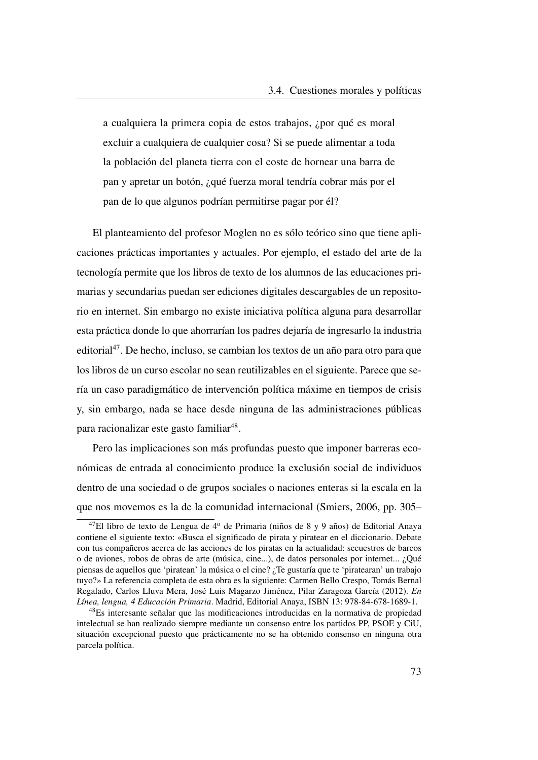a cualquiera la primera copia de estos trabajos, ¿por qué es moral excluir a cualquiera de cualquier cosa? Si se puede alimentar a toda la población del planeta tierra con el coste de hornear una barra de pan y apretar un botón, ¿qué fuerza moral tendría cobrar más por el pan de lo que algunos podrían permitirse pagar por él?

El planteamiento del profesor Moglen no es sólo teórico sino que tiene aplicaciones prácticas importantes y actuales. Por ejemplo, el estado del arte de la tecnología permite que los libros de texto de los alumnos de las educaciones primarias y secundarias puedan ser ediciones digitales descargables de un repositorio en internet. Sin embargo no existe iniciativa política alguna para desarrollar esta práctica donde lo que ahorrarían los padres dejaría de ingresarlo la industria editorial<sup>[47](#page-102-0)</sup>. De hecho, incluso, se cambian los textos de un año para otro para que los libros de un curso escolar no sean reutilizables en el siguiente. Parece que sería un caso paradigmático de intervención política máxime en tiempos de crisis y, sin embargo, nada se hace desde ninguna de las administraciones públicas para racionalizar este gasto familiar<sup>[48](#page-102-1)</sup>.

Pero las implicaciones son más profundas puesto que imponer barreras económicas de entrada al conocimiento produce la exclusión social de individuos dentro de una sociedad o de grupos sociales o naciones enteras si la escala en la que nos movemos es la de la comunidad internacional (Smiers, [2006,](#page-115-3) pp. 305–

<span id="page-102-0"></span><sup>&</sup>lt;sup>47</sup>El libro de texto de Lengua de 4<sup>o</sup> de Primaria (niños de 8 y 9 años) de Editorial Anaya contiene el siguiente texto: «Busca el significado de pirata y piratear en el diccionario. Debate con tus compañeros acerca de las acciones de los piratas en la actualidad: secuestros de barcos o de aviones, robos de obras de arte (música, cine...), de datos personales por internet... ¿Qué piensas de aquellos que 'piratean' la música o el cine? ¿Te gustaría que te 'piratearan' un trabajo tuyo?» La referencia completa de esta obra es la siguiente: Carmen Bello Crespo, Tomás Bernal Regalado, Carlos Lluva Mera, José Luis Magarzo Jiménez, Pilar Zaragoza García (2012). *En Línea, lengua, 4 Educación Primaria*. Madrid, Editorial Anaya, ISBN 13: 978-84-678-1689-1.

<span id="page-102-1"></span><sup>48</sup>Es interesante señalar que las modificaciones introducidas en la normativa de propiedad intelectual se han realizado siempre mediante un consenso entre los partidos PP, PSOE y CiU, situación excepcional puesto que prácticamente no se ha obtenido consenso en ninguna otra parcela política.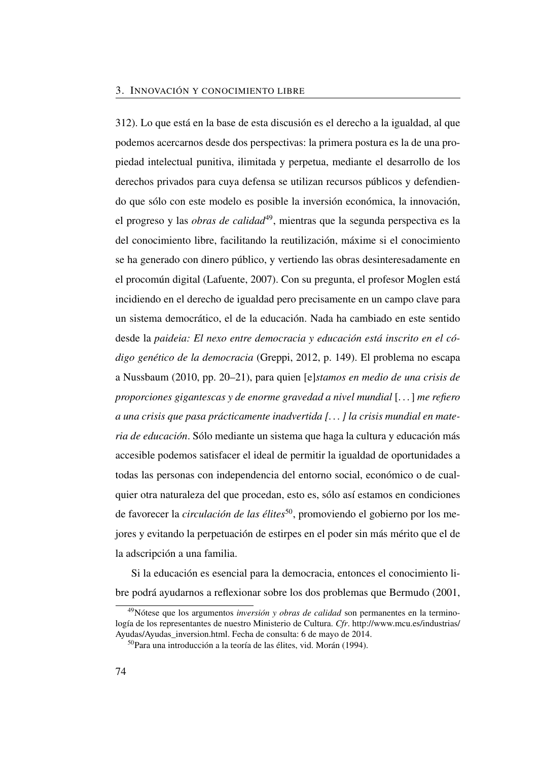312). Lo que está en la base de esta discusión es el derecho a la igualdad, al que podemos acercarnos desde dos perspectivas: la primera postura es la de una propiedad intelectual punitiva, ilimitada y perpetua, mediante el desarrollo de los derechos privados para cuya defensa se utilizan recursos públicos y defendiendo que sólo con este modelo es posible la inversión económica, la innovación, el progreso y las *obras de calidad*<sup>[49](#page-103-0)</sup>, mientras que la segunda perspectiva es la del conocimiento libre, facilitando la reutilización, máxime si el conocimiento se ha generado con dinero público, y vertiendo las obras desinteresadamente en el procomún digital (Lafuente, [2007\)](#page-112-9). Con su pregunta, el profesor Moglen está incidiendo en el derecho de igualdad pero precisamente en un campo clave para un sistema democrático, el de la educación. Nada ha cambiado en este sentido desde la *paideia: El nexo entre democracia y educación está inscrito en el código genético de la democracia* (Greppi, [2012,](#page-111-6) p. 149). El problema no escapa a Nussbaum [\(2010,](#page-113-4) pp. 20–21), para quien [e]*stamos en medio de una crisis de proporciones gigantescas y de enorme gravedad a nivel mundial* [. . . ] *me refiero a una crisis que pasa prácticamente inadvertida [. . . ] la crisis mundial en materia de educación*. Sólo mediante un sistema que haga la cultura y educación más accesible podemos satisfacer el ideal de permitir la igualdad de oportunidades a todas las personas con independencia del entorno social, económico o de cualquier otra naturaleza del que procedan, esto es, sólo así estamos en condiciones de favorecer la *circulación de las élites*<sup>[50](#page-103-1)</sup>, promoviendo el gobierno por los mejores y evitando la perpetuación de estirpes en el poder sin más mérito que el de la adscripción a una familia.

Si la educación es esencial para la democracia, entonces el conocimiento libre podrá ayudarnos a reflexionar sobre los dos problemas que Bermudo [\(2001,](#page-49-1)

<span id="page-103-0"></span><sup>49</sup>Nótese que los argumentos *inversión y obras de calidad* son permanentes en la terminología de los representantes de nuestro Ministerio de Cultura. *Cfr*. [http://www.mcu.es/industrias/](http://www.mcu.es/industrias/Ayudas/Ayudas_inversion.html) [Ayudas/Ayudas\\_inversion.html.](http://www.mcu.es/industrias/Ayudas/Ayudas_inversion.html) Fecha de consulta: 6 de mayo de 2014.

<span id="page-103-1"></span><sup>50</sup>Para una introducción a la teoría de las élites, vid. Morán (1994).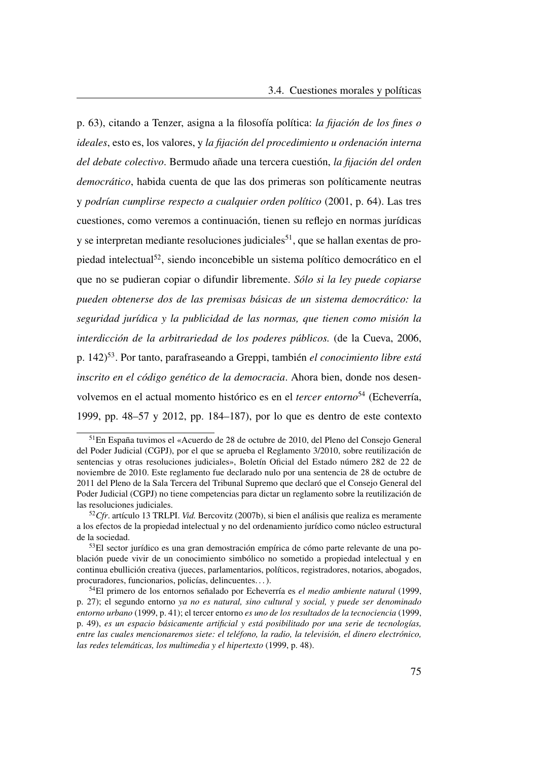p. 63), citando a Tenzer, asigna a la filosofía política: *la fijación de los fines o ideales*, esto es, los valores, y *la fijación del procedimiento u ordenación interna del debate colectivo*. Bermudo añade una tercera cuestión, *la fijación del orden democrático*, habida cuenta de que las dos primeras son políticamente neutras y *podrían cumplirse respecto a cualquier orden político* [\(2001,](#page-49-1) p. 64). Las tres cuestiones, como veremos a continuación, tienen su reflejo en normas jurídicas  $y$  se interpretan mediante resoluciones judiciales<sup>[51](#page-104-0)</sup>, que se hallan exentas de propiedad intelectual[52](#page-104-1), siendo inconcebible un sistema político democrático en el que no se pudieran copiar o difundir libremente. *Sólo si la ley puede copiarse pueden obtenerse dos de las premisas básicas de un sistema democrático: la seguridad jurídica y la publicidad de las normas, que tienen como misión la interdicción de la arbitrariedad de los poderes públicos.* (de la Cueva, [2006,](#page-110-4) p. 142)[53](#page-104-2). Por tanto, parafraseando a Greppi, también *el conocimiento libre está inscrito en el código genético de la democracia*. Ahora bien, donde nos desenvolvemos en el actual momento histórico es en el *tercer entorno*[54](#page-104-3) (Echeverría, [1999,](#page-50-0) pp. 48–57 y [2012,](#page-111-7) pp. 184–187), por lo que es dentro de este contexto

<span id="page-104-0"></span><sup>51</sup>En España tuvimos el «Acuerdo de 28 de octubre de 2010, del Pleno del Consejo General del Poder Judicial (CGPJ), por el que se aprueba el Reglamento 3/2010, sobre reutilización de sentencias y otras resoluciones judiciales», Boletín Oficial del Estado número 282 de 22 de noviembre de 2010. Este reglamento fue declarado nulo por una sentencia de 28 de octubre de 2011 del Pleno de la Sala Tercera del Tribunal Supremo que declaró que el Consejo General del Poder Judicial [\(CGPJ\)](#page-25-4) no tiene competencias para dictar un reglamento sobre la reutilización de las resoluciones judiciales.

<span id="page-104-1"></span><sup>52</sup>*Cfr*. artículo 13 [TRLPI.](#page-27-1) *Vid.* Bercovitz (2007b), si bien el análisis que realiza es meramente a los efectos de la propiedad intelectual y no del ordenamiento jurídico como núcleo estructural de la sociedad.

<span id="page-104-2"></span><sup>53</sup>El sector jurídico es una gran demostración empírica de cómo parte relevante de una población puede vivir de un conocimiento simbólico no sometido a propiedad intelectual y en continua ebullición creativa (jueces, parlamentarios, políticos, registradores, notarios, abogados, procuradores, funcionarios, policías, delincuentes. . . ).

<span id="page-104-3"></span><sup>54</sup>El primero de los entornos señalado por Echeverría es *el medio ambiente natural* [\(1999,](#page-50-0) p. 27); el segundo entorno *ya no es natural, sino cultural y social, y puede ser denominado entorno urbano* [\(1999,](#page-50-0) p. 41); el tercer entorno *es uno de los resultados de la tecnociencia* [\(1999,](#page-50-0) p. 49), *es un espacio básicamente artificial y está posibilitado por una serie de tecnologías, entre las cuales mencionaremos siete: el teléfono, la radio, la televisión, el dinero electrónico, las redes telemáticas, los multimedia y el hipertexto* [\(1999,](#page-50-0) p. 48).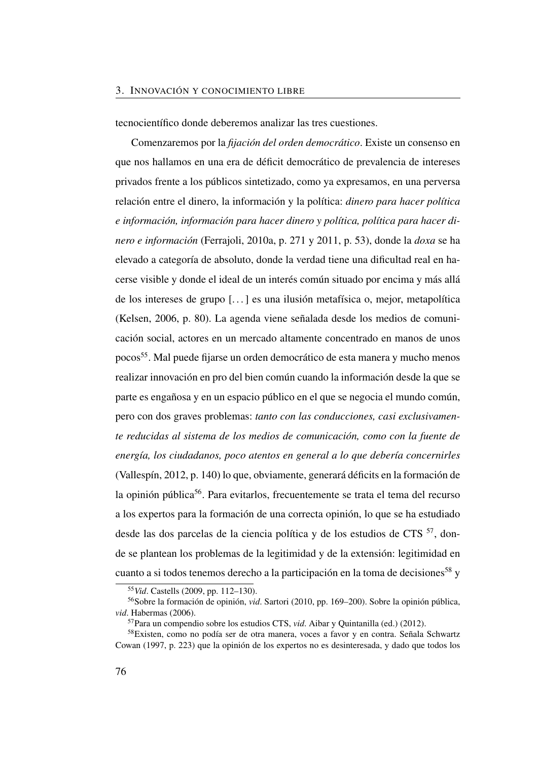#### 3. INNOVACIÓN Y CONOCIMIENTO LIBRE

tecnocientífico donde deberemos analizar las tres cuestiones.

Comenzaremos por la *fijación del orden democrático*. Existe un consenso en que nos hallamos en una era de déficit democrático de prevalencia de intereses privados frente a los públicos sintetizado, como ya expresamos, en una perversa relación entre el dinero, la información y la política: *dinero para hacer política e información, información para hacer dinero y política, política para hacer dinero e información* (Ferrajoli, [2010a,](#page-111-0) p. 271 y [2011,](#page-111-1) p. 53), donde la *doxa* se ha elevado a categoría de absoluto, donde la verdad tiene una dificultad real en hacerse visible y donde el ideal de un interés común situado por encima y más allá de los intereses de grupo [. . . ] es una ilusión metafísica o, mejor, metapolítica (Kelsen, [2006,](#page-112-10) p. 80). La agenda viene señalada desde los medios de comunicación social, actores en un mercado altamente concentrado en manos de unos pocos[55](#page-105-0). Mal puede fijarse un orden democrático de esta manera y mucho menos realizar innovación en pro del bien común cuando la información desde la que se parte es engañosa y en un espacio público en el que se negocia el mundo común, pero con dos graves problemas: *tanto con las conducciones, casi exclusivamente reducidas al sistema de los medios de comunicación, como con la fuente de energía, los ciudadanos, poco atentos en general a lo que debería concernirles* (Vallespín, [2012,](#page-115-6) p. 140) lo que, obviamente, generará déficits en la formación de la opinión pública<sup>[56](#page-105-1)</sup>. Para evitarlos, frecuentemente se trata el tema del recurso a los expertos para la formación de una correcta opinión, lo que se ha estudiado desde las dos parcelas de la ciencia política y de los estudios de [CTS](#page-25-5)  $^{57}$  $^{57}$  $^{57}$ , donde se plantean los problemas de la legitimidad y de la extensión: legitimidad en cuanto a si todos tenemos derecho a la participación en la toma de decisiones<sup>[58](#page-105-3)</sup> y

<span id="page-105-1"></span><span id="page-105-0"></span><sup>55</sup>*Vid*. Castells [\(2009,](#page-85-4) pp. 112–130).

<sup>56</sup>Sobre la formación de opinión, *vid*. Sartori [\(2010,](#page-114-6) pp. 169–200). Sobre la opinión pública, *vid*. Habermas [\(2006\)](#page-111-8).

<span id="page-105-3"></span><span id="page-105-2"></span><sup>57</sup>Para un compendio sobre los estudios [CTS,](#page-25-5) *vid*. Aibar y Quintanilla (ed.) [\(2012\)](#page-48-0).

<sup>58</sup>Existen, como no podía ser de otra manera, voces a favor y en contra. Señala Schwartz Cowan [\(1997,](#page-114-7) p. 223) que la opinión de los expertos no es desinteresada, y dado que todos los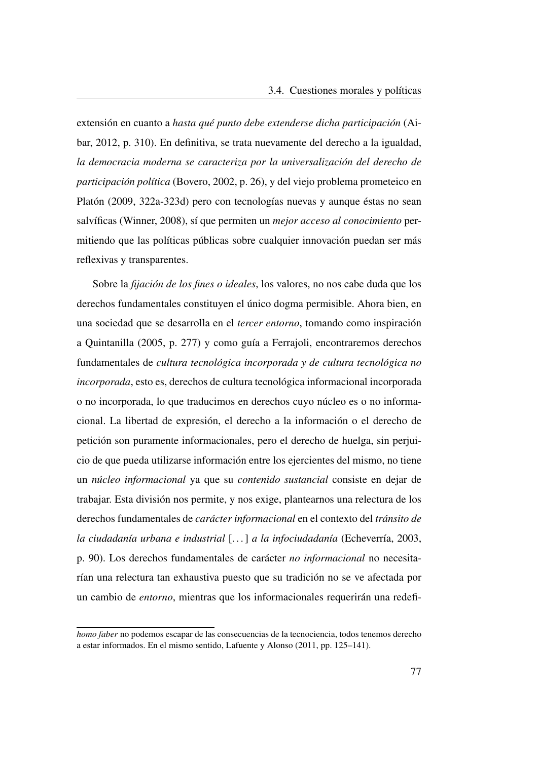extensión en cuanto a *hasta qué punto debe extenderse dicha participación* (Aibar, [2012,](#page-109-1) p. 310). En definitiva, se trata nuevamente del derecho a la igualdad, *la democracia moderna se caracteriza por la universalización del derecho de participación política* (Bovero, [2002,](#page-110-5) p. 26), y del viejo problema prometeico en Platón [\(2009,](#page-114-8) 322a-323d) pero con tecnologías nuevas y aunque éstas no sean salvíficas (Winner, [2008\)](#page-53-0), sí que permiten un *mejor acceso al conocimiento* permitiendo que las políticas públicas sobre cualquier innovación puedan ser más reflexivas y transparentes.

Sobre la *fijación de los fines o ideales*, los valores, no nos cabe duda que los derechos fundamentales constituyen el único dogma permisible. Ahora bien, en una sociedad que se desarrolla en el *tercer entorno*, tomando como inspiración a Quintanilla [\(2005,](#page-52-0) p. 277) y como guía a Ferrajoli, encontraremos derechos fundamentales de *cultura tecnológica incorporada y de cultura tecnológica no incorporada*, esto es, derechos de cultura tecnológica informacional incorporada o no incorporada, lo que traducimos en derechos cuyo núcleo es o no informacional. La libertad de expresión, el derecho a la información o el derecho de petición son puramente informacionales, pero el derecho de huelga, sin perjuicio de que pueda utilizarse información entre los ejercientes del mismo, no tiene un *núcleo informacional* ya que su *contenido sustancial* consiste en dejar de trabajar. Esta división nos permite, y nos exige, plantearnos una relectura de los derechos fundamentales de *carácter informacional* en el contexto del *tránsito de la ciudadanía urbana e industrial* [. . . ] *a la infociudadanía* (Echeverría, [2003,](#page-51-0) p. 90). Los derechos fundamentales de carácter *no informacional* no necesitarían una relectura tan exhaustiva puesto que su tradición no se ve afectada por un cambio de *entorno*, mientras que los informacionales requerirán una redefi-

*homo faber* no podemos escapar de las consecuencias de la tecnociencia, todos tenemos derecho a estar informados. En el mismo sentido, Lafuente y Alonso [\(2011,](#page-51-1) pp. 125–141).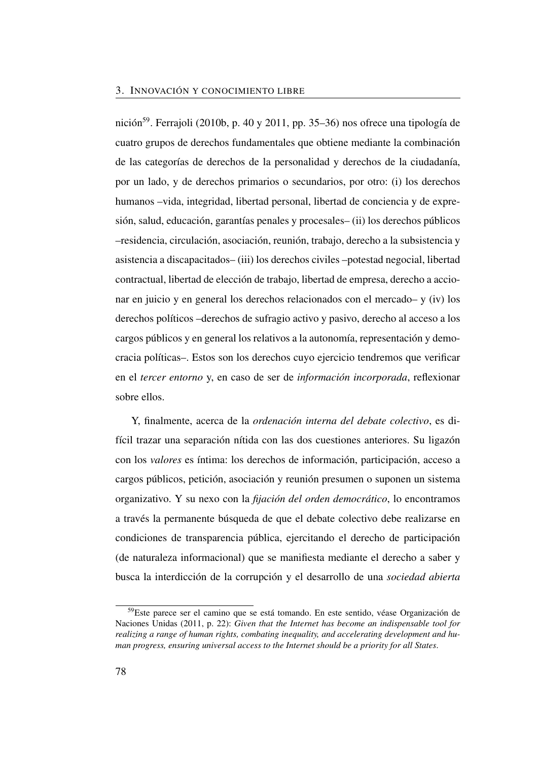nición<sup>[59](#page-107-0)</sup>. Ferrajoli [\(2010b,](#page-111-9) p. 40 y [2011,](#page-111-1) pp. 35–36) nos ofrece una tipología de cuatro grupos de derechos fundamentales que obtiene mediante la combinación de las categorías de derechos de la personalidad y derechos de la ciudadanía, por un lado, y de derechos primarios o secundarios, por otro: (i) los derechos humanos –vida, integridad, libertad personal, libertad de conciencia y de expresión, salud, educación, garantías penales y procesales– (ii) los derechos públicos –residencia, circulación, asociación, reunión, trabajo, derecho a la subsistencia y asistencia a discapacitados– (iii) los derechos civiles –potestad negocial, libertad contractual, libertad de elección de trabajo, libertad de empresa, derecho a accionar en juicio y en general los derechos relacionados con el mercado– y (iv) los derechos políticos –derechos de sufragio activo y pasivo, derecho al acceso a los cargos públicos y en general los relativos a la autonomía, representación y democracia políticas–. Estos son los derechos cuyo ejercicio tendremos que verificar en el *tercer entorno* y, en caso de ser de *información incorporada*, reflexionar sobre ellos.

Y, finalmente, acerca de la *ordenación interna del debate colectivo*, es difícil trazar una separación nítida con las dos cuestiones anteriores. Su ligazón con los *valores* es íntima: los derechos de información, participación, acceso a cargos públicos, petición, asociación y reunión presumen o suponen un sistema organizativo. Y su nexo con la *fijación del orden democrático*, lo encontramos a través la permanente búsqueda de que el debate colectivo debe realizarse en condiciones de transparencia pública, ejercitando el derecho de participación (de naturaleza informacional) que se manifiesta mediante el derecho a saber y busca la interdicción de la corrupción y el desarrollo de una *sociedad abierta*

<span id="page-107-0"></span><sup>59</sup> Este parece ser el camino que se está tomando. En este sentido, véase Organización de Naciones Unidas [\(2011,](#page-114-9) p. 22): *Given that the Internet has become an indispensable tool for realizing a range of human rights, combating inequality, and accelerating development and human progress, ensuring universal access to the Internet should be a priority for all States*.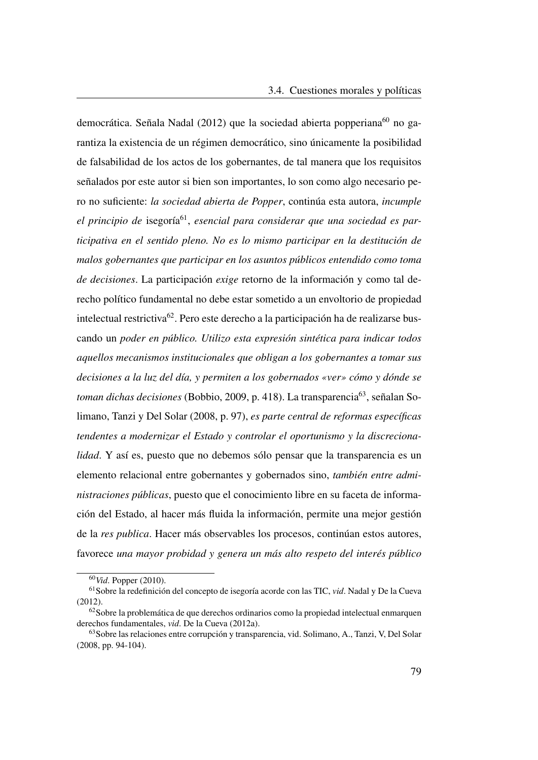democrática. Señala Nadal [\(2012\)](#page-113-0) que la sociedad abierta popperiana<sup>[60](#page-108-0)</sup> no garantiza la existencia de un régimen democrático, sino únicamente la posibilidad de falsabilidad de los actos de los gobernantes, de tal manera que los requisitos señalados por este autor si bien son importantes, lo son como algo necesario pero no suficiente: *la sociedad abierta de Popper*, continúa esta autora, *incumple* el principio de isegoría<sup>[61](#page-108-1)</sup>, esencial para considerar que una sociedad es par*ticipativa en el sentido pleno. No es lo mismo participar en la destitución de malos gobernantes que participar en los asuntos públicos entendido como toma de decisiones*. La participación *exige* retorno de la información y como tal derecho político fundamental no debe estar sometido a un envoltorio de propiedad intelectual restrictiva[62](#page-108-2). Pero este derecho a la participación ha de realizarse buscando un *poder en público. Utilizo esta expresión sintética para indicar todos aquellos mecanismos institucionales que obligan a los gobernantes a tomar sus decisiones a la luz del día, y permiten a los gobernados «ver» cómo y dónde se toman dichas decisiones* (Bobbio, [2009,](#page-110-0) p. 418). La transparencia<sup>[63](#page-108-3)</sup>, señalan Solimano, Tanzi y Del Solar [\(2008,](#page-115-0) p. 97), *es parte central de reformas específicas tendentes a modernizar el Estado y controlar el oportunismo y la discrecionalidad*. Y así es, puesto que no debemos sólo pensar que la transparencia es un elemento relacional entre gobernantes y gobernados sino, *también entre administraciones públicas*, puesto que el conocimiento libre en su faceta de información del Estado, al hacer más fluida la información, permite una mejor gestión de la *res publica*. Hacer más observables los procesos, continúan estos autores, favorece *una mayor probidad y genera un más alto respeto del interés público*

<span id="page-108-1"></span><span id="page-108-0"></span><sup>60</sup>*Vid*. Popper [\(2010\)](#page-114-0).

<sup>61</sup>Sobre la redefinición del concepto de isegoría acorde con las [TIC,](#page-27-0) *vid*. Nadal y De la Cueva [\(2012\)](#page-52-0).

<span id="page-108-2"></span><sup>62</sup>Sobre la problemática de que derechos ordinarios como la propiedad intelectual enmarquen derechos fundamentales, *vid*. De la Cueva [\(2012a\)](#page-110-1).

<span id="page-108-3"></span><sup>63</sup>Sobre las relaciones entre corrupción y transparencia, vid. Solimano, A., Tanzi, V, Del Solar [\(2008,](#page-115-0) pp. 94-104).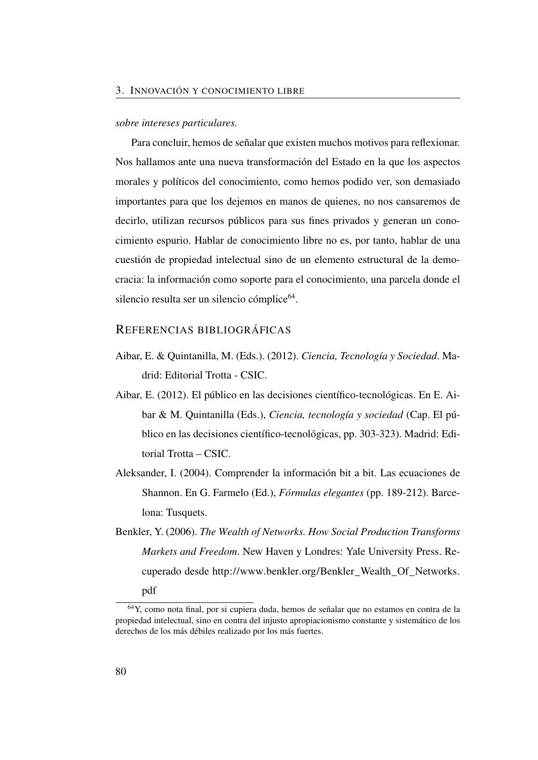#### *sobre intereses particulares.*

Para concluir, hemos de señalar que existen muchos motivos para reflexionar. Nos hallamos ante una nueva transformación del Estado en la que los aspectos morales y políticos del conocimiento, como hemos podido ver, son demasiado importantes para que los dejemos en manos de quienes, no nos cansaremos de decirlo, utilizan recursos públicos para sus fines privados y generan un conocimiento espurio. Hablar de conocimiento libre no es, por tanto, hablar de una cuestión de propiedad intelectual sino de un elemento estructural de la democracia: la información como soporte para el conocimiento, una parcela donde el silencio resulta ser un silencio cómplice<sup>[64](#page-109-0)</sup>.

### REFERENCIAS BIBLIOGRÁFICAS

- Aibar, E. & Quintanilla, M. (Eds.). (2012). *Ciencia, Tecnología y Sociedad*. Madrid: Editorial Trotta - CSIC.
- Aibar, E. (2012). El público en las decisiones científico-tecnológicas. En E. Aibar & M. Quintanilla (Eds.), *Ciencia, tecnología y sociedad* (Cap. El público en las decisiones científico-tecnológicas, pp. 303-323). Madrid: Editorial Trotta – CSIC.
- Aleksander, I. (2004). Comprender la información bit a bit. Las ecuaciones de Shannon. En G. Farmelo (Ed.), *Fórmulas elegantes* (pp. 189-212). Barcelona: Tusquets.
- Benkler, Y. (2006). *The Wealth of Networks. How Social Production Transforms Markets and Freedom*. New Haven y Londres: Yale University Press. Recuperado desde [http://www.benkler.org/Benkler\\_Wealth\\_Of\\_Networks.](http://www.benkler.org/Benkler_Wealth_Of_Networks.pdf) [pdf](http://www.benkler.org/Benkler_Wealth_Of_Networks.pdf)

<span id="page-109-0"></span><sup>64</sup>Y, como nota final, por si cupiera duda, hemos de señalar que no estamos en contra de la propiedad intelectual, sino en contra del injusto apropiacionismo constante y sistemático de los derechos de los más débiles realizado por los más fuertes.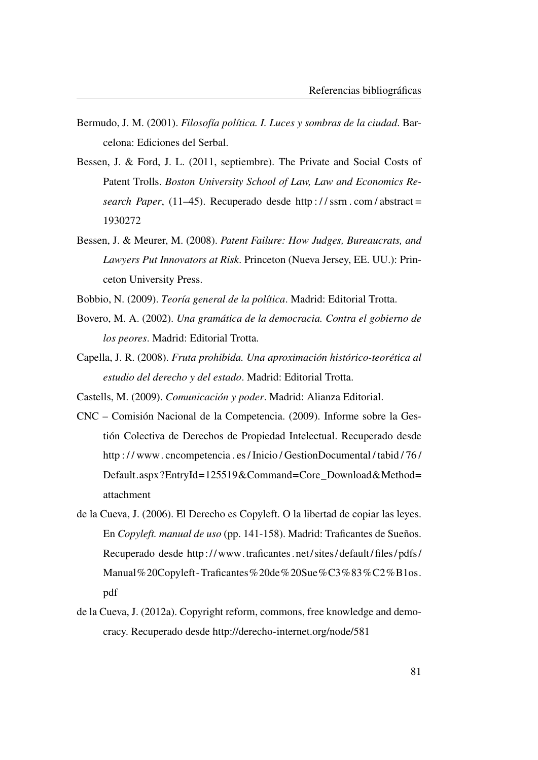- Bermudo, J. M. (2001). *Filosofía política. I. Luces y sombras de la ciudad*. Barcelona: Ediciones del Serbal.
- Bessen, J. & Ford, J. L. (2011, septiembre). The Private and Social Costs of Patent Trolls. *Boston University School of Law, Law and Economics Research Paper*, (11–45). Recuperado desde [http : / / ssrn . com / abstract =](http://ssrn.com/abstract=1930272) [1930272](http://ssrn.com/abstract=1930272)
- Bessen, J. & Meurer, M. (2008). *Patent Failure: How Judges, Bureaucrats, and Lawyers Put Innovators at Risk*. Princeton (Nueva Jersey, EE. UU.): Princeton University Press.
- <span id="page-110-0"></span>Bobbio, N. (2009). *Teoría general de la política*. Madrid: Editorial Trotta.
- Bovero, M. A. (2002). *Una gramática de la democracia. Contra el gobierno de los peores*. Madrid: Editorial Trotta.
- <span id="page-110-2"></span>Capella, J. R. (2008). *Fruta prohibida. Una aproximación histórico-teorética al estudio del derecho y del estado*. Madrid: Editorial Trotta.
- Castells, M. (2009). *Comunicación y poder*. Madrid: Alianza Editorial.
- CNC Comisión Nacional de la Competencia. (2009). Informe sobre la Gestión Colectiva de Derechos de Propiedad Intelectual. Recuperado desde [http : / / www. cncompetencia . es / Inicio / GestionDocumental / tabid / 76 /](http://www.cncompetencia.es/Inicio/GestionDocumental/tabid/76/Default.aspx?EntryId=125519&Command=Core_Download&Method=attachment) [Default.aspx?EntryId=125519&Command=Core\\_Download&Method=](http://www.cncompetencia.es/Inicio/GestionDocumental/tabid/76/Default.aspx?EntryId=125519&Command=Core_Download&Method=attachment) [attachment](http://www.cncompetencia.es/Inicio/GestionDocumental/tabid/76/Default.aspx?EntryId=125519&Command=Core_Download&Method=attachment)
- de la Cueva, J. (2006). El Derecho es Copyleft. O la libertad de copiar las leyes. En *Copyleft. manual de uso* (pp. 141-158). Madrid: Traficantes de Sueños. Recuperado desde [http:// www.traficantes. net/ sites/ default/ files/ pdfs/](http://www.traficantes.net/sites/default/files/pdfs/Manual%20Copyleft-Traficantes%20de%20Sue%C3%83%C2%B1os.pdf) [Manual%20Copyleft-Traficantes%20de%20Sue%C3%83%C2%B1os.](http://www.traficantes.net/sites/default/files/pdfs/Manual%20Copyleft-Traficantes%20de%20Sue%C3%83%C2%B1os.pdf) [pdf](http://www.traficantes.net/sites/default/files/pdfs/Manual%20Copyleft-Traficantes%20de%20Sue%C3%83%C2%B1os.pdf)
- <span id="page-110-1"></span>de la Cueva, J. (2012a). Copyright reform, commons, free knowledge and democracy. Recuperado desde<http://derecho-internet.org/node/581>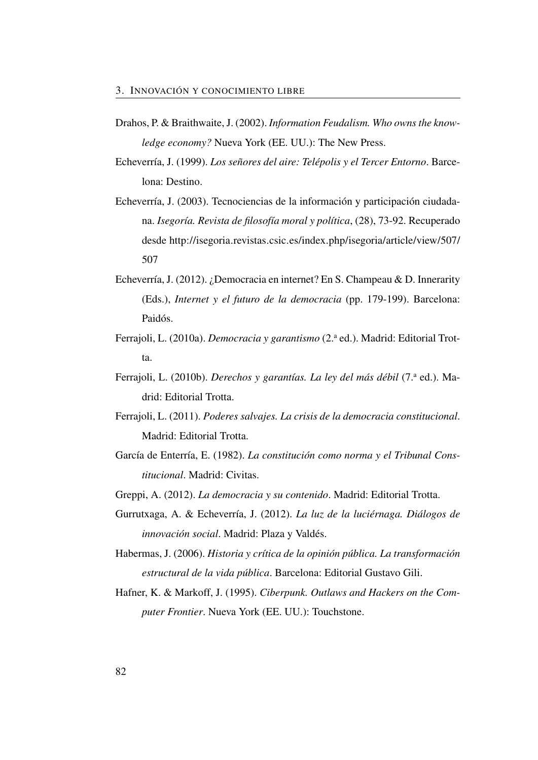- Drahos, P. & Braithwaite, J. (2002). *Information Feudalism. Who owns the knowledge economy?* Nueva York (EE. UU.): The New Press.
- Echeverría, J. (1999). *Los señores del aire: Telépolis y el Tercer Entorno*. Barcelona: Destino.
- Echeverría, J. (2003). Tecnociencias de la información y participación ciudadana. *Isegoría. Revista de filosofía moral y política*, (28), 73-92. Recuperado desde [http://isegoria.revistas.csic.es/index.php/isegoria/article/view/507/](http://isegoria.revistas.csic.es/index.php/isegoria/article/view/507/507) [507](http://isegoria.revistas.csic.es/index.php/isegoria/article/view/507/507)
- <span id="page-111-2"></span>Echeverría, J. (2012). ¿Democracia en internet? En S. Champeau & D. Innerarity (Eds.), *Internet y el futuro de la democracia* (pp. 179-199). Barcelona: Paidós.
- <span id="page-111-6"></span>Ferrajoli, L. (2010a). *Democracia y garantismo* (2.<sup>a</sup> ed.). Madrid: Editorial Trotta.
- <span id="page-111-5"></span>Ferrajoli, L. (2010b). *Derechos y garantías. La ley del más débil* (7.<sup>a</sup> ed.). Madrid: Editorial Trotta.
- <span id="page-111-4"></span>Ferrajoli, L. (2011). *Poderes salvajes. La crisis de la democracia constitucional*. Madrid: Editorial Trotta.
- García de Enterría, E. (1982). *La constitución como norma y el Tribunal Constitucional*. Madrid: Civitas.
- <span id="page-111-1"></span>Greppi, A. (2012). *La democracia y su contenido*. Madrid: Editorial Trotta.
- Gurrutxaga, A. & Echeverría, J. (2012). *La luz de la luciérnaga. Diálogos de innovación social*. Madrid: Plaza y Valdés.
- <span id="page-111-0"></span>Habermas, J. (2006). *Historia y crítica de la opinión pública. La transformación estructural de la vida pública*. Barcelona: Editorial Gustavo Gili.
- <span id="page-111-3"></span>Hafner, K. & Markoff, J. (1995). *Ciberpunk. Outlaws and Hackers on the Computer Frontier*. Nueva York (EE. UU.): Touchstone.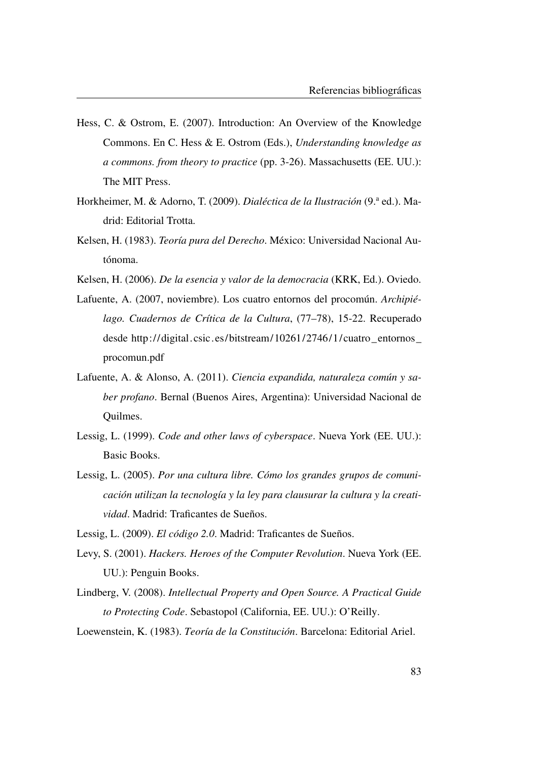- <span id="page-112-2"></span>Hess, C. & Ostrom, E. (2007). Introduction: An Overview of the Knowledge Commons. En C. Hess & E. Ostrom (Eds.), *Understanding knowledge as a commons. from theory to practice* (pp. 3-26). Massachusetts (EE. UU.): The MIT Press.
- Horkheimer, M. & Adorno, T. (2009). *Dialéctica de la Ilustración* (9.ª ed.). Madrid: Editorial Trotta.
- Kelsen, H. (1983). *Teoría pura del Derecho*. México: Universidad Nacional Autónoma.
- Kelsen, H. (2006). *De la esencia y valor de la democracia* (KRK, Ed.). Oviedo.
- <span id="page-112-3"></span>Lafuente, A. (2007, noviembre). Los cuatro entornos del procomún. *Archipiélago. Cuadernos de Crítica de la Cultura*, (77–78), 15-22. Recuperado desde [http://digital.csic.es/bitstream/10261/2746/1/cuatro\\_entornos\\_](http://digital.csic.es/bitstream/10261/2746/1/cuatro_entornos_procomun.pdf) [procomun.pdf](http://digital.csic.es/bitstream/10261/2746/1/cuatro_entornos_procomun.pdf)
- Lafuente, A. & Alonso, A. (2011). *Ciencia expandida, naturaleza común y saber profano*. Bernal (Buenos Aires, Argentina): Universidad Nacional de Quilmes.
- <span id="page-112-4"></span>Lessig, L. (1999). *Code and other laws of cyberspace*. Nueva York (EE. UU.): Basic Books.
- <span id="page-112-0"></span>Lessig, L. (2005). *Por una cultura libre. Cómo los grandes grupos de comunicación utilizan la tecnología y la ley para clausurar la cultura y la creatividad*. Madrid: Traficantes de Sueños.
- Lessig, L. (2009). *El código 2.0*. Madrid: Traficantes de Sueños.
- <span id="page-112-1"></span>Levy, S. (2001). *Hackers. Heroes of the Computer Revolution*. Nueva York (EE. UU.): Penguin Books.
- Lindberg, V. (2008). *Intellectual Property and Open Source. A Practical Guide to Protecting Code*. Sebastopol (California, EE. UU.): O'Reilly.
- Loewenstein, K. (1983). *Teoría de la Constitución*. Barcelona: Editorial Ariel.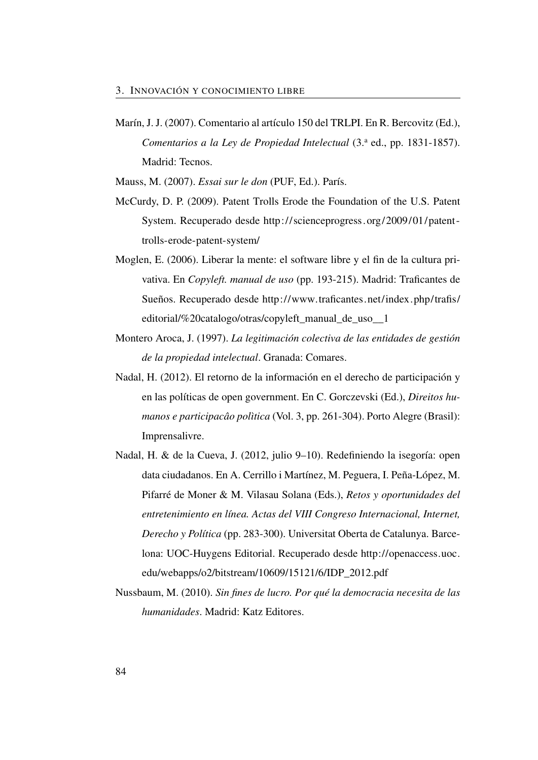Marín, J. J. (2007). Comentario al artículo 150 del TRLPI. En R. Bercovitz (Ed.), *Comentarios a la Ley de Propiedad Intelectual* (3.<sup>a</sup> ed., pp. 1831-1857). Madrid: Tecnos.

Mauss, M. (2007). *Essai sur le don* (PUF, Ed.). París.

- McCurdy, D. P. (2009). Patent Trolls Erode the Foundation of the U.S. Patent System. Recuperado desde [http://scienceprogress.org/2009/01/patent](http://scienceprogress.org/2009/01/patent-trolls-erode-patent-system/)  [trolls-erode-patent-system/](http://scienceprogress.org/2009/01/patent-trolls-erode-patent-system/)
- Moglen, E. (2006). Liberar la mente: el software libre y el fin de la cultura privativa. En *Copyleft. manual de uso* (pp. 193-215). Madrid: Traficantes de Sueños. Recuperado desde [http://www.traficantes.net/index.php/trafis/](http://www.traficantes.net/index.php/trafis/editorial/%20catalogo/otras/copyleft_manual_de_uso__1) [editorial/%20catalogo/otras/copyleft\\_manual\\_de\\_uso\\_\\_1](http://www.traficantes.net/index.php/trafis/editorial/%20catalogo/otras/copyleft_manual_de_uso__1)
- Montero Aroca, J. (1997). *La legitimación colectiva de las entidades de gestión de la propiedad intelectual*. Granada: Comares.
- <span id="page-113-0"></span>Nadal, H. (2012). El retorno de la información en el derecho de participación y en las políticas de open government. En C. Gorczevski (Ed.), *Direitos humanos e participacâo polìtica* (Vol. 3, pp. 261-304). Porto Alegre (Brasil): Imprensalivre.
- Nadal, H. & de la Cueva, J. (2012, julio 9–10). Redefiniendo la isegoría: open data ciudadanos. En A. Cerrillo i Martínez, M. Peguera, I. Peña-López, M. Pifarré de Moner & M. Vilasau Solana (Eds.), *Retos y oportunidades del entretenimiento en línea. Actas del VIII Congreso Internacional, Internet, Derecho y Política* (pp. 283-300). Universitat Oberta de Catalunya. Barcelona: UOC-Huygens Editorial. Recuperado desde [http://openaccess.uoc.](http://openaccess.uoc.edu/webapps/o2/bitstream/10609/15121/6/IDP_2012.pdf) [edu/webapps/o2/bitstream/10609/15121/6/IDP\\_2012.pdf](http://openaccess.uoc.edu/webapps/o2/bitstream/10609/15121/6/IDP_2012.pdf)
- Nussbaum, M. (2010). *Sin fines de lucro. Por qué la democracia necesita de las humanidades*. Madrid: Katz Editores.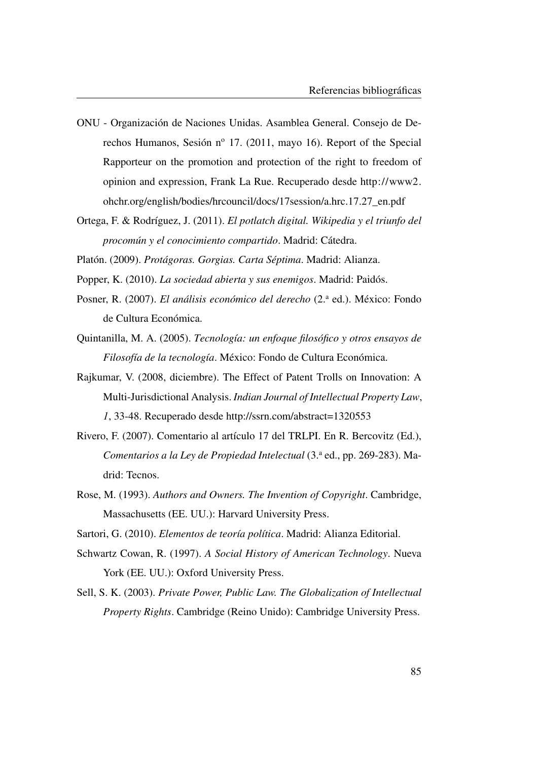- <span id="page-114-3"></span>ONU - Organización de Naciones Unidas. Asamblea General. Consejo de Derechos Humanos, Sesión nº 17. (2011, mayo 16). Report of the Special Rapporteur on the promotion and protection of the right to freedom of opinion and expression, Frank La Rue. Recuperado desde [http://www2.](http://www2.ohchr.org/english/bodies/hrcouncil/docs/17session/a.hrc.17.27_en.pdf) [ohchr.org/english/bodies/hrcouncil/docs/17session/a.hrc.17.27\\_en.pdf](http://www2.ohchr.org/english/bodies/hrcouncil/docs/17session/a.hrc.17.27_en.pdf)
- <span id="page-114-2"></span>Ortega, F. & Rodríguez, J. (2011). *El potlatch digital. Wikipedia y el triunfo del procomún y el conocimiento compartido*. Madrid: Cátedra.
- Platón. (2009). *Protágoras. Gorgias. Carta Séptima*. Madrid: Alianza.
- <span id="page-114-0"></span>Popper, K. (2010). *La sociedad abierta y sus enemigos*. Madrid: Paidós.
- Posner, R. (2007). *El análisis económico del derecho* (2.<sup>a</sup> ed.). México: Fondo de Cultura Económica.
- Quintanilla, M. A. (2005). *Tecnología: un enfoque filosófico y otros ensayos de Filosofía de la tecnología*. México: Fondo de Cultura Económica.
- Rajkumar, V. (2008, diciembre). The Effect of Patent Trolls on Innovation: A Multi-Jurisdictional Analysis. *Indian Journal of Intellectual Property Law*, *1*, 33-48. Recuperado desde<http://ssrn.com/abstract=1320553>
- Rivero, F. (2007). Comentario al artículo 17 del TRLPI. En R. Bercovitz (Ed.), *Comentarios a la Ley de Propiedad Intelectual* (3.ª ed., pp. 269-283). Madrid: Tecnos.
- Rose, M. (1993). *Authors and Owners. The Invention of Copyright*. Cambridge, Massachusetts (EE. UU.): Harvard University Press.
- <span id="page-114-1"></span>Sartori, G. (2010). *Elementos de teoría política*. Madrid: Alianza Editorial.
- Schwartz Cowan, R. (1997). *A Social History of American Technology*. Nueva York (EE. UU.): Oxford University Press.
- Sell, S. K. (2003). *Private Power, Public Law. The Globalization of Intellectual Property Rights*. Cambridge (Reino Unido): Cambridge University Press.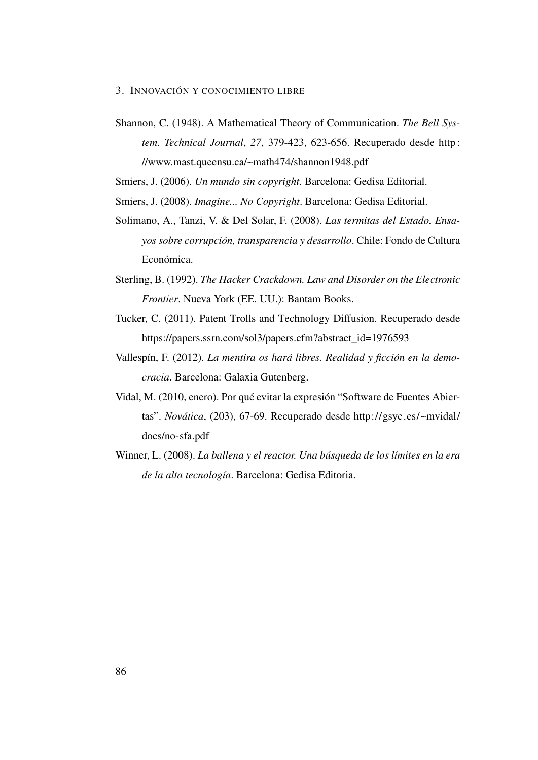<span id="page-115-3"></span>Shannon, C. (1948). A Mathematical Theory of Communication. *The Bell System. Technical Journal*, *27*, 379-423, 623-656. Recuperado desde [http :](http://www.mast.queensu.ca/~math474/shannon1948.pdf) [//www.mast.queensu.ca/~math474/shannon1948.pdf](http://www.mast.queensu.ca/~math474/shannon1948.pdf)

Smiers, J. (2006). *Un mundo sin copyright*. Barcelona: Gedisa Editorial.

<span id="page-115-0"></span>Smiers, J. (2008). *Imagine... No Copyright*. Barcelona: Gedisa Editorial.

- Solimano, A., Tanzi, V. & Del Solar, F. (2008). *Las termitas del Estado. Ensayos sobre corrupción, transparencia y desarrollo*. Chile: Fondo de Cultura Económica.
- <span id="page-115-2"></span>Sterling, B. (1992). *The Hacker Crackdown. Law and Disorder on the Electronic Frontier*. Nueva York (EE. UU.): Bantam Books.
- Tucker, C. (2011). Patent Trolls and Technology Diffusion. Recuperado desde [https://papers.ssrn.com/sol3/papers.cfm?abstract\\_id=1976593](https://papers.ssrn.com/sol3/papers.cfm?abstract_id=1976593)
- <span id="page-115-1"></span>Vallespín, F. (2012). *La mentira os hará libres. Realidad y ficción en la democracia*. Barcelona: Galaxia Gutenberg.
- Vidal, M. (2010, enero). Por qué evitar la expresión "Software de Fuentes Abiertas". *Novática*, (203), 67-69. Recuperado desde [http://gsyc.es/~mvidal/](http://gsyc.es/~mvidal/docs/no-sfa.pdf) [docs/no-sfa.pdf](http://gsyc.es/~mvidal/docs/no-sfa.pdf)
- Winner, L. (2008). *La ballena y el reactor. Una búsqueda de los límites en la era de la alta tecnología*. Barcelona: Gedisa Editoria.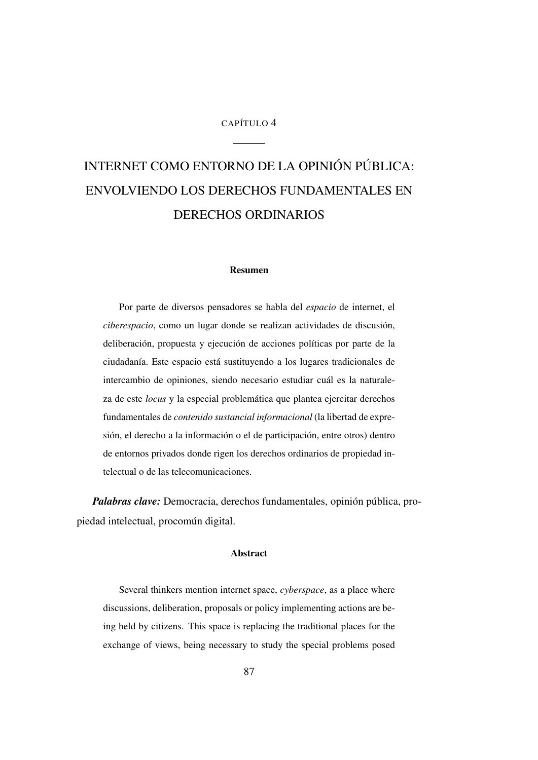#### CAPÍTULO 4

# INTERNET COMO ENTORNO DE LA OPINIÓN PÚBLICA: ENVOLVIENDO LOS DERECHOS FUNDAMENTALES EN DERECHOS ORDINARIOS

#### Resumen

Por parte de diversos pensadores se habla del *espacio* de internet, el *ciberespacio*, como un lugar donde se realizan actividades de discusión, deliberación, propuesta y ejecución de acciones políticas por parte de la ciudadanía. Este espacio está sustituyendo a los lugares tradicionales de intercambio de opiniones, siendo necesario estudiar cuál es la naturaleza de este *locus* y la especial problemática que plantea ejercitar derechos fundamentales de *contenido sustancial informacional* (la libertad de expresión, el derecho a la información o el de participación, entre otros) dentro de entornos privados donde rigen los derechos ordinarios de propiedad intelectual o de las telecomunicaciones.

*Palabras clave:* Democracia, derechos fundamentales, opinión pública, propiedad intelectual, procomún digital.

### Abstract

Several thinkers mention internet space, *cyberspace*, as a place where discussions, deliberation, proposals or policy implementing actions are being held by citizens. This space is replacing the traditional places for the exchange of views, being necessary to study the special problems posed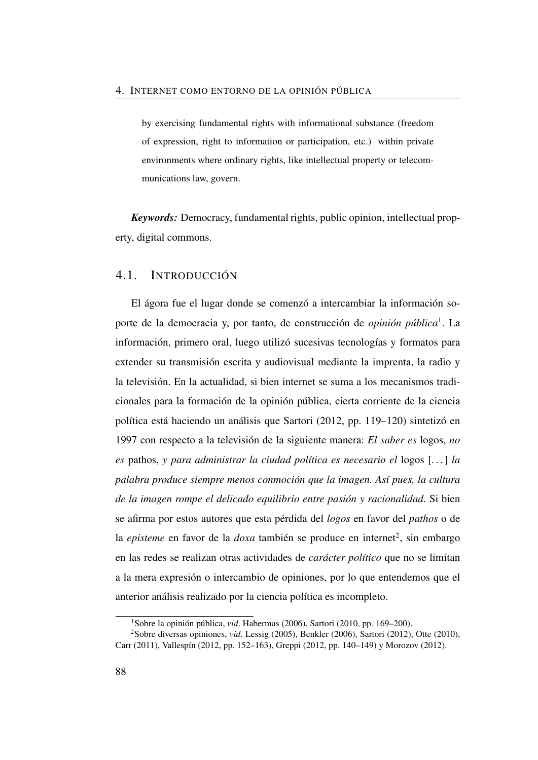by exercising fundamental rights with informational substance (freedom of expression, right to information or participation, etc.) within private environments where ordinary rights, like intellectual property or telecommunications law, govern.

*Keywords:* Democracy, fundamental rights, public opinion, intellectual property, digital commons.

## 4.1. INTRODUCCIÓN

El ágora fue el lugar donde se comenzó a intercambiar la información soporte de la democracia y, por tanto, de construcción de *opinión pública*[1](#page-117-0) . La información, primero oral, luego utilizó sucesivas tecnologías y formatos para extender su transmisión escrita y audiovisual mediante la imprenta, la radio y la televisión. En la actualidad, si bien internet se suma a los mecanismos tradicionales para la formación de la opinión pública, cierta corriente de la ciencia política está haciendo un análisis que Sartori [\(2012,](#page-149-0) pp. 119–120) sintetizó en 1997 con respecto a la televisión de la siguiente manera: *El saber es* logos, *no es* pathos, *y para administrar la ciudad política es necesario el* logos [. . . ] *la palabra produce siempre menos conmoción que la imagen. Así pues, la cultura de la imagen rompe el delicado equilibrio entre pasión y racionalidad*. Si bien se afirma por estos autores que esta pérdida del *logos* en favor del *pathos* o de la *episteme* en favor de la *doxa* también se produce en internet<sup>[2](#page-117-1)</sup>, sin embargo en las redes se realizan otras actividades de *carácter político* que no se limitan a la mera expresión o intercambio de opiniones, por lo que entendemos que el anterior análisis realizado por la ciencia política es incompleto.

<span id="page-117-1"></span><span id="page-117-0"></span><sup>1</sup>Sobre la opinión pública, *vid*. Habermas [\(2006\)](#page-111-0), Sartori [\(2010,](#page-114-1) pp. 169–200).

<sup>2</sup>Sobre diversas opiniones, *vid*. Lessig [\(2005\)](#page-112-0), Benkler [\(2006\)](#page-49-0), Sartori [\(2012\)](#page-149-0), Otte [\(2010\)](#page-149-1), Carr [\(2011\)](#page-49-1), Vallespín [\(2012,](#page-115-1) pp. 152–163), Greppi [\(2012,](#page-111-1) pp. 140–149) y Morozov [\(2012\)](#page-148-0).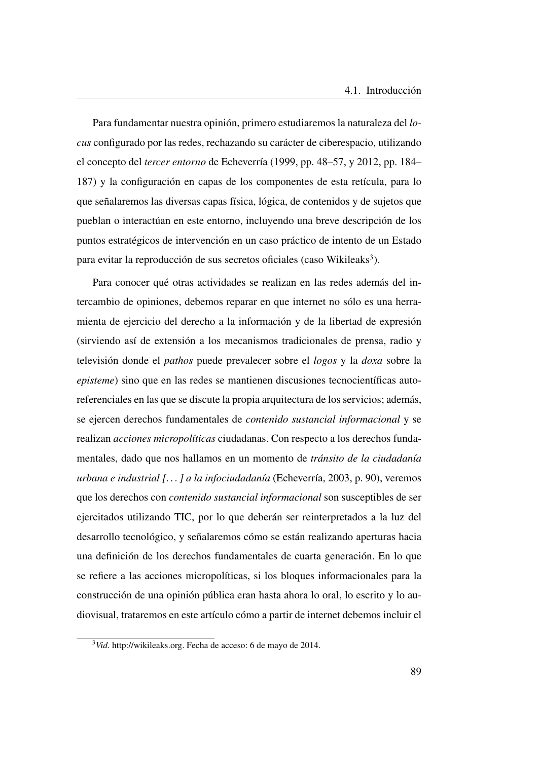Para fundamentar nuestra opinión, primero estudiaremos la naturaleza del *locus* configurado por las redes, rechazando su carácter de ciberespacio, utilizando el concepto del *tercer entorno* de Echeverría [\(1999,](#page-50-0) pp. 48–57, y [2012,](#page-111-2) pp. 184– 187) y la configuración en capas de los componentes de esta retícula, para lo que señalaremos las diversas capas física, lógica, de contenidos y de sujetos que pueblan o interactúan en este entorno, incluyendo una breve descripción de los puntos estratégicos de intervención en un caso práctico de intento de un Estado para evitar la reproducción de sus secretos oficiales (caso Wikileaks<sup>[3](#page-118-0)</sup>).

Para conocer qué otras actividades se realizan en las redes además del intercambio de opiniones, debemos reparar en que internet no sólo es una herramienta de ejercicio del derecho a la información y de la libertad de expresión (sirviendo así de extensión a los mecanismos tradicionales de prensa, radio y televisión donde el *pathos* puede prevalecer sobre el *logos* y la *doxa* sobre la *episteme*) sino que en las redes se mantienen discusiones tecnocientíficas autoreferenciales en las que se discute la propia arquitectura de los servicios; además, se ejercen derechos fundamentales de *contenido sustancial informacional* y se realizan *acciones micropolíticas* ciudadanas. Con respecto a los derechos fundamentales, dado que nos hallamos en un momento de *tránsito de la ciudadanía urbana e industrial [. . . ] a la infociudadanía* (Echeverría, [2003,](#page-51-0) p. 90), veremos que los derechos con *contenido sustancial informacional* son susceptibles de ser ejercitados utilizando [TIC,](#page-27-0) por lo que deberán ser reinterpretados a la luz del desarrollo tecnológico, y señalaremos cómo se están realizando aperturas hacia una definición de los derechos fundamentales de cuarta generación. En lo que se refiere a las acciones micropolíticas, si los bloques informacionales para la construcción de una opinión pública eran hasta ahora lo oral, lo escrito y lo audiovisual, trataremos en este artículo cómo a partir de internet debemos incluir el

<span id="page-118-0"></span><sup>3</sup>*Vid*. [http://wikileaks.org.](http://wikileaks.org) Fecha de acceso: 6 de mayo de 2014.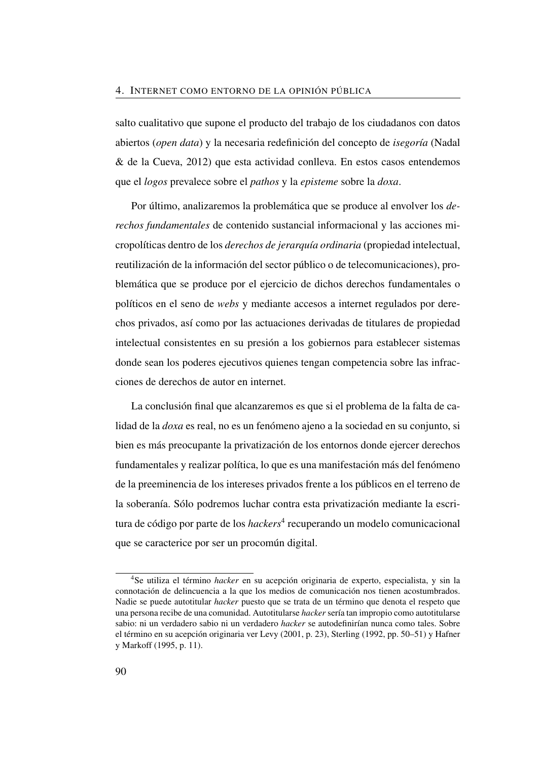salto cualitativo que supone el producto del trabajo de los ciudadanos con datos abiertos (*open data*) y la necesaria redefinición del concepto de *isegoría* (Nadal & de la Cueva, [2012\)](#page-52-0) que esta actividad conlleva. En estos casos entendemos que el *logos* prevalece sobre el *pathos* y la *episteme* sobre la *doxa*.

Por último, analizaremos la problemática que se produce al envolver los *derechos fundamentales* de contenido sustancial informacional y las acciones micropolíticas dentro de los *derechos de jerarquía ordinaria* (propiedad intelectual, reutilización de la información del sector público o de telecomunicaciones), problemática que se produce por el ejercicio de dichos derechos fundamentales o políticos en el seno de *webs* y mediante accesos a internet regulados por derechos privados, así como por las actuaciones derivadas de titulares de propiedad intelectual consistentes en su presión a los gobiernos para establecer sistemas donde sean los poderes ejecutivos quienes tengan competencia sobre las infracciones de derechos de autor en internet.

La conclusión final que alcanzaremos es que si el problema de la falta de calidad de la *doxa* es real, no es un fenómeno ajeno a la sociedad en su conjunto, si bien es más preocupante la privatización de los entornos donde ejercer derechos fundamentales y realizar política, lo que es una manifestación más del fenómeno de la preeminencia de los intereses privados frente a los públicos en el terreno de la soberanía. Sólo podremos luchar contra esta privatización mediante la escritura de código por parte de los *hackers*[4](#page-119-0) recuperando un modelo comunicacional que se caracterice por ser un procomún digital.

<span id="page-119-0"></span><sup>4</sup>Se utiliza el término *hacker* en su acepción originaria de experto, especialista, y sin la connotación de delincuencia a la que los medios de comunicación nos tienen acostumbrados. Nadie se puede autotitular *hacker* puesto que se trata de un término que denota el respeto que una persona recibe de una comunidad. Autotitularse *hacker* sería tan impropio como autotitularse sabio: ni un verdadero sabio ni un verdadero *hacker* se autodefinirían nunca como tales. Sobre el término en su acepción originaria ver Levy [\(2001,](#page-112-1) p. 23), Sterling [\(1992,](#page-115-2) pp. 50–51) y Hafner y Markoff [\(1995,](#page-111-3) p. 11).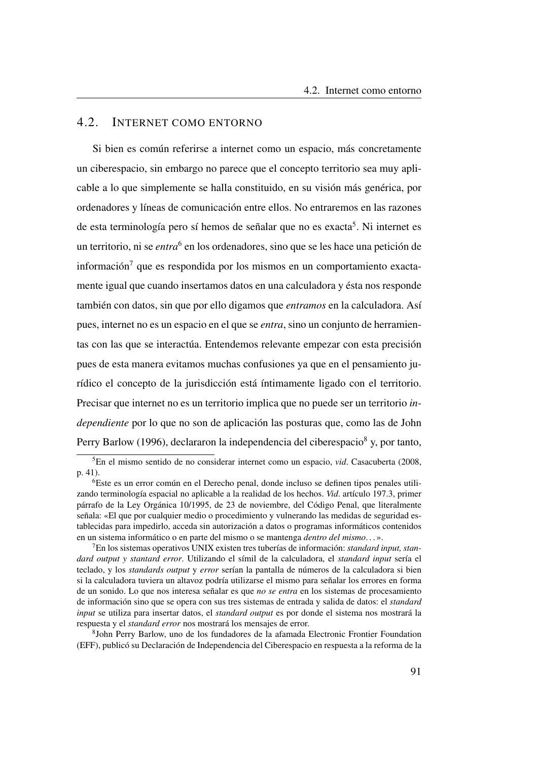## 4.2. INTERNET COMO ENTORNO

Si bien es común referirse a internet como un espacio, más concretamente un ciberespacio, sin embargo no parece que el concepto territorio sea muy aplicable a lo que simplemente se halla constituido, en su visión más genérica, por ordenadores y líneas de comunicación entre ellos. No entraremos en las razones de esta terminología pero sí hemos de señalar que no es exacta<sup>[5](#page-120-0)</sup>. Ni internet es un territorio, ni se *entra*<sup>[6](#page-120-1)</sup> en los ordenadores, sino que se les hace una petición de  $information<sup>7</sup>$  $information<sup>7</sup>$  $information<sup>7</sup>$  que es respondida por los mismos en un comportamiento exactamente igual que cuando insertamos datos en una calculadora y ésta nos responde también con datos, sin que por ello digamos que *entramos* en la calculadora. Así pues, internet no es un espacio en el que se *entra*, sino un conjunto de herramientas con las que se interactúa. Entendemos relevante empezar con esta precisión pues de esta manera evitamos muchas confusiones ya que en el pensamiento jurídico el concepto de la jurisdicción está íntimamente ligado con el territorio. Precisar que internet no es un territorio implica que no puede ser un territorio *independiente* por lo que no son de aplicación las posturas que, como las de John Perry Barlow [\(1996\)](#page-144-0), declararon la independencia del ciberespacio<sup>[8](#page-120-3)</sup> y, por tanto,

<span id="page-120-0"></span><sup>5</sup>En el mismo sentido de no considerar internet como un espacio, *vid*. Casacuberta [\(2008,](#page-145-0) p. 41).

<span id="page-120-1"></span><sup>6</sup>Este es un error común en el Derecho penal, donde incluso se definen tipos penales utilizando terminología espacial no aplicable a la realidad de los hechos. *Vid*. artículo 197.3, primer párrafo de la Ley Orgánica 10/1995, de 23 de noviembre, del Código Penal, que literalmente señala: «El que por cualquier medio o procedimiento y vulnerando las medidas de seguridad establecidas para impedirlo, acceda sin autorización a datos o programas informáticos contenidos en un sistema informático o en parte del mismo o se mantenga *dentro del mismo*. . . ».

<span id="page-120-2"></span><sup>7</sup>En los sistemas operativos UNIX existen tres tuberías de información: *standard input, standard output y stantard error*. Utilizando el símil de la calculadora, el *standard input* sería el teclado, y los *standards output* y *error* serían la pantalla de números de la calculadora si bien si la calculadora tuviera un altavoz podría utilizarse el mismo para señalar los errores en forma de un sonido. Lo que nos interesa señalar es que *no se entra* en los sistemas de procesamiento de información sino que se opera con sus tres sistemas de entrada y salida de datos: el *standard input* se utiliza para insertar datos, el *standard output* es por donde el sistema nos mostrará la respuesta y el *standard error* nos mostrará los mensajes de error.

<span id="page-120-3"></span><sup>8</sup> John Perry Barlow, uno de los fundadores de la afamada Electronic Frontier Foundation [\(EFF\)](#page-25-0), publicó su Declaración de Independencia del Ciberespacio en respuesta a la reforma de la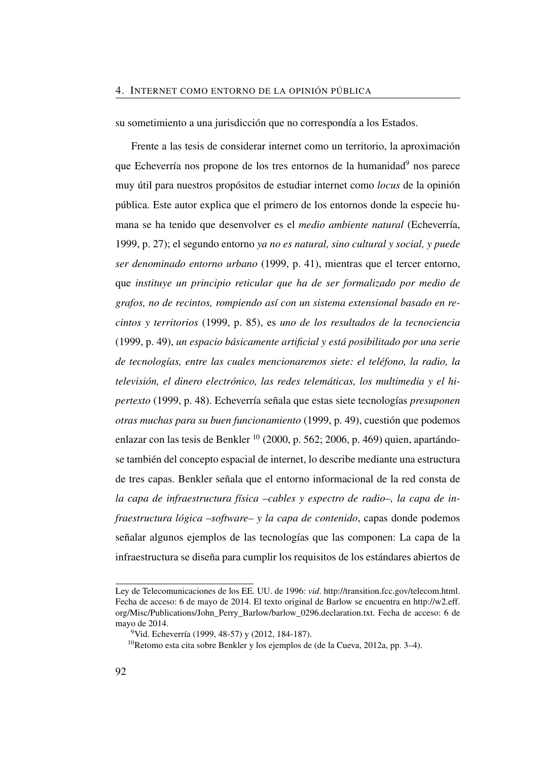su sometimiento a una jurisdicción que no correspondía a los Estados.

Frente a las tesis de considerar internet como un territorio, la aproximación que Echeverría nos propone de los tres entornos de la humanidad<sup>[9](#page-121-0)</sup> nos parece muy útil para nuestros propósitos de estudiar internet como *locus* de la opinión pública. Este autor explica que el primero de los entornos donde la especie humana se ha tenido que desenvolver es el *medio ambiente natural* (Echeverría, [1999,](#page-50-0) p. 27); el segundo entorno *ya no es natural, sino cultural y social, y puede ser denominado entorno urbano* [\(1999,](#page-50-0) p. 41), mientras que el tercer entorno, que *instituye un principio reticular que ha de ser formalizado por medio de grafos, no de recintos, rompiendo así con un sistema extensional basado en recintos y territorios* [\(1999,](#page-50-0) p. 85), es *uno de los resultados de la tecnociencia* [\(1999,](#page-50-0) p. 49), *un espacio básicamente artificial y está posibilitado por una serie de tecnologías, entre las cuales mencionaremos siete: el teléfono, la radio, la televisión, el dinero electrónico, las redes telemáticas, los multimedia y el hipertexto* [\(1999,](#page-50-0) p. 48). Echeverría señala que estas siete tecnologías *presuponen otras muchas para su buen funcionamiento* [\(1999,](#page-50-0) p. 49), cuestión que podemos enlazar con las tesis de Benkler  $^{10}$  $^{10}$  $^{10}$  [\(2000,](#page-144-1) p. 562; [2006,](#page-49-0) p. 469) quien, apartándose también del concepto espacial de internet, lo describe mediante una estructura de tres capas. Benkler señala que el entorno informacional de la red consta de *la capa de infraestructura física –cables y espectro de radio–, la capa de infraestructura lógica –software– y la capa de contenido*, capas donde podemos señalar algunos ejemplos de las tecnologías que las componen: La capa de la infraestructura se diseña para cumplir los requisitos de los estándares abiertos de

Ley de Telecomunicaciones de los EE. UU. de 1996: *vid*. [http://transition.fcc.gov/telecom.html.](http://transition.fcc.gov/telecom.html) Fecha de acceso: 6 de mayo de 2014. El texto original de Barlow se encuentra en [http://w2.eff.](http://w2.eff.org/Misc/Publications/John_Perry_Barlow/barlow_0296.declaration.txt) [org/Misc/Publications/John\\_Perry\\_Barlow/barlow\\_0296.declaration.txt.](http://w2.eff.org/Misc/Publications/John_Perry_Barlow/barlow_0296.declaration.txt) Fecha de acceso: 6 de mayo de 2014.

<span id="page-121-0"></span><sup>&</sup>lt;sup>9</sup>Vid. Echeverría (1999, 48-57) y (2012, 184-187).

<span id="page-121-1"></span><sup>10</sup>Retomo esta cita sobre Benkler y los ejemplos de (de la Cueva, [2012a,](#page-110-1) pp. 3–4).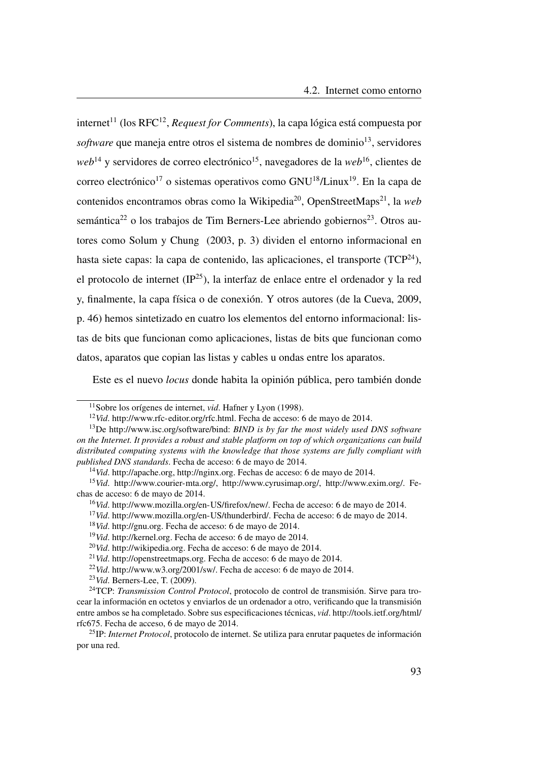internet<sup>[11](#page-122-0)</sup> (los RFC<sup>[12](#page-122-1)</sup>, *Request for Comments*), la capa lógica está compuesta por *software* que maneja entre otros el sistema de nombres de dominio<sup>[13](#page-122-2)</sup>, servidores *web*<sup>[14](#page-122-3)</sup> y servidores de correo electrónico<sup>[15](#page-122-4)</sup>, navegadores de la *web*<sup>[16](#page-122-5)</sup>, clientes de correo electrónico<sup>[17](#page-122-6)</sup> o sistemas operativos como  $GNU^{18}/Linux^{19}$  $GNU^{18}/Linux^{19}$  $GNU^{18}/Linux^{19}$  $GNU^{18}/Linux^{19}$  $GNU^{18}/Linux^{19}$ . En la capa de contenidos encontramos obras como la Wikipedia<sup>[20](#page-122-9)</sup>, OpenStreetMaps<sup>[21](#page-122-10)</sup>, la *web* semántica<sup>[22](#page-122-11)</sup> o los trabajos de Tim Berners-Lee abriendo gobiernos<sup>[23](#page-122-12)</sup>. Otros autores como Solum y Chung [\(2003,](#page-150-0) p. 3) dividen el entorno informacional en hasta siete capas: la capa de contenido, las aplicaciones, el transporte (TCP<sup>[24](#page-122-13)</sup>), el protocolo de internet (IP[25](#page-122-14)), la interfaz de enlace entre el ordenador y la red y, finalmente, la capa física o de conexión. Y otros autores (de la Cueva, [2009,](#page-145-1) p. 46) hemos sintetizado en cuatro los elementos del entorno informacional: listas de bits que funcionan como aplicaciones, listas de bits que funcionan como datos, aparatos que copian las listas y cables u ondas entre los aparatos.

Este es el nuevo *locus* donde habita la opinión pública, pero también donde

<span id="page-122-0"></span><sup>11</sup>Sobre los orígenes de internet, *vid*. Hafner y Lyon [\(1998\)](#page-147-0).

<span id="page-122-2"></span><span id="page-122-1"></span><sup>12</sup>*Vid*. [http://www.rfc-editor.org/rfc.html.](http://www.rfc-editor.org/rfc.html) Fecha de acceso: 6 de mayo de 2014.

<sup>13</sup>De [http://www.isc.org/software/bind:](http://www.isc.org/software/bind) *BIND is by far the most widely used DNS software on the Internet. It provides a robust and stable platform on top of which organizations can build distributed computing systems with the knowledge that those systems are fully compliant with published DNS standards*. Fecha de acceso: 6 de mayo de 2014.

<span id="page-122-4"></span><span id="page-122-3"></span><sup>14</sup>*Vid*. [http://apache.org,](http://apache.org) [http://nginx.org.](http://nginx.org) Fechas de acceso: 6 de mayo de 2014.

<sup>15</sup>*Vid*. [http://www.courier-mta.org/,](http://www.courier-mta.org/) [http://www.cyrusimap.org/,](http://www.cyrusimap.org/) [http://www.exim.org/.](http://www.exim.org/) Fechas de acceso: 6 de mayo de 2014.

<span id="page-122-5"></span><sup>16</sup>*Vid*. [http://www.mozilla.org/en-US/firefox/new/.](http://www.mozilla.org/en-US/firefox/new/) Fecha de acceso: 6 de mayo de 2014.

<span id="page-122-6"></span><sup>&</sup>lt;sup>17</sup>*Vid.* [http://www.mozilla.org/en-US/thunderbird/.](http://www.mozilla.org/en-US/thunderbird/) Fecha de acceso: 6 de mayo de 2014.

<span id="page-122-7"></span><sup>18</sup>*Vid*. [http://gnu.org.](http://gnu.org) Fecha de acceso: 6 de mayo de 2014.

<span id="page-122-8"></span><sup>19</sup>*Vid*. [http://kernel.org.](http://kernel.org) Fecha de acceso: 6 de mayo de 2014.

<span id="page-122-9"></span><sup>20</sup>*Vid*. [http://wikipedia.org.](http://wikipedia.org) Fecha de acceso: 6 de mayo de 2014.

<span id="page-122-10"></span><sup>21</sup>*Vid*. [http://openstreetmaps.org.](http://openstreetmaps.org) Fecha de acceso: 6 de mayo de 2014.

<span id="page-122-11"></span><sup>22</sup>*Vid*. [http://www.w3.org/2001/sw/.](http://www.w3.org/2001/sw/) Fecha de acceso: 6 de mayo de 2014.

<span id="page-122-13"></span><span id="page-122-12"></span><sup>23</sup>*Vid*. Berners-Lee, T. [\(2009\)](#page-144-2).

<sup>24</sup>TCP: *Transmission Control Protocol*, protocolo de control de transmisión. Sirve para trocear la información en octetos y enviarlos de un ordenador a otro, verificando que la transmisión entre ambos se ha completado. Sobre sus especificaciones técnicas, *vid*. [http://tools.ietf.org/html/](http://tools.ietf.org/html/rfc675) [rfc675.](http://tools.ietf.org/html/rfc675) Fecha de acceso, 6 de mayo de 2014.

<span id="page-122-14"></span><sup>25</sup>IP: *Internet Protocol*, protocolo de internet. Se utiliza para enrutar paquetes de información por una red.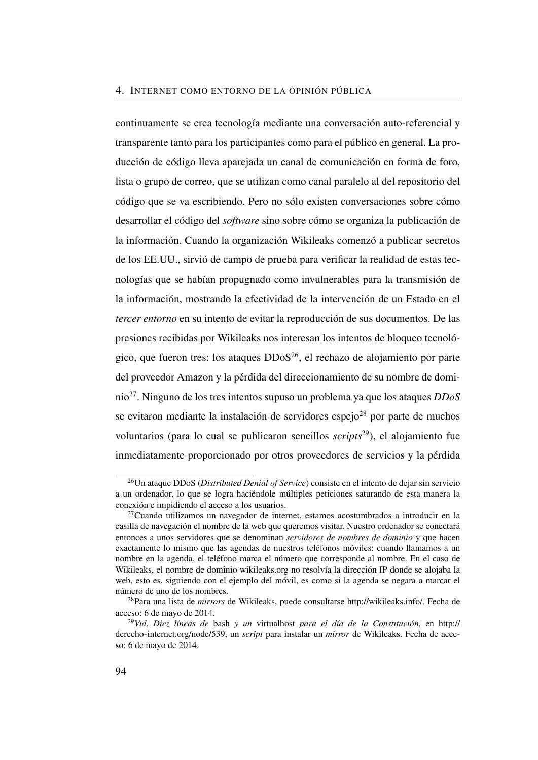continuamente se crea tecnología mediante una conversación auto-referencial y transparente tanto para los participantes como para el público en general. La producción de código lleva aparejada un canal de comunicación en forma de foro, lista o grupo de correo, que se utilizan como canal paralelo al del repositorio del código que se va escribiendo. Pero no sólo existen conversaciones sobre cómo desarrollar el código del *software* sino sobre cómo se organiza la publicación de la información. Cuando la organización Wikileaks comenzó a publicar secretos de los EE.UU., sirvió de campo de prueba para verificar la realidad de estas tecnologías que se habían propugnado como invulnerables para la transmisión de la información, mostrando la efectividad de la intervención de un Estado en el *tercer entorno* en su intento de evitar la reproducción de sus documentos. De las presiones recibidas por Wikileaks nos interesan los intentos de bloqueo tecnológico, que fueron tres: los ataques  $DDoS^{26}$  $DDoS^{26}$  $DDoS^{26}$ , el rechazo de alojamiento por parte del proveedor Amazon y la pérdida del direccionamiento de su nombre de dominio[27](#page-123-1). Ninguno de los tres intentos supuso un problema ya que los ataques *DDoS* se evitaron mediante la instalación de servidores espejo $^{28}$  $^{28}$  $^{28}$  por parte de muchos voluntarios (para lo cual se publicaron sencillos *scripts*[29](#page-123-3)), el alojamiento fue inmediatamente proporcionado por otros proveedores de servicios y la pérdida

<span id="page-123-0"></span><sup>26</sup>Un ataque DDoS (*Distributed Denial of Service*) consiste en el intento de dejar sin servicio a un ordenador, lo que se logra haciéndole múltiples peticiones saturando de esta manera la conexión e impidiendo el acceso a los usuarios.

<span id="page-123-1"></span> $27$ Cuando utilizamos un navegador de internet, estamos acostumbrados a introducir en la casilla de navegación el nombre de la web que queremos visitar. Nuestro ordenador se conectará entonces a unos servidores que se denominan *servidores de nombres de dominio* y que hacen exactamente lo mismo que las agendas de nuestros teléfonos móviles: cuando llamamos a un nombre en la agenda, el teléfono marca el número que corresponde al nombre. En el caso de Wikileaks, el nombre de dominio wikileaks.org no resolvía la dirección IP donde se alojaba la web, esto es, siguiendo con el ejemplo del móvil, es como si la agenda se negara a marcar el número de uno de los nombres.

<span id="page-123-2"></span><sup>28</sup>Para una lista de *mirrors* de Wikileaks, puede consultarse [http://wikileaks.info/.](http://wikileaks.info/) Fecha de acceso: 6 de mayo de 2014.

<span id="page-123-3"></span><sup>29</sup>*Vid*. *Diez líneas de* bash *y un* virtualhost *para el día de la Constitución*, en [http://](http://derecho-internet.org/node/539) [derecho-internet.org/node/539,](http://derecho-internet.org/node/539) un *script* para instalar un *mirror* de Wikileaks. Fecha de acceso: 6 de mayo de 2014.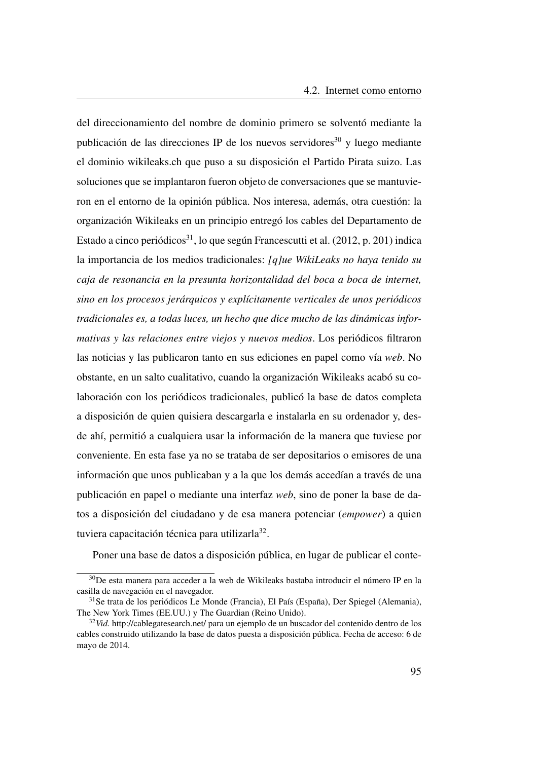del direccionamiento del nombre de dominio primero se solventó mediante la publicación de las direcciones IP de los nuevos servidores $30$  y luego mediante el dominio<wikileaks.ch> que puso a su disposición el Partido Pirata suizo. Las soluciones que se implantaron fueron objeto de conversaciones que se mantuvieron en el entorno de la opinión pública. Nos interesa, además, otra cuestión: la organización Wikileaks en un principio entregó los cables del Departamento de Estado a cinco periódicos<sup>[31](#page-124-1)</sup>, lo que según Francescutti et al. [\(2012,](#page-147-1) p. 201) indica la importancia de los medios tradicionales: *[q]ue WikiLeaks no haya tenido su caja de resonancia en la presunta horizontalidad del boca a boca de internet, sino en los procesos jerárquicos y explícitamente verticales de unos periódicos tradicionales es, a todas luces, un hecho que dice mucho de las dinámicas informativas y las relaciones entre viejos y nuevos medios*. Los periódicos filtraron las noticias y las publicaron tanto en sus ediciones en papel como vía *web*. No obstante, en un salto cualitativo, cuando la organización Wikileaks acabó su colaboración con los periódicos tradicionales, publicó la base de datos completa a disposición de quien quisiera descargarla e instalarla en su ordenador y, desde ahí, permitió a cualquiera usar la información de la manera que tuviese por conveniente. En esta fase ya no se trataba de ser depositarios o emisores de una información que unos publicaban y a la que los demás accedían a través de una publicación en papel o mediante una interfaz *web*, sino de poner la base de datos a disposición del ciudadano y de esa manera potenciar (*empower*) a quien tuviera capacitación técnica para utilizarla<sup>[32](#page-124-2)</sup>.

Poner una base de datos a disposición pública, en lugar de publicar el conte-

<span id="page-124-0"></span><sup>&</sup>lt;sup>30</sup>De esta manera para acceder a la web de Wikileaks bastaba introducir el número IP en la casilla de navegación en el navegador.

<span id="page-124-1"></span><sup>31</sup>Se trata de los periódicos Le Monde (Francia), El País (España), Der Spiegel (Alemania), The New York Times (EE.UU.) y The Guardian (Reino Unido).

<span id="page-124-2"></span><sup>32</sup>*Vid*.<http://cablegatesearch.net/> para un ejemplo de un buscador del contenido dentro de los cables construido utilizando la base de datos puesta a disposición pública. Fecha de acceso: 6 de mayo de 2014.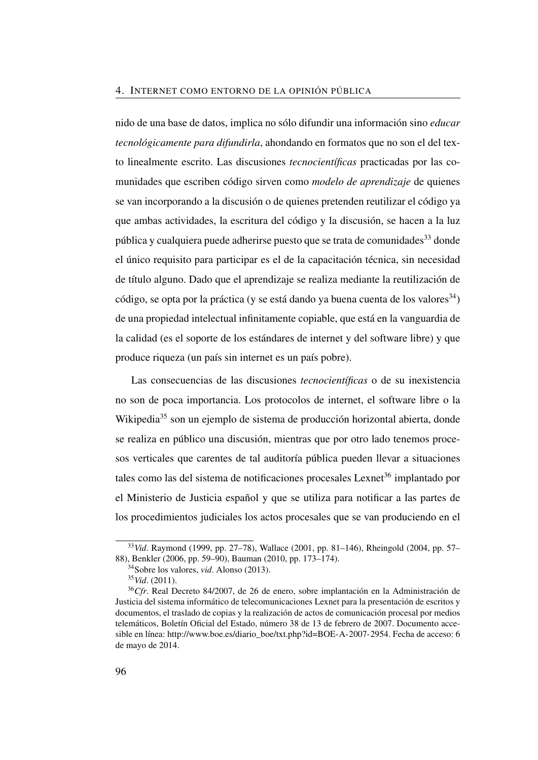nido de una base de datos, implica no sólo difundir una información sino *educar tecnológicamente para difundirla*, ahondando en formatos que no son el del texto linealmente escrito. Las discusiones *tecnocientíficas* practicadas por las comunidades que escriben código sirven como *modelo de aprendizaje* de quienes se van incorporando a la discusión o de quienes pretenden reutilizar el código ya que ambas actividades, la escritura del código y la discusión, se hacen a la luz pública y cualquiera puede adherirse puesto que se trata de comunidades  $33$  donde el único requisito para participar es el de la capacitación técnica, sin necesidad de título alguno. Dado que el aprendizaje se realiza mediante la reutilización de código, se opta por la práctica (y se está dando ya buena cuenta de los valores  $34$ ) de una propiedad intelectual infinitamente copiable, que está en la vanguardia de la calidad (es el soporte de los estándares de internet y del software libre) y que produce riqueza (un país sin internet es un país pobre).

Las consecuencias de las discusiones *tecnocientíficas* o de su inexistencia no son de poca importancia. Los protocolos de internet, el software libre o la Wikipedia<sup>[35](#page-125-2)</sup> son un ejemplo de sistema de producción horizontal abierta, donde se realiza en público una discusión, mientras que por otro lado tenemos procesos verticales que carentes de tal auditoría pública pueden llevar a situaciones tales como las del sistema de notificaciones procesales Lexnet<sup>[36](#page-125-3)</sup> implantado por el Ministerio de Justicia español y que se utiliza para notificar a las partes de los procedimientos judiciales los actos procesales que se van produciendo en el

<span id="page-125-0"></span><sup>33</sup>*Vid*. Raymond [\(1999,](#page-53-0) pp. 27–78), Wallace [\(2001,](#page-53-1) pp. 81–146), Rheingold [\(2004,](#page-53-2) pp. 57– 88), Benkler [\(2006,](#page-49-0) pp. 59–90), Bauman [\(2010,](#page-49-2) pp. 173–174).

<span id="page-125-1"></span><sup>34</sup>Sobre los valores, *vid*. Alonso [\(2013\)](#page-144-3).

<span id="page-125-3"></span><span id="page-125-2"></span><sup>35</sup>*Vid*. [\(2011\)](#page-114-2).

<sup>36</sup>*Cfr*. Real Decreto 84/2007, de 26 de enero, sobre implantación en la Administración de Justicia del sistema informático de telecomunicaciones Lexnet para la presentación de escritos y documentos, el traslado de copias y la realización de actos de comunicación procesal por medios telemáticos, Boletín Oficial del Estado, número 38 de 13 de febrero de 2007. Documento accesible en línea: [http://www.boe.es/diario\\_boe/txt.php?id=BOE-A-2007-2954.](http://www.boe.es/diario_boe/txt.php?id=BOE-A-2007-2954) Fecha de acceso: 6 de mayo de 2014.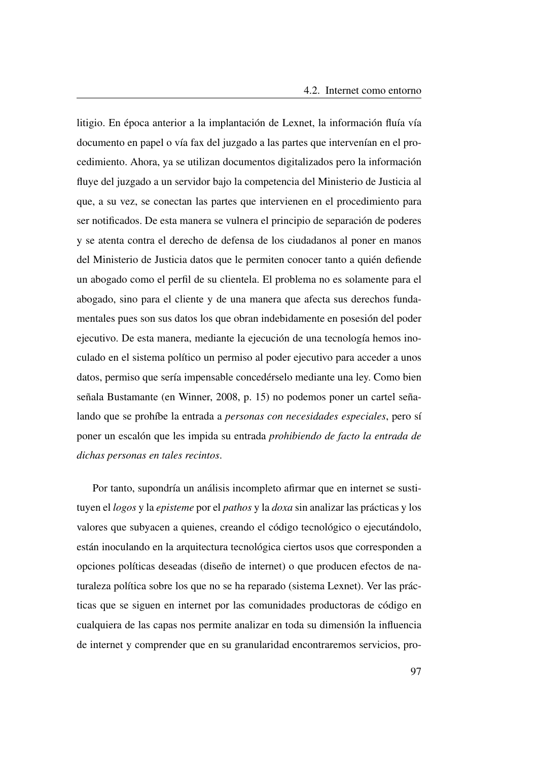litigio. En época anterior a la implantación de Lexnet, la información fluía vía documento en papel o vía fax del juzgado a las partes que intervenían en el procedimiento. Ahora, ya se utilizan documentos digitalizados pero la información fluye del juzgado a un servidor bajo la competencia del Ministerio de Justicia al que, a su vez, se conectan las partes que intervienen en el procedimiento para ser notificados. De esta manera se vulnera el principio de separación de poderes y se atenta contra el derecho de defensa de los ciudadanos al poner en manos del Ministerio de Justicia datos que le permiten conocer tanto a quién defiende un abogado como el perfil de su clientela. El problema no es solamente para el abogado, sino para el cliente y de una manera que afecta sus derechos fundamentales pues son sus datos los que obran indebidamente en posesión del poder ejecutivo. De esta manera, mediante la ejecución de una tecnología hemos inoculado en el sistema político un permiso al poder ejecutivo para acceder a unos datos, permiso que sería impensable concedérselo mediante una ley. Como bien señala Bustamante (en Winner, [2008,](#page-53-3) p. 15) no podemos poner un cartel señalando que se prohíbe la entrada a *personas con necesidades especiales*, pero sí poner un escalón que les impida su entrada *prohibiendo de facto la entrada de dichas personas en tales recintos*.

Por tanto, supondría un análisis incompleto afirmar que en internet se sustituyen el *logos* y la *episteme* por el *pathos* y la *doxa* sin analizar las prácticas y los valores que subyacen a quienes, creando el código tecnológico o ejecutándolo, están inoculando en la arquitectura tecnológica ciertos usos que corresponden a opciones políticas deseadas (diseño de internet) o que producen efectos de naturaleza política sobre los que no se ha reparado (sistema Lexnet). Ver las prácticas que se siguen en internet por las comunidades productoras de código en cualquiera de las capas nos permite analizar en toda su dimensión la influencia de internet y comprender que en su granularidad encontraremos servicios, pro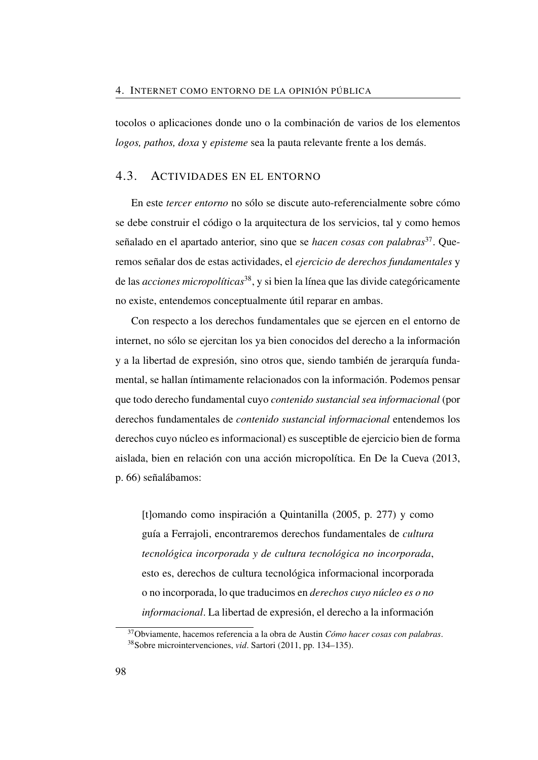tocolos o aplicaciones donde uno o la combinación de varios de los elementos *logos, pathos, doxa* y *episteme* sea la pauta relevante frente a los demás.

## 4.3. ACTIVIDADES EN EL ENTORNO

En este *tercer entorno* no sólo se discute auto-referencialmente sobre cómo se debe construir el código o la arquitectura de los servicios, tal y como hemos señalado en el apartado anterior, sino que se *hacen cosas con palabras*[37](#page-127-0). Queremos señalar dos de estas actividades, el *ejercicio de derechos fundamentales* y de las *acciones micropolíticas*[38](#page-127-1), y si bien la línea que las divide categóricamente no existe, entendemos conceptualmente útil reparar en ambas.

Con respecto a los derechos fundamentales que se ejercen en el entorno de internet, no sólo se ejercitan los ya bien conocidos del derecho a la información y a la libertad de expresión, sino otros que, siendo también de jerarquía fundamental, se hallan íntimamente relacionados con la información. Podemos pensar que todo derecho fundamental cuyo *contenido sustancial sea informacional* (por derechos fundamentales de *contenido sustancial informacional* entendemos los derechos cuyo núcleo es informacional) es susceptible de ejercicio bien de forma aislada, bien en relación con una acción micropolítica. En De la Cueva [\(2013,](#page-50-1) p. 66) señalábamos:

[t]omando como inspiración a Quintanilla [\(2005,](#page-52-1) p. 277) y como guía a Ferrajoli, encontraremos derechos fundamentales de *cultura tecnológica incorporada y de cultura tecnológica no incorporada*, esto es, derechos de cultura tecnológica informacional incorporada o no incorporada, lo que traducimos en *derechos cuyo núcleo es o no informacional*. La libertad de expresión, el derecho a la información

<span id="page-127-1"></span><span id="page-127-0"></span><sup>37</sup>Obviamente, hacemos referencia a la obra de Austin *Cómo hacer cosas con palabras*. <sup>38</sup>Sobre microintervenciones, *vid*. Sartori [\(2011,](#page-53-4) pp. 134–135).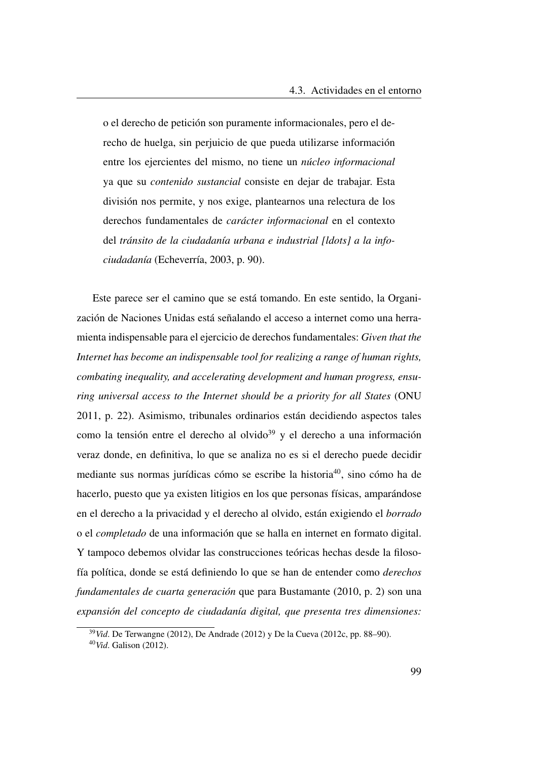o el derecho de petición son puramente informacionales, pero el derecho de huelga, sin perjuicio de que pueda utilizarse información entre los ejercientes del mismo, no tiene un *núcleo informacional* ya que su *contenido sustancial* consiste en dejar de trabajar. Esta división nos permite, y nos exige, plantearnos una relectura de los derechos fundamentales de *carácter informacional* en el contexto del *tránsito de la ciudadanía urbana e industrial [ldots] a la infociudadanía* (Echeverría, [2003,](#page-51-0) p. 90).

Este parece ser el camino que se está tomando. En este sentido, la Organización de Naciones Unidas está señalando el acceso a internet como una herramienta indispensable para el ejercicio de derechos fundamentales: *Given that the Internet has become an indispensable tool for realizing a range of human rights, combating inequality, and accelerating development and human progress, ensuring universal access to the Internet should be a priority for all States* (ONU [2011,](#page-114-3) p. 22). Asimismo, tribunales ordinarios están decidiendo aspectos tales como la tensión entre el derecho al olvido<sup>[39](#page-128-0)</sup> y el derecho a una información veraz donde, en definitiva, lo que se analiza no es si el derecho puede decidir mediante sus normas jurídicas cómo se escribe la historia[40](#page-128-1), sino cómo ha de hacerlo, puesto que ya existen litigios en los que personas físicas, amparándose en el derecho a la privacidad y el derecho al olvido, están exigiendo el *borrado* o el *completado* de una información que se halla en internet en formato digital. Y tampoco debemos olvidar las construcciones teóricas hechas desde la filosofía política, donde se está definiendo lo que se han de entender como *derechos fundamentales de cuarta generación* que para Bustamante [\(2010,](#page-144-4) p. 2) son una *expansión del concepto de ciudadanía digital, que presenta tres dimensiones:*

<span id="page-128-0"></span><sup>39</sup>*Vid*. De Terwangne [\(2012\)](#page-146-0), De Andrade [\(2012\)](#page-145-2) y De la Cueva [\(2012c,](#page-50-2) pp. 88–90).

<span id="page-128-1"></span><sup>40</sup>*Vid*. Galison [\(2012\)](#page-147-2).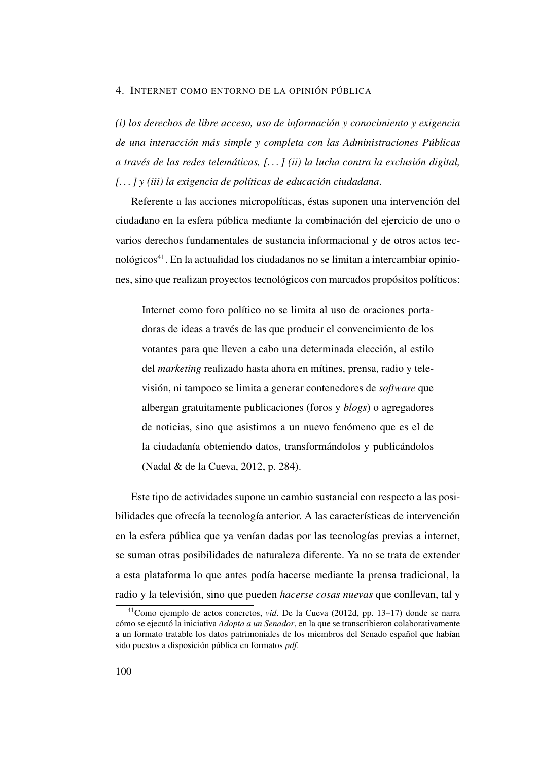*(i) los derechos de libre acceso, uso de información y conocimiento y exigencia de una interacción más simple y completa con las Administraciones Públicas a través de las redes telemáticas, [. . . ] (ii) la lucha contra la exclusión digital, [. . . ] y (iii) la exigencia de políticas de educación ciudadana*.

Referente a las acciones micropolíticas, éstas suponen una intervención del ciudadano en la esfera pública mediante la combinación del ejercicio de uno o varios derechos fundamentales de sustancia informacional y de otros actos tecnológicos[41](#page-129-0). En la actualidad los ciudadanos no se limitan a intercambiar opiniones, sino que realizan proyectos tecnológicos con marcados propósitos políticos:

Internet como foro político no se limita al uso de oraciones portadoras de ideas a través de las que producir el convencimiento de los votantes para que lleven a cabo una determinada elección, al estilo del *marketing* realizado hasta ahora en mítines, prensa, radio y televisión, ni tampoco se limita a generar contenedores de *software* que albergan gratuitamente publicaciones (foros y *blogs*) o agregadores de noticias, sino que asistimos a un nuevo fenómeno que es el de la ciudadanía obteniendo datos, transformándolos y publicándolos (Nadal & de la Cueva, [2012,](#page-52-0) p. 284).

Este tipo de actividades supone un cambio sustancial con respecto a las posibilidades que ofrecía la tecnología anterior. A las características de intervención en la esfera pública que ya venían dadas por las tecnologías previas a internet, se suman otras posibilidades de naturaleza diferente. Ya no se trata de extender a esta plataforma lo que antes podía hacerse mediante la prensa tradicional, la radio y la televisión, sino que pueden *hacerse cosas nuevas* que conllevan, tal y

<span id="page-129-0"></span><sup>41</sup>Como ejemplo de actos concretos, *vid*. De la Cueva [\(2012d,](#page-50-3) pp. 13–17) donde se narra cómo se ejecutó la iniciativa *Adopta a un Senador*, en la que se transcribieron colaborativamente a un formato tratable los datos patrimoniales de los miembros del Senado español que habían sido puestos a disposición pública en formatos *pdf*.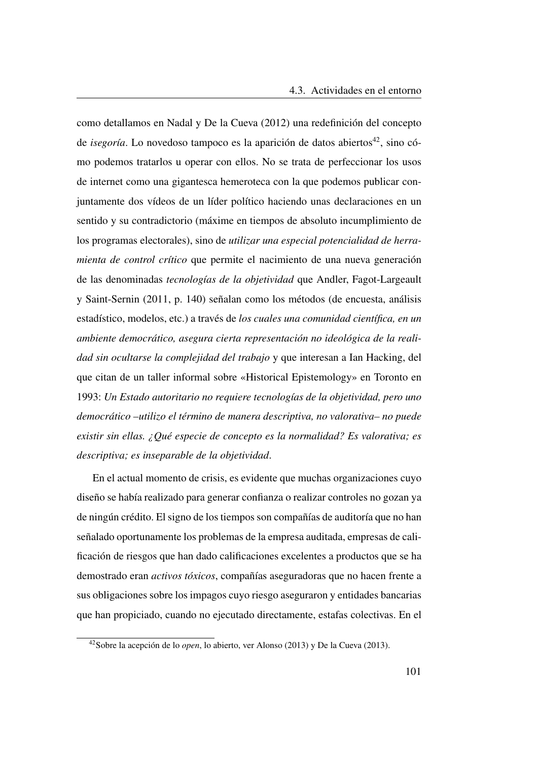como detallamos en Nadal y De la Cueva [\(2012\)](#page-52-0) una redefinición del concepto de *isegoría*. Lo novedoso tampoco es la aparición de datos abiertos<sup>[42](#page-130-0)</sup>, sino cómo podemos tratarlos u operar con ellos. No se trata de perfeccionar los usos de internet como una gigantesca hemeroteca con la que podemos publicar conjuntamente dos vídeos de un líder político haciendo unas declaraciones en un sentido y su contradictorio (máxime en tiempos de absoluto incumplimiento de los programas electorales), sino de *utilizar una especial potencialidad de herramienta de control crítico* que permite el nacimiento de una nueva generación de las denominadas *tecnologías de la objetividad* que Andler, Fagot-Largeault y Saint-Sernin [\(2011,](#page-144-5) p. 140) señalan como los métodos (de encuesta, análisis estadístico, modelos, etc.) a través de *los cuales una comunidad científica, en un ambiente democrático, asegura cierta representación no ideológica de la realidad sin ocultarse la complejidad del trabajo* y que interesan a Ian Hacking, del que citan de un taller informal sobre «Historical Epistemology» en Toronto en 1993: *Un Estado autoritario no requiere tecnologías de la objetividad, pero uno democrático –utilizo el término de manera descriptiva, no valorativa– no puede existir sin ellas. ¿Qué especie de concepto es la normalidad? Es valorativa; es descriptiva; es inseparable de la objetividad*.

En el actual momento de crisis, es evidente que muchas organizaciones cuyo diseño se había realizado para generar confianza o realizar controles no gozan ya de ningún crédito. El signo de los tiempos son compañías de auditoría que no han señalado oportunamente los problemas de la empresa auditada, empresas de calificación de riesgos que han dado calificaciones excelentes a productos que se ha demostrado eran *activos tóxicos*, compañías aseguradoras que no hacen frente a sus obligaciones sobre los impagos cuyo riesgo aseguraron y entidades bancarias que han propiciado, cuando no ejecutado directamente, estafas colectivas. En el

<span id="page-130-0"></span><sup>42</sup>Sobre la acepción de lo *open*, lo abierto, ver Alonso [\(2013\)](#page-144-3) y De la Cueva [\(2013\)](#page-50-1).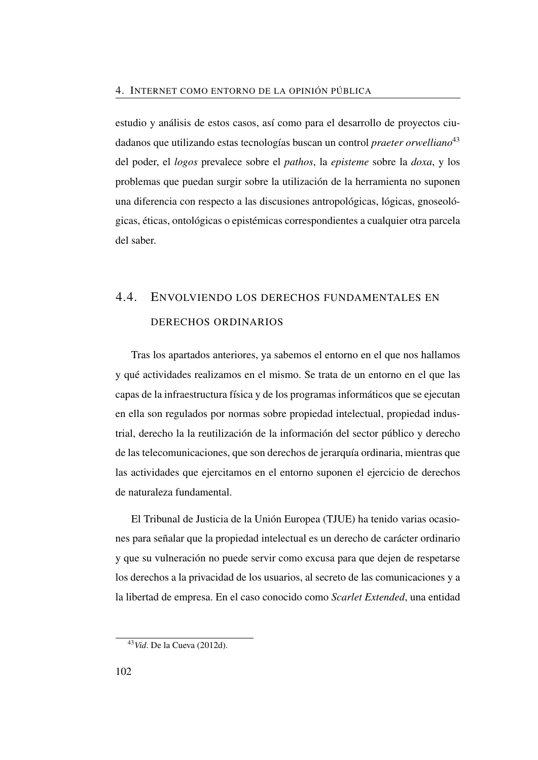estudio y análisis de estos casos, así como para el desarrollo de proyectos ciudadanos que utilizando estas tecnologías buscan un control *praeter orwelliano*[43](#page-131-0) del poder, el *logos* prevalece sobre el *pathos*, la *episteme* sobre la *doxa*, y los problemas que puedan surgir sobre la utilización de la herramienta no suponen una diferencia con respecto a las discusiones antropológicas, lógicas, gnoseológicas, éticas, ontológicas o epistémicas correspondientes a cualquier otra parcela del saber.

## 4.4. ENVOLVIENDO LOS DERECHOS FUNDAMENTALES EN DERECHOS ORDINARIOS

Tras los apartados anteriores, ya sabemos el entorno en el que nos hallamos y qué actividades realizamos en el mismo. Se trata de un entorno en el que las capas de la infraestructura física y de los programas informáticos que se ejecutan en ella son regulados por normas sobre propiedad intelectual, propiedad industrial, derecho la la reutilización de la información del sector público y derecho de las telecomunicaciones, que son derechos de jerarquía ordinaria, mientras que las actividades que ejercitamos en el entorno suponen el ejercicio de derechos de naturaleza fundamental.

El Tribunal de Justicia de la Unión Europea [\(TJUE\)](#page-27-1) ha tenido varias ocasiones para señalar que la propiedad intelectual es un derecho de carácter ordinario y que su vulneración no puede servir como excusa para que dejen de respetarse los derechos a la privacidad de los usuarios, al secreto de las comunicaciones y a la libertad de empresa. En el caso conocido como *Scarlet Extended*, una entidad

<span id="page-131-0"></span><sup>43</sup>*Vid*. De la Cueva [\(2012d\)](#page-50-3).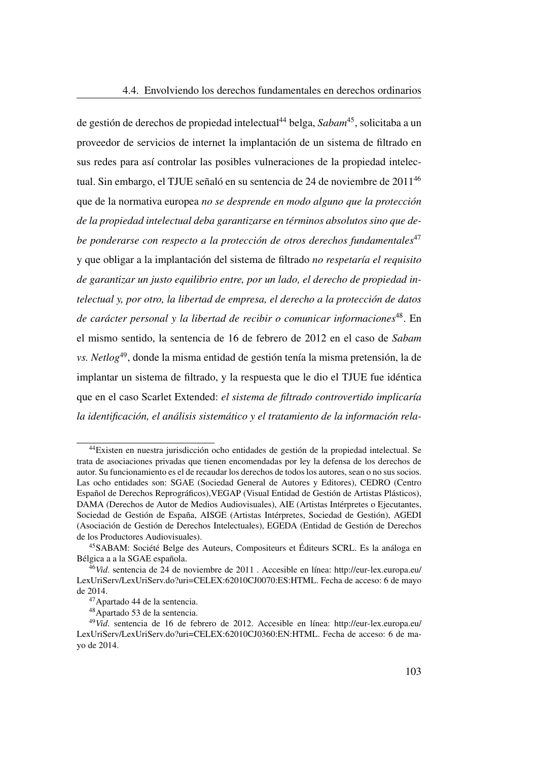de gestión de derechos de propiedad intelectual[44](#page-132-0) belga, *Sabam*[45](#page-132-1), solicitaba a un proveedor de servicios de internet la implantación de un sistema de filtrado en sus redes para así controlar las posibles vulneraciones de la propiedad intelectual. Sin embargo, el [TJUE](#page-27-1) señaló en su sentencia de 24 de noviembre de 2011[46](#page-132-2) que de la normativa europea *no se desprende en modo alguno que la protección de la propiedad intelectual deba garantizarse en términos absolutos sino que debe ponderarse con respecto a la protección de otros derechos fundamentales*[47](#page-132-3) y que obligar a la implantación del sistema de filtrado *no respetaría el requisito de garantizar un justo equilibrio entre, por un lado, el derecho de propiedad intelectual y, por otro, la libertad de empresa, el derecho a la protección de datos de carácter personal y la libertad de recibir o comunicar informaciones*[48](#page-132-4). En el mismo sentido, la sentencia de 16 de febrero de 2012 en el caso de *Sabam vs. Netlog*[49](#page-132-5), donde la misma entidad de gestión tenía la misma pretensión, la de implantar un sistema de filtrado, y la respuesta que le dio el [TJUE](#page-27-1) fue idéntica que en el caso Scarlet Extended: *el sistema de filtrado controvertido implicaría la identificación, el análisis sistemático y el tratamiento de la información rela-*

<span id="page-132-0"></span><sup>44</sup>Existen en nuestra jurisdicción ocho entidades de gestión de la propiedad intelectual. Se trata de asociaciones privadas que tienen encomendadas por ley la defensa de los derechos de autor. Su funcionamiento es el de recaudar los derechos de todos los autores, sean o no sus socios. Las ocho entidades son: SGAE (Sociedad General de Autores y Editores), CEDRO (Centro Español de Derechos Reprográficos),VEGAP (Visual Entidad de Gestión de Artistas Plásticos), DAMA (Derechos de Autor de Medios Audiovisuales), AIE (Artistas Intérpretes o Ejecutantes, Sociedad de Gestión de España, AISGE (Artistas Intérpretes, Sociedad de Gestión), AGEDI (Asociación de Gestión de Derechos Intelectuales), EGEDA (Entidad de Gestión de Derechos de los Productores Audiovisuales).

<span id="page-132-1"></span><sup>45</sup>SABAM: Société Belge des Auteurs, Compositeurs et Éditeurs SCRL. Es la análoga en Bélgica a a la SGAE española.

<span id="page-132-2"></span><sup>&</sup>lt;sup>46</sup>*Vid.* sentencia de 24 de noviembre de 2011. Accesible en línea: [http://eur-lex.europa.eu/](http://eur-lex.europa.eu/LexUriServ/LexUriServ.do?uri=CELEX:62010CJ0070:ES:HTML) [LexUriServ/LexUriServ.do?uri=CELEX:62010CJ0070:ES:HTML.](http://eur-lex.europa.eu/LexUriServ/LexUriServ.do?uri=CELEX:62010CJ0070:ES:HTML) Fecha de acceso: 6 de mayo de 2014.

<span id="page-132-3"></span><sup>47</sup>Apartado 44 de la sentencia.

<span id="page-132-5"></span><span id="page-132-4"></span><sup>48</sup>Apartado 53 de la sentencia.

<sup>49</sup>*Vid*. sentencia de 16 de febrero de 2012. Accesible en línea: [http://eur-lex.europa.eu/](http://eur-lex.europa.eu/LexUriServ/LexUriServ.do?uri=CELEX:62010CJ0360:EN:HTML) [LexUriServ/LexUriServ.do?uri=CELEX:62010CJ0360:EN:HTML.](http://eur-lex.europa.eu/LexUriServ/LexUriServ.do?uri=CELEX:62010CJ0360:EN:HTML) Fecha de acceso: 6 de mayo de 2014.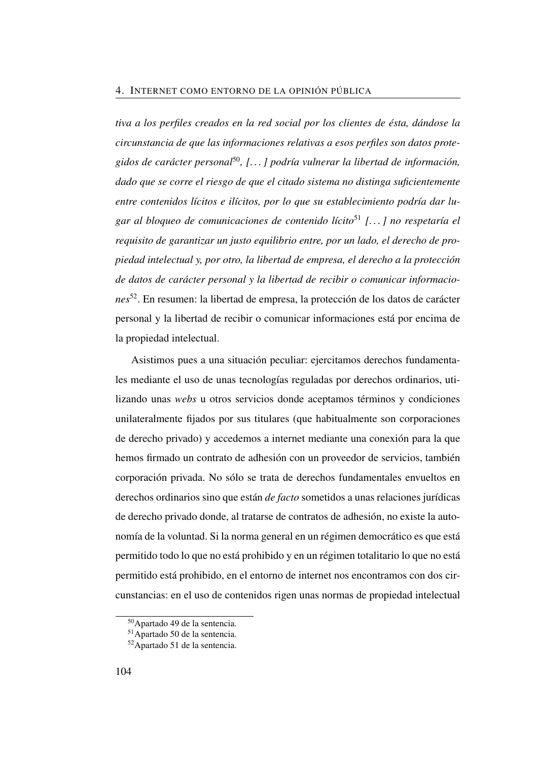*tiva a los perfiles creados en la red social por los clientes de ésta, dándose la circunstancia de que las informaciones relativas a esos perfiles son datos protegidos de carácter personal*[50](#page-133-0)*, [. . . ] podría vulnerar la libertad de información, dado que se corre el riesgo de que el citado sistema no distinga suficientemente entre contenidos lícitos e ilícitos, por lo que su establecimiento podría dar lugar al bloqueo de comunicaciones de contenido lícito*[51](#page-133-1) *[. . . ] no respetaría el requisito de garantizar un justo equilibrio entre, por un lado, el derecho de propiedad intelectual y, por otro, la libertad de empresa, el derecho a la protección de datos de carácter personal y la libertad de recibir o comunicar informaciones*[52](#page-133-2). En resumen: la libertad de empresa, la protección de los datos de carácter personal y la libertad de recibir o comunicar informaciones está por encima de la propiedad intelectual.

Asistimos pues a una situación peculiar: ejercitamos derechos fundamentales mediante el uso de unas tecnologías reguladas por derechos ordinarios, utilizando unas *webs* u otros servicios donde aceptamos términos y condiciones unilateralmente fijados por sus titulares (que habitualmente son corporaciones de derecho privado) y accedemos a internet mediante una conexión para la que hemos firmado un contrato de adhesión con un proveedor de servicios, también corporación privada. No sólo se trata de derechos fundamentales envueltos en derechos ordinarios sino que están *de facto* sometidos a unas relaciones jurídicas de derecho privado donde, al tratarse de contratos de adhesión, no existe la autonomía de la voluntad. Si la norma general en un régimen democrático es que está permitido todo lo que no está prohibido y en un régimen totalitario lo que no está permitido está prohibido, en el entorno de internet nos encontramos con dos circunstancias: en el uso de contenidos rigen unas normas de propiedad intelectual

<span id="page-133-0"></span><sup>50</sup>Apartado 49 de la sentencia.

<span id="page-133-1"></span><sup>51</sup>Apartado 50 de la sentencia.

<span id="page-133-2"></span><sup>52</sup>Apartado 51 de la sentencia.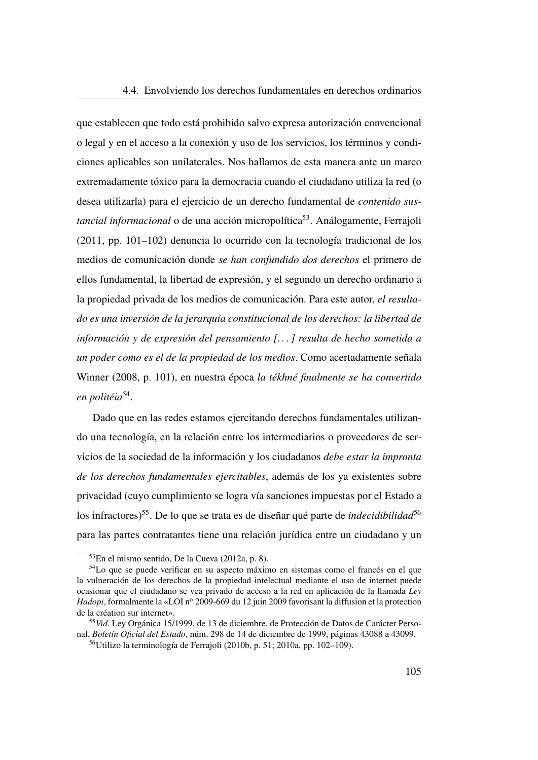que establecen que todo está prohibido salvo expresa autorización convencional o legal y en el acceso a la conexión y uso de los servicios, los términos y condiciones aplicables son unilaterales. Nos hallamos de esta manera ante un marco extremadamente tóxico para la democracia cuando el ciudadano utiliza la red (o desea utilizarla) para el ejercicio de un derecho fundamental de *contenido sustancial informacional* o de una acción micropolítica<sup>[53](#page-134-0)</sup>. Análogamente, Ferrajoli [\(2011,](#page-111-4) pp. 101–102) denuncia lo ocurrido con la tecnología tradicional de los medios de comunicación donde *se han confundido dos derechos* el primero de ellos fundamental, la libertad de expresión, y el segundo un derecho ordinario a la propiedad privada de los medios de comunicación. Para este autor, *el resultado es una inversión de la jerarquía constitucional de los derechos: la libertad de información y de expresión del pensamiento [. . . ] resulta de hecho sometida a un poder como es el de la propiedad de los medios*. Como acertadamente señala Winner [\(2008,](#page-53-3) p. 101), en nuestra época *la tékhné finalmente se ha convertido en politéia*[54](#page-134-1) .

Dado que en las redes estamos ejercitando derechos fundamentales utilizando una tecnología, en la relación entre los intermediarios o proveedores de servicios de la sociedad de la información y los ciudadanos *debe estar la impronta de los derechos fundamentales ejercitables*, además de los ya existentes sobre privacidad (cuyo cumplimiento se logra vía sanciones impuestas por el Estado a los infractores)<sup>[55](#page-134-2)</sup>. De lo que se trata es de diseñar qué parte de *indecidibilidad*<sup>[56](#page-134-3)</sup> para las partes contratantes tiene una relación jurídica entre un ciudadano y un

<span id="page-134-1"></span><span id="page-134-0"></span><sup>53</sup>En el mismo sentido, De la Cueva [\(2012a,](#page-110-1) p. 8).

<sup>54</sup>Lo que se puede verificar en su aspecto máximo en sistemas como el francés en el que la vulneración de los derechos de la propiedad intelectual mediante el uso de internet puede ocasionar que el ciudadano se vea privado de acceso a la red en aplicación de la llamada *Ley Hadopi*, formalmente la «LOI nº 2009-669 du 12 juin 2009 favorisant la diffusion et la protection de la création sur internet».

<span id="page-134-2"></span><sup>55</sup>*Vid*. Ley Orgánica 15/1999, de 13 de diciembre, de Protección de Datos de Carácter Personal, *Boletín Oficial del Estado*, núm. 298 de 14 de diciembre de 1999, páginas 43088 a 43099.

<span id="page-134-3"></span><sup>56</sup>Utilizo la terminología de Ferrajoli [\(2010b,](#page-111-5) p. 51; [2010a,](#page-111-6) pp. 102–109).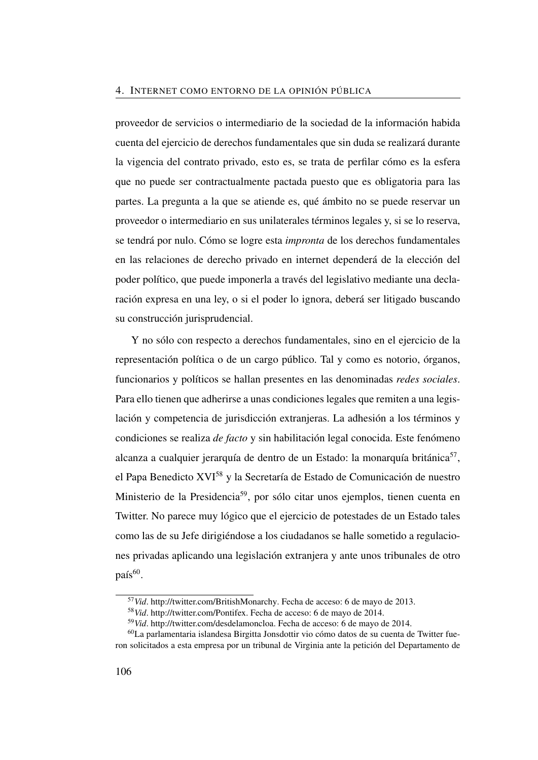proveedor de servicios o intermediario de la sociedad de la información habida cuenta del ejercicio de derechos fundamentales que sin duda se realizará durante la vigencia del contrato privado, esto es, se trata de perfilar cómo es la esfera que no puede ser contractualmente pactada puesto que es obligatoria para las partes. La pregunta a la que se atiende es, qué ámbito no se puede reservar un proveedor o intermediario en sus unilaterales términos legales y, si se lo reserva, se tendrá por nulo. Cómo se logre esta *impronta* de los derechos fundamentales en las relaciones de derecho privado en internet dependerá de la elección del poder político, que puede imponerla a través del legislativo mediante una declaración expresa en una ley, o si el poder lo ignora, deberá ser litigado buscando su construcción jurisprudencial.

Y no sólo con respecto a derechos fundamentales, sino en el ejercicio de la representación política o de un cargo público. Tal y como es notorio, órganos, funcionarios y políticos se hallan presentes en las denominadas *redes sociales*. Para ello tienen que adherirse a unas condiciones legales que remiten a una legislación y competencia de jurisdicción extranjeras. La adhesión a los términos y condiciones se realiza *de facto* y sin habilitación legal conocida. Este fenómeno alcanza a cualquier jerarquía de dentro de un Estado: la monarquía británica<sup>[57](#page-135-0)</sup>, el Papa Benedicto XVI[58](#page-135-1) y la Secretaría de Estado de Comunicación de nuestro Ministerio de la Presidencia[59](#page-135-2), por sólo citar unos ejemplos, tienen cuenta en Twitter. No parece muy lógico que el ejercicio de potestades de un Estado tales como las de su Jefe dirigiéndose a los ciudadanos se halle sometido a regulaciones privadas aplicando una legislación extranjera y ante unos tribunales de otro país<sup>[60](#page-135-3)</sup>.

<span id="page-135-0"></span><sup>57</sup>*Vid*. [http://twitter.com/BritishMonarchy.](http://twitter.com/BritishMonarchy) Fecha de acceso: 6 de mayo de 2013.

<span id="page-135-1"></span><sup>58</sup>*Vid*. [http://twitter.com/Pontifex.](http://twitter.com/Pontifex) Fecha de acceso: 6 de mayo de 2014.

<span id="page-135-3"></span><span id="page-135-2"></span><sup>59</sup>*Vid*. [http://twitter.com/desdelamoncloa.](http://twitter.com/desdelamoncloa) Fecha de acceso: 6 de mayo de 2014.

<sup>60</sup>La parlamentaria islandesa Birgitta Jonsdottir vio cómo datos de su cuenta de Twitter fueron solicitados a esta empresa por un tribunal de Virginia ante la petición del Departamento de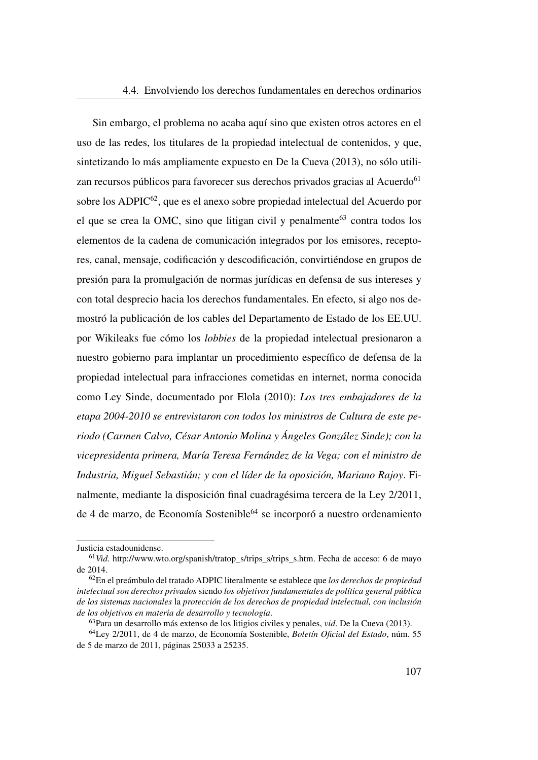Sin embargo, el problema no acaba aquí sino que existen otros actores en el uso de las redes, los titulares de la propiedad intelectual de contenidos, y que, sintetizando lo más ampliamente expuesto en De la Cueva [\(2013\)](#page-50-1), no sólo utili-zan recursos públicos para favorecer sus derechos privados gracias al Acuerdo<sup>[61](#page-136-0)</sup> sobre los [ADPIC](#page-24-0)<sup>[62](#page-136-1)</sup>, que es el anexo sobre propiedad intelectual del Acuerdo por el que se crea la [OMC,](#page-26-0) sino que litigan civil y penalmente $63$  contra todos los elementos de la cadena de comunicación integrados por los emisores, receptores, canal, mensaje, codificación y descodificación, convirtiéndose en grupos de presión para la promulgación de normas jurídicas en defensa de sus intereses y con total desprecio hacia los derechos fundamentales. En efecto, si algo nos demostró la publicación de los cables del Departamento de Estado de los EE.UU. por Wikileaks fue cómo los *lobbies* de la propiedad intelectual presionaron a nuestro gobierno para implantar un procedimiento específico de defensa de la propiedad intelectual para infracciones cometidas en internet, norma conocida como Ley Sinde, documentado por Elola [\(2010\)](#page-146-1): *Los tres embajadores de la etapa 2004-2010 se entrevistaron con todos los ministros de Cultura de este periodo (Carmen Calvo, César Antonio Molina y Ángeles González Sinde); con la vicepresidenta primera, María Teresa Fernández de la Vega; con el ministro de Industria, Miguel Sebastián; y con el líder de la oposición, Mariano Rajoy*. Finalmente, mediante la disposición final cuadragésima tercera de la Ley 2/2011, de 4 de marzo, de Economía Sostenible<sup>[64](#page-136-3)</sup> se incorporó a nuestro ordenamiento

Justicia estadounidense.

<span id="page-136-0"></span><sup>&</sup>lt;sup>61</sup>*Vid.* [http://www.wto.org/spanish/tratop\\_s/trips\\_s/trips\\_s.htm.](http://www.wto.org/spanish/tratop_s/trips_s/trips_s.htm) Fecha de acceso: 6 de mayo de 2014.

<span id="page-136-1"></span><sup>62</sup>En el preámbulo del tratado ADPIC literalmente se establece que *los derechos de propiedad intelectual son derechos privados* siendo *los objetivos fundamentales de política general pública de los sistemas nacionales* la *protección de los derechos de propiedad intelectual, con inclusión de los objetivos en materia de desarrollo y tecnología*.

<span id="page-136-3"></span><span id="page-136-2"></span><sup>63</sup>Para un desarrollo más extenso de los litigios civiles y penales, *vid*. De la Cueva [\(2013\)](#page-50-1).

<sup>64</sup>Ley 2/2011, de 4 de marzo, de Economía Sostenible, *Boletín Oficial del Estado*, núm. 55 de 5 de marzo de 2011, páginas 25033 a 25235.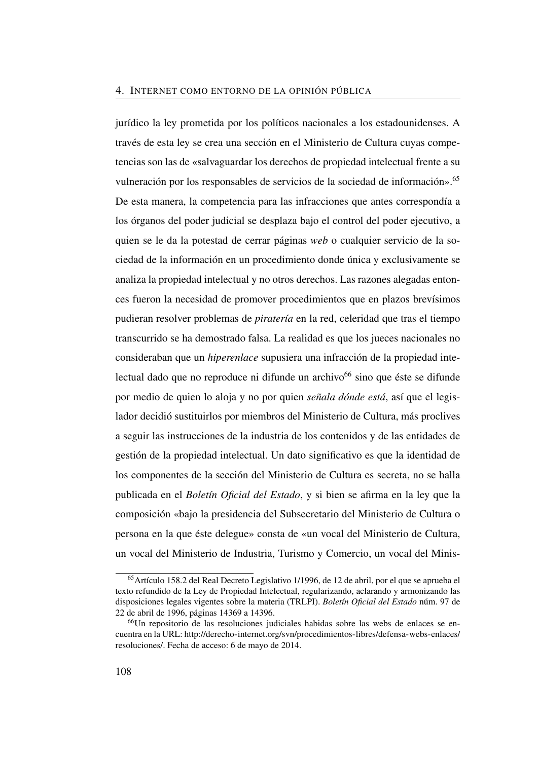jurídico la ley prometida por los políticos nacionales a los estadounidenses. A través de esta ley se crea una sección en el Ministerio de Cultura cuyas competencias son las de «salvaguardar los derechos de propiedad intelectual frente a su vulneración por los responsables de servicios de la sociedad de información».<sup>[65](#page-137-0)</sup> De esta manera, la competencia para las infracciones que antes correspondía a los órganos del poder judicial se desplaza bajo el control del poder ejecutivo, a quien se le da la potestad de cerrar páginas *web* o cualquier servicio de la sociedad de la información en un procedimiento donde única y exclusivamente se analiza la propiedad intelectual y no otros derechos. Las razones alegadas entonces fueron la necesidad de promover procedimientos que en plazos brevísimos pudieran resolver problemas de *piratería* en la red, celeridad que tras el tiempo transcurrido se ha demostrado falsa. La realidad es que los jueces nacionales no consideraban que un *hiperenlace* supusiera una infracción de la propiedad intelectual dado que no reproduce ni difunde un archivo $^{66}$  $^{66}$  $^{66}$  sino que éste se difunde por medio de quien lo aloja y no por quien *señala dónde está*, así que el legislador decidió sustituirlos por miembros del Ministerio de Cultura, más proclives a seguir las instrucciones de la industria de los contenidos y de las entidades de gestión de la propiedad intelectual. Un dato significativo es que la identidad de los componentes de la sección del Ministerio de Cultura es secreta, no se halla publicada en el *Boletín Oficial del Estado*, y si bien se afirma en la ley que la composición «bajo la presidencia del Subsecretario del Ministerio de Cultura o persona en la que éste delegue» consta de «un vocal del Ministerio de Cultura, un vocal del Ministerio de Industria, Turismo y Comercio, un vocal del Minis-

<span id="page-137-0"></span><sup>65</sup>Artículo 158.2 del Real Decreto Legislativo 1/1996, de 12 de abril, por el que se aprueba el texto refundido de la Ley de Propiedad Intelectual, regularizando, aclarando y armonizando las disposiciones legales vigentes sobre la materia (TRLPI). *Boletín Oficial del Estado* núm. 97 de 22 de abril de 1996, páginas 14369 a 14396.

<span id="page-137-1"></span><sup>66</sup>Un repositorio de las resoluciones judiciales habidas sobre las webs de enlaces se encuentra en la URL: [http://derecho-internet.org/svn/procedimientos-libres/defensa-webs-enlaces/](http://derecho-internet.org/svn/procedimientos-libres/defensa-webs-enlaces/resoluciones/) [resoluciones/.](http://derecho-internet.org/svn/procedimientos-libres/defensa-webs-enlaces/resoluciones/) Fecha de acceso: 6 de mayo de 2014.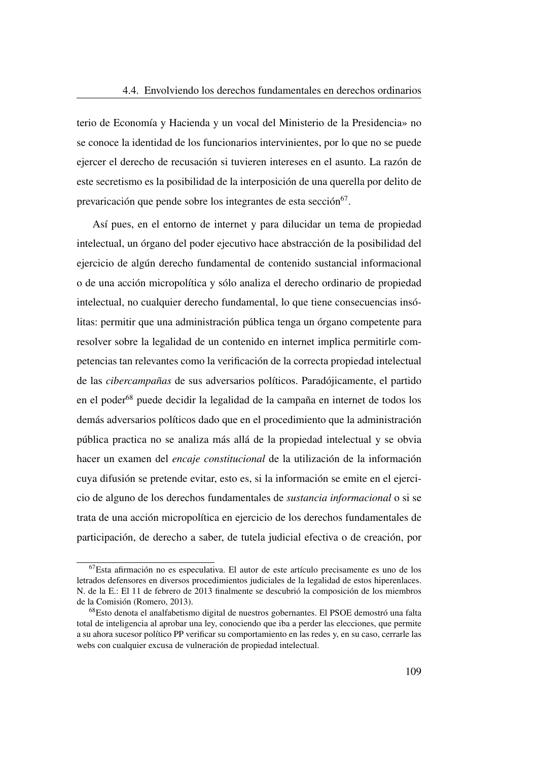terio de Economía y Hacienda y un vocal del Ministerio de la Presidencia» no se conoce la identidad de los funcionarios intervinientes, por lo que no se puede ejercer el derecho de recusación si tuvieren intereses en el asunto. La razón de este secretismo es la posibilidad de la interposición de una querella por delito de prevaricación que pende sobre los integrantes de esta sección<sup>[67](#page-138-0)</sup>.

Así pues, en el entorno de internet y para dilucidar un tema de propiedad intelectual, un órgano del poder ejecutivo hace abstracción de la posibilidad del ejercicio de algún derecho fundamental de contenido sustancial informacional o de una acción micropolítica y sólo analiza el derecho ordinario de propiedad intelectual, no cualquier derecho fundamental, lo que tiene consecuencias insólitas: permitir que una administración pública tenga un órgano competente para resolver sobre la legalidad de un contenido en internet implica permitirle competencias tan relevantes como la verificación de la correcta propiedad intelectual de las *cibercampañas* de sus adversarios políticos. Paradójicamente, el partido en el poder[68](#page-138-1) puede decidir la legalidad de la campaña en internet de todos los demás adversarios políticos dado que en el procedimiento que la administración pública practica no se analiza más allá de la propiedad intelectual y se obvia hacer un examen del *encaje constitucional* de la utilización de la información cuya difusión se pretende evitar, esto es, si la información se emite en el ejercicio de alguno de los derechos fundamentales de *sustancia informacional* o si se trata de una acción micropolítica en ejercicio de los derechos fundamentales de participación, de derecho a saber, de tutela judicial efectiva o de creación, por

<span id="page-138-0"></span><sup>67</sup>Esta afirmación no es especulativa. El autor de este artículo precisamente es uno de los letrados defensores en diversos procedimientos judiciales de la legalidad de estos hiperenlaces. N. de la E.: El 11 de febrero de 2013 finalmente se descubrió la composición de los miembros de la Comisión (Romero, [2013\)](#page-149-2).

<span id="page-138-1"></span><sup>68</sup>Esto denota el analfabetismo digital de nuestros gobernantes. El PSOE demostró una falta total de inteligencia al aprobar una ley, conociendo que iba a perder las elecciones, que permite a su ahora sucesor político PP verificar su comportamiento en las redes y, en su caso, cerrarle las webs con cualquier excusa de vulneración de propiedad intelectual.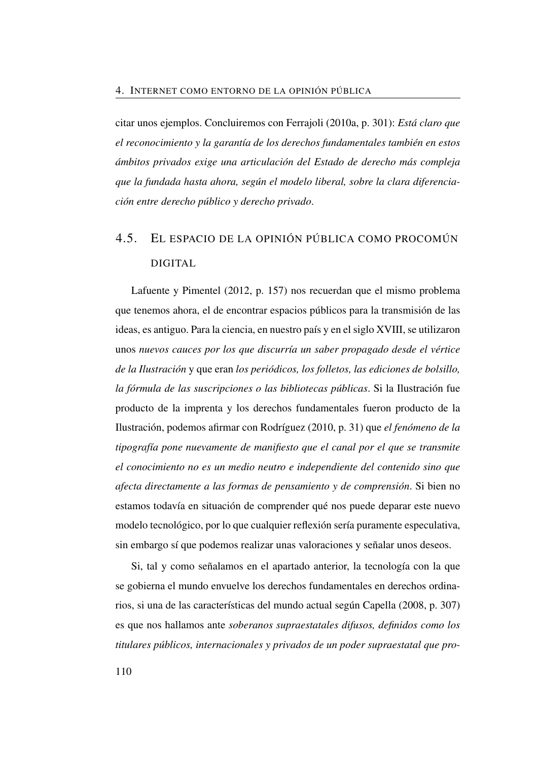citar unos ejemplos. Concluiremos con Ferrajoli [\(2010a,](#page-111-6) p. 301): *Está claro que el reconocimiento y la garantía de los derechos fundamentales también en estos ámbitos privados exige una articulación del Estado de derecho más compleja que la fundada hasta ahora, según el modelo liberal, sobre la clara diferenciación entre derecho público y derecho privado*.

## 4.5. EL ESPACIO DE LA OPINIÓN PÚBLICA COMO PROCOMÚN DIGITAL

Lafuente y Pimentel [\(2012,](#page-52-2) p. 157) nos recuerdan que el mismo problema que tenemos ahora, el de encontrar espacios públicos para la transmisión de las ideas, es antiguo. Para la ciencia, en nuestro país y en el siglo XVIII, se utilizaron unos *nuevos cauces por los que discurría un saber propagado desde el vértice de la Ilustración* y que eran *los periódicos, los folletos, las ediciones de bolsillo, la fórmula de las suscripciones o las bibliotecas públicas*. Si la Ilustración fue producto de la imprenta y los derechos fundamentales fueron producto de la Ilustración, podemos afirmar con Rodríguez [\(2010,](#page-149-3) p. 31) que *el fenómeno de la tipografía pone nuevamente de manifiesto que el canal por el que se transmite el conocimiento no es un medio neutro e independiente del contenido sino que afecta directamente a las formas de pensamiento y de comprensión*. Si bien no estamos todavía en situación de comprender qué nos puede deparar este nuevo modelo tecnológico, por lo que cualquier reflexión sería puramente especulativa, sin embargo sí que podemos realizar unas valoraciones y señalar unos deseos.

Si, tal y como señalamos en el apartado anterior, la tecnología con la que se gobierna el mundo envuelve los derechos fundamentales en derechos ordinarios, si una de las características del mundo actual según Capella [\(2008,](#page-110-2) p. 307) es que nos hallamos ante *soberanos supraestatales difusos, definidos como los titulares públicos, internacionales y privados de un poder supraestatal que pro-*

110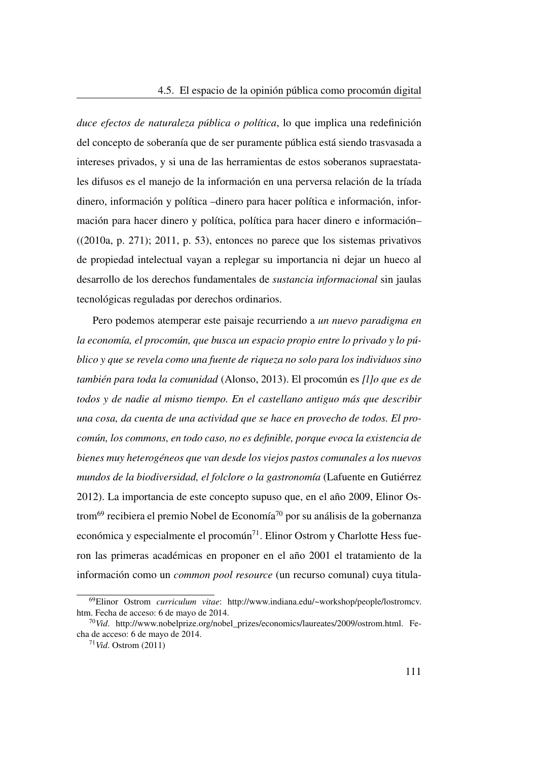*duce efectos de naturaleza pública o política*, lo que implica una redefinición del concepto de soberanía que de ser puramente pública está siendo trasvasada a intereses privados, y si una de las herramientas de estos soberanos supraestatales difusos es el manejo de la información en una perversa relación de la tríada dinero, información y política –dinero para hacer política e información, información para hacer dinero y política, política para hacer dinero e información–  $((2010a, p. 271); 2011, p. 53)$  $((2010a, p. 271); 2011, p. 53)$  $((2010a, p. 271); 2011, p. 53)$  $((2010a, p. 271); 2011, p. 53)$  $((2010a, p. 271); 2011, p. 53)$ , entonces no parece que los sistemas privativos de propiedad intelectual vayan a replegar su importancia ni dejar un hueco al desarrollo de los derechos fundamentales de *sustancia informacional* sin jaulas tecnológicas reguladas por derechos ordinarios.

Pero podemos atemperar este paisaje recurriendo a *un nuevo paradigma en la economía, el procomún, que busca un espacio propio entre lo privado y lo público y que se revela como una fuente de riqueza no solo para los individuos sino también para toda la comunidad* (Alonso, [2013\)](#page-144-3). El procomún es *[l]o que es de todos y de nadie al mismo tiempo. En el castellano antiguo más que describir una cosa, da cuenta de una actividad que se hace en provecho de todos. El procomún, los commons, en todo caso, no es definible, porque evoca la existencia de bienes muy heterogéneos que van desde los viejos pastos comunales a los nuevos mundos de la biodiversidad, el folclore o la gastronomía* (Lafuente en Gutiérrez [2012\)](#page-147-3). La importancia de este concepto supuso que, en el año 2009, Elinor Os-trom<sup>[69](#page-140-0)</sup> recibiera el premio Nobel de Economía<sup>[70](#page-140-1)</sup> por su análisis de la gobernanza económica y especialmente el procomún<sup>[71](#page-140-2)</sup>. Elinor Ostrom y Charlotte Hess fueron las primeras académicas en proponer en el año 2001 el tratamiento de la información como un *common pool resource* (un recurso comunal) cuya titula-

<span id="page-140-0"></span><sup>69</sup>Elinor Ostrom *curriculum vitae*: [http://www.indiana.edu/~workshop/people/lostromcv.](http://www.indiana.edu/~workshop/people/lostromcv.htm) [htm.](http://www.indiana.edu/~workshop/people/lostromcv.htm) Fecha de acceso: 6 de mayo de 2014.

<span id="page-140-1"></span><sup>70</sup>*Vid*. [http://www.nobelprize.org/nobel\\_prizes/economics/laureates/2009/ostrom.html.](http://www.nobelprize.org/nobel_prizes/economics/laureates/2009/ostrom.html) Fecha de acceso: 6 de mayo de 2014.

<span id="page-140-2"></span><sup>71</sup>*Vid*. Ostrom [\(2011\)](#page-149-4)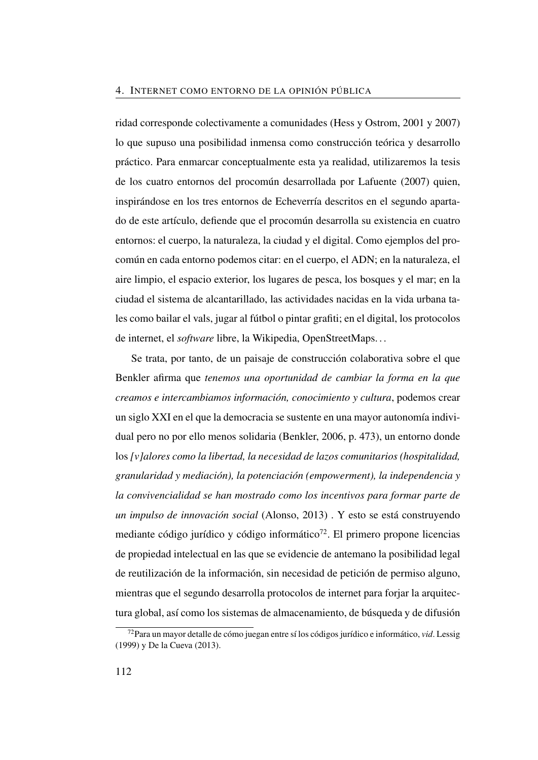ridad corresponde colectivamente a comunidades (Hess y Ostrom, [2001](#page-85-0) y [2007\)](#page-112-2) lo que supuso una posibilidad inmensa como construcción teórica y desarrollo práctico. Para enmarcar conceptualmente esta ya realidad, utilizaremos la tesis de los cuatro entornos del procomún desarrollada por Lafuente [\(2007\)](#page-112-3) quien, inspirándose en los tres entornos de Echeverría descritos en el segundo apartado de este artículo, defiende que el procomún desarrolla su existencia en cuatro entornos: el cuerpo, la naturaleza, la ciudad y el digital. Como ejemplos del procomún en cada entorno podemos citar: en el cuerpo, el ADN; en la naturaleza, el aire limpio, el espacio exterior, los lugares de pesca, los bosques y el mar; en la ciudad el sistema de alcantarillado, las actividades nacidas en la vida urbana tales como bailar el vals, jugar al fútbol o pintar grafiti; en el digital, los protocolos de internet, el *software* libre, la Wikipedia, OpenStreetMaps. . .

Se trata, por tanto, de un paisaje de construcción colaborativa sobre el que Benkler afirma que *tenemos una oportunidad de cambiar la forma en la que creamos e intercambiamos información, conocimiento y cultura*, podemos crear un siglo XXI en el que la democracia se sustente en una mayor autonomía individual pero no por ello menos solidaria (Benkler, [2006,](#page-49-0) p. 473), un entorno donde los *[v]alores como la libertad, la necesidad de lazos comunitarios (hospitalidad, granularidad y mediación), la potenciación (empowerment), la independencia y la convivencialidad se han mostrado como los incentivos para formar parte de un impulso de innovación social* (Alonso, [2013\)](#page-144-3) . Y esto se está construyendo mediante código jurídico y código informático<sup>[72](#page-141-0)</sup>. El primero propone licencias de propiedad intelectual en las que se evidencie de antemano la posibilidad legal de reutilización de la información, sin necesidad de petición de permiso alguno, mientras que el segundo desarrolla protocolos de internet para forjar la arquitectura global, así como los sistemas de almacenamiento, de búsqueda y de difusión

<span id="page-141-0"></span><sup>72</sup>Para un mayor detalle de cómo juegan entre sí los códigos jurídico e informático, *vid*. Lessig [\(1999\)](#page-112-4) y De la Cueva [\(2013\)](#page-50-1).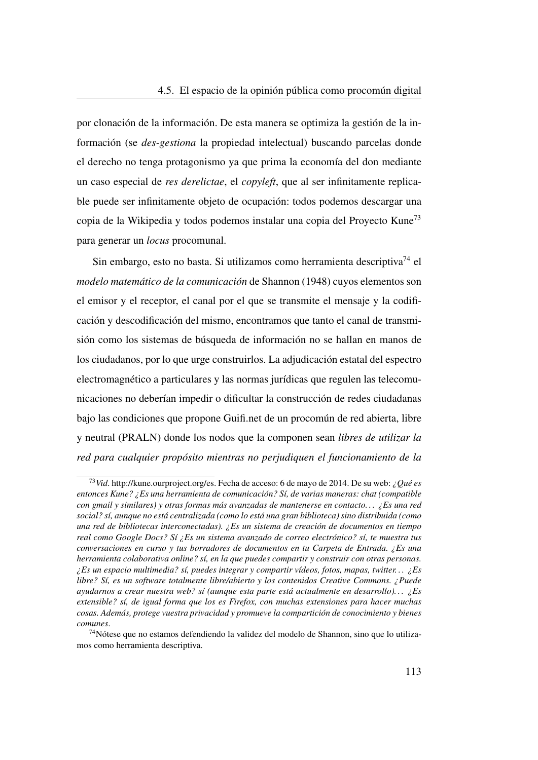por clonación de la información. De esta manera se optimiza la gestión de la información (se *des-gestiona* la propiedad intelectual) buscando parcelas donde el derecho no tenga protagonismo ya que prima la economía del don mediante un caso especial de *res derelictae*, el *copyleft*, que al ser infinitamente replicable puede ser infinitamente objeto de ocupación: todos podemos descargar una copia de la Wikipedia y todos podemos instalar una copia del Proyecto Kune[73](#page-142-0) para generar un *locus* procomunal.

Sin embargo, esto no basta. Si utilizamos como herramienta descriptiva<sup>[74](#page-142-1)</sup> el *modelo matemático de la comunicación* de Shannon [\(1948\)](#page-115-3) cuyos elementos son el emisor y el receptor, el canal por el que se transmite el mensaje y la codificación y descodificación del mismo, encontramos que tanto el canal de transmisión como los sistemas de búsqueda de información no se hallan en manos de los ciudadanos, por lo que urge construirlos. La adjudicación estatal del espectro electromagnético a particulares y las normas jurídicas que regulen las telecomunicaciones no deberían impedir o dificultar la construcción de redes ciudadanas bajo las condiciones que propone<Guifi.net> de un procomún de red abierta, libre y neutral (PRALN) donde los nodos que la componen sean *libres de utilizar la red para cualquier propósito mientras no perjudiquen el funcionamiento de la*

<span id="page-142-0"></span><sup>73</sup>*Vid*. [http://kune.ourproject.org/es.](http://kune.ourproject.org/es) Fecha de acceso: 6 de mayo de 2014. De su web: *¿Qué es entonces Kune? ¿Es una herramienta de comunicación? Sí, de varias maneras: chat (compatible con gmail y similares) y otras formas más avanzadas de mantenerse en contacto. . . ¿Es una red social? sí, aunque no está centralizada (como lo está una gran biblioteca) sino distribuida (como una red de bibliotecas interconectadas). ¿Es un sistema de creación de documentos en tiempo real como Google Docs? Sí ¿Es un sistema avanzado de correo electrónico? sí, te muestra tus conversaciones en curso y tus borradores de documentos en tu Carpeta de Entrada. ¿Es una herramienta colaborativa online? sí, en la que puedes compartir y construir con otras personas. ¿Es un espacio multimedia? sí, puedes integrar y compartir vídeos, fotos, mapas, twitter. . . ¿Es libre? Sí, es un software totalmente libre/abierto y los contenidos Creative Commons. ¿Puede ayudarnos a crear nuestra web? sí (aunque esta parte está actualmente en desarrollo). . . ¿Es extensible? sí, de igual forma que los es Firefox, con muchas extensiones para hacer muchas cosas. Además, protege vuestra privacidad y promueve la compartición de conocimiento y bienes comunes*.

<span id="page-142-1"></span><sup>&</sup>lt;sup>74</sup>Nótese que no estamos defendiendo la validez del modelo de Shannon, sino que lo utilizamos como herramienta descriptiva.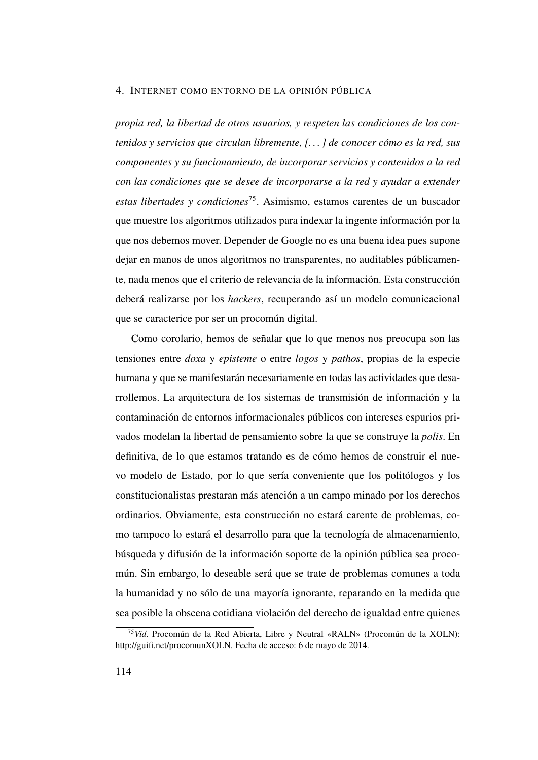*propia red, la libertad de otros usuarios, y respeten las condiciones de los contenidos y servicios que circulan libremente, [. . . ] de conocer cómo es la red, sus componentes y su funcionamiento, de incorporar servicios y contenidos a la red con las condiciones que se desee de incorporarse a la red y ayudar a extender estas libertades y condiciones*[75](#page-143-0). Asimismo, estamos carentes de un buscador que muestre los algoritmos utilizados para indexar la ingente información por la que nos debemos mover. Depender de Google no es una buena idea pues supone dejar en manos de unos algoritmos no transparentes, no auditables públicamente, nada menos que el criterio de relevancia de la información. Esta construcción deberá realizarse por los *hackers*, recuperando así un modelo comunicacional que se caracterice por ser un procomún digital.

Como corolario, hemos de señalar que lo que menos nos preocupa son las tensiones entre *doxa* y *episteme* o entre *logos* y *pathos*, propias de la especie humana y que se manifestarán necesariamente en todas las actividades que desarrollemos. La arquitectura de los sistemas de transmisión de información y la contaminación de entornos informacionales públicos con intereses espurios privados modelan la libertad de pensamiento sobre la que se construye la *polis*. En definitiva, de lo que estamos tratando es de cómo hemos de construir el nuevo modelo de Estado, por lo que sería conveniente que los politólogos y los constitucionalistas prestaran más atención a un campo minado por los derechos ordinarios. Obviamente, esta construcción no estará carente de problemas, como tampoco lo estará el desarrollo para que la tecnología de almacenamiento, búsqueda y difusión de la información soporte de la opinión pública sea procomún. Sin embargo, lo deseable será que se trate de problemas comunes a toda la humanidad y no sólo de una mayoría ignorante, reparando en la medida que sea posible la obscena cotidiana violación del derecho de igualdad entre quienes

<span id="page-143-0"></span><sup>75</sup>*Vid*. Procomún de la Red Abierta, Libre y Neutral «RALN» (Procomún de la XOLN): [http://guifi.net/procomunXOLN.](http://guifi.net/procomunXOLN) Fecha de acceso: 6 de mayo de 2014.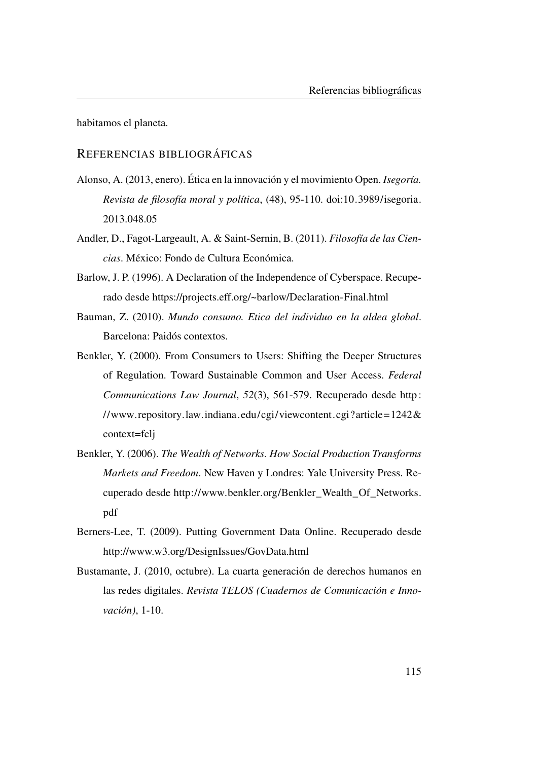habitamos el planeta.

# REFERENCIAS BIBLIOGRÁFICAS

- Alonso, A. (2013, enero). Ética en la innovación y el movimiento Open. *Isegoría. Revista de filosofía moral y política*, (48), 95-110. doi[:10.3989/isegoria.](http://dx.doi.org/10.3989/isegoria.2013.048.05) [2013.048.05](http://dx.doi.org/10.3989/isegoria.2013.048.05)
- Andler, D., Fagot-Largeault, A. & Saint-Sernin, B. (2011). *Filosofía de las Ciencias*. México: Fondo de Cultura Económica.
- Barlow, J. P. (1996). A Declaration of the Independence of Cyberspace. Recuperado desde<https://projects.eff.org/~barlow/Declaration-Final.html>
- Bauman, Z. (2010). *Mundo consumo. Etica del individuo en la aldea global*. Barcelona: Paidós contextos.
- Benkler, Y. (2000). From Consumers to Users: Shifting the Deeper Structures of Regulation. Toward Sustainable Common and User Access. *Federal Communications Law Journal*, *52*(3), 561-579. Recuperado desde [http:](http://www.repository.law.indiana.edu/cgi/viewcontent.cgi?article=1242&context=fclj) //www.repository.law.indiana.edu/cgi/viewcontent.cgi?article=1242 $\&$ [context=fclj](http://www.repository.law.indiana.edu/cgi/viewcontent.cgi?article=1242&context=fclj)
- Benkler, Y. (2006). *The Wealth of Networks. How Social Production Transforms Markets and Freedom*. New Haven y Londres: Yale University Press. Recuperado desde [http://www.benkler.org/Benkler\\_Wealth\\_Of\\_Networks.](http://www.benkler.org/Benkler_Wealth_Of_Networks.pdf) [pdf](http://www.benkler.org/Benkler_Wealth_Of_Networks.pdf)
- Berners-Lee, T. (2009). Putting Government Data Online. Recuperado desde <http://www.w3.org/DesignIssues/GovData.html>
- Bustamante, J. (2010, octubre). La cuarta generación de derechos humanos en las redes digitales. *Revista TELOS (Cuadernos de Comunicación e Innovación)*, 1-10.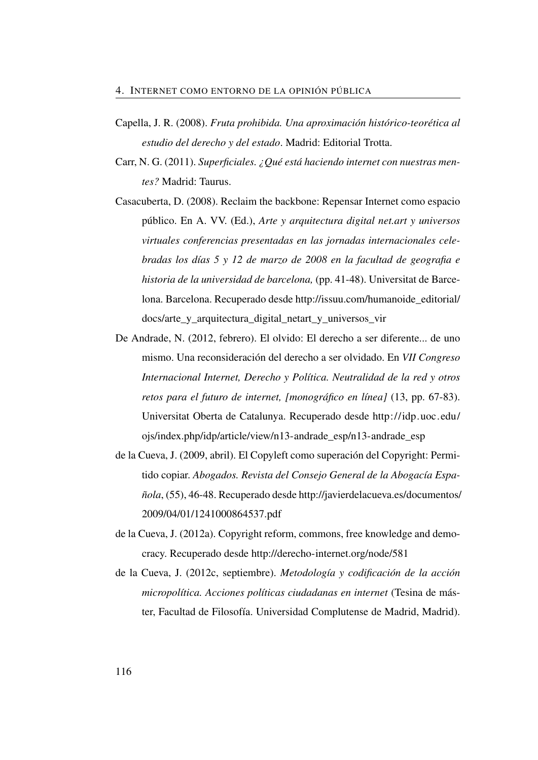- Capella, J. R. (2008). *Fruta prohibida. Una aproximación histórico-teorética al estudio del derecho y del estado*. Madrid: Editorial Trotta.
- Carr, N. G. (2011). *Superficiales. ¿Qué está haciendo internet con nuestras mentes?* Madrid: Taurus.
- Casacuberta, D. (2008). Reclaim the backbone: Repensar Internet como espacio público. En A. VV. (Ed.), *Arte y arquitectura digital net.art y universos virtuales conferencias presentadas en las jornadas internacionales celebradas los días 5 y 12 de marzo de 2008 en la facultad de geografia e historia de la universidad de barcelona,* (pp. 41-48). Universitat de Barcelona. Barcelona. Recuperado desde [http://issuu.com/humanoide\\_editorial/](http://issuu.com/humanoide_editorial/docs/arte_y_arquitectura_digital_netart_y_universos_vir) [docs/arte\\_y\\_arquitectura\\_digital\\_netart\\_y\\_universos\\_vir](http://issuu.com/humanoide_editorial/docs/arte_y_arquitectura_digital_netart_y_universos_vir)
- De Andrade, N. (2012, febrero). El olvido: El derecho a ser diferente... de uno mismo. Una reconsideración del derecho a ser olvidado. En *VII Congreso Internacional Internet, Derecho y Política. Neutralidad de la red y otros retos para el futuro de internet, [monográfico en línea]* (13, pp. 67-83). Universitat Oberta de Catalunya. Recuperado desde [http://idp.uoc.edu/](http://idp.uoc.edu/ojs/index.php/idp/article/view/n13-andrade_esp/n13-andrade_esp) [ojs/index.php/idp/article/view/n13-andrade\\_esp/n13-andrade\\_esp](http://idp.uoc.edu/ojs/index.php/idp/article/view/n13-andrade_esp/n13-andrade_esp)
- de la Cueva, J. (2009, abril). El Copyleft como superación del Copyright: Permitido copiar. *Abogados. Revista del Consejo General de la Abogacía Española*, (55), 46-48. Recuperado desde [http://javierdelacueva.es/documentos/](http://javierdelacueva.es/documentos/2009/04/01/1241000864537.pdf) [2009/04/01/1241000864537.pdf](http://javierdelacueva.es/documentos/2009/04/01/1241000864537.pdf)
- de la Cueva, J. (2012a). Copyright reform, commons, free knowledge and democracy. Recuperado desde<http://derecho-internet.org/node/581>
- de la Cueva, J. (2012c, septiembre). *Metodología y codificación de la acción micropolítica. Acciones políticas ciudadanas en internet* (Tesina de máster, Facultad de Filosofía. Universidad Complutense de Madrid, Madrid).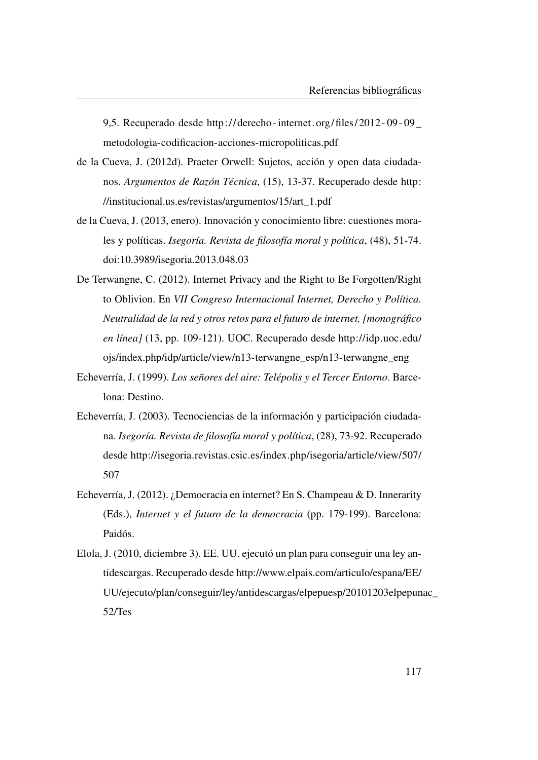9,5. Recuperado desde [http:// derecho - internet. org/files/ 2012 - 09 - 09 \\_](http://derecho-internet.org/files/2012-09-09_metodologia-codificacion-acciones-micropoliticas.pdf) [metodologia-codificacion-acciones-micropoliticas.pdf](http://derecho-internet.org/files/2012-09-09_metodologia-codificacion-acciones-micropoliticas.pdf)

- de la Cueva, J. (2012d). Praeter Orwell: Sujetos, acción y open data ciudadanos. *Argumentos de Razón Técnica*, (15), 13-37. Recuperado desde [http:](http://institucional.us.es/revistas/argumentos/15/art_1.pdf) [//institucional.us.es/revistas/argumentos/15/art\\_1.pdf](http://institucional.us.es/revistas/argumentos/15/art_1.pdf)
- de la Cueva, J. (2013, enero). Innovación y conocimiento libre: cuestiones morales y políticas. *Isegoría. Revista de filosofía moral y política*, (48), 51-74. doi[:10.3989/isegoria.2013.048.03](http://dx.doi.org/10.3989/isegoria.2013.048.03)
- De Terwangne, C. (2012). Internet Privacy and the Right to Be Forgotten/Right to Oblivion. En *VII Congreso Internacional Internet, Derecho y Política. Neutralidad de la red y otros retos para el futuro de internet, [monográfico en línea]* (13, pp. 109-121). UOC. Recuperado desde [http://idp.uoc.edu/](http://idp.uoc.edu/ojs/index.php/idp/article/view/n13-terwangne_esp/n13-terwangne_eng) [ojs/index.php/idp/article/view/n13-terwangne\\_esp/n13-terwangne\\_eng](http://idp.uoc.edu/ojs/index.php/idp/article/view/n13-terwangne_esp/n13-terwangne_eng)
- Echeverría, J. (1999). *Los señores del aire: Telépolis y el Tercer Entorno*. Barcelona: Destino.
- Echeverría, J. (2003). Tecnociencias de la información y participación ciudadana. *Isegoría. Revista de filosofía moral y política*, (28), 73-92. Recuperado desde [http://isegoria.revistas.csic.es/index.php/isegoria/article/view/507/](http://isegoria.revistas.csic.es/index.php/isegoria/article/view/507/507) [507](http://isegoria.revistas.csic.es/index.php/isegoria/article/view/507/507)
- Echeverría, J. (2012). ¿Democracia en internet? En S. Champeau & D. Innerarity (Eds.), *Internet y el futuro de la democracia* (pp. 179-199). Barcelona: Paidós.
- Elola, J. (2010, diciembre 3). EE. UU. ejecutó un plan para conseguir una ley antidescargas. Recuperado desde [http://www.elpais.com/articulo/espana/EE/](http://www.elpais.com/articulo/espana/EE/UU/ejecuto/plan/conseguir/ley/antidescargas/elpepuesp/20101203elpepunac_52/Tes) [UU/ejecuto/plan/conseguir/ley/antidescargas/elpepuesp/20101203elpepun](http://www.elpais.com/articulo/espana/EE/UU/ejecuto/plan/conseguir/ley/antidescargas/elpepuesp/20101203elpepunac_52/Tes)ac\_ [52/Tes](http://www.elpais.com/articulo/espana/EE/UU/ejecuto/plan/conseguir/ley/antidescargas/elpepuesp/20101203elpepunac_52/Tes)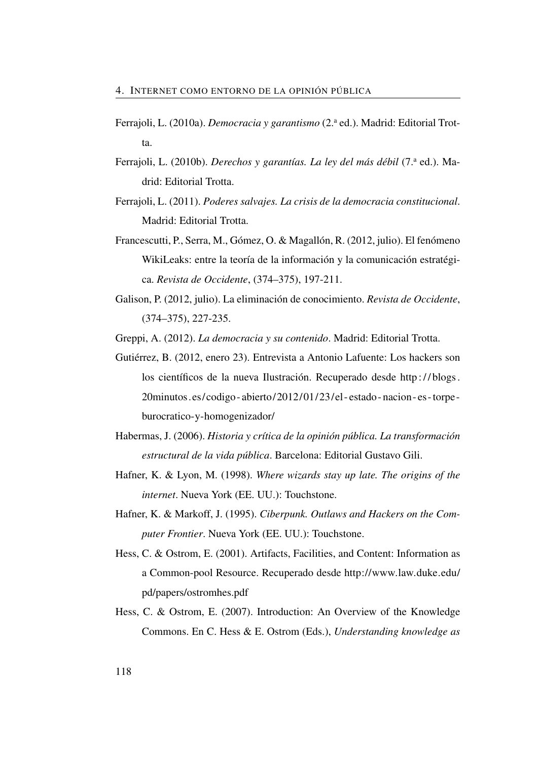- Ferrajoli, L. (2010a). *Democracia y garantismo* (2.<sup>a</sup> ed.). Madrid: Editorial Trotta.
- Ferrajoli, L. (2010b). *Derechos y garantías. La ley del más débil* (7.<sup>a</sup> ed.). Madrid: Editorial Trotta.
- Ferrajoli, L. (2011). *Poderes salvajes. La crisis de la democracia constitucional*. Madrid: Editorial Trotta.
- Francescutti, P., Serra, M., Gómez, O. & Magallón, R. (2012, julio). El fenómeno WikiLeaks: entre la teoría de la información y la comunicación estratégica. *Revista de Occidente*, (374–375), 197-211.
- <span id="page-147-1"></span>Galison, P. (2012, julio). La eliminación de conocimiento. *Revista de Occidente*, (374–375), 227-235.

Greppi, A. (2012). *La democracia y su contenido*. Madrid: Editorial Trotta.

- <span id="page-147-0"></span>Gutiérrez, B. (2012, enero 23). Entrevista a Antonio Lafuente: Los hackers son los científicos de la nueva Ilustración. Recuperado desde [http : / / blogs .](http://blogs.20minutos.es/codigo-abierto/2012/01/23/el-estado-nacion-es-torpe-burocratico-y-homogenizador/) [20minutos.es/codigo - abierto/2012/01/23/el - estado - nacion - es -torpe](http://blogs.20minutos.es/codigo-abierto/2012/01/23/el-estado-nacion-es-torpe-burocratico-y-homogenizador/)  [burocratico-y-homogenizador/](http://blogs.20minutos.es/codigo-abierto/2012/01/23/el-estado-nacion-es-torpe-burocratico-y-homogenizador/)
- Habermas, J. (2006). *Historia y crítica de la opinión pública. La transformación estructural de la vida pública*. Barcelona: Editorial Gustavo Gili.
- Hafner, K. & Lyon, M. (1998). *Where wizards stay up late. The origins of the internet*. Nueva York (EE. UU.): Touchstone.
- Hafner, K. & Markoff, J. (1995). *Ciberpunk. Outlaws and Hackers on the Computer Frontier*. Nueva York (EE. UU.): Touchstone.
- Hess, C. & Ostrom, E. (2001). Artifacts, Facilities, and Content: Information as a Common-pool Resource. Recuperado desde [http://www.law.duke.edu/](http://www.law.duke.edu/pd/papers/ostromhes.pdf) [pd/papers/ostromhes.pdf](http://www.law.duke.edu/pd/papers/ostromhes.pdf)
- Hess, C. & Ostrom, E. (2007). Introduction: An Overview of the Knowledge Commons. En C. Hess & E. Ostrom (Eds.), *Understanding knowledge as*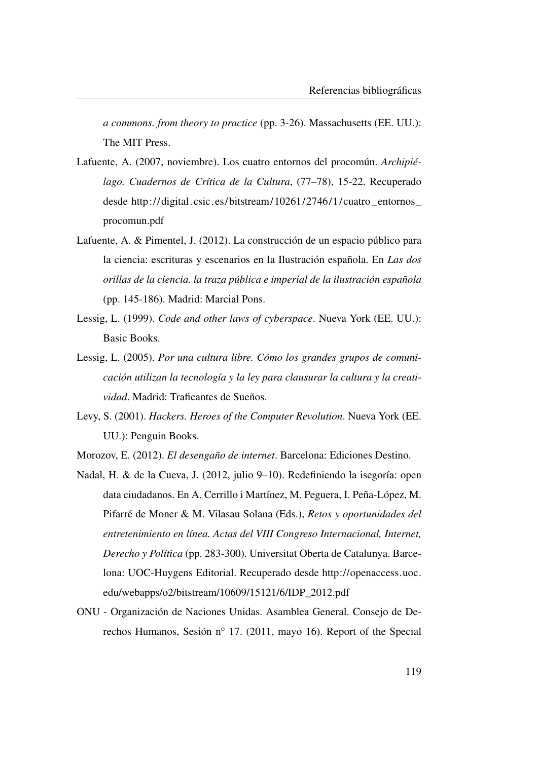*a commons. from theory to practice* (pp. 3-26). Massachusetts (EE. UU.): The MIT Press.

- Lafuente, A. (2007, noviembre). Los cuatro entornos del procomún. *Archipiélago. Cuadernos de Crítica de la Cultura*, (77–78), 15-22. Recuperado desde [http://digital.csic.es/bitstream/10261/2746/1/cuatro\\_entornos\\_](http://digital.csic.es/bitstream/10261/2746/1/cuatro_entornos_procomun.pdf) [procomun.pdf](http://digital.csic.es/bitstream/10261/2746/1/cuatro_entornos_procomun.pdf)
- Lafuente, A. & Pimentel, J. (2012). La construcción de un espacio público para la ciencia: escrituras y escenarios en la Ilustración española. En *Las dos orillas de la ciencia. la traza pública e imperial de la ilustración española* (pp. 145-186). Madrid: Marcial Pons.
- Lessig, L. (1999). *Code and other laws of cyberspace*. Nueva York (EE. UU.): Basic Books.
- Lessig, L. (2005). *Por una cultura libre. Cómo los grandes grupos de comunicación utilizan la tecnología y la ley para clausurar la cultura y la creatividad*. Madrid: Traficantes de Sueños.
- Levy, S. (2001). *Hackers. Heroes of the Computer Revolution*. Nueva York (EE. UU.): Penguin Books.
- Morozov, E. (2012). *El desengaño de internet*. Barcelona: Ediciones Destino.
- Nadal, H. & de la Cueva, J. (2012, julio 9–10). Redefiniendo la isegoría: open data ciudadanos. En A. Cerrillo i Martínez, M. Peguera, I. Peña-López, M. Pifarré de Moner & M. Vilasau Solana (Eds.), *Retos y oportunidades del entretenimiento en línea. Actas del VIII Congreso Internacional, Internet, Derecho y Política* (pp. 283-300). Universitat Oberta de Catalunya. Barcelona: UOC-Huygens Editorial. Recuperado desde [http://openaccess.uoc.](http://openaccess.uoc.edu/webapps/o2/bitstream/10609/15121/6/IDP_2012.pdf) [edu/webapps/o2/bitstream/10609/15121/6/IDP\\_2012.pdf](http://openaccess.uoc.edu/webapps/o2/bitstream/10609/15121/6/IDP_2012.pdf)
- ONU Organización de Naciones Unidas. Asamblea General. Consejo de Derechos Humanos, Sesión nº 17. (2011, mayo 16). Report of the Special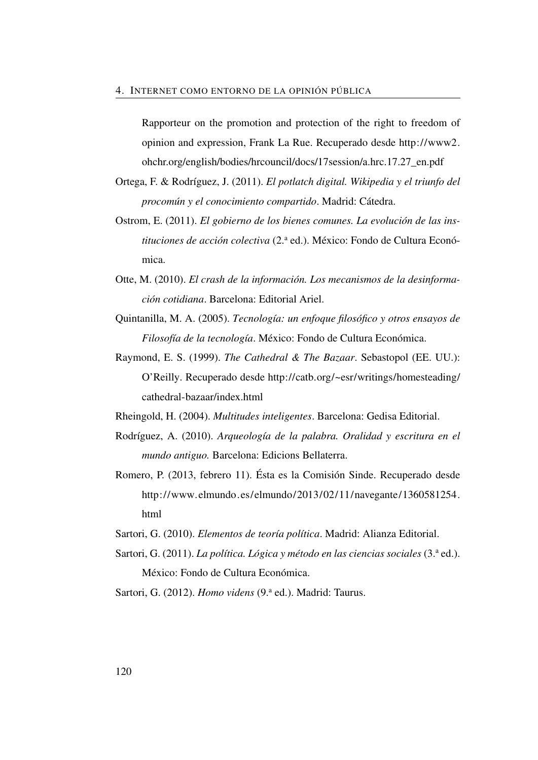Rapporteur on the promotion and protection of the right to freedom of opinion and expression, Frank La Rue. Recuperado desde [http://www2.](http://www2.ohchr.org/english/bodies/hrcouncil/docs/17session/a.hrc.17.27_en.pdf) [ohchr.org/english/bodies/hrcouncil/docs/17session/a.hrc.17.27\\_en.pdf](http://www2.ohchr.org/english/bodies/hrcouncil/docs/17session/a.hrc.17.27_en.pdf)

- Ortega, F. & Rodríguez, J. (2011). *El potlatch digital. Wikipedia y el triunfo del procomún y el conocimiento compartido*. Madrid: Cátedra.
- Ostrom, E. (2011). *El gobierno de los bienes comunes. La evolución de las instituciones de acción colectiva* (2.<sup>a</sup> ed.). México: Fondo de Cultura Económica.
- Otte, M. (2010). *El crash de la información. Los mecanismos de la desinformación cotidiana*. Barcelona: Editorial Ariel.
- Quintanilla, M. A. (2005). *Tecnología: un enfoque filosófico y otros ensayos de Filosofía de la tecnología*. México: Fondo de Cultura Económica.
- Raymond, E. S. (1999). *The Cathedral & The Bazaar*. Sebastopol (EE. UU.): O'Reilly. Recuperado desde [http://catb.org/~esr/writings/homesteading/](http://catb.org/~esr/writings/homesteading/cathedral-bazaar/index.html) [cathedral-bazaar/index.html](http://catb.org/~esr/writings/homesteading/cathedral-bazaar/index.html)
- Rheingold, H. (2004). *Multitudes inteligentes*. Barcelona: Gedisa Editorial.
- Rodríguez, A. (2010). *Arqueología de la palabra. Oralidad y escritura en el mundo antiguo.* Barcelona: Edicions Bellaterra.
- Romero, P. (2013, febrero 11). Ésta es la Comisión Sinde. Recuperado desde [http://www.elmundo.es/elmundo/2013/02/11/navegante/1360581254.](http://www.elmundo.es/elmundo/2013/02/11/navegante/1360581254.html) [html](http://www.elmundo.es/elmundo/2013/02/11/navegante/1360581254.html)
- Sartori, G. (2010). *Elementos de teoría política*. Madrid: Alianza Editorial.
- Sartori, G. (2011). *La política. Lógica y método en las ciencias sociales* (3.ª ed.). México: Fondo de Cultura Económica.

Sartori, G. (2012). *Homo videns* (9.ª ed.). Madrid: Taurus.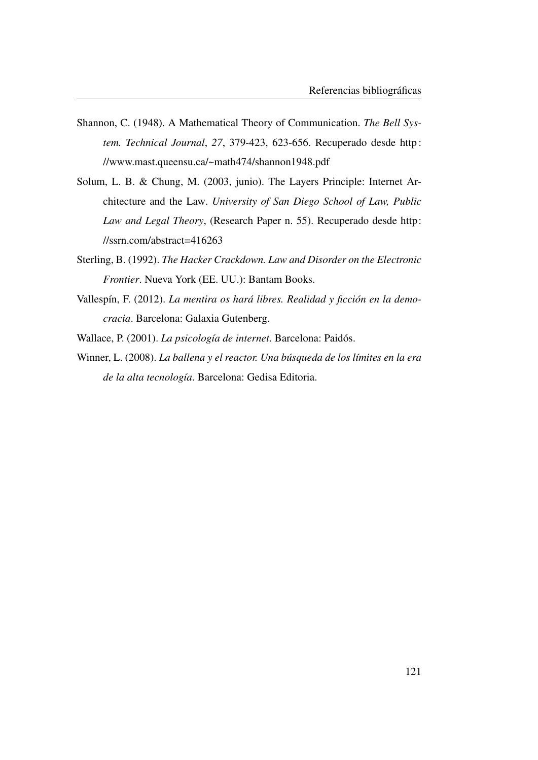- Shannon, C. (1948). A Mathematical Theory of Communication. *The Bell System. Technical Journal*, *27*, 379-423, 623-656. Recuperado desde [http :](http://www.mast.queensu.ca/~math474/shannon1948.pdf) [//www.mast.queensu.ca/~math474/shannon1948.pdf](http://www.mast.queensu.ca/~math474/shannon1948.pdf)
- Solum, L. B. & Chung, M. (2003, junio). The Layers Principle: Internet Architecture and the Law. *University of San Diego School of Law, Public Law and Legal Theory*, (Research Paper n. 55). Recuperado desde [http:](http://ssrn.com/abstract=416263) [//ssrn.com/abstract=416263](http://ssrn.com/abstract=416263)
- Sterling, B. (1992). *The Hacker Crackdown. Law and Disorder on the Electronic Frontier*. Nueva York (EE. UU.): Bantam Books.
- Vallespín, F. (2012). *La mentira os hará libres. Realidad y ficción en la democracia*. Barcelona: Galaxia Gutenberg.

Wallace, P. (2001). *La psicología de internet*. Barcelona: Paidós.

Winner, L. (2008). *La ballena y el reactor. Una búsqueda de los límites en la era de la alta tecnología*. Barcelona: Gedisa Editoria.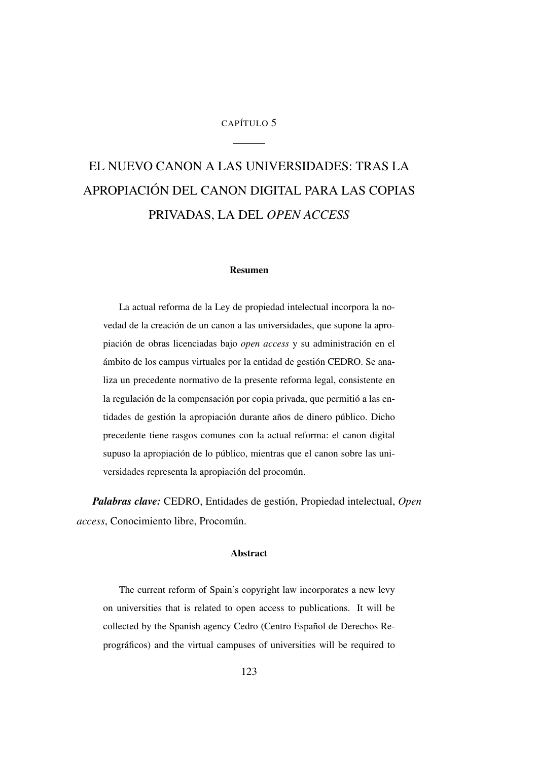### CAPÍTULO 5

# <span id="page-152-0"></span>EL NUEVO CANON A LAS UNIVERSIDADES: TRAS LA APROPIACIÓN DEL CANON DIGITAL PARA LAS COPIAS PRIVADAS, LA DEL *OPEN ACCESS*

#### Resumen

La actual reforma de la Ley de propiedad intelectual incorpora la novedad de la creación de un canon a las universidades, que supone la apropiación de obras licenciadas bajo *open access* y su administración en el ámbito de los campus virtuales por la entidad de gestión CEDRO. Se analiza un precedente normativo de la presente reforma legal, consistente en la regulación de la compensación por copia privada, que permitió a las entidades de gestión la apropiación durante años de dinero público. Dicho precedente tiene rasgos comunes con la actual reforma: el canon digital supuso la apropiación de lo público, mientras que el canon sobre las universidades representa la apropiación del procomún.

*Palabras clave:* CEDRO, Entidades de gestión, Propiedad intelectual, *Open access*, Conocimiento libre, Procomún.

### Abstract

The current reform of Spain's copyright law incorporates a new levy on universities that is related to open access to publications. It will be collected by the Spanish agency Cedro (Centro Español de Derechos Reprográficos) and the virtual campuses of universities will be required to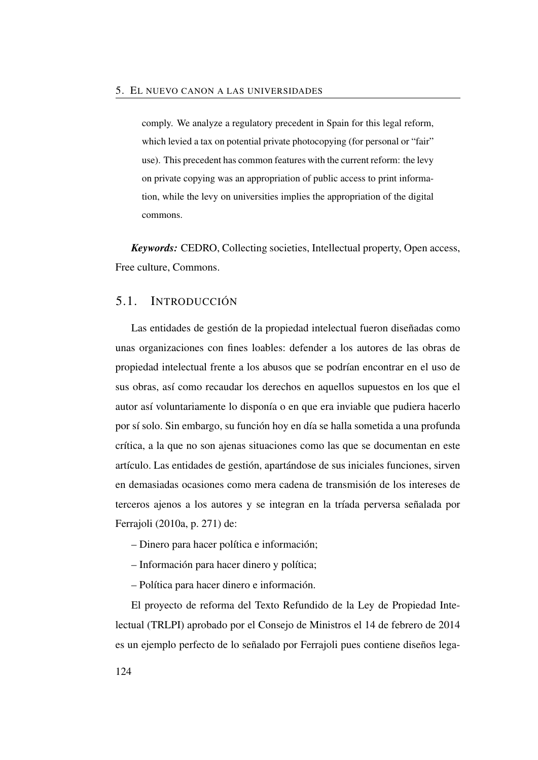comply. We analyze a regulatory precedent in Spain for this legal reform, which levied a tax on potential private photocopying (for personal or "fair" use). This precedent has common features with the current reform: the levy on private copying was an appropriation of public access to print information, while the levy on universities implies the appropriation of the digital commons.

*Keywords:* CEDRO, Collecting societies, Intellectual property, Open access, Free culture, Commons.

## 5.1. INTRODUCCIÓN

Las entidades de gestión de la propiedad intelectual fueron diseñadas como unas organizaciones con fines loables: defender a los autores de las obras de propiedad intelectual frente a los abusos que se podrían encontrar en el uso de sus obras, así como recaudar los derechos en aquellos supuestos en los que el autor así voluntariamente lo disponía o en que era inviable que pudiera hacerlo por sí solo. Sin embargo, su función hoy en día se halla sometida a una profunda crítica, a la que no son ajenas situaciones como las que se documentan en este artículo. Las entidades de gestión, apartándose de sus iniciales funciones, sirven en demasiadas ocasiones como mera cadena de transmisión de los intereses de terceros ajenos a los autores y se integran en la tríada perversa señalada por Ferrajoli [\(2010a,](#page-111-0) p. 271) de:

– Dinero para hacer política e información;

– Información para hacer dinero y política;

– Política para hacer dinero e información.

El proyecto de reforma del Texto Refundido de la Ley de Propiedad Intelectual (TRLPI) aprobado por el Consejo de Ministros el 14 de febrero de 2014 es un ejemplo perfecto de lo señalado por Ferrajoli pues contiene diseños lega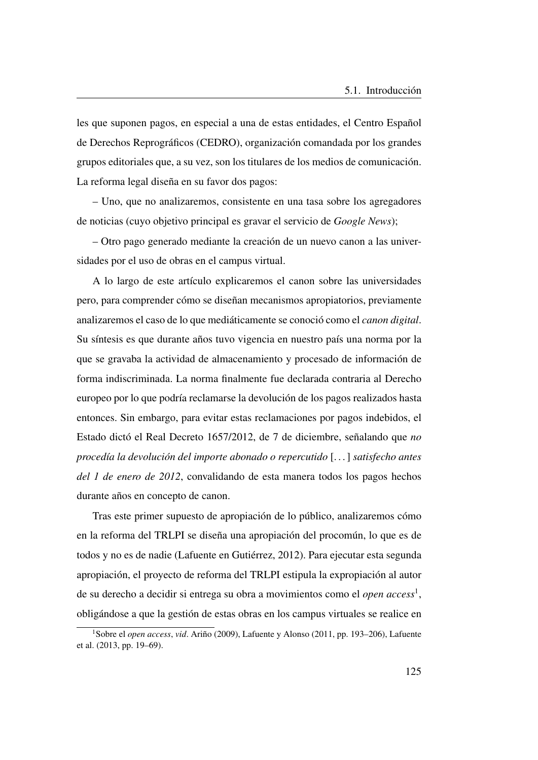les que suponen pagos, en especial a una de estas entidades, el Centro Español de Derechos Reprográficos (CEDRO), organización comandada por los grandes grupos editoriales que, a su vez, son los titulares de los medios de comunicación. La reforma legal diseña en su favor dos pagos:

– Uno, que no analizaremos, consistente en una tasa sobre los agregadores de noticias (cuyo objetivo principal es gravar el servicio de *Google News*);

– Otro pago generado mediante la creación de un nuevo canon a las universidades por el uso de obras en el campus virtual.

A lo largo de este artículo explicaremos el canon sobre las universidades pero, para comprender cómo se diseñan mecanismos apropiatorios, previamente analizaremos el caso de lo que mediáticamente se conoció como el *canon digital*. Su síntesis es que durante años tuvo vigencia en nuestro país una norma por la que se gravaba la actividad de almacenamiento y procesado de información de forma indiscriminada. La norma finalmente fue declarada contraria al Derecho europeo por lo que podría reclamarse la devolución de los pagos realizados hasta entonces. Sin embargo, para evitar estas reclamaciones por pagos indebidos, el Estado dictó el Real Decreto 1657/2012, de 7 de diciembre, señalando que *no procedía la devolución del importe abonado o repercutido* [. . . ] *satisfecho antes del 1 de enero de 2012*, convalidando de esta manera todos los pagos hechos durante años en concepto de canon.

Tras este primer supuesto de apropiación de lo público, analizaremos cómo en la reforma del TRLPI se diseña una apropiación del procomún, lo que es de todos y no es de nadie (Lafuente en Gutiérrez, [2012\)](#page-147-0). Para ejecutar esta segunda apropiación, el proyecto de reforma del TRLPI estipula la expropiación al autor de su derecho a decidir si entrega su obra a movimientos como el *open access*[1](#page-154-0) , obligándose a que la gestión de estas obras en los campus virtuales se realice en

<span id="page-154-0"></span><sup>1</sup>Sobre el *open access*, *vid*. Ariño [\(2009\)](#page-48-0), Lafuente y Alonso [\(2011,](#page-51-0) pp. 193–206), Lafuente et al. [\(2013,](#page-52-0) pp. 19–69).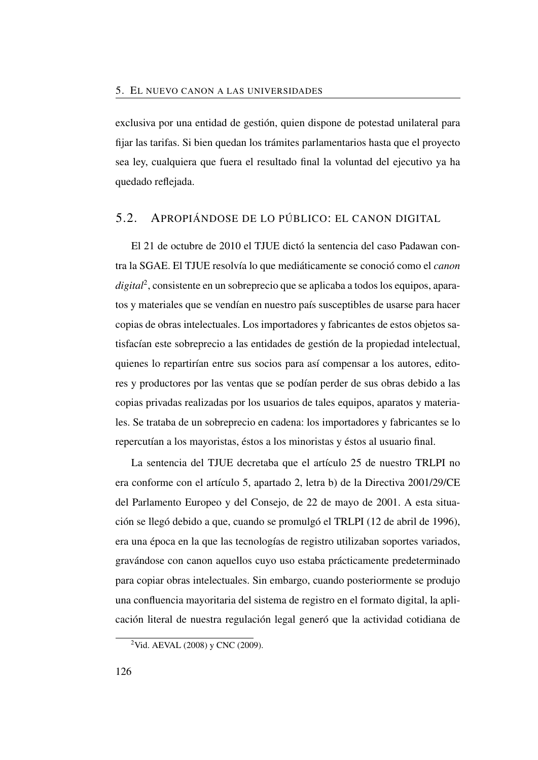exclusiva por una entidad de gestión, quien dispone de potestad unilateral para fijar las tarifas. Si bien quedan los trámites parlamentarios hasta que el proyecto sea ley, cualquiera que fuera el resultado final la voluntad del ejecutivo ya ha quedado reflejada.

## 5.2. APROPIÁNDOSE DE LO PÚBLICO: EL CANON DIGITAL

El 21 de octubre de 2010 el [TJUE](#page-27-0) dictó la sentencia del caso Padawan contra la [SGAE.](#page-26-0) El [TJUE](#page-27-0) resolvía lo que mediáticamente se conoció como el *canon digital*[2](#page-155-0) , consistente en un sobreprecio que se aplicaba a todos los equipos, aparatos y materiales que se vendían en nuestro país susceptibles de usarse para hacer copias de obras intelectuales. Los importadores y fabricantes de estos objetos satisfacían este sobreprecio a las entidades de gestión de la propiedad intelectual, quienes lo repartirían entre sus socios para así compensar a los autores, editores y productores por las ventas que se podían perder de sus obras debido a las copias privadas realizadas por los usuarios de tales equipos, aparatos y materiales. Se trataba de un sobreprecio en cadena: los importadores y fabricantes se lo repercutían a los mayoristas, éstos a los minoristas y éstos al usuario final.

La sentencia del [TJUE](#page-27-0) decretaba que el artículo 25 de nuestro [TRLPI](#page-27-1) no era conforme con el artículo 5, apartado 2, letra b) de la Directiva 2001/29/CE del Parlamento Europeo y del Consejo, de 22 de mayo de 2001. A esta situación se llegó debido a que, cuando se promulgó el [TRLPI](#page-27-1) (12 de abril de 1996), era una época en la que las tecnologías de registro utilizaban soportes variados, gravándose con canon aquellos cuyo uso estaba prácticamente predeterminado para copiar obras intelectuales. Sin embargo, cuando posteriormente se produjo una confluencia mayoritaria del sistema de registro en el formato digital, la aplicación literal de nuestra regulación legal generó que la actividad cotidiana de

<span id="page-155-0"></span><sup>2</sup>Vid. AEVAL [\(2008\)](#page-165-0) y CNC [\(2009\)](#page-110-0).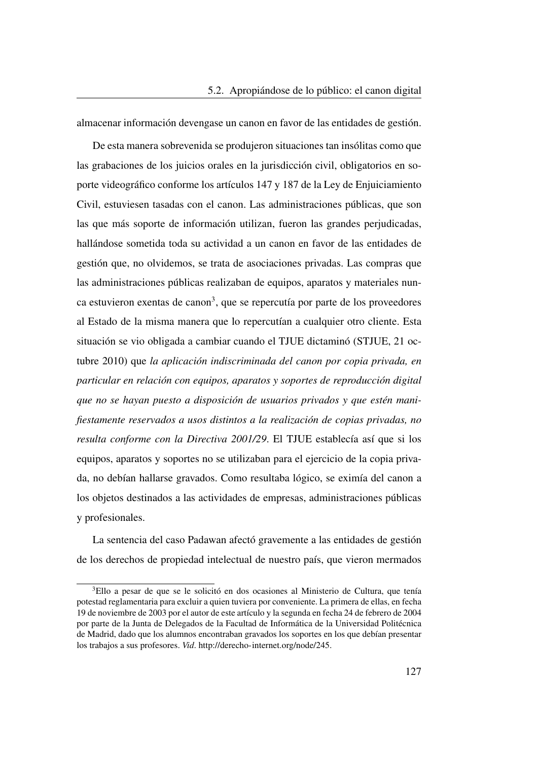almacenar información devengase un canon en favor de las entidades de gestión.

De esta manera sobrevenida se produjeron situaciones tan insólitas como que las grabaciones de los juicios orales en la jurisdicción civil, obligatorios en soporte videográfico conforme los artículos 147 y 187 de la Ley de Enjuiciamiento Civil, estuviesen tasadas con el canon. Las administraciones públicas, que son las que más soporte de información utilizan, fueron las grandes perjudicadas, hallándose sometida toda su actividad a un canon en favor de las entidades de gestión que, no olvidemos, se trata de asociaciones privadas. Las compras que las administraciones públicas realizaban de equipos, aparatos y materiales nun-ca estuvieron exentas de canon<sup>[3](#page-156-0)</sup>, que se repercutía por parte de los proveedores al Estado de la misma manera que lo repercutían a cualquier otro cliente. Esta situación se vio obligada a cambiar cuando el [TJUE](#page-27-0) dictaminó (STJUE, 21 octubre 2010) que *la aplicación indiscriminada del canon por copia privada, en particular en relación con equipos, aparatos y soportes de reproducción digital que no se hayan puesto a disposición de usuarios privados y que estén manifiestamente reservados a usos distintos a la realización de copias privadas, no resulta conforme con la Directiva 2001/29*. El [TJUE](#page-27-0) establecía así que si los equipos, aparatos y soportes no se utilizaban para el ejercicio de la copia privada, no debían hallarse gravados. Como resultaba lógico, se eximía del canon a los objetos destinados a las actividades de empresas, administraciones públicas y profesionales.

La sentencia del caso Padawan afectó gravemente a las entidades de gestión de los derechos de propiedad intelectual de nuestro país, que vieron mermados

<span id="page-156-0"></span><sup>&</sup>lt;sup>3</sup>Ello a pesar de que se le solicitó en dos ocasiones al Ministerio de Cultura, que tenía potestad reglamentaria para excluir a quien tuviera por conveniente. La primera de ellas, en fecha 19 de noviembre de 2003 por el autor de este artículo y la segunda en fecha 24 de febrero de 2004 por parte de la Junta de Delegados de la Facultad de Informática de la Universidad Politécnica de Madrid, dado que los alumnos encontraban gravados los soportes en los que debían presentar los trabajos a sus profesores. *Vid*. [http://derecho-internet.org/node/245.](http://derecho-internet.org/node/245)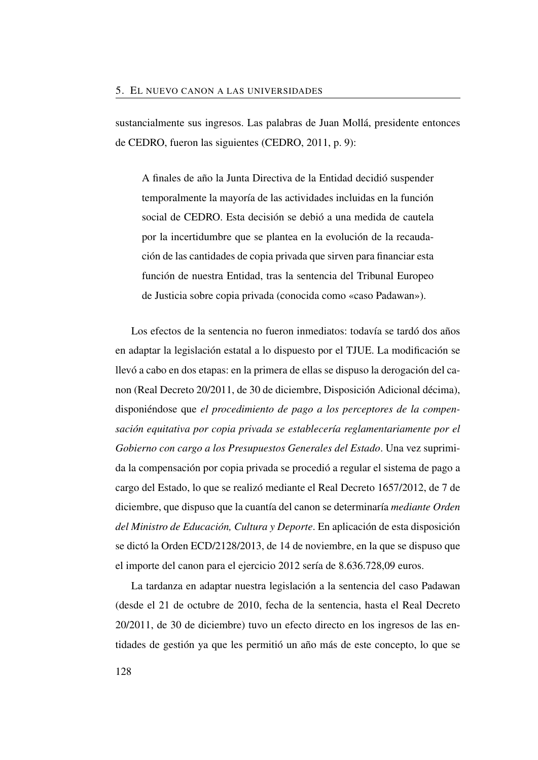sustancialmente sus ingresos. Las palabras de Juan Mollá, presidente entonces de [CEDRO,](#page-25-0) fueron las siguientes (CEDRO, [2011,](#page-167-0) p. 9):

A finales de año la Junta Directiva de la Entidad decidió suspender temporalmente la mayoría de las actividades incluidas en la función social de CEDRO. Esta decisión se debió a una medida de cautela por la incertidumbre que se plantea en la evolución de la recaudación de las cantidades de copia privada que sirven para financiar esta función de nuestra Entidad, tras la sentencia del Tribunal Europeo de Justicia sobre copia privada (conocida como «caso Padawan»).

Los efectos de la sentencia no fueron inmediatos: todavía se tardó dos años en adaptar la legislación estatal a lo dispuesto por el [TJUE.](#page-27-0) La modificación se llevó a cabo en dos etapas: en la primera de ellas se dispuso la derogación del canon (Real Decreto 20/2011, de 30 de diciembre, Disposición Adicional décima), disponiéndose que *el procedimiento de pago a los perceptores de la compensación equitativa por copia privada se establecería reglamentariamente por el Gobierno con cargo a los Presupuestos Generales del Estado*. Una vez suprimida la compensación por copia privada se procedió a regular el sistema de pago a cargo del Estado, lo que se realizó mediante el Real Decreto 1657/2012, de 7 de diciembre, que dispuso que la cuantía del canon se determinaría *mediante Orden del Ministro de Educación, Cultura y Deporte*. En aplicación de esta disposición se dictó la Orden ECD/2128/2013, de 14 de noviembre, en la que se dispuso que el importe del canon para el ejercicio 2012 sería de 8.636.728,09 euros.

La tardanza en adaptar nuestra legislación a la sentencia del caso Padawan (desde el 21 de octubre de 2010, fecha de la sentencia, hasta el Real Decreto 20/2011, de 30 de diciembre) tuvo un efecto directo en los ingresos de las entidades de gestión ya que les permitió un año más de este concepto, lo que se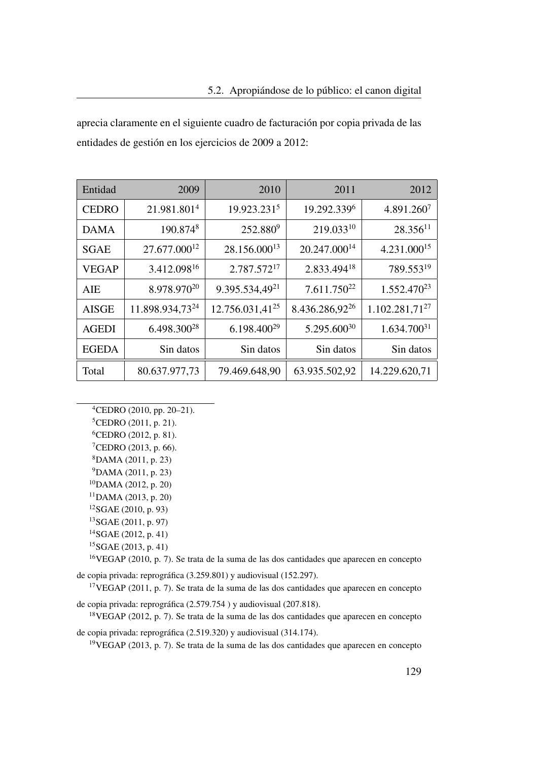aprecia claramente en el siguiente cuadro de facturación por copia privada de las entidades de gestión en los ejercicios de 2009 a 2012:

| Entidad      | 2009                        | 2010                        | 2011                       | 2012                    |
|--------------|-----------------------------|-----------------------------|----------------------------|-------------------------|
| <b>CEDRO</b> | 21.981.801 <sup>4</sup>     | 19.923.2315                 | 19.292.3396                | 4.891.2607              |
| <b>DAMA</b>  | 190.8748                    | 252.8809                    | 219.03310                  | $28.356^{11}$           |
| <b>SGAE</b>  | 27.677.000 <sup>12</sup>    | 28.156.000 <sup>13</sup>    | 20.247.000 <sup>14</sup>   | 4.231.000 <sup>15</sup> |
| <b>VEGAP</b> | 3.412.098 <sup>16</sup>     | 2.787.57217                 | 2.833.494 <sup>18</sup>    | 789.55319               |
| AIE          | 8.978.970 <sup>20</sup>     | 9.395.534,49 <sup>21</sup>  | $7.611.750^{22}$           | 1.552.470 <sup>23</sup> |
| <b>AISGE</b> | 11.898.934,73 <sup>24</sup> | 12.756.031,41 <sup>25</sup> | 8.436.286,92 <sup>26</sup> | $1.102.281,71^{27}$     |
| <b>AGEDI</b> | 6.498.300 <sup>28</sup>     | $6.198.400^{29}$            | 5.295.600 <sup>30</sup>    | $1.634.700^{31}$        |
| <b>EGEDA</b> | Sin datos                   | Sin datos                   | Sin datos                  | Sin datos               |
| Total        | 80.637.977,73               | 79.469.648,90               | 63.935.502,92              | 14.229.620,71           |

<span id="page-158-0"></span><sup>4</sup>CEDRO [\(2010,](#page-167-1) pp. 20–21).

<sup>5</sup>CEDRO [\(2011,](#page-167-0) p. 21).

<sup>6</sup>CEDRO [\(2012,](#page-167-2) p. 81).

- <sup>7</sup>CEDRO [\(2013,](#page-167-3) p. 66).
- <sup>8</sup>DAMA [\(2011,](#page-168-0) p. 23)
- <sup>9</sup>DAMA [\(2011,](#page-168-0) p. 23)
- <sup>10</sup>DAMA [\(2012,](#page-168-1) p. 20)
- <sup>11</sup>DAMA [\(2013,](#page-168-2) p. 20)
- <sup>12</sup>SGAE [\(2010,](#page-169-0) p. 93)
- <sup>13</sup>SGAE [\(2011,](#page-169-1) p. 97)
- <sup>14</sup>SGAE [\(2012,](#page-169-2) p. 41)
- ${}^{15}$ SGAE [\(2013,](#page-170-0) p. 41)

<sup>16</sup>VEGAP [\(2010,](#page-170-1) p. 7). Se trata de la suma de las dos cantidades que aparecen en concepto de copia privada: reprográfica (3.259.801) y audiovisual (152.297).

<sup>17</sup>VEGAP [\(2011,](#page-170-2) p. 7). Se trata de la suma de las dos cantidades que aparecen en concepto de copia privada: reprográfica (2.579.754 ) y audiovisual (207.818).

<sup>18</sup>VEGAP [\(2012,](#page-170-3) p. 7). Se trata de la suma de las dos cantidades que aparecen en concepto

de copia privada: reprográfica (2.519.320) y audiovisual (314.174).

<sup>19</sup>VEGAP [\(2013,](#page-170-4) p. 7). Se trata de la suma de las dos cantidades que aparecen en concepto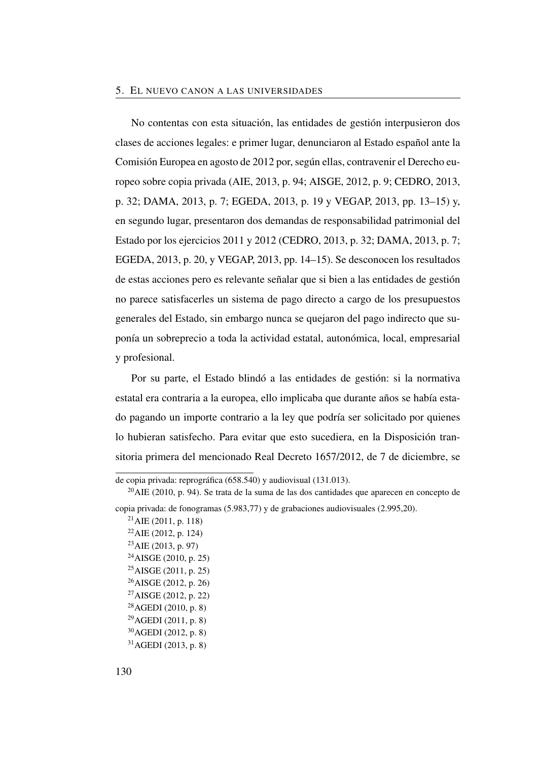No contentas con esta situación, las entidades de gestión interpusieron dos clases de acciones legales: e primer lugar, denunciaron al Estado español ante la Comisión Europea en agosto de 2012 por, según ellas, contravenir el Derecho europeo sobre copia privada (AIE, [2013,](#page-166-0) p. 94; AISGE, [2012,](#page-166-1) p. 9; CEDRO, [2013,](#page-167-3) p. 32; DAMA, [2013,](#page-168-2) p. 7; EGEDA, [2013,](#page-169-3) p. 19 y VEGAP, [2013,](#page-170-4) pp. 13–15) y, en segundo lugar, presentaron dos demandas de responsabilidad patrimonial del Estado por los ejercicios 2011 y 2012 (CEDRO, [2013,](#page-167-3) p. 32; DAMA, [2013,](#page-168-2) p. 7; EGEDA, [2013,](#page-169-3) p. 20, y VEGAP, [2013,](#page-170-4) pp. 14–15). Se desconocen los resultados de estas acciones pero es relevante señalar que si bien a las entidades de gestión no parece satisfacerles un sistema de pago directo a cargo de los presupuestos generales del Estado, sin embargo nunca se quejaron del pago indirecto que suponía un sobreprecio a toda la actividad estatal, autonómica, local, empresarial y profesional.

Por su parte, el Estado blindó a las entidades de gestión: si la normativa estatal era contraria a la europea, ello implicaba que durante años se había estado pagando un importe contrario a la ley que podría ser solicitado por quienes lo hubieran satisfecho. Para evitar que esto sucediera, en la Disposición transitoria primera del mencionado Real Decreto 1657/2012, de 7 de diciembre, se

 $^{21}$ AIE [\(2011,](#page-166-3) p. 118)  $^{22}$ AIE [\(2012,](#page-166-4) p. 124)  $^{23}$ AIE [\(2013,](#page-166-0) p. 97) AISGE [\(2010,](#page-166-5) p. 25) AISGE [\(2011,](#page-166-6) p. 25) AISGE [\(2012,](#page-166-7) p. 26) AISGE [\(2012,](#page-166-1) p. 22) AGEDI [\(2010,](#page-165-1) p. 8)  $^{29}$ AGEDI [\(2011,](#page-165-2) p. 8) AGEDI [\(2012,](#page-165-3) p. 8) AGEDI [\(2013,](#page-166-8) p. 8)

de copia privada: reprográfica (658.540) y audiovisual (131.013).

 $^{20}$ AIE [\(2010,](#page-166-2) p. 94). Se trata de la suma de las dos cantidades que aparecen en concepto de copia privada: de fonogramas (5.983,77) y de grabaciones audiovisuales (2.995,20).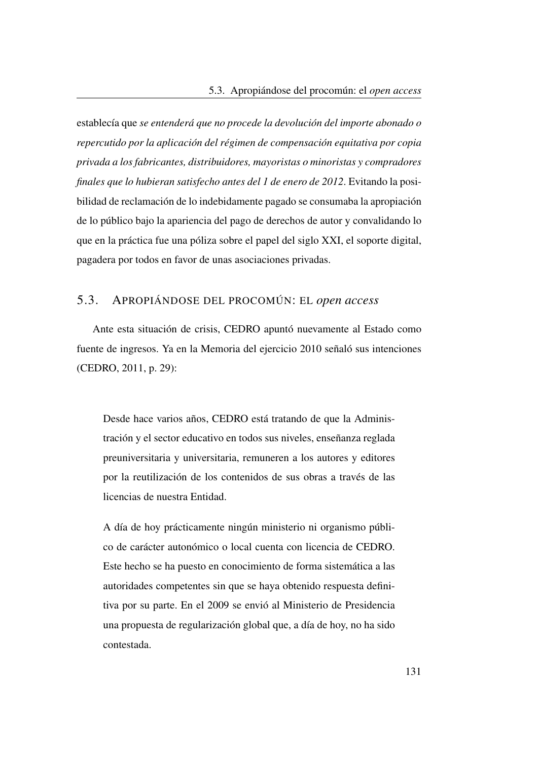establecía que *se entenderá que no procede la devolución del importe abonado o repercutido por la aplicación del régimen de compensación equitativa por copia privada a los fabricantes, distribuidores, mayoristas o minoristas y compradores finales que lo hubieran satisfecho antes del 1 de enero de 2012*. Evitando la posibilidad de reclamación de lo indebidamente pagado se consumaba la apropiación de lo público bajo la apariencia del pago de derechos de autor y convalidando lo que en la práctica fue una póliza sobre el papel del siglo XXI, el soporte digital, pagadera por todos en favor de unas asociaciones privadas.

## 5.3. APROPIÁNDOSE DEL PROCOMÚN: EL *open access*

Ante esta situación de crisis, [CEDRO](#page-25-0) apuntó nuevamente al Estado como fuente de ingresos. Ya en la Memoria del ejercicio 2010 señaló sus intenciones (CEDRO, [2011,](#page-167-0) p. 29):

Desde hace varios años, [CEDRO](#page-25-0) está tratando de que la Administración y el sector educativo en todos sus niveles, enseñanza reglada preuniversitaria y universitaria, remuneren a los autores y editores por la reutilización de los contenidos de sus obras a través de las licencias de nuestra Entidad.

A día de hoy prácticamente ningún ministerio ni organismo público de carácter autonómico o local cuenta con licencia de CEDRO. Este hecho se ha puesto en conocimiento de forma sistemática a las autoridades competentes sin que se haya obtenido respuesta definitiva por su parte. En el 2009 se envió al Ministerio de Presidencia una propuesta de regularización global que, a día de hoy, no ha sido contestada.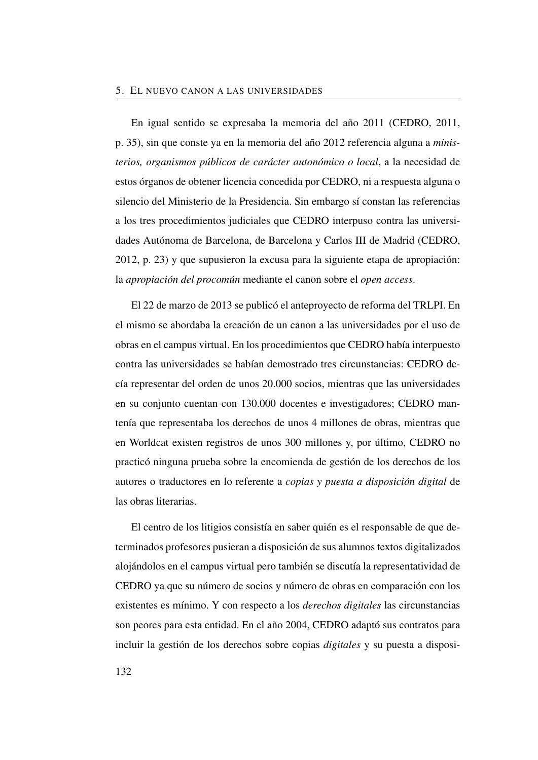En igual sentido se expresaba la memoria del año 2011 (CEDRO, [2011,](#page-167-0) p. 35), sin que conste ya en la memoria del año 2012 referencia alguna a *ministerios, organismos públicos de carácter autonómico o local*, a la necesidad de estos órganos de obtener licencia concedida por [CEDRO,](#page-25-0) ni a respuesta alguna o silencio del Ministerio de la Presidencia. Sin embargo sí constan las referencias a los tres procedimientos judiciales que [CEDRO](#page-25-0) interpuso contra las universidades Autónoma de Barcelona, de Barcelona y Carlos III de Madrid (CEDRO, [2012,](#page-167-2) p. 23) y que supusieron la excusa para la siguiente etapa de apropiación: la *apropiación del procomún* mediante el canon sobre el *open access*.

El 22 de marzo de 2013 se publicó el anteproyecto de reforma del [TRLPI.](#page-27-1) En el mismo se abordaba la creación de un canon a las universidades por el uso de obras en el campus virtual. En los procedimientos que [CEDRO](#page-25-0) había interpuesto contra las universidades se habían demostrado tres circunstancias: [CEDRO](#page-25-0) decía representar del orden de unos 20.000 socios, mientras que las universidades en su conjunto cuentan con 130.000 docentes e investigadores; [CEDRO](#page-25-0) mantenía que representaba los derechos de unos 4 millones de obras, mientras que en Worldcat existen registros de unos 300 millones y, por último, [CEDRO](#page-25-0) no practicó ninguna prueba sobre la encomienda de gestión de los derechos de los autores o traductores en lo referente a *copias y puesta a disposición digital* de las obras literarias.

El centro de los litigios consistía en saber quién es el responsable de que determinados profesores pusieran a disposición de sus alumnos textos digitalizados alojándolos en el campus virtual pero también se discutía la representatividad de [CEDRO](#page-25-0) ya que su número de socios y número de obras en comparación con los existentes es mínimo. Y con respecto a los *derechos digitales* las circunstancias son peores para esta entidad. En el año 2004, CEDRO adaptó sus contratos para incluir la gestión de los derechos sobre copias *digitales* y su puesta a disposi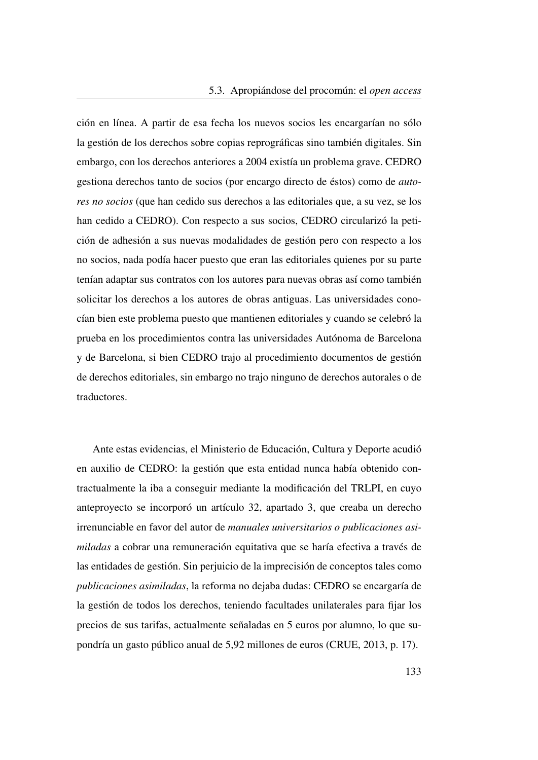ción en línea. A partir de esa fecha los nuevos socios les encargarían no sólo la gestión de los derechos sobre copias reprográficas sino también digitales. Sin embargo, con los derechos anteriores a 2004 existía un problema grave. [CEDRO](#page-25-0) gestiona derechos tanto de socios (por encargo directo de éstos) como de *autores no socios* (que han cedido sus derechos a las editoriales que, a su vez, se los han cedido a [CEDRO\)](#page-25-0). Con respecto a sus socios, [CEDRO](#page-25-0) circularizó la petición de adhesión a sus nuevas modalidades de gestión pero con respecto a los no socios, nada podía hacer puesto que eran las editoriales quienes por su parte tenían adaptar sus contratos con los autores para nuevas obras así como también solicitar los derechos a los autores de obras antiguas. Las universidades conocían bien este problema puesto que mantienen editoriales y cuando se celebró la prueba en los procedimientos contra las universidades Autónoma de Barcelona y de Barcelona, si bien [CEDRO](#page-25-0) trajo al procedimiento documentos de gestión de derechos editoriales, sin embargo no trajo ninguno de derechos autorales o de traductores.

Ante estas evidencias, el Ministerio de Educación, Cultura y Deporte acudió en auxilio de [CEDRO:](#page-25-0) la gestión que esta entidad nunca había obtenido contractualmente la iba a conseguir mediante la modificación del [TRLPI,](#page-27-1) en cuyo anteproyecto se incorporó un artículo 32, apartado 3, que creaba un derecho irrenunciable en favor del autor de *manuales universitarios o publicaciones asimiladas* a cobrar una remuneración equitativa que se haría efectiva a través de las entidades de gestión. Sin perjuicio de la imprecisión de conceptos tales como *publicaciones asimiladas*, la reforma no dejaba dudas: [CEDRO](#page-25-0) se encargaría de la gestión de todos los derechos, teniendo facultades unilaterales para fijar los precios de sus tarifas, actualmente señaladas en 5 euros por alumno, lo que supondría un gasto público anual de 5,92 millones de euros (CRUE, [2013,](#page-168-3) p. 17).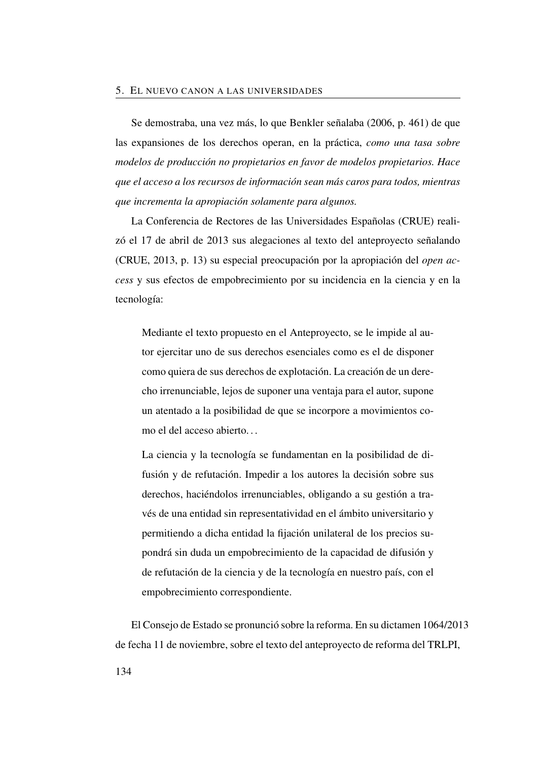Se demostraba, una vez más, lo que Benkler señalaba [\(2006,](#page-49-0) p. 461) de que las expansiones de los derechos operan, en la práctica, *como una tasa sobre modelos de producción no propietarios en favor de modelos propietarios. Hace que el acceso a los recursos de información sean más caros para todos, mientras que incrementa la apropiación solamente para algunos.*

La Conferencia de Rectores de las Universidades Españolas [\(CRUE\)](#page-25-1) realizó el 17 de abril de 2013 sus alegaciones al texto del anteproyecto señalando (CRUE, [2013,](#page-168-3) p. 13) su especial preocupación por la apropiación del *open access* y sus efectos de empobrecimiento por su incidencia en la ciencia y en la tecnología:

Mediante el texto propuesto en el Anteproyecto, se le impide al autor ejercitar uno de sus derechos esenciales como es el de disponer como quiera de sus derechos de explotación. La creación de un derecho irrenunciable, lejos de suponer una ventaja para el autor, supone un atentado a la posibilidad de que se incorpore a movimientos como el del acceso abierto. . .

La ciencia y la tecnología se fundamentan en la posibilidad de difusión y de refutación. Impedir a los autores la decisión sobre sus derechos, haciéndolos irrenunciables, obligando a su gestión a través de una entidad sin representatividad en el ámbito universitario y permitiendo a dicha entidad la fijación unilateral de los precios supondrá sin duda un empobrecimiento de la capacidad de difusión y de refutación de la ciencia y de la tecnología en nuestro país, con el empobrecimiento correspondiente.

El Consejo de Estado se pronunció sobre la reforma. En su dictamen 1064/2013 de fecha 11 de noviembre, sobre el texto del anteproyecto de reforma del [TRLPI,](#page-27-1)

134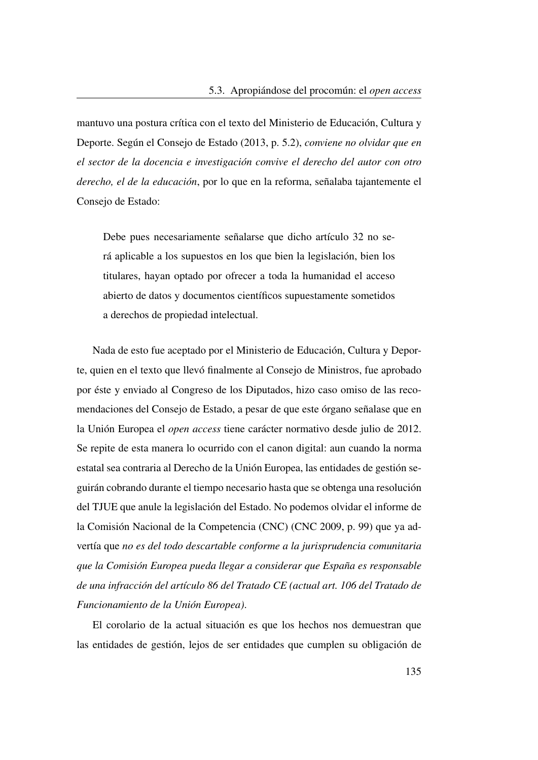mantuvo una postura crítica con el texto del Ministerio de Educación, Cultura y Deporte. Según el Consejo de Estado [\(2013,](#page-167-4) p. 5.2), *conviene no olvidar que en el sector de la docencia e investigación convive el derecho del autor con otro derecho, el de la educación*, por lo que en la reforma, señalaba tajantemente el Consejo de Estado:

Debe pues necesariamente señalarse que dicho artículo 32 no será aplicable a los supuestos en los que bien la legislación, bien los titulares, hayan optado por ofrecer a toda la humanidad el acceso abierto de datos y documentos científicos supuestamente sometidos a derechos de propiedad intelectual.

Nada de esto fue aceptado por el Ministerio de Educación, Cultura y Deporte, quien en el texto que llevó finalmente al Consejo de Ministros, fue aprobado por éste y enviado al Congreso de los Diputados, hizo caso omiso de las recomendaciones del Consejo de Estado, a pesar de que este órgano señalase que en la Unión Europea el *open access* tiene carácter normativo desde julio de 2012. Se repite de esta manera lo ocurrido con el canon digital: aun cuando la norma estatal sea contraria al Derecho de la Unión Europea, las entidades de gestión seguirán cobrando durante el tiempo necesario hasta que se obtenga una resolución del [TJUE](#page-27-0) que anule la legislación del Estado. No podemos olvidar el informe de la Comisión Nacional de la Competencia [\(CNC\)](#page-25-2) (CNC [2009,](#page-110-0) p. 99) que ya advertía que *no es del todo descartable conforme a la jurisprudencia comunitaria que la Comisión Europea pueda llegar a considerar que España es responsable de una infracción del artículo 86 del Tratado CE (actual art. 106 del Tratado de Funcionamiento de la Unión Europea)*.

El corolario de la actual situación es que los hechos nos demuestran que las entidades de gestión, lejos de ser entidades que cumplen su obligación de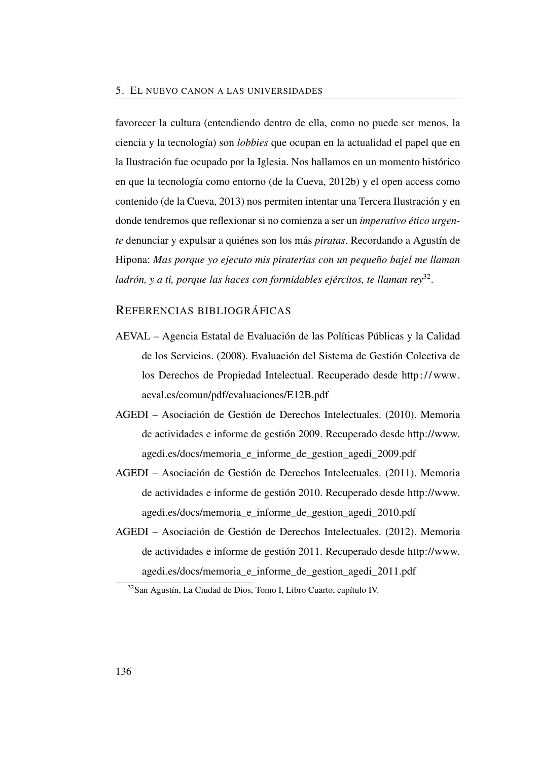favorecer la cultura (entendiendo dentro de ella, como no puede ser menos, la ciencia y la tecnología) son *lobbies* que ocupan en la actualidad el papel que en la Ilustración fue ocupado por la Iglesia. Nos hallamos en un momento histórico en que la tecnología como entorno (de la Cueva, [2012b\)](#page-50-0) y el open access como contenido (de la Cueva, [2013\)](#page-50-1) nos permiten intentar una Tercera Ilustración y en donde tendremos que reflexionar si no comienza a ser un *imperativo ético urgente* denunciar y expulsar a quiénes son los más *piratas*. Recordando a Agustín de Hipona: *Mas porque yo ejecuto mis piraterías con un pequeño bajel me llaman ladrón, y a ti, porque las haces con formidables ejércitos, te llaman rey*[32](#page-165-4) .

## REFERENCIAS BIBLIOGRÁFICAS

- <span id="page-165-0"></span>AEVAL – Agencia Estatal de Evaluación de las Políticas Públicas y la Calidad de los Servicios. (2008). Evaluación del Sistema de Gestión Colectiva de los Derechos de Propiedad Intelectual. Recuperado desde [http:// www.](http://www.aeval.es/comun/pdf/evaluaciones/E12B.pdf) [aeval.es/comun/pdf/evaluaciones/E12B.pdf](http://www.aeval.es/comun/pdf/evaluaciones/E12B.pdf)
- <span id="page-165-1"></span>AGEDI – Asociación de Gestión de Derechos Intelectuales. (2010). Memoria de actividades e informe de gestión 2009. Recuperado desde [http://www.](http://www.agedi.es/docs/memoria_e_informe_de_gestion_agedi_2009.pdf) [agedi.es/docs/memoria\\_e\\_informe\\_de\\_gestion\\_agedi\\_2009.pdf](http://www.agedi.es/docs/memoria_e_informe_de_gestion_agedi_2009.pdf)
- <span id="page-165-2"></span>AGEDI – Asociación de Gestión de Derechos Intelectuales. (2011). Memoria de actividades e informe de gestión 2010. Recuperado desde [http://www.](http://www.agedi.es/docs/memoria_e_informe_de_gestion_agedi_2010.pdf) [agedi.es/docs/memoria\\_e\\_informe\\_de\\_gestion\\_agedi\\_2010.pdf](http://www.agedi.es/docs/memoria_e_informe_de_gestion_agedi_2010.pdf)
- <span id="page-165-3"></span>AGEDI – Asociación de Gestión de Derechos Intelectuales. (2012). Memoria de actividades e informe de gestión 2011. Recuperado desde [http://www.](http://www.agedi.es/docs/memoria_e_informe_de_gestion_agedi_2011.pdf) [agedi.es/docs/memoria\\_e\\_informe\\_de\\_gestion\\_agedi\\_2011.pdf](http://www.agedi.es/docs/memoria_e_informe_de_gestion_agedi_2011.pdf)

<span id="page-165-4"></span><sup>32</sup>San Agustín, La Ciudad de Dios, Tomo I, Libro Cuarto, capítulo IV.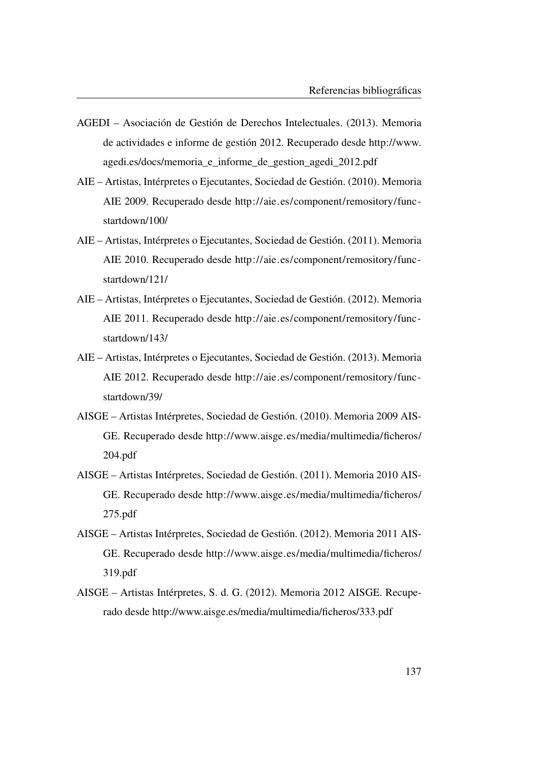- <span id="page-166-8"></span>AGEDI – Asociación de Gestión de Derechos Intelectuales. (2013). Memoria de actividades e informe de gestión 2012. Recuperado desde [http://www.](http://www.agedi.es/docs/memoria_e_informe_de_gestion_agedi_2012.pdf) [agedi.es/docs/memoria\\_e\\_informe\\_de\\_gestion\\_agedi\\_2012.pdf](http://www.agedi.es/docs/memoria_e_informe_de_gestion_agedi_2012.pdf)
- <span id="page-166-2"></span>AIE – Artistas, Intérpretes o Ejecutantes, Sociedad de Gestión. (2010). Memoria AIE 2009. Recuperado desde [http://aie.es/component/remository/func](http://aie.es/component/remository/func-startdown/100/)[startdown/100/](http://aie.es/component/remository/func-startdown/100/)
- <span id="page-166-3"></span>AIE – Artistas, Intérpretes o Ejecutantes, Sociedad de Gestión. (2011). Memoria AIE 2010. Recuperado desde [http://aie.es/component/remository/func](http://aie.es/component/remository/func-startdown/121/)[startdown/121/](http://aie.es/component/remository/func-startdown/121/)
- <span id="page-166-4"></span>AIE – Artistas, Intérpretes o Ejecutantes, Sociedad de Gestión. (2012). Memoria AIE 2011. Recuperado desde [http://aie.es/component/remository/func](http://aie.es/component/remository/func-startdown/143/)[startdown/143/](http://aie.es/component/remository/func-startdown/143/)
- <span id="page-166-0"></span>AIE – Artistas, Intérpretes o Ejecutantes, Sociedad de Gestión. (2013). Memoria AIE 2012. Recuperado desde [http://aie.es/component/remository/func](http://aie.es/component/remository/func-startdown/39/)[startdown/39/](http://aie.es/component/remository/func-startdown/39/)
- <span id="page-166-5"></span>AISGE – Artistas Intérpretes, Sociedad de Gestión. (2010). Memoria 2009 AIS-GE. Recuperado desde [http://www.aisge.es/media/multimedia/ficheros/](http://www.aisge.es/media/multimedia/ficheros/204.pdf) [204.pdf](http://www.aisge.es/media/multimedia/ficheros/204.pdf)
- <span id="page-166-6"></span>AISGE – Artistas Intérpretes, Sociedad de Gestión. (2011). Memoria 2010 AIS-GE. Recuperado desde [http://www.aisge.es/media/multimedia/ficheros/](http://www.aisge.es/media/multimedia/ficheros/275.pdf) [275.pdf](http://www.aisge.es/media/multimedia/ficheros/275.pdf)
- <span id="page-166-7"></span>AISGE – Artistas Intérpretes, Sociedad de Gestión. (2012). Memoria 2011 AIS-GE. Recuperado desde [http://www.aisge.es/media/multimedia/ficheros/](http://www.aisge.es/media/multimedia/ficheros/319.pdf) [319.pdf](http://www.aisge.es/media/multimedia/ficheros/319.pdf)
- <span id="page-166-1"></span>AISGE – Artistas Intérpretes, S. d. G. (2012). Memoria 2012 AISGE. Recuperado desde<http://www.aisge.es/media/multimedia/ficheros/333.pdf>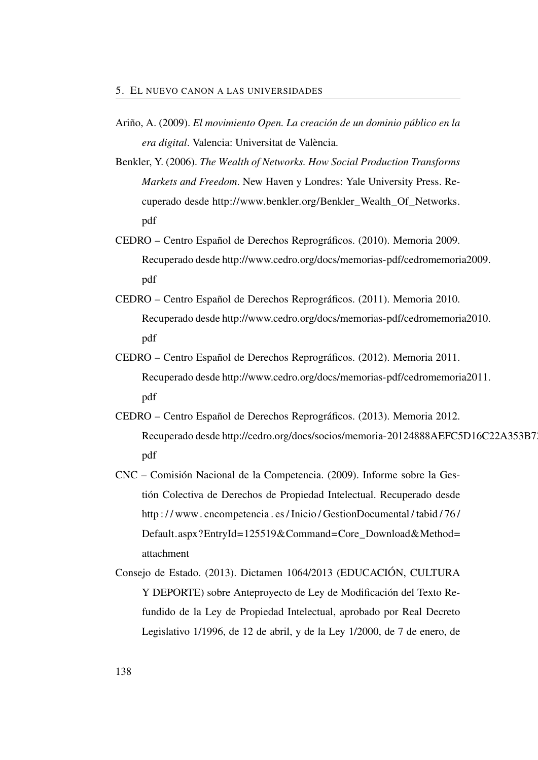- Ariño, A. (2009). *El movimiento Open. La creación de un dominio público en la era digital*. Valencia: Universitat de València.
- Benkler, Y. (2006). *The Wealth of Networks. How Social Production Transforms Markets and Freedom*. New Haven y Londres: Yale University Press. Recuperado desde [http://www.benkler.org/Benkler\\_Wealth\\_Of\\_Networks.](http://www.benkler.org/Benkler_Wealth_Of_Networks.pdf) [pdf](http://www.benkler.org/Benkler_Wealth_Of_Networks.pdf)
- <span id="page-167-1"></span>CEDRO – Centro Español de Derechos Reprográficos. (2010). Memoria 2009. Recuperado desde [http://www.cedro.org/docs/memorias-pdf/cedromemori](http://www.cedro.org/docs/memorias-pdf/cedromemoria2009.pdf)a2009. [pdf](http://www.cedro.org/docs/memorias-pdf/cedromemoria2009.pdf)
- <span id="page-167-0"></span>CEDRO – Centro Español de Derechos Reprográficos. (2011). Memoria 2010. Recuperado desde [http://www.cedro.org/docs/memorias-pdf/cedromemori](http://www.cedro.org/docs/memorias-pdf/cedromemoria2010.pdf)a2010. [pdf](http://www.cedro.org/docs/memorias-pdf/cedromemoria2010.pdf)
- <span id="page-167-2"></span>CEDRO – Centro Español de Derechos Reprográficos. (2012). Memoria 2011. Recuperado desde [http://www.cedro.org/docs/memorias-pdf/cedromemori](http://www.cedro.org/docs/memorias-pdf/cedromemoria2011.pdf)a2011. [pdf](http://www.cedro.org/docs/memorias-pdf/cedromemoria2011.pdf)
- <span id="page-167-3"></span>CEDRO – Centro Español de Derechos Reprográficos. (2013). Memoria 2012. Recuperado desde [http://cedro.org/docs/socios/memoria-20124888AEFC5](http://cedro.org/docs/socios/memoria-20124888AEFC5D16C22A353B728D.pdf)D16C22A353B7 [pdf](http://cedro.org/docs/socios/memoria-20124888AEFC5D16C22A353B728D.pdf)
- CNC Comisión Nacional de la Competencia. (2009). Informe sobre la Gestión Colectiva de Derechos de Propiedad Intelectual. Recuperado desde http://www.cncompetencia.es/Inicio/GestionDocumental/tabid/76/ [Default.aspx?EntryId=125519&Command=Core\\_Download&Method=](http://www.cncompetencia.es/Inicio/GestionDocumental/tabid/76/Default.aspx?EntryId=125519&Command=Core_Download&Method=attachment) [attachment](http://www.cncompetencia.es/Inicio/GestionDocumental/tabid/76/Default.aspx?EntryId=125519&Command=Core_Download&Method=attachment)
- <span id="page-167-4"></span>Consejo de Estado. (2013). Dictamen 1064/2013 (EDUCACIÓN, CULTURA Y DEPORTE) sobre Anteproyecto de Ley de Modificación del Texto Refundido de la Ley de Propiedad Intelectual, aprobado por Real Decreto Legislativo 1/1996, de 12 de abril, y de la Ley 1/2000, de 7 de enero, de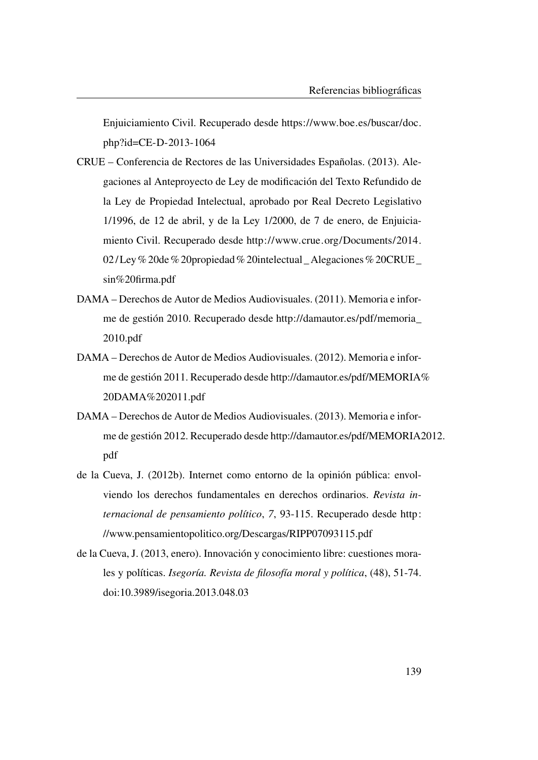Enjuiciamiento Civil. Recuperado desde [https://www.boe.es/buscar/doc.](https://www.boe.es/buscar/doc.php?id=CE-D-2013-1064) [php?id=CE-D-2013-1064](https://www.boe.es/buscar/doc.php?id=CE-D-2013-1064)

- <span id="page-168-3"></span>CRUE – Conferencia de Rectores de las Universidades Españolas. (2013). Alegaciones al Anteproyecto de Ley de modificación del Texto Refundido de la Ley de Propiedad Intelectual, aprobado por Real Decreto Legislativo 1/1996, de 12 de abril, y de la Ley 1/2000, de 7 de enero, de Enjuiciamiento Civil. Recuperado desde [http://www.crue.org/Documents/2014.](http://www.crue.org/Documents/2014.02/Ley%20de%20propiedad%20intelectual_Alegaciones%20CRUE_sin%20firma.pdf) [02/ Ley% 20de% 20propiedad% 20intelectual \\_ Alegaciones% 20CRUE \\_](http://www.crue.org/Documents/2014.02/Ley%20de%20propiedad%20intelectual_Alegaciones%20CRUE_sin%20firma.pdf) [sin%20firma.pdf](http://www.crue.org/Documents/2014.02/Ley%20de%20propiedad%20intelectual_Alegaciones%20CRUE_sin%20firma.pdf)
- <span id="page-168-0"></span>DAMA – Derechos de Autor de Medios Audiovisuales. (2011). Memoria e informe de gestión 2010. Recuperado desde [http://damautor.es/pdf/memoria\\_](http://damautor.es/pdf/memoria_2010.pdf) [2010.pdf](http://damautor.es/pdf/memoria_2010.pdf)
- <span id="page-168-1"></span>DAMA – Derechos de Autor de Medios Audiovisuales. (2012). Memoria e informe de gestión 2011. Recuperado desde [http://damautor.es/pdf/MEMORIA%](http://damautor.es/pdf/MEMORIA%20DAMA%202011.pdf) [20DAMA%202011.pdf](http://damautor.es/pdf/MEMORIA%20DAMA%202011.pdf)
- <span id="page-168-2"></span>DAMA – Derechos de Autor de Medios Audiovisuales. (2013). Memoria e informe de gestión 2012. Recuperado desde [http://damautor.es/pdf/MEMORIA2](http://damautor.es/pdf/MEMORIA2012.pdf)012. [pdf](http://damautor.es/pdf/MEMORIA2012.pdf)
- de la Cueva, J. (2012b). Internet como entorno de la opinión pública: envolviendo los derechos fundamentales en derechos ordinarios. *Revista internacional de pensamiento político*, *7*, 93-115. Recuperado desde [http:](http://www.pensamientopolitico.org/Descargas/RIPP07093115.pdf) [//www.pensamientopolitico.org/Descargas/RIPP07093115.pdf](http://www.pensamientopolitico.org/Descargas/RIPP07093115.pdf)
- de la Cueva, J. (2013, enero). Innovación y conocimiento libre: cuestiones morales y políticas. *Isegoría. Revista de filosofía moral y política*, (48), 51-74. doi[:10.3989/isegoria.2013.048.03](http://dx.doi.org/10.3989/isegoria.2013.048.03)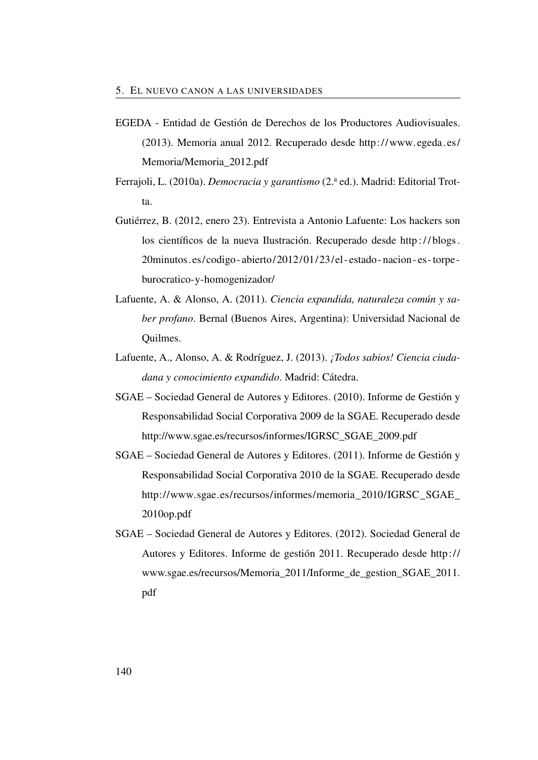- <span id="page-169-3"></span>EGEDA - Entidad de Gestión de Derechos de los Productores Audiovisuales. (2013). Memoria anual 2012. Recuperado desde [http://www.egeda.es/](http://www.egeda.es/Memoria/Memoria_2012.pdf) [Memoria/Memoria\\_2012.pdf](http://www.egeda.es/Memoria/Memoria_2012.pdf)
- Ferrajoli, L. (2010a). *Democracia y garantismo* (2.<sup>a</sup> ed.). Madrid: Editorial Trotta.
- Gutiérrez, B. (2012, enero 23). Entrevista a Antonio Lafuente: Los hackers son los científicos de la nueva Ilustración. Recuperado desde [http : / / blogs .](http://blogs.20minutos.es/codigo-abierto/2012/01/23/el-estado-nacion-es-torpe-burocratico-y-homogenizador/) [20minutos.es/codigo - abierto/2012/01/23/el - estado - nacion - es -torpe](http://blogs.20minutos.es/codigo-abierto/2012/01/23/el-estado-nacion-es-torpe-burocratico-y-homogenizador/)  [burocratico-y-homogenizador/](http://blogs.20minutos.es/codigo-abierto/2012/01/23/el-estado-nacion-es-torpe-burocratico-y-homogenizador/)
- Lafuente, A. & Alonso, A. (2011). *Ciencia expandida, naturaleza común y saber profano*. Bernal (Buenos Aires, Argentina): Universidad Nacional de Quilmes.
- Lafuente, A., Alonso, A. & Rodríguez, J. (2013). *¡Todos sabios! Ciencia ciudadana y conocimiento expandido*. Madrid: Cátedra.
- <span id="page-169-0"></span>SGAE – Sociedad General de Autores y Editores. (2010). Informe de Gestión y Responsabilidad Social Corporativa 2009 de la SGAE. Recuperado desde [http://www.sgae.es/recursos/informes/IGRSC\\_SGAE\\_2009.pdf](http://www.sgae.es/recursos/informes/IGRSC_SGAE_2009.pdf)
- <span id="page-169-1"></span>SGAE – Sociedad General de Autores y Editores. (2011). Informe de Gestión y Responsabilidad Social Corporativa 2010 de la SGAE. Recuperado desde [http://www.sgae.es/recursos/informes/memoria\\_2010/IGRSC\\_SGAE\\_](http://www.sgae.es/recursos/informes/memoria_2010/IGRSC_SGAE_2010op.pdf) [2010op.pdf](http://www.sgae.es/recursos/informes/memoria_2010/IGRSC_SGAE_2010op.pdf)
- <span id="page-169-2"></span>SGAE – Sociedad General de Autores y Editores. (2012). Sociedad General de Autores y Editores. Informe de gestión 2011. Recuperado desde [http://](http://www.sgae.es/recursos/Memoria_2011/Informe_de_gestion_SGAE_2011.pdf) [www.sgae.es/recursos/Memoria\\_2011/Informe\\_de\\_gestion\\_SGAE\\_2011.](http://www.sgae.es/recursos/Memoria_2011/Informe_de_gestion_SGAE_2011.pdf) [pdf](http://www.sgae.es/recursos/Memoria_2011/Informe_de_gestion_SGAE_2011.pdf)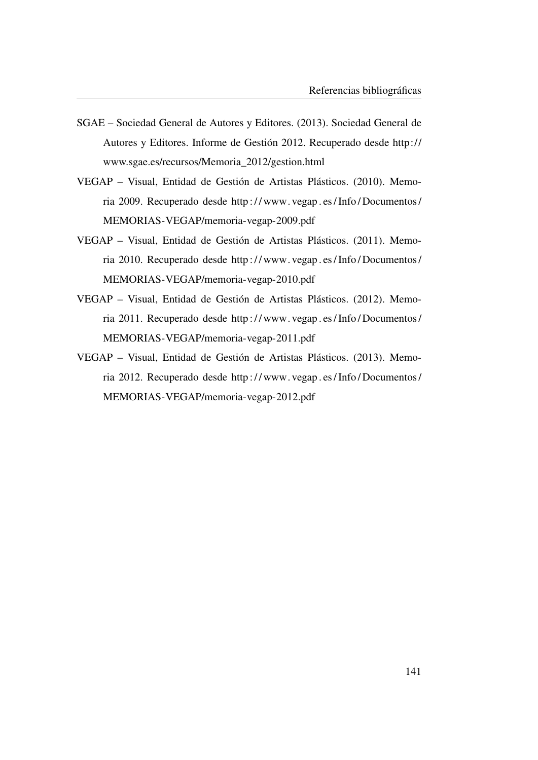- <span id="page-170-0"></span>SGAE – Sociedad General de Autores y Editores. (2013). Sociedad General de Autores y Editores. Informe de Gestión 2012. Recuperado desde [http://](http://www.sgae.es/recursos/Memoria_2012/gestion.html) [www.sgae.es/recursos/Memoria\\_2012/gestion.html](http://www.sgae.es/recursos/Memoria_2012/gestion.html)
- <span id="page-170-1"></span>VEGAP – Visual, Entidad de Gestión de Artistas Plásticos. (2010). Memoria 2009. Recuperado desde [http : / / www. vegap . es / Info / Documentos /](http://www.vegap.es/Info/Documentos/MEMORIAS-VEGAP/memoria-vegap-2009.pdf) [MEMORIAS-VEGAP/memoria-vegap-2009.pdf](http://www.vegap.es/Info/Documentos/MEMORIAS-VEGAP/memoria-vegap-2009.pdf)
- <span id="page-170-2"></span>VEGAP – Visual, Entidad de Gestión de Artistas Plásticos. (2011). Memoria 2010. Recuperado desde [http : / / www. vegap . es / Info / Documentos /](http://www.vegap.es/Info/Documentos/MEMORIAS-VEGAP/memoria-vegap-2010.pdf) [MEMORIAS-VEGAP/memoria-vegap-2010.pdf](http://www.vegap.es/Info/Documentos/MEMORIAS-VEGAP/memoria-vegap-2010.pdf)
- <span id="page-170-3"></span>VEGAP – Visual, Entidad de Gestión de Artistas Plásticos. (2012). Memoria 2011. Recuperado desde [http : / / www. vegap . es / Info / Documentos /](http://www.vegap.es/Info/Documentos/MEMORIAS-VEGAP/memoria-vegap-2011.pdf) [MEMORIAS-VEGAP/memoria-vegap-2011.pdf](http://www.vegap.es/Info/Documentos/MEMORIAS-VEGAP/memoria-vegap-2011.pdf)
- <span id="page-170-4"></span>VEGAP – Visual, Entidad de Gestión de Artistas Plásticos. (2013). Memoria 2012. Recuperado desde [http : / / www. vegap . es / Info / Documentos /](http://www.vegap.es/Info/Documentos/MEMORIAS-VEGAP/memoria-vegap-2012.pdf) [MEMORIAS-VEGAP/memoria-vegap-2012.pdf](http://www.vegap.es/Info/Documentos/MEMORIAS-VEGAP/memoria-vegap-2012.pdf)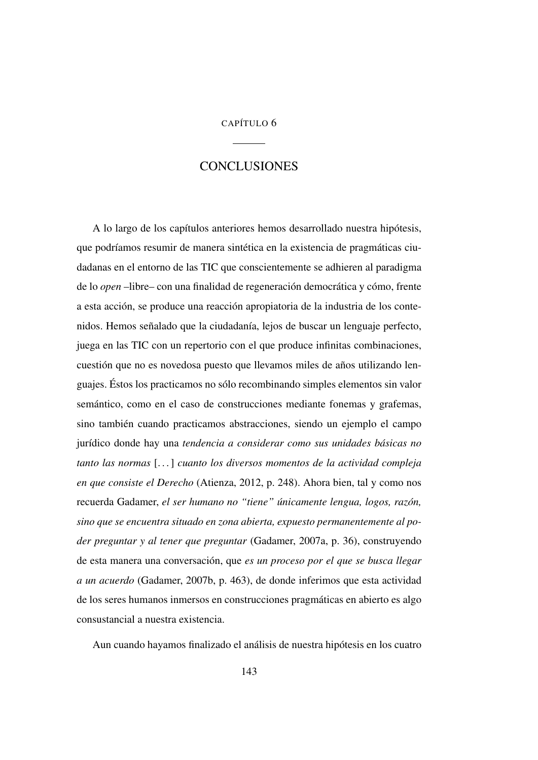## CAPÍTULO 6

# **CONCLUSIONES**

A lo largo de los capítulos anteriores hemos desarrollado nuestra hipótesis, que podríamos resumir de manera sintética en la existencia de pragmáticas ciudadanas en el entorno de las TIC que conscientemente se adhieren al paradigma de lo *open* –libre– con una finalidad de regeneración democrática y cómo, frente a esta acción, se produce una reacción apropiatoria de la industria de los contenidos. Hemos señalado que la ciudadanía, lejos de buscar un lenguaje perfecto, juega en las [TIC](#page-27-2) con un repertorio con el que produce infinitas combinaciones, cuestión que no es novedosa puesto que llevamos miles de años utilizando lenguajes. Éstos los practicamos no sólo recombinando simples elementos sin valor semántico, como en el caso de construcciones mediante fonemas y grafemas, sino también cuando practicamos abstracciones, siendo un ejemplo el campo jurídico donde hay una *tendencia a considerar como sus unidades básicas no tanto las normas* [. . . ] *cuanto los diversos momentos de la actividad compleja en que consiste el Derecho* (Atienza, [2012,](#page-189-0) p. 248). Ahora bien, tal y como nos recuerda Gadamer, *el ser humano no "tiene" únicamente lengua, logos, razón, sino que se encuentra situado en zona abierta, expuesto permanentemente al poder preguntar y al tener que preguntar* (Gadamer, [2007a,](#page-190-0) p. 36), construyendo de esta manera una conversación, que *es un proceso por el que se busca llegar a un acuerdo* (Gadamer, [2007b,](#page-191-0) p. 463), de donde inferimos que esta actividad de los seres humanos inmersos en construcciones pragmáticas en abierto es algo consustancial a nuestra existencia.

Aun cuando hayamos finalizado el análisis de nuestra hipótesis en los cuatro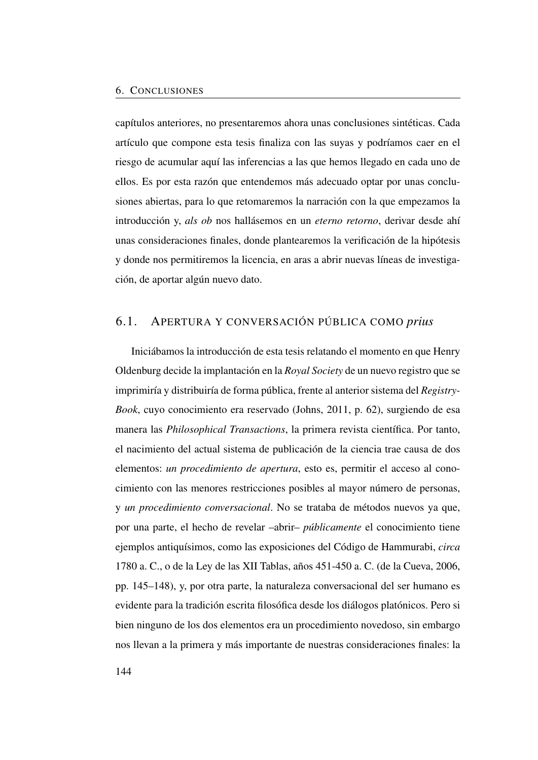capítulos anteriores, no presentaremos ahora unas conclusiones sintéticas. Cada artículo que compone esta tesis finaliza con las suyas y podríamos caer en el riesgo de acumular aquí las inferencias a las que hemos llegado en cada uno de ellos. Es por esta razón que entendemos más adecuado optar por unas conclusiones abiertas, para lo que retomaremos la narración con la que empezamos la introducción y, *als ob* nos hallásemos en un *eterno retorno*, derivar desde ahí unas consideraciones finales, donde plantearemos la verificación de la hipótesis y donde nos permitiremos la licencia, en aras a abrir nuevas líneas de investigación, de aportar algún nuevo dato.

# 6.1. APERTURA Y CONVERSACIÓN PÚBLICA COMO *prius*

Iniciábamos la introducción de esta tesis relatando el momento en que Henry Oldenburg decide la implantación en la *Royal Society* de un nuevo registro que se imprimiría y distribuiría de forma pública, frente al anterior sistema del *Registry-Book*, cuyo conocimiento era reservado (Johns, [2011,](#page-51-1) p. 62), surgiendo de esa manera las *Philosophical Transactions*, la primera revista científica. Por tanto, el nacimiento del actual sistema de publicación de la ciencia trae causa de dos elementos: *un procedimiento de apertura*, esto es, permitir el acceso al conocimiento con las menores restricciones posibles al mayor número de personas, y *un procedimiento conversacional*. No se trataba de métodos nuevos ya que, por una parte, el hecho de revelar –abrir– *públicamente* el conocimiento tiene ejemplos antiquísimos, como las exposiciones del Código de Hammurabi, *circa* 1780 a. C., o de la Ley de las XII Tablas, años 451-450 a. C. (de la Cueva, [2006,](#page-110-1) pp. 145–148), y, por otra parte, la naturaleza conversacional del ser humano es evidente para la tradición escrita filosófica desde los diálogos platónicos. Pero si bien ninguno de los dos elementos era un procedimiento novedoso, sin embargo nos llevan a la primera y más importante de nuestras consideraciones finales: la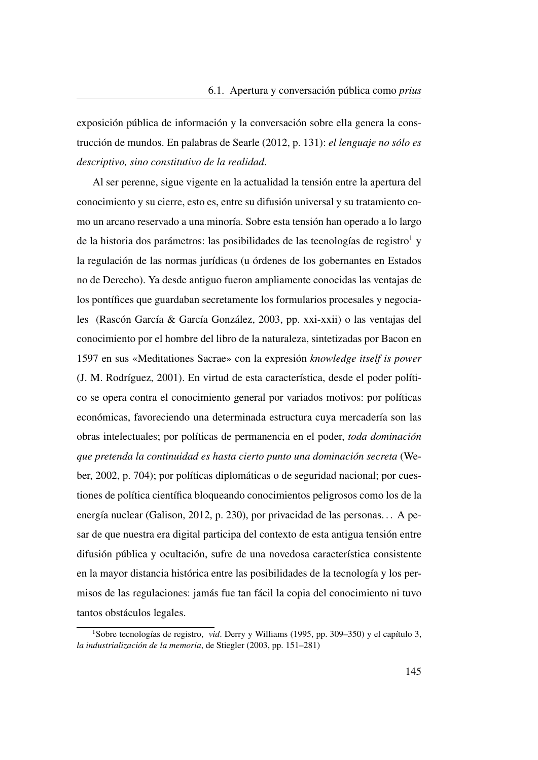exposición pública de información y la conversación sobre ella genera la construcción de mundos. En palabras de Searle [\(2012,](#page-192-0) p. 131): *el lenguaje no sólo es descriptivo, sino constitutivo de la realidad*.

Al ser perenne, sigue vigente en la actualidad la tensión entre la apertura del conocimiento y su cierre, esto es, entre su difusión universal y su tratamiento como un arcano reservado a una minoría. Sobre esta tensión han operado a lo largo de la historia dos parámetros: las posibilidades de las tecnologías de registro<sup>[1](#page-174-0)</sup> y la regulación de las normas jurídicas (u órdenes de los gobernantes en Estados no de Derecho). Ya desde antiguo fueron ampliamente conocidas las ventajas de los pontífices que guardaban secretamente los formularios procesales y negociales (Rascón García & García González, [2003,](#page-192-1) pp. xxi-xxii) o las ventajas del conocimiento por el hombre del libro de la naturaleza, sintetizadas por Bacon en 1597 en sus «Meditationes Sacrae» con la expresión *knowledge itself is power* (J. M. Rodríguez, [2001\)](#page-192-2). En virtud de esta característica, desde el poder político se opera contra el conocimiento general por variados motivos: por políticas económicas, favoreciendo una determinada estructura cuya mercadería son las obras intelectuales; por políticas de permanencia en el poder, *toda dominación que pretenda la continuidad es hasta cierto punto una dominación secreta* (Weber, [2002,](#page-192-3) p. 704); por políticas diplomáticas o de seguridad nacional; por cuestiones de política científica bloqueando conocimientos peligrosos como los de la energía nuclear (Galison, [2012,](#page-147-1) p. 230), por privacidad de las personas. . . A pesar de que nuestra era digital participa del contexto de esta antigua tensión entre difusión pública y ocultación, sufre de una novedosa característica consistente en la mayor distancia histórica entre las posibilidades de la tecnología y los permisos de las regulaciones: jamás fue tan fácil la copia del conocimiento ni tuvo tantos obstáculos legales.

<span id="page-174-0"></span><sup>1</sup>Sobre tecnologías de registro, *vid*. Derry y Williams [\(1995,](#page-190-1) pp. 309–350) y el capítulo 3, *la industrialización de la memoria*, de Stiegler [\(2003,](#page-192-4) pp. 151–281)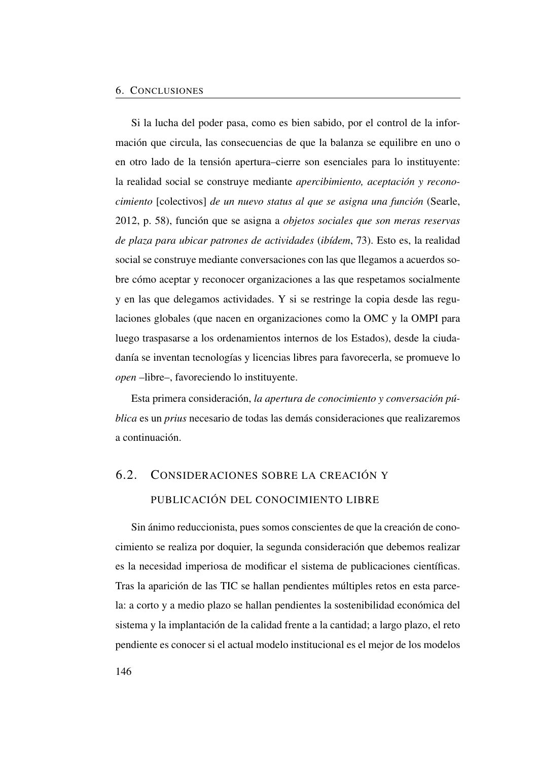Si la lucha del poder pasa, como es bien sabido, por el control de la información que circula, las consecuencias de que la balanza se equilibre en uno o en otro lado de la tensión apertura–cierre son esenciales para lo instituyente: la realidad social se construye mediante *apercibimiento, aceptación y reconocimiento* [colectivos] *de un nuevo status al que se asigna una función* (Searle, [2012,](#page-192-0) p. 58), función que se asigna a *objetos sociales que son meras reservas de plaza para ubicar patrones de actividades* (*ibídem*, 73). Esto es, la realidad social se construye mediante conversaciones con las que llegamos a acuerdos sobre cómo aceptar y reconocer organizaciones a las que respetamos socialmente y en las que delegamos actividades. Y si se restringe la copia desde las regulaciones globales (que nacen en organizaciones como la [OMC](#page-26-1) y la [OMPI](#page-26-2) para luego traspasarse a los ordenamientos internos de los Estados), desde la ciudadanía se inventan tecnologías y licencias libres para favorecerla, se promueve lo *open* –libre–, favoreciendo lo instituyente.

Esta primera consideración, *la apertura de conocimiento y conversación pública* es un *prius* necesario de todas las demás consideraciones que realizaremos a continuación.

# 6.2. CONSIDERACIONES SOBRE LA CREACIÓN Y PUBLICACIÓN DEL CONOCIMIENTO LIBRE

Sin ánimo reduccionista, pues somos conscientes de que la creación de conocimiento se realiza por doquier, la segunda consideración que debemos realizar es la necesidad imperiosa de modificar el sistema de publicaciones científicas. Tras la aparición de las [TIC](#page-27-2) se hallan pendientes múltiples retos en esta parcela: a corto y a medio plazo se hallan pendientes la sostenibilidad económica del sistema y la implantación de la calidad frente a la cantidad; a largo plazo, el reto pendiente es conocer si el actual modelo institucional es el mejor de los modelos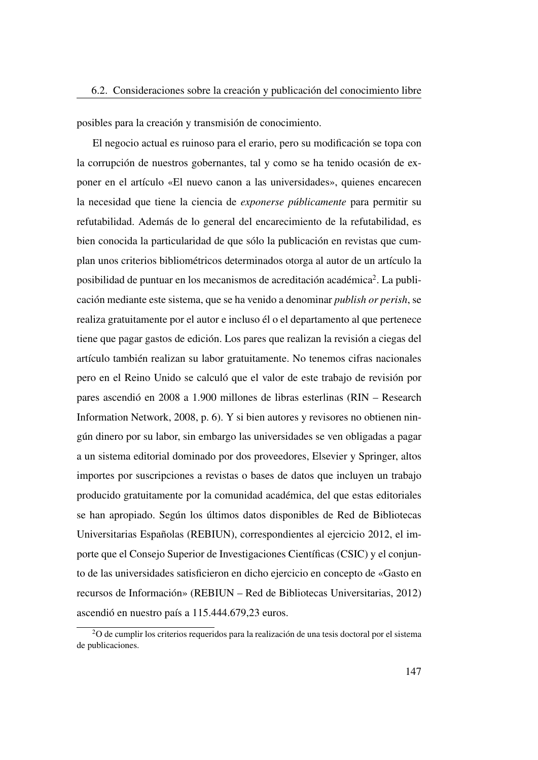posibles para la creación y transmisión de conocimiento.

El negocio actual es ruinoso para el erario, pero su modificación se topa con la corrupción de nuestros gobernantes, tal y como se ha tenido ocasión de exponer en el artículo [«El nuevo canon a las universidades»](#page-152-0), quienes encarecen la necesidad que tiene la ciencia de *exponerse públicamente* para permitir su refutabilidad. Además de lo general del encarecimiento de la refutabilidad, es bien conocida la particularidad de que sólo la publicación en revistas que cumplan unos criterios bibliométricos determinados otorga al autor de un artículo la posibilidad de puntuar en los mecanismos de acreditación académica<sup>[2](#page-176-0)</sup>. La publicación mediante este sistema, que se ha venido a denominar *publish or perish*, se realiza gratuitamente por el autor e incluso él o el departamento al que pertenece tiene que pagar gastos de edición. Los pares que realizan la revisión a ciegas del artículo también realizan su labor gratuitamente. No tenemos cifras nacionales pero en el Reino Unido se calculó que el valor de este trabajo de revisión por pares ascendió en 2008 a 1.900 millones de libras esterlinas (RIN – Research Information Network, [2008,](#page-192-5) p. 6). Y si bien autores y revisores no obtienen ningún dinero por su labor, sin embargo las universidades se ven obligadas a pagar a un sistema editorial dominado por dos proveedores, Elsevier y Springer, altos importes por suscripciones a revistas o bases de datos que incluyen un trabajo producido gratuitamente por la comunidad académica, del que estas editoriales se han apropiado. Según los últimos datos disponibles de Red de Bibliotecas Universitarias Españolas [\(REBIUN\)](#page-26-3), correspondientes al ejercicio 2012, el importe que el Consejo Superior de Investigaciones Científicas [\(CSIC\)](#page-25-3) y el conjunto de las universidades satisficieron en dicho ejercicio en concepto de «Gasto en recursos de Información» (REBIUN – Red de Bibliotecas Universitarias, [2012\)](#page-192-6) ascendió en nuestro país a 115.444.679,23 euros.

<span id="page-176-0"></span><sup>2</sup>O de cumplir los criterios requeridos para la realización de una tesis doctoral por el sistema de publicaciones.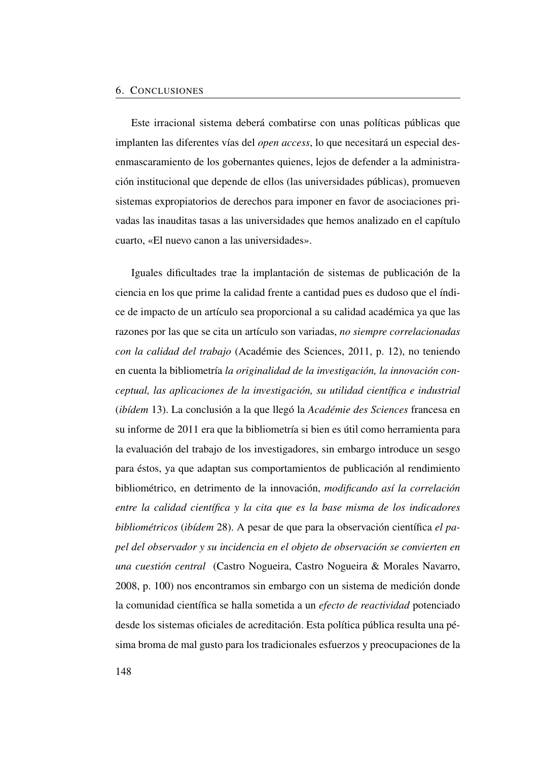#### 6. CONCLUSIONES

Este irracional sistema deberá combatirse con unas políticas públicas que implanten las diferentes vías del *open access*, lo que necesitará un especial desenmascaramiento de los gobernantes quienes, lejos de defender a la administración institucional que depende de ellos (las universidades públicas), promueven sistemas expropiatorios de derechos para imponer en favor de asociaciones privadas las inauditas tasas a las universidades que hemos analizado en el capítulo cuarto, [«El nuevo canon a las universidades»](#page-152-0).

Iguales dificultades trae la implantación de sistemas de publicación de la ciencia en los que prime la calidad frente a cantidad pues es dudoso que el índice de impacto de un artículo sea proporcional a su calidad académica ya que las razones por las que se cita un artículo son variadas, *no siempre correlacionadas con la calidad del trabajo* (Académie des Sciences, [2011,](#page-189-1) p. 12), no teniendo en cuenta la bibliometría *la originalidad de la investigación, la innovación conceptual, las aplicaciones de la investigación, su utilidad científica e industrial* (*ibídem* 13). La conclusión a la que llegó la *Académie des Sciences* francesa en su informe de 2011 era que la bibliometría si bien es útil como herramienta para la evaluación del trabajo de los investigadores, sin embargo introduce un sesgo para éstos, ya que adaptan sus comportamientos de publicación al rendimiento bibliométrico, en detrimento de la innovación, *modificando así la correlación entre la calidad científica y la cita que es la base misma de los indicadores bibliométricos* (*ibídem* 28). A pesar de que para la observación científica *el papel del observador y su incidencia en el objeto de observación se convierten en una cuestión central* (Castro Nogueira, Castro Nogueira & Morales Navarro, [2008,](#page-190-2) p. 100) nos encontramos sin embargo con un sistema de medición donde la comunidad científica se halla sometida a un *efecto de reactividad* potenciado desde los sistemas oficiales de acreditación. Esta política pública resulta una pésima broma de mal gusto para los tradicionales esfuerzos y preocupaciones de la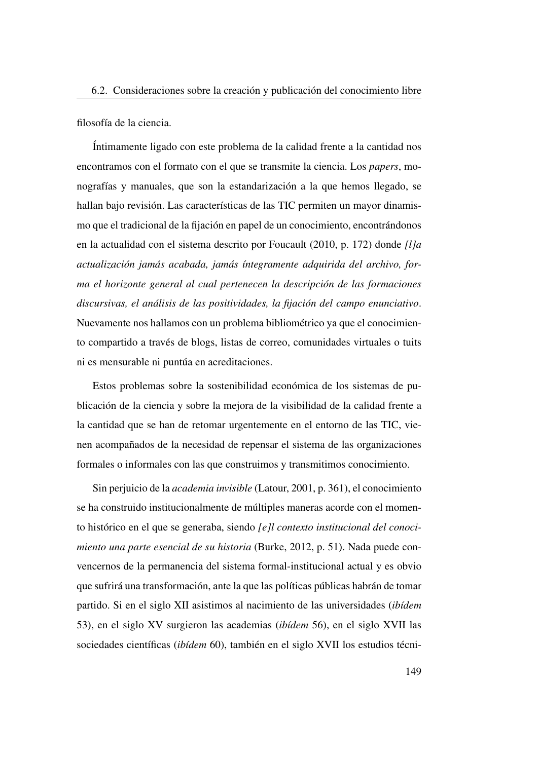filosofía de la ciencia.

Íntimamente ligado con este problema de la calidad frente a la cantidad nos encontramos con el formato con el que se transmite la ciencia. Los *papers*, monografías y manuales, que son la estandarización a la que hemos llegado, se hallan bajo revisión. Las características de las [TIC](#page-27-2) permiten un mayor dinamismo que el tradicional de la fijación en papel de un conocimiento, encontrándonos en la actualidad con el sistema descrito por Foucault [\(2010,](#page-190-3) p. 172) donde *[l]a actualización jamás acabada, jamás íntegramente adquirida del archivo, forma el horizonte general al cual pertenecen la descripción de las formaciones discursivas, el análisis de las positividades, la fijación del campo enunciativo*. Nuevamente nos hallamos con un problema bibliométrico ya que el conocimiento compartido a través de blogs, listas de correo, comunidades virtuales o tuits ni es mensurable ni puntúa en acreditaciones.

Estos problemas sobre la sostenibilidad económica de los sistemas de publicación de la ciencia y sobre la mejora de la visibilidad de la calidad frente a la cantidad que se han de retomar urgentemente en el entorno de las [TIC,](#page-27-2) vienen acompañados de la necesidad de repensar el sistema de las organizaciones formales o informales con las que construimos y transmitimos conocimiento.

Sin perjuicio de la *academia invisible* (Latour, [2001,](#page-191-1) p. 361), el conocimiento se ha construido institucionalmente de múltiples maneras acorde con el momento histórico en el que se generaba, siendo *[e]l contexto institucional del conocimiento una parte esencial de su historia* (Burke, [2012,](#page-49-1) p. 51). Nada puede convencernos de la permanencia del sistema formal-institucional actual y es obvio que sufrirá una transformación, ante la que las políticas públicas habrán de tomar partido. Si en el siglo XII asistimos al nacimiento de las universidades (*ibídem* 53), en el siglo XV surgieron las academias (*ibídem* 56), en el siglo XVII las sociedades científicas (*ibídem* 60), también en el siglo XVII los estudios técni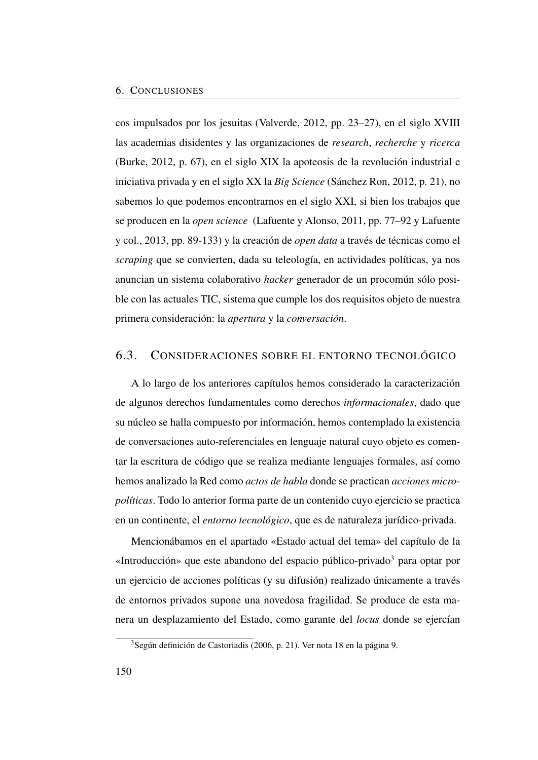cos impulsados por los jesuitas (Valverde, [2012,](#page-192-7) pp. 23–27), en el siglo XVIII las academias disidentes y las organizaciones de *research*, *recherche* y *ricerca* (Burke, [2012,](#page-49-1) p. 67), en el siglo XIX la apoteosis de la revolución industrial e iniciativa privada y en el siglo XX la *Big Science* (Sánchez Ron, [2012,](#page-192-8) p. 21), no sabemos lo que podemos encontrarnos en el siglo XXI, si bien los trabajos que se producen en la *open science* (Lafuente y Alonso, [2011,](#page-51-0) pp. 77–92 y Lafuente y col., [2013,](#page-52-0) pp. 89-133) y la creación de *open data* a través de técnicas como el *scraping* que se convierten, dada su teleología, en actividades políticas, ya nos anuncian un sistema colaborativo *hacker* generador de un procomún sólo posible con las actuales [TIC,](#page-27-2) sistema que cumple los dos requisitos objeto de nuestra primera consideración: la *apertura* y la *conversación*.

# 6.3. CONSIDERACIONES SOBRE EL ENTORNO TECNOLÓGICO

A lo largo de los anteriores capítulos hemos considerado la caracterización de algunos derechos fundamentales como derechos *informacionales*, dado que su núcleo se halla compuesto por información, hemos contemplado la existencia de conversaciones auto-referenciales en lenguaje natural cuyo objeto es comentar la escritura de código que se realiza mediante lenguajes formales, así como hemos analizado la Red como *actos de habla* donde se practican *acciones micropolíticas*. Todo lo anterior forma parte de un contenido cuyo ejercicio se practica en un continente, el *entorno tecnológico*, que es de naturaleza jurídico-privada.

Mencionábamos en el apartado [«Estado actual del tema»](#page-37-0) del capítulo de la [«Introducción»](#page-30-0) que este abandono del espacio público-privado<sup>[3](#page-179-0)</sup> para optar por un ejercicio de acciones políticas (y su difusión) realizado únicamente a través de entornos privados supone una novedosa fragilidad. Se produce de esta manera un desplazamiento del Estado, como garante del *locus* donde se ejercían

<span id="page-179-0"></span><sup>3</sup>Según definición de Castoriadis [\(2006,](#page-49-2) p. 21). Ver nota [18](#page-38-0) en la página [9.](#page-38-0)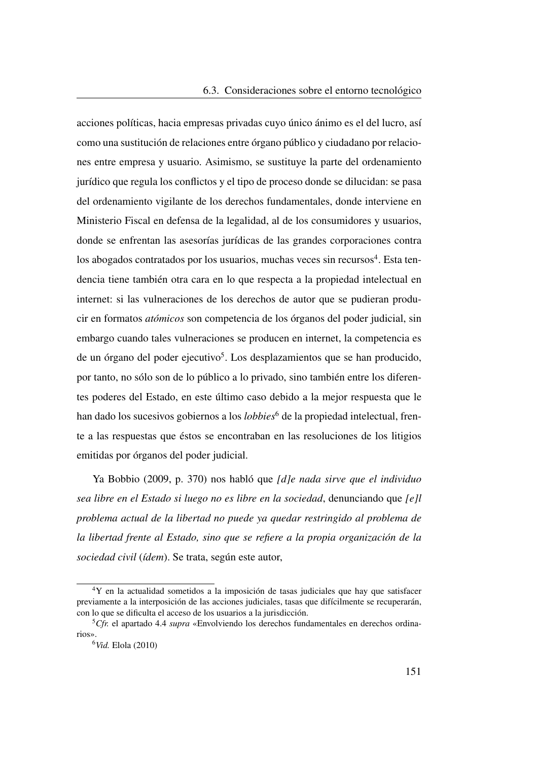<span id="page-180-3"></span>acciones políticas, hacia empresas privadas cuyo único ánimo es el del lucro, así como una sustitución de relaciones entre órgano público y ciudadano por relaciones entre empresa y usuario. Asimismo, se sustituye la parte del ordenamiento jurídico que regula los conflictos y el tipo de proceso donde se dilucidan: se pasa del ordenamiento vigilante de los derechos fundamentales, donde interviene en Ministerio Fiscal en defensa de la legalidad, al de los consumidores y usuarios, donde se enfrentan las asesorías jurídicas de las grandes corporaciones contra los abogados contratados por los usuarios, muchas veces sin recursos<sup>[4](#page-180-0)</sup>. Esta tendencia tiene también otra cara en lo que respecta a la propiedad intelectual en internet: si las vulneraciones de los derechos de autor que se pudieran producir en formatos *atómicos* son competencia de los órganos del poder judicial, sin embargo cuando tales vulneraciones se producen en internet, la competencia es de un órgano del poder ejecutivo<sup>[5](#page-180-1)</sup>. Los desplazamientos que se han producido, por tanto, no sólo son de lo público a lo privado, sino también entre los diferentes poderes del Estado, en este último caso debido a la mejor respuesta que le han dado los sucesivos gobiernos a los *lobbies*<sup>[6](#page-180-2)</sup> de la propiedad intelectual, frente a las respuestas que éstos se encontraban en las resoluciones de los litigios emitidas por órganos del poder judicial.

Ya Bobbio [\(2009,](#page-110-0) p. 370) nos habló que *[d]e nada sirve que el individuo sea libre en el Estado si luego no es libre en la sociedad*, denunciando que *[e]l problema actual de la libertad no puede ya quedar restringido al problema de la libertad frente al Estado, sino que se refiere a la propia organización de la sociedad civil* (*ídem*). Se trata, según este autor,

<span id="page-180-0"></span><sup>4</sup>Y en la actualidad sometidos a la imposición de tasas judiciales que hay que satisfacer previamente a la interposición de las acciones judiciales, tasas que difícilmente se recuperarán, con lo que se dificulta el acceso de los usuarios a la jurisdicción.

<span id="page-180-1"></span><sup>5</sup>*Cfr.* el apartado [4.4](#page-131-0) *supra* [«Envolviendo los derechos fundamentales en derechos ordina](#page-131-0)[rios»](#page-131-0).

<span id="page-180-2"></span><sup>6</sup>*Vid.* Elola [\(2010\)](#page-146-0)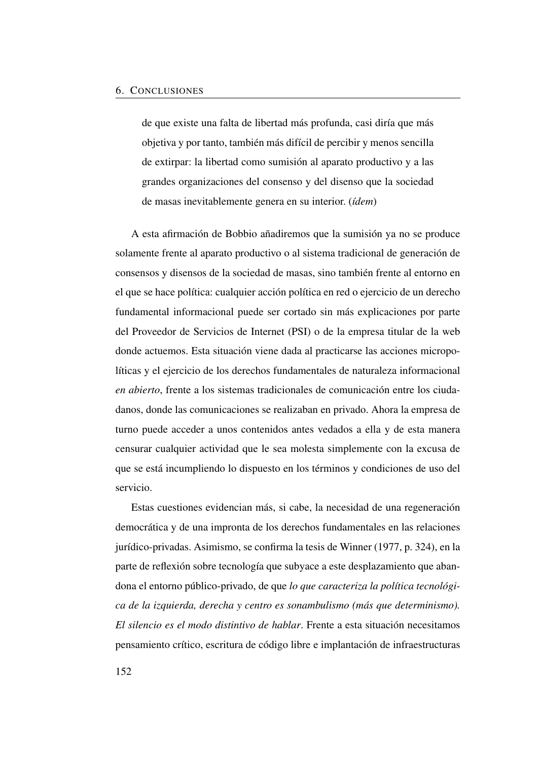de que existe una falta de libertad más profunda, casi diría que más objetiva y por tanto, también más difícil de percibir y menos sencilla de extirpar: la libertad como sumisión al aparato productivo y a las grandes organizaciones del consenso y del disenso que la sociedad de masas inevitablemente genera en su interior. (*ídem*)

A esta afirmación de Bobbio añadiremos que la sumisión ya no se produce solamente frente al aparato productivo o al sistema tradicional de generación de consensos y disensos de la sociedad de masas, sino también frente al entorno en el que se hace política: cualquier acción política en red o ejercicio de un derecho fundamental informacional puede ser cortado sin más explicaciones por parte del Proveedor de Servicios de Internet [\(PSI\)](#page-26-0) o de la empresa titular de la web donde actuemos. Esta situación viene dada al practicarse las acciones micropolíticas y el ejercicio de los derechos fundamentales de naturaleza informacional *en abierto*, frente a los sistemas tradicionales de comunicación entre los ciudadanos, donde las comunicaciones se realizaban en privado. Ahora la empresa de turno puede acceder a unos contenidos antes vedados a ella y de esta manera censurar cualquier actividad que le sea molesta simplemente con la excusa de que se está incumpliendo lo dispuesto en los términos y condiciones de uso del servicio.

Estas cuestiones evidencian más, si cabe, la necesidad de una regeneración democrática y de una impronta de los derechos fundamentales en las relaciones jurídico-privadas. Asimismo, se confirma la tesis de Winner [\(1977,](#page-53-0) p. 324), en la parte de reflexión sobre tecnología que subyace a este desplazamiento que abandona el entorno público-privado, de que *lo que caracteriza la política tecnológica de la izquierda, derecha y centro es sonambulismo (más que determinismo). El silencio es el modo distintivo de hablar*. Frente a esta situación necesitamos pensamiento crítico, escritura de código libre e implantación de infraestructuras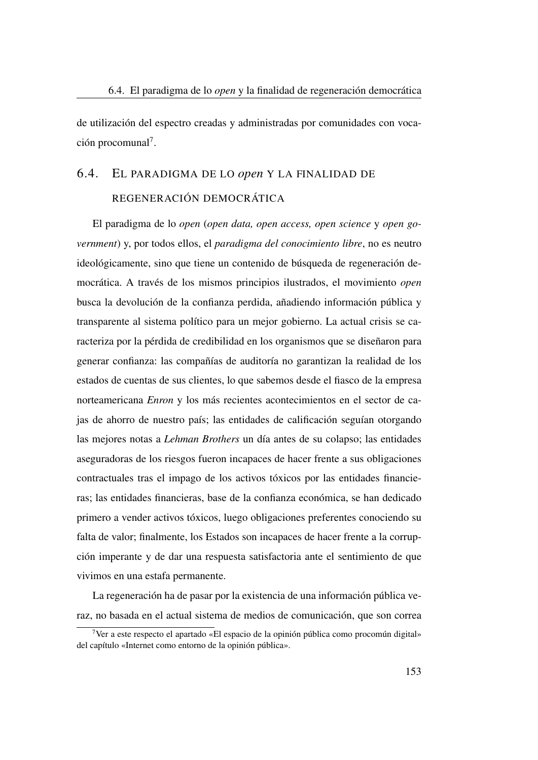de utilización del espectro creadas y administradas por comunidades con voca-ción procomunal<sup>[7](#page-182-0)</sup>.

# 6.4. EL PARADIGMA DE LO *open* Y LA FINALIDAD DE REGENERACIÓN DEMOCRÁTICA

El paradigma de lo *open* (*open data, open access, open science* y *open government*) y, por todos ellos, el *paradigma del conocimiento libre*, no es neutro ideológicamente, sino que tiene un contenido de búsqueda de regeneración democrática. A través de los mismos principios ilustrados, el movimiento *open* busca la devolución de la confianza perdida, añadiendo información pública y transparente al sistema político para un mejor gobierno. La actual crisis se caracteriza por la pérdida de credibilidad en los organismos que se diseñaron para generar confianza: las compañías de auditoría no garantizan la realidad de los estados de cuentas de sus clientes, lo que sabemos desde el fiasco de la empresa norteamericana *Enron* y los más recientes acontecimientos en el sector de cajas de ahorro de nuestro país; las entidades de calificación seguían otorgando las mejores notas a *Lehman Brothers* un día antes de su colapso; las entidades aseguradoras de los riesgos fueron incapaces de hacer frente a sus obligaciones contractuales tras el impago de los activos tóxicos por las entidades financieras; las entidades financieras, base de la confianza económica, se han dedicado primero a vender activos tóxicos, luego obligaciones preferentes conociendo su falta de valor; finalmente, los Estados son incapaces de hacer frente a la corrupción imperante y de dar una respuesta satisfactoria ante el sentimiento de que vivimos en una estafa permanente.

La regeneración ha de pasar por la existencia de una información pública veraz, no basada en el actual sistema de medios de comunicación, que son correa

<span id="page-182-0"></span><sup>7</sup>Ver a este respecto el apartado [«El espacio de la opinión pública como procomún digital»](#page-139-0) del capítulo [«Internet como entorno de la opinión pública»](#page-116-0).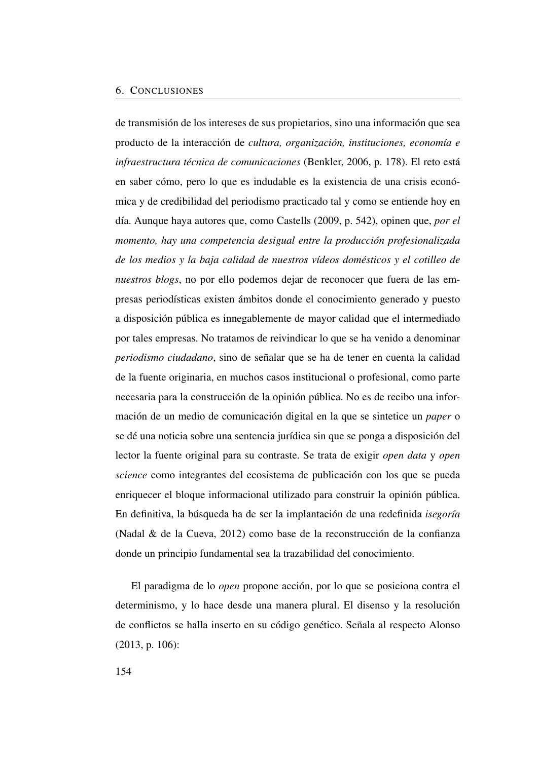#### <span id="page-183-0"></span>6. CONCLUSIONES

de transmisión de los intereses de sus propietarios, sino una información que sea producto de la interacción de *cultura, organización, instituciones, economía e infraestructura técnica de comunicaciones* (Benkler, [2006,](#page-49-0) p. 178). El reto está en saber cómo, pero lo que es indudable es la existencia de una crisis económica y de credibilidad del periodismo practicado tal y como se entiende hoy en día. Aunque haya autores que, como Castells [\(2009,](#page-85-0) p. 542), opinen que, *por el momento, hay una competencia desigual entre la producción profesionalizada de los medios y la baja calidad de nuestros vídeos domésticos y el cotilleo de nuestros blogs*, no por ello podemos dejar de reconocer que fuera de las empresas periodísticas existen ámbitos donde el conocimiento generado y puesto a disposición pública es innegablemente de mayor calidad que el intermediado por tales empresas. No tratamos de reivindicar lo que se ha venido a denominar *periodismo ciudadano*, sino de señalar que se ha de tener en cuenta la calidad de la fuente originaria, en muchos casos institucional o profesional, como parte necesaria para la construcción de la opinión pública. No es de recibo una información de un medio de comunicación digital en la que se sintetice un *paper* o se dé una noticia sobre una sentencia jurídica sin que se ponga a disposición del lector la fuente original para su contraste. Se trata de exigir *open data* y *open science* como integrantes del ecosistema de publicación con los que se pueda enriquecer el bloque informacional utilizado para construir la opinión pública. En definitiva, la búsqueda ha de ser la implantación de una redefinida *isegoría* (Nadal & de la Cueva, [2012\)](#page-52-0) como base de la reconstrucción de la confianza donde un principio fundamental sea la trazabilidad del conocimiento.

El paradigma de lo *open* propone acción, por lo que se posiciona contra el determinismo, y lo hace desde una manera plural. El disenso y la resolución de conflictos se halla inserto en su código genético. Señala al respecto Alonso [\(2013,](#page-144-0) p. 106):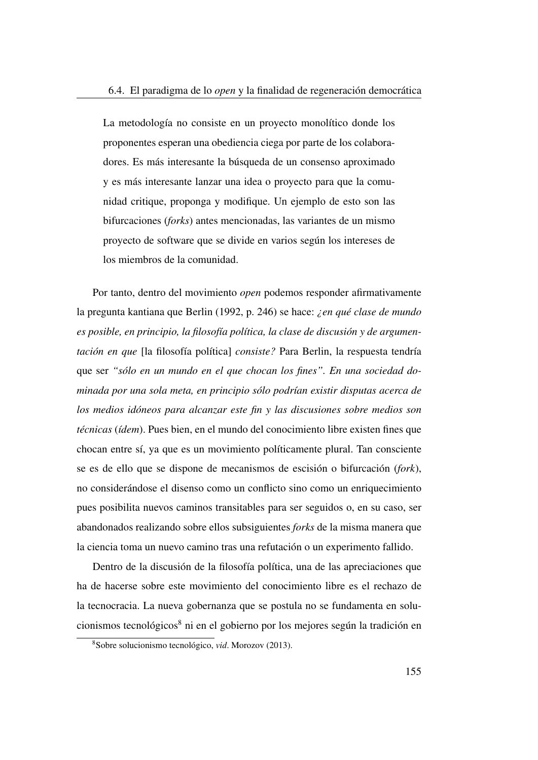<span id="page-184-1"></span>La metodología no consiste en un proyecto monolítico donde los proponentes esperan una obediencia ciega por parte de los colaboradores. Es más interesante la búsqueda de un consenso aproximado y es más interesante lanzar una idea o proyecto para que la comunidad critique, proponga y modifique. Un ejemplo de esto son las bifurcaciones (*forks*) antes mencionadas, las variantes de un mismo proyecto de software que se divide en varios según los intereses de los miembros de la comunidad.

Por tanto, dentro del movimiento *open* podemos responder afirmativamente la pregunta kantiana que Berlin [\(1992,](#page-189-0) p. 246) se hace: *¿en qué clase de mundo es posible, en principio, la filosofía política, la clase de discusión y de argumentación en que* [la filosofía política] *consiste?* Para Berlin, la respuesta tendría que ser *"sólo en un mundo en el que chocan los fines". En una sociedad dominada por una sola meta, en principio sólo podrían existir disputas acerca de los medios idóneos para alcanzar este fin y las discusiones sobre medios son técnicas* (*ídem*). Pues bien, en el mundo del conocimiento libre existen fines que chocan entre sí, ya que es un movimiento políticamente plural. Tan consciente se es de ello que se dispone de mecanismos de escisión o bifurcación (*fork*), no considerándose el disenso como un conflicto sino como un enriquecimiento pues posibilita nuevos caminos transitables para ser seguidos o, en su caso, ser abandonados realizando sobre ellos subsiguientes *forks* de la misma manera que la ciencia toma un nuevo camino tras una refutación o un experimento fallido.

Dentro de la discusión de la filosofía política, una de las apreciaciones que ha de hacerse sobre este movimiento del conocimiento libre es el rechazo de la tecnocracia. La nueva gobernanza que se postula no se fundamenta en solu-cionismos tecnológicos<sup>[8](#page-184-0)</sup> ni en el gobierno por los mejores según la tradición en

<span id="page-184-0"></span><sup>8</sup>Sobre solucionismo tecnológico, *vid*. Morozov [\(2013\)](#page-191-0).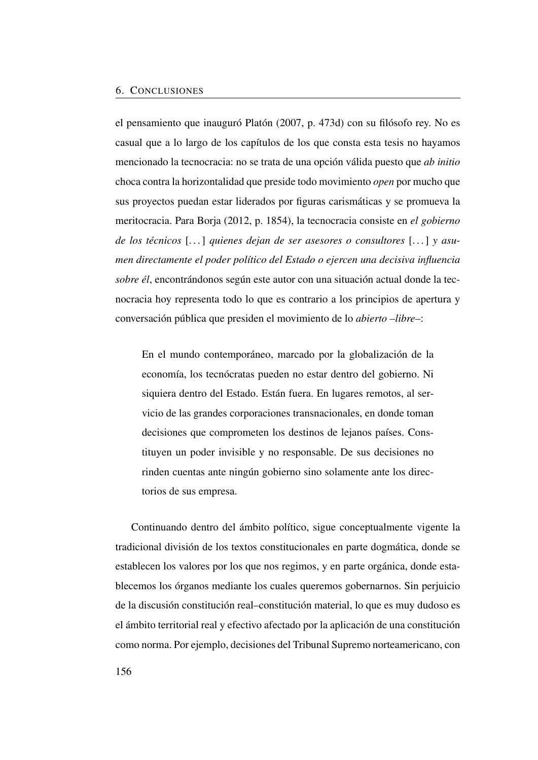<span id="page-185-0"></span>el pensamiento que inauguró Platón [\(2007,](#page-192-0) p. 473d) con su filósofo rey. No es casual que a lo largo de los capítulos de los que consta esta tesis no hayamos mencionado la tecnocracia: no se trata de una opción válida puesto que *ab initio* choca contra la horizontalidad que preside todo movimiento *open* por mucho que sus proyectos puedan estar liderados por figuras carismáticas y se promueva la meritocracia. Para Borja [\(2012,](#page-189-1) p. 1854), la tecnocracia consiste en *el gobierno de los técnicos* [. . . ] *quienes dejan de ser asesores o consultores* [. . . ] *y asumen directamente el poder político del Estado o ejercen una decisiva influencia sobre él*, encontrándonos según este autor con una situación actual donde la tecnocracia hoy representa todo lo que es contrario a los principios de apertura y conversación pública que presiden el movimiento de lo *abierto –libre–*:

En el mundo contemporáneo, marcado por la globalización de la economía, los tecnócratas pueden no estar dentro del gobierno. Ni siquiera dentro del Estado. Están fuera. En lugares remotos, al servicio de las grandes corporaciones transnacionales, en donde toman decisiones que comprometen los destinos de lejanos países. Constituyen un poder invisible y no responsable. De sus decisiones no rinden cuentas ante ningún gobierno sino solamente ante los directorios de sus empresa.

Continuando dentro del ámbito político, sigue conceptualmente vigente la tradicional división de los textos constitucionales en parte dogmática, donde se establecen los valores por los que nos regimos, y en parte orgánica, donde establecemos los órganos mediante los cuales queremos gobernarnos. Sin perjuicio de la discusión constitución real–constitución material, lo que es muy dudoso es el ámbito territorial real y efectivo afectado por la aplicación de una constitución como norma. Por ejemplo, decisiones del Tribunal Supremo norteamericano, con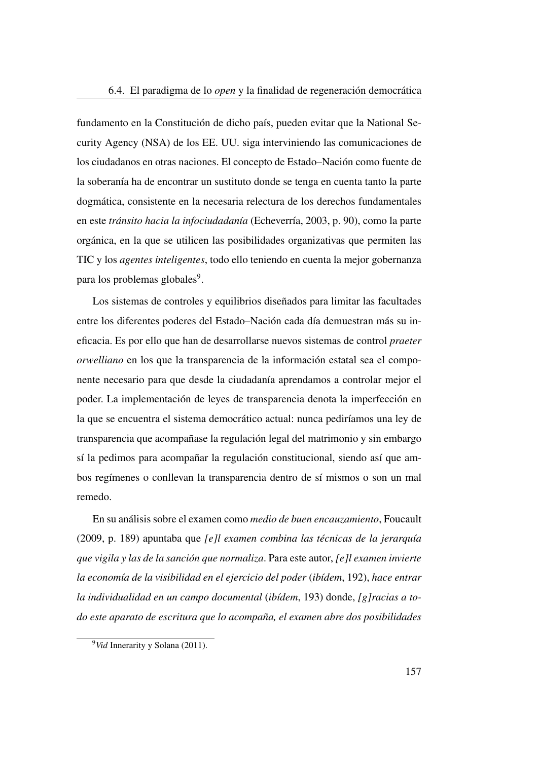<span id="page-186-1"></span>fundamento en la Constitución de dicho país, pueden evitar que la National Security Agency [\(NSA\)](#page-26-1) de los EE. UU. siga interviniendo las comunicaciones de los ciudadanos en otras naciones. El concepto de Estado–Nación como fuente de la soberanía ha de encontrar un sustituto donde se tenga en cuenta tanto la parte dogmática, consistente en la necesaria relectura de los derechos fundamentales en este *tránsito hacia la infociudadanía* (Echeverría, [2003,](#page-51-0) p. 90), como la parte orgánica, en la que se utilicen las posibilidades organizativas que permiten las TIC y los *agentes inteligentes*, todo ello teniendo en cuenta la mejor gobernanza para los problemas globales<sup>[9](#page-186-0)</sup>.

Los sistemas de controles y equilibrios diseñados para limitar las facultades entre los diferentes poderes del Estado–Nación cada día demuestran más su ineficacia. Es por ello que han de desarrollarse nuevos sistemas de control *praeter orwelliano* en los que la transparencia de la información estatal sea el componente necesario para que desde la ciudadanía aprendamos a controlar mejor el poder. La implementación de leyes de transparencia denota la imperfección en la que se encuentra el sistema democrático actual: nunca pediríamos una ley de transparencia que acompañase la regulación legal del matrimonio y sin embargo sí la pedimos para acompañar la regulación constitucional, siendo así que ambos regímenes o conllevan la transparencia dentro de sí mismos o son un mal remedo.

En su análisis sobre el examen como *medio de buen encauzamiento*, Foucault [\(2009,](#page-190-0) p. 189) apuntaba que *[e]l examen combina las técnicas de la jerarquía que vigila y las de la sanción que normaliza*. Para este autor, *[e]l examen invierte la economía de la visibilidad en el ejercicio del poder* (*ibídem*, 192), *hace entrar la individualidad en un campo documental* (*ibídem*, 193) donde, *[g]racias a todo este aparato de escritura que lo acompaña, el examen abre dos posibilidades*

<span id="page-186-0"></span><sup>9</sup>*Vid* Innerarity y Solana [\(2011\)](#page-191-1).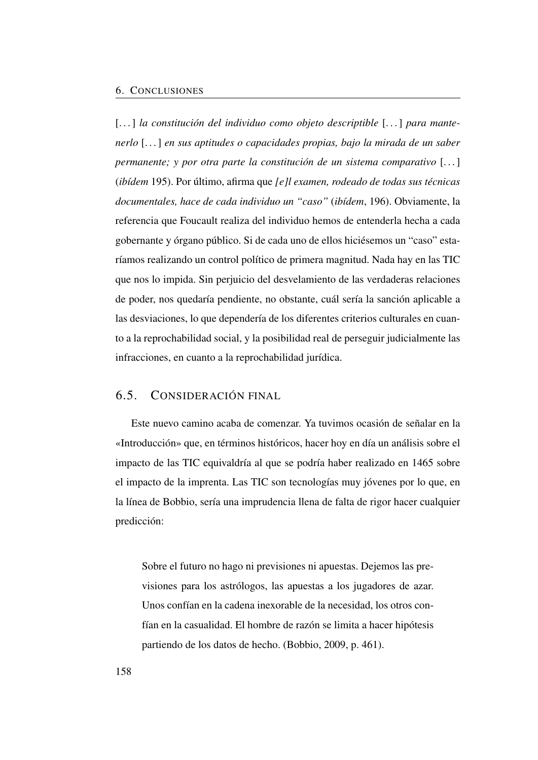<span id="page-187-0"></span>[...] la constitución del individuo como objeto descriptible [...] para mante*nerlo* [. . . ] *en sus aptitudes o capacidades propias, bajo la mirada de un saber permanente; y por otra parte la constitución de un sistema comparativo* [...] (*ibídem* 195). Por último, afirma que *[e]l examen, rodeado de todas sus técnicas documentales, hace de cada individuo un "caso"* (*ibídem*, 196). Obviamente, la referencia que Foucault realiza del individuo hemos de entenderla hecha a cada gobernante y órgano público. Si de cada uno de ellos hiciésemos un "caso" estaríamos realizando un control político de primera magnitud. Nada hay en las TIC que nos lo impida. Sin perjuicio del desvelamiento de las verdaderas relaciones de poder, nos quedaría pendiente, no obstante, cuál sería la sanción aplicable a las desviaciones, lo que dependería de los diferentes criterios culturales en cuanto a la reprochabilidad social, y la posibilidad real de perseguir judicialmente las infracciones, en cuanto a la reprochabilidad jurídica.

### 6.5. CONSIDERACIÓN FINAL

Este nuevo camino acaba de comenzar. Ya tuvimos ocasión de señalar en la [«Introducción»](#page-30-0) que, en términos históricos, hacer hoy en día un análisis sobre el impacto de las [TIC](#page-27-0) equivaldría al que se podría haber realizado en 1465 sobre el impacto de la imprenta. Las [TIC](#page-27-0) son tecnologías muy jóvenes por lo que, en la línea de Bobbio, sería una imprudencia llena de falta de rigor hacer cualquier predicción:

Sobre el futuro no hago ni previsiones ni apuestas. Dejemos las previsiones para los astrólogos, las apuestas a los jugadores de azar. Unos confían en la cadena inexorable de la necesidad, los otros confían en la casualidad. El hombre de razón se limita a hacer hipótesis partiendo de los datos de hecho. (Bobbio, [2009,](#page-110-0) p. 461).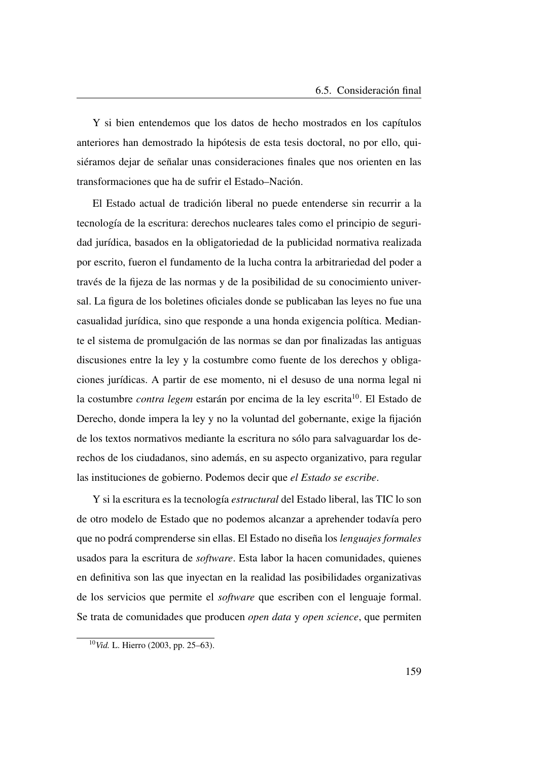Y si bien entendemos que los datos de hecho mostrados en los capítulos anteriores han demostrado la hipótesis de esta tesis doctoral, no por ello, quisiéramos dejar de señalar unas consideraciones finales que nos orienten en las transformaciones que ha de sufrir el Estado–Nación.

El Estado actual de tradición liberal no puede entenderse sin recurrir a la tecnología de la escritura: derechos nucleares tales como el principio de seguridad jurídica, basados en la obligatoriedad de la publicidad normativa realizada por escrito, fueron el fundamento de la lucha contra la arbitrariedad del poder a través de la fijeza de las normas y de la posibilidad de su conocimiento universal. La figura de los boletines oficiales donde se publicaban las leyes no fue una casualidad jurídica, sino que responde a una honda exigencia política. Mediante el sistema de promulgación de las normas se dan por finalizadas las antiguas discusiones entre la ley y la costumbre como fuente de los derechos y obligaciones jurídicas. A partir de ese momento, ni el desuso de una norma legal ni la costumbre *contra legem* estarán por encima de la ley escrita<sup>[10](#page-188-0)</sup>. El Estado de Derecho, donde impera la ley y no la voluntad del gobernante, exige la fijación de los textos normativos mediante la escritura no sólo para salvaguardar los derechos de los ciudadanos, sino además, en su aspecto organizativo, para regular las instituciones de gobierno. Podemos decir que *el Estado se escribe*.

Y si la escritura es la tecnología *estructural* del Estado liberal, las [TIC](#page-27-0) lo son de otro modelo de Estado que no podemos alcanzar a aprehender todavía pero que no podrá comprenderse sin ellas. El Estado no diseña los *lenguajes formales* usados para la escritura de *software*. Esta labor la hacen comunidades, quienes en definitiva son las que inyectan en la realidad las posibilidades organizativas de los servicios que permite el *software* que escriben con el lenguaje formal. Se trata de comunidades que producen *open data* y *open science*, que permiten

<span id="page-188-0"></span><sup>10</sup>*Vid.* L. Hierro [\(2003,](#page-191-2) pp. 25–63).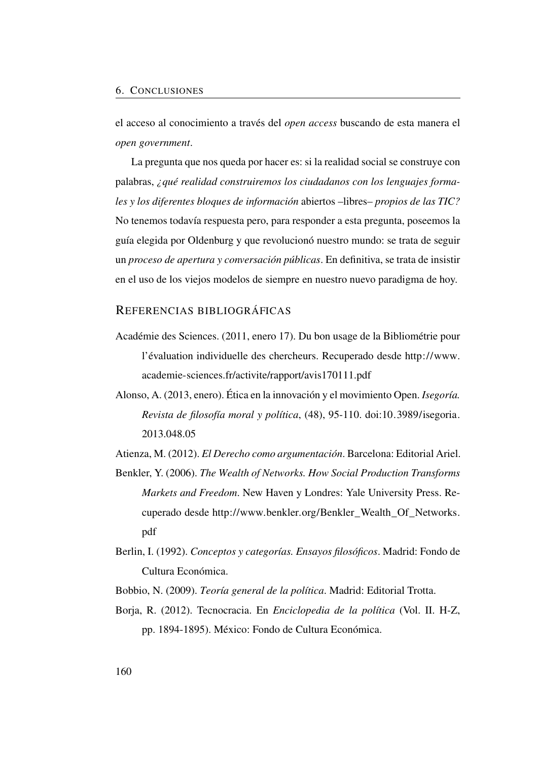el acceso al conocimiento a través del *open access* buscando de esta manera el *open government*.

La pregunta que nos queda por hacer es: si la realidad social se construye con palabras, *¿qué realidad construiremos los ciudadanos con los lenguajes formales y los diferentes bloques de información* abiertos –libres– *propios de las [TIC?](#page-27-0)* No tenemos todavía respuesta pero, para responder a esta pregunta, poseemos la guía elegida por Oldenburg y que revolucionó nuestro mundo: se trata de seguir un *proceso de apertura y conversación públicas*. En definitiva, se trata de insistir en el uso de los viejos modelos de siempre en nuestro nuevo paradigma de hoy.

#### REFERENCIAS BIBLIOGRÁFICAS

- Académie des Sciences. (2011, enero 17). Du bon usage de la Bibliométrie pour l'évaluation individuelle des chercheurs. Recuperado desde [http://www.](http://www.academie-sciences.fr/activite/rapport/avis170111.pdf) [academie-sciences.fr/activite/rapport/avis170111.pdf](http://www.academie-sciences.fr/activite/rapport/avis170111.pdf)
- Alonso, A. (2013, enero). Ética en la innovación y el movimiento Open. *Isegoría. Revista de filosofía moral y política*, (48), 95-110. doi[:10.3989/isegoria.](http://dx.doi.org/10.3989/isegoria.2013.048.05) [2013.048.05](http://dx.doi.org/10.3989/isegoria.2013.048.05)
- Atienza, M. (2012). *El Derecho como argumentación*. Barcelona: Editorial Ariel.
- Benkler, Y. (2006). *The Wealth of Networks. How Social Production Transforms Markets and Freedom*. New Haven y Londres: Yale University Press. Recuperado desde [http://www.benkler.org/Benkler\\_Wealth\\_Of\\_Networks.](http://www.benkler.org/Benkler_Wealth_Of_Networks.pdf) [pdf](http://www.benkler.org/Benkler_Wealth_Of_Networks.pdf)
- <span id="page-189-0"></span>Berlin, I. (1992). *Conceptos y categorías. Ensayos filosóficos*. Madrid: Fondo de Cultura Económica.
- Bobbio, N. (2009). *Teoría general de la política*. Madrid: Editorial Trotta.
- <span id="page-189-1"></span>Borja, R. (2012). Tecnocracia. En *Enciclopedia de la política* (Vol. II. H-Z, pp. 1894-1895). México: Fondo de Cultura Económica.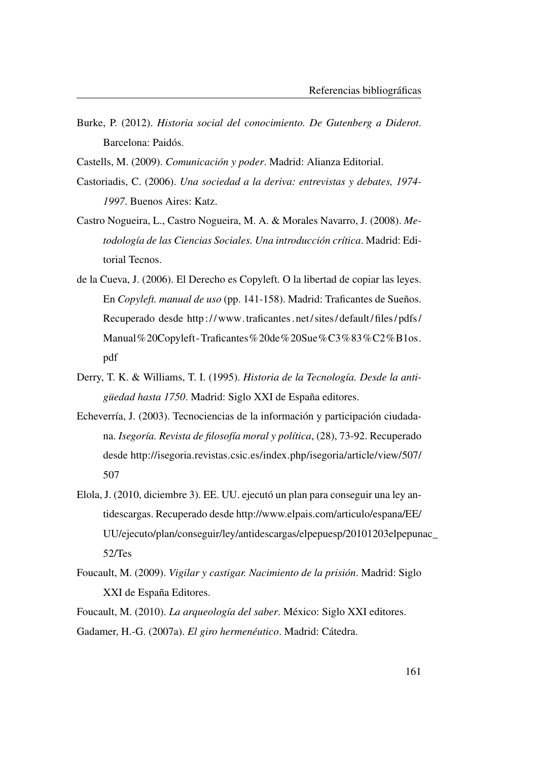- Burke, P. (2012). *Historia social del conocimiento. De Gutenberg a Diderot*. Barcelona: Paidós.
- Castells, M. (2009). *Comunicación y poder*. Madrid: Alianza Editorial.
- Castoriadis, C. (2006). *Una sociedad a la deriva: entrevistas y debates, 1974- 1997*. Buenos Aires: Katz.
- Castro Nogueira, L., Castro Nogueira, M. A. & Morales Navarro, J. (2008). *Metodología de las Ciencias Sociales. Una introducción crítica*. Madrid: Editorial Tecnos.
- de la Cueva, J. (2006). El Derecho es Copyleft. O la libertad de copiar las leyes. En *Copyleft. manual de uso* (pp. 141-158). Madrid: Traficantes de Sueños. Recuperado desde [http:// www.traficantes. net/ sites/ default/ files/ pdfs/](http://www.traficantes.net/sites/default/files/pdfs/Manual%20Copyleft-Traficantes%20de%20Sue%C3%83%C2%B1os.pdf) [Manual%20Copyleft-Traficantes%20de%20Sue%C3%83%C2%B1os.](http://www.traficantes.net/sites/default/files/pdfs/Manual%20Copyleft-Traficantes%20de%20Sue%C3%83%C2%B1os.pdf) [pdf](http://www.traficantes.net/sites/default/files/pdfs/Manual%20Copyleft-Traficantes%20de%20Sue%C3%83%C2%B1os.pdf)
- Derry, T. K. & Williams, T. I. (1995). *Historia de la Tecnología. Desde la antigüedad hasta 1750*. Madrid: Siglo XXI de España editores.
- Echeverría, J. (2003). Tecnociencias de la información y participación ciudadana. *Isegoría. Revista de filosofía moral y política*, (28), 73-92. Recuperado desde [http://isegoria.revistas.csic.es/index.php/isegoria/article/view/507/](http://isegoria.revistas.csic.es/index.php/isegoria/article/view/507/507) [507](http://isegoria.revistas.csic.es/index.php/isegoria/article/view/507/507)
- Elola, J. (2010, diciembre 3). EE. UU. ejecutó un plan para conseguir una ley antidescargas. Recuperado desde [http://www.elpais.com/articulo/espana/EE/](http://www.elpais.com/articulo/espana/EE/UU/ejecuto/plan/conseguir/ley/antidescargas/elpepuesp/20101203elpepunac_52/Tes) [UU/ejecuto/plan/conseguir/ley/antidescargas/elpepuesp/20101203elpepun](http://www.elpais.com/articulo/espana/EE/UU/ejecuto/plan/conseguir/ley/antidescargas/elpepuesp/20101203elpepunac_52/Tes)ac\_ [52/Tes](http://www.elpais.com/articulo/espana/EE/UU/ejecuto/plan/conseguir/ley/antidescargas/elpepuesp/20101203elpepunac_52/Tes)
- <span id="page-190-0"></span>Foucault, M. (2009). *Vigilar y castigar. Nacimiento de la prisión*. Madrid: Siglo XXI de España Editores.
- Foucault, M. (2010). *La arqueología del saber*. México: Siglo XXI editores. Gadamer, H.-G. (2007a). *El giro hermenéutico*. Madrid: Cátedra.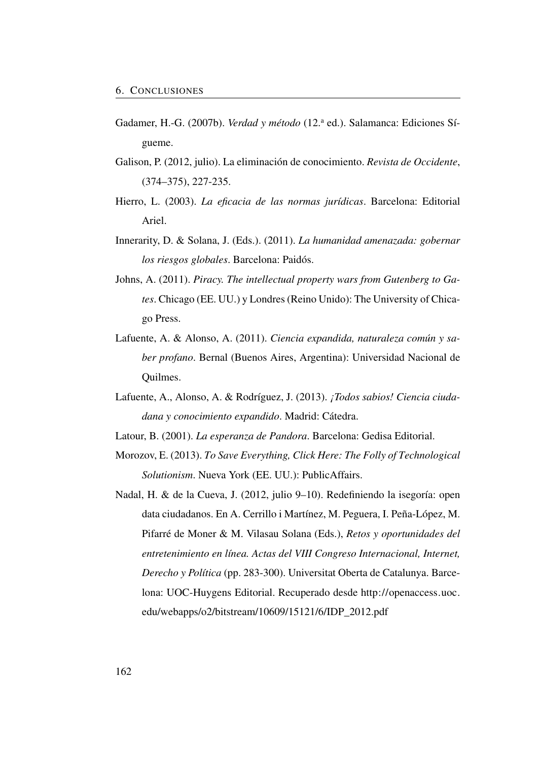- Gadamer, H.-G. (2007b). *Verdad y método* (12.ª ed.). Salamanca: Ediciones Sígueme.
- Galison, P. (2012, julio). La eliminación de conocimiento. *Revista de Occidente*, (374–375), 227-235.
- <span id="page-191-2"></span>Hierro, L. (2003). *La eficacia de las normas jurídicas*. Barcelona: Editorial Ariel.
- <span id="page-191-1"></span>Innerarity, D. & Solana, J. (Eds.). (2011). *La humanidad amenazada: gobernar los riesgos globales*. Barcelona: Paidós.
- Johns, A. (2011). *Piracy. The intellectual property wars from Gutenberg to Gates*. Chicago (EE. UU.) y Londres (Reino Unido): The University of Chicago Press.
- Lafuente, A. & Alonso, A. (2011). *Ciencia expandida, naturaleza común y saber profano*. Bernal (Buenos Aires, Argentina): Universidad Nacional de Quilmes.
- Lafuente, A., Alonso, A. & Rodríguez, J. (2013). *¡Todos sabios! Ciencia ciudadana y conocimiento expandido*. Madrid: Cátedra.
- Latour, B. (2001). *La esperanza de Pandora*. Barcelona: Gedisa Editorial.
- <span id="page-191-0"></span>Morozov, E. (2013). *To Save Everything, Click Here: The Folly of Technological Solutionism*. Nueva York (EE. UU.): PublicAffairs.
- Nadal, H. & de la Cueva, J. (2012, julio 9–10). Redefiniendo la isegoría: open data ciudadanos. En A. Cerrillo i Martínez, M. Peguera, I. Peña-López, M. Pifarré de Moner & M. Vilasau Solana (Eds.), *Retos y oportunidades del entretenimiento en línea. Actas del VIII Congreso Internacional, Internet, Derecho y Política* (pp. 283-300). Universitat Oberta de Catalunya. Barcelona: UOC-Huygens Editorial. Recuperado desde [http://openaccess.uoc.](http://openaccess.uoc.edu/webapps/o2/bitstream/10609/15121/6/IDP_2012.pdf) [edu/webapps/o2/bitstream/10609/15121/6/IDP\\_2012.pdf](http://openaccess.uoc.edu/webapps/o2/bitstream/10609/15121/6/IDP_2012.pdf)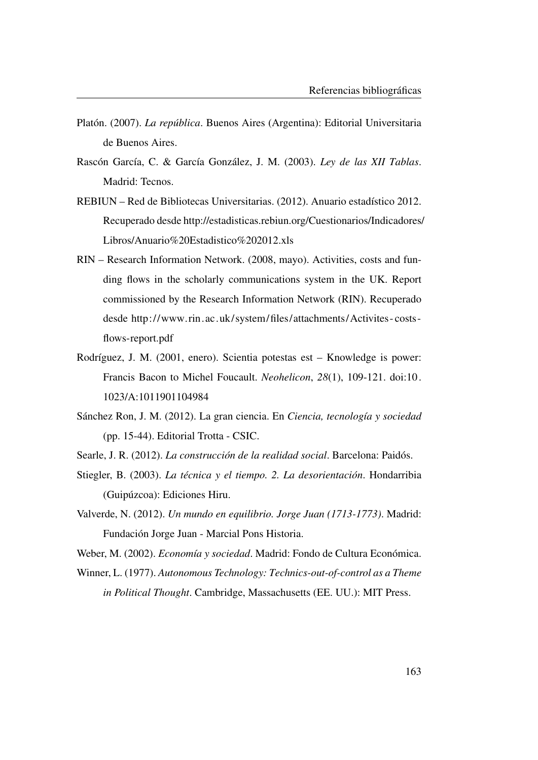- <span id="page-192-0"></span>Platón. (2007). *La república*. Buenos Aires (Argentina): Editorial Universitaria de Buenos Aires.
- Rascón García, C. & García González, J. M. (2003). *Ley de las XII Tablas*. Madrid: Tecnos.
- REBIUN Red de Bibliotecas Universitarias. (2012). Anuario estadístico 2012. Recuperado desde [http://estadisticas.rebiun.org/Cuestionarios/Indicadores/](http://estadisticas.rebiun.org/Cuestionarios/Indicadores/Libros/Anuario%20Estadistico%202012.xls) [Libros/Anuario%20Estadistico%202012.xls](http://estadisticas.rebiun.org/Cuestionarios/Indicadores/Libros/Anuario%20Estadistico%202012.xls)
- RIN Research Information Network. (2008, mayo). Activities, costs and funding flows in the scholarly communications system in the UK. Report commissioned by the Research Information Network (RIN). Recuperado desde [http://www. rin.ac.uk/system/files/attachments/Activites - costs](http://www.rin.ac.uk/system/files/attachments/Activites-costs-flows-report.pdf)  [flows-report.pdf](http://www.rin.ac.uk/system/files/attachments/Activites-costs-flows-report.pdf)
- Rodríguez, J. M. (2001, enero). Scientia potestas est Knowledge is power: Francis Bacon to Michel Foucault. *Neohelicon*, *28*(1), 109-121. doi[:10.](http://dx.doi.org/10.1023/A:1011901104984) [1023/A:1011901104984](http://dx.doi.org/10.1023/A:1011901104984)
- Sánchez Ron, J. M. (2012). La gran ciencia. En *Ciencia, tecnología y sociedad* (pp. 15-44). Editorial Trotta - CSIC.
- Searle, J. R. (2012). *La construcción de la realidad social*. Barcelona: Paidós.
- Stiegler, B. (2003). *La técnica y el tiempo. 2. La desorientación*. Hondarribia (Guipúzcoa): Ediciones Hiru.
- Valverde, N. (2012). *Un mundo en equilibrio. Jorge Juan (1713-1773)*. Madrid: Fundación Jorge Juan - Marcial Pons Historia.
- Weber, M. (2002). *Economía y sociedad*. Madrid: Fondo de Cultura Económica.
- Winner, L. (1977). *Autonomous Technology: Technics-out-of-control as a Theme in Political Thought*. Cambridge, Massachusetts (EE. UU.): MIT Press.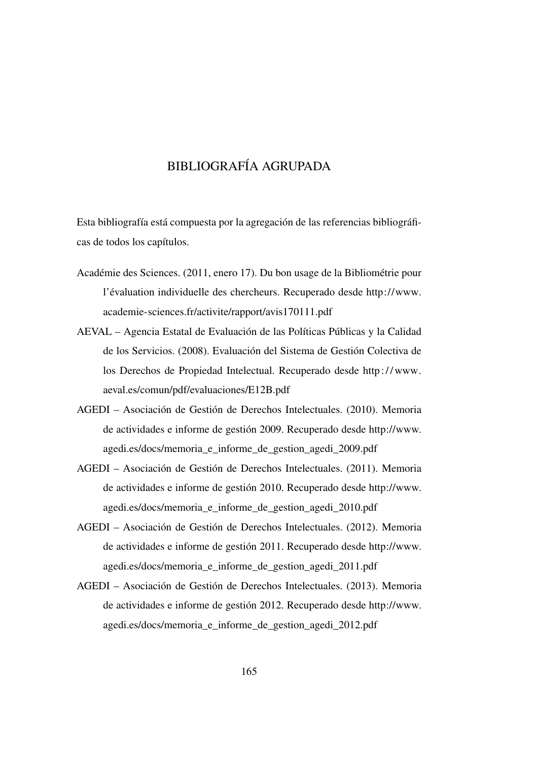### BIBLIOGRAFÍA AGRUPADA

Esta bibliografía está compuesta por la agregación de las referencias bibliográficas de todos los capítulos.

- Académie des Sciences. (2011, enero 17). Du bon usage de la Bibliométrie pour l'évaluation individuelle des chercheurs. Recuperado desde [http://www.](http://www.academie-sciences.fr/activite/rapport/avis170111.pdf) [academie-sciences.fr/activite/rapport/avis170111.pdf](http://www.academie-sciences.fr/activite/rapport/avis170111.pdf)
- AEVAL Agencia Estatal de Evaluación de las Políticas Públicas y la Calidad de los Servicios. (2008). Evaluación del Sistema de Gestión Colectiva de los Derechos de Propiedad Intelectual. Recuperado desde [http:// www.](http://www.aeval.es/comun/pdf/evaluaciones/E12B.pdf) [aeval.es/comun/pdf/evaluaciones/E12B.pdf](http://www.aeval.es/comun/pdf/evaluaciones/E12B.pdf)
- AGEDI Asociación de Gestión de Derechos Intelectuales. (2010). Memoria de actividades e informe de gestión 2009. Recuperado desde [http://www.](http://www.agedi.es/docs/memoria_e_informe_de_gestion_agedi_2009.pdf) [agedi.es/docs/memoria\\_e\\_informe\\_de\\_gestion\\_agedi\\_2009.pdf](http://www.agedi.es/docs/memoria_e_informe_de_gestion_agedi_2009.pdf)
- AGEDI Asociación de Gestión de Derechos Intelectuales. (2011). Memoria de actividades e informe de gestión 2010. Recuperado desde [http://www.](http://www.agedi.es/docs/memoria_e_informe_de_gestion_agedi_2010.pdf) [agedi.es/docs/memoria\\_e\\_informe\\_de\\_gestion\\_agedi\\_2010.pdf](http://www.agedi.es/docs/memoria_e_informe_de_gestion_agedi_2010.pdf)
- AGEDI Asociación de Gestión de Derechos Intelectuales. (2012). Memoria de actividades e informe de gestión 2011. Recuperado desde [http://www.](http://www.agedi.es/docs/memoria_e_informe_de_gestion_agedi_2011.pdf) [agedi.es/docs/memoria\\_e\\_informe\\_de\\_gestion\\_agedi\\_2011.pdf](http://www.agedi.es/docs/memoria_e_informe_de_gestion_agedi_2011.pdf)
- AGEDI Asociación de Gestión de Derechos Intelectuales. (2013). Memoria de actividades e informe de gestión 2012. Recuperado desde [http://www.](http://www.agedi.es/docs/memoria_e_informe_de_gestion_agedi_2012.pdf) [agedi.es/docs/memoria\\_e\\_informe\\_de\\_gestion\\_agedi\\_2012.pdf](http://www.agedi.es/docs/memoria_e_informe_de_gestion_agedi_2012.pdf)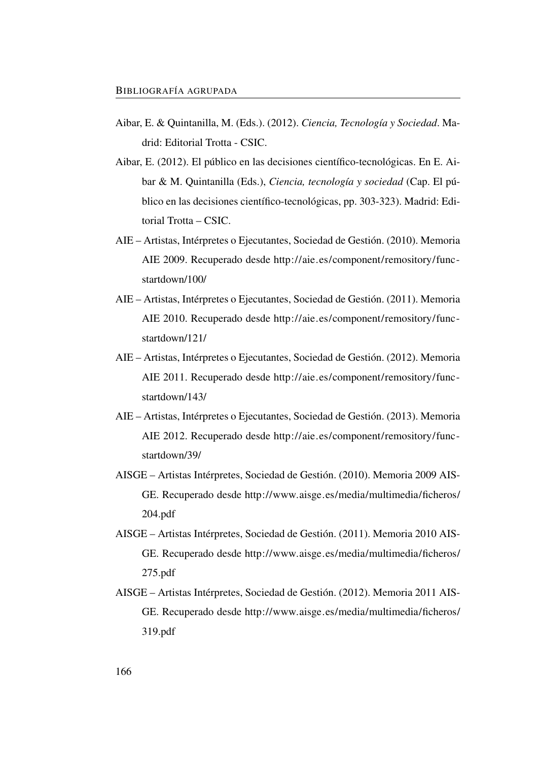- Aibar, E. & Quintanilla, M. (Eds.). (2012). *Ciencia, Tecnología y Sociedad*. Madrid: Editorial Trotta - CSIC.
- Aibar, E. (2012). El público en las decisiones científico-tecnológicas. En E. Aibar & M. Quintanilla (Eds.), *Ciencia, tecnología y sociedad* (Cap. El público en las decisiones científico-tecnológicas, pp. 303-323). Madrid: Editorial Trotta – CSIC.
- AIE Artistas, Intérpretes o Ejecutantes, Sociedad de Gestión. (2010). Memoria AIE 2009. Recuperado desde [http://aie.es/component/remository/func](http://aie.es/component/remository/func-startdown/100/)[startdown/100/](http://aie.es/component/remository/func-startdown/100/)
- AIE Artistas, Intérpretes o Ejecutantes, Sociedad de Gestión. (2011). Memoria AIE 2010. Recuperado desde [http://aie.es/component/remository/func](http://aie.es/component/remository/func-startdown/121/)[startdown/121/](http://aie.es/component/remository/func-startdown/121/)
- AIE Artistas, Intérpretes o Ejecutantes, Sociedad de Gestión. (2012). Memoria AIE 2011. Recuperado desde [http://aie.es/component/remository/func](http://aie.es/component/remository/func-startdown/143/)[startdown/143/](http://aie.es/component/remository/func-startdown/143/)
- AIE Artistas, Intérpretes o Ejecutantes, Sociedad de Gestión. (2013). Memoria AIE 2012. Recuperado desde [http://aie.es/component/remository/func](http://aie.es/component/remository/func-startdown/39/)[startdown/39/](http://aie.es/component/remository/func-startdown/39/)
- AISGE Artistas Intérpretes, Sociedad de Gestión. (2010). Memoria 2009 AIS-GE. Recuperado desde [http://www.aisge.es/media/multimedia/ficheros/](http://www.aisge.es/media/multimedia/ficheros/204.pdf) [204.pdf](http://www.aisge.es/media/multimedia/ficheros/204.pdf)
- AISGE Artistas Intérpretes, Sociedad de Gestión. (2011). Memoria 2010 AIS-GE. Recuperado desde [http://www.aisge.es/media/multimedia/ficheros/](http://www.aisge.es/media/multimedia/ficheros/275.pdf) [275.pdf](http://www.aisge.es/media/multimedia/ficheros/275.pdf)
- AISGE Artistas Intérpretes, Sociedad de Gestión. (2012). Memoria 2011 AIS-GE. Recuperado desde [http://www.aisge.es/media/multimedia/ficheros/](http://www.aisge.es/media/multimedia/ficheros/319.pdf) [319.pdf](http://www.aisge.es/media/multimedia/ficheros/319.pdf)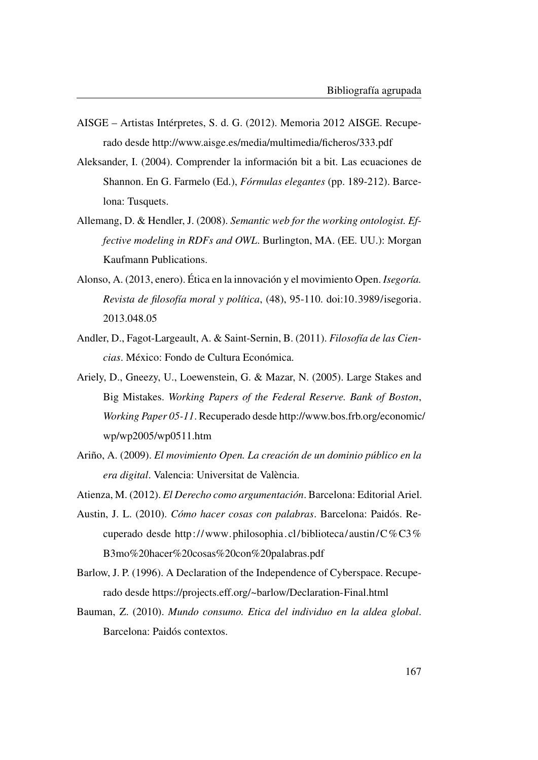- AISGE Artistas Intérpretes, S. d. G. (2012). Memoria 2012 AISGE. Recuperado desde<http://www.aisge.es/media/multimedia/ficheros/333.pdf>
- Aleksander, I. (2004). Comprender la información bit a bit. Las ecuaciones de Shannon. En G. Farmelo (Ed.), *Fórmulas elegantes* (pp. 189-212). Barcelona: Tusquets.
- Allemang, D. & Hendler, J. (2008). *Semantic web for the working ontologist. Effective modeling in RDFs and OWL*. Burlington, MA. (EE. UU.): Morgan Kaufmann Publications.
- Alonso, A. (2013, enero). Ética en la innovación y el movimiento Open. *Isegoría. Revista de filosofía moral y política*, (48), 95-110. doi[:10.3989/isegoria.](http://dx.doi.org/10.3989/isegoria.2013.048.05) [2013.048.05](http://dx.doi.org/10.3989/isegoria.2013.048.05)
- Andler, D., Fagot-Largeault, A. & Saint-Sernin, B. (2011). *Filosofía de las Ciencias*. México: Fondo de Cultura Económica.
- Ariely, D., Gneezy, U., Loewenstein, G. & Mazar, N. (2005). Large Stakes and Big Mistakes. *Working Papers of the Federal Reserve. Bank of Boston*, *Working Paper 05-11*. Recuperado desde [http://www.bos.frb.org/economic/](http://www.bos.frb.org/economic/wp/wp2005/wp0511.htm) [wp/wp2005/wp0511.htm](http://www.bos.frb.org/economic/wp/wp2005/wp0511.htm)
- Ariño, A. (2009). *El movimiento Open. La creación de un dominio público en la era digital*. Valencia: Universitat de València.
- Atienza, M. (2012). *El Derecho como argumentación*. Barcelona: Editorial Ariel.
- Austin, J. L. (2010). *Cómo hacer cosas con palabras*. Barcelona: Paidós. Recuperado desde [http://www. philosophia.cl/ biblioteca/austin/C%C3%](http://www.philosophia.cl/biblioteca/austin/C%C3%B3mo%20hacer%20cosas%20con%20palabras.pdf) [B3mo%20hacer%20cosas%20con%20palabras.pdf](http://www.philosophia.cl/biblioteca/austin/C%C3%B3mo%20hacer%20cosas%20con%20palabras.pdf)
- Barlow, J. P. (1996). A Declaration of the Independence of Cyberspace. Recuperado desde<https://projects.eff.org/~barlow/Declaration-Final.html>
- Bauman, Z. (2010). *Mundo consumo. Etica del individuo en la aldea global*. Barcelona: Paidós contextos.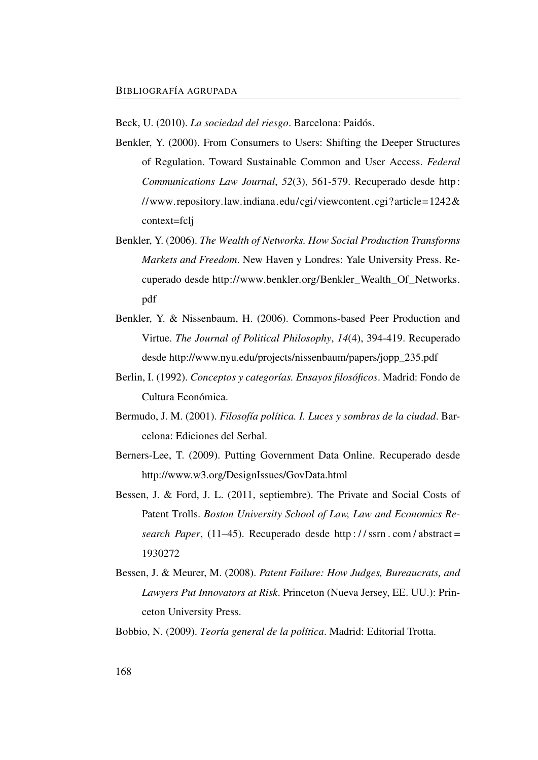Beck, U. (2010). *La sociedad del riesgo*. Barcelona: Paidós.

- Benkler, Y. (2000). From Consumers to Users: Shifting the Deeper Structures of Regulation. Toward Sustainable Common and User Access. *Federal Communications Law Journal*, *52*(3), 561-579. Recuperado desde [http:](http://www.repository.law.indiana.edu/cgi/viewcontent.cgi?article=1242&context=fclj) [//www.repository.law.indiana.edu/cgi/viewcontent.cgi?article=1242&](http://www.repository.law.indiana.edu/cgi/viewcontent.cgi?article=1242&context=fclj) [context=fclj](http://www.repository.law.indiana.edu/cgi/viewcontent.cgi?article=1242&context=fclj)
- Benkler, Y. (2006). *The Wealth of Networks. How Social Production Transforms Markets and Freedom*. New Haven y Londres: Yale University Press. Recuperado desde [http://www.benkler.org/Benkler\\_Wealth\\_Of\\_Networks.](http://www.benkler.org/Benkler_Wealth_Of_Networks.pdf) [pdf](http://www.benkler.org/Benkler_Wealth_Of_Networks.pdf)
- Benkler, Y. & Nissenbaum, H. (2006). Commons-based Peer Production and Virtue. *The Journal of Political Philosophy*, *14*(4), 394-419. Recuperado desde [http://www.nyu.edu/projects/nissenbaum/papers/jopp\\_235.pdf](http://www.nyu.edu/projects/nissenbaum/papers/jopp_235.pdf)
- Berlin, I. (1992). *Conceptos y categorías. Ensayos filosóficos*. Madrid: Fondo de Cultura Económica.
- Bermudo, J. M. (2001). *Filosofía política. I. Luces y sombras de la ciudad*. Barcelona: Ediciones del Serbal.
- Berners-Lee, T. (2009). Putting Government Data Online. Recuperado desde <http://www.w3.org/DesignIssues/GovData.html>
- Bessen, J. & Ford, J. L. (2011, septiembre). The Private and Social Costs of Patent Trolls. *Boston University School of Law, Law and Economics Research Paper*, (11–45). Recuperado desde [http : / / ssrn . com / abstract =](http://ssrn.com/abstract=1930272) [1930272](http://ssrn.com/abstract=1930272)
- Bessen, J. & Meurer, M. (2008). *Patent Failure: How Judges, Bureaucrats, and Lawyers Put Innovators at Risk*. Princeton (Nueva Jersey, EE. UU.): Princeton University Press.
- Bobbio, N. (2009). *Teoría general de la política*. Madrid: Editorial Trotta.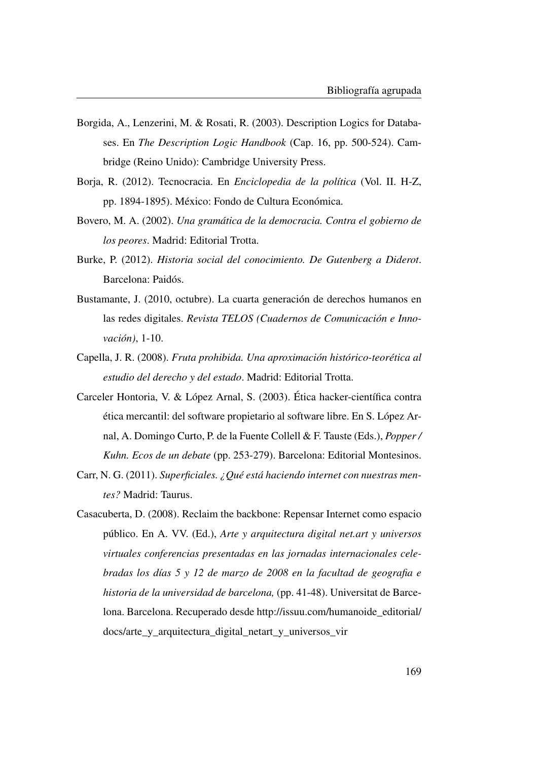- Borgida, A., Lenzerini, M. & Rosati, R. (2003). Description Logics for Databases. En *The Description Logic Handbook* (Cap. 16, pp. 500-524). Cambridge (Reino Unido): Cambridge University Press.
- Borja, R. (2012). Tecnocracia. En *Enciclopedia de la política* (Vol. II. H-Z, pp. 1894-1895). México: Fondo de Cultura Económica.
- Bovero, M. A. (2002). *Una gramática de la democracia. Contra el gobierno de los peores*. Madrid: Editorial Trotta.
- Burke, P. (2012). *Historia social del conocimiento. De Gutenberg a Diderot*. Barcelona: Paidós.
- Bustamante, J. (2010, octubre). La cuarta generación de derechos humanos en las redes digitales. *Revista TELOS (Cuadernos de Comunicación e Innovación)*, 1-10.
- Capella, J. R. (2008). *Fruta prohibida. Una aproximación histórico-teorética al estudio del derecho y del estado*. Madrid: Editorial Trotta.
- Carceler Hontoria, V. & López Arnal, S. (2003). Ética hacker-científica contra ética mercantil: del software propietario al software libre. En S. López Arnal, A. Domingo Curto, P. de la Fuente Collell & F. Tauste (Eds.), *Popper / Kuhn. Ecos de un debate* (pp. 253-279). Barcelona: Editorial Montesinos.
- Carr, N. G. (2011). *Superficiales. ¿Qué está haciendo internet con nuestras mentes?* Madrid: Taurus.
- Casacuberta, D. (2008). Reclaim the backbone: Repensar Internet como espacio público. En A. VV. (Ed.), *Arte y arquitectura digital net.art y universos virtuales conferencias presentadas en las jornadas internacionales celebradas los días 5 y 12 de marzo de 2008 en la facultad de geografia e historia de la universidad de barcelona,* (pp. 41-48). Universitat de Barcelona. Barcelona. Recuperado desde [http://issuu.com/humanoide\\_editorial/](http://issuu.com/humanoide_editorial/docs/arte_y_arquitectura_digital_netart_y_universos_vir) [docs/arte\\_y\\_arquitectura\\_digital\\_netart\\_y\\_universos\\_vir](http://issuu.com/humanoide_editorial/docs/arte_y_arquitectura_digital_netart_y_universos_vir)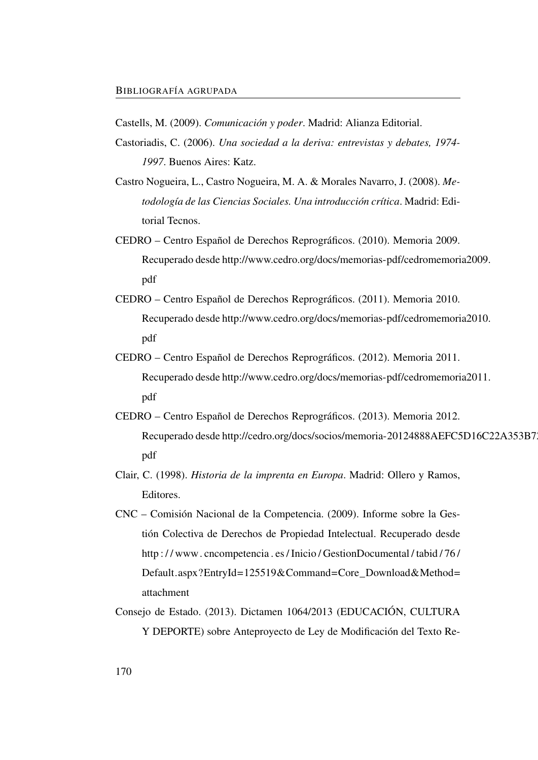Castells, M. (2009). *Comunicación y poder*. Madrid: Alianza Editorial.

- Castoriadis, C. (2006). *Una sociedad a la deriva: entrevistas y debates, 1974- 1997*. Buenos Aires: Katz.
- Castro Nogueira, L., Castro Nogueira, M. A. & Morales Navarro, J. (2008). *Metodología de las Ciencias Sociales. Una introducción crítica*. Madrid: Editorial Tecnos.
- CEDRO Centro Español de Derechos Reprográficos. (2010). Memoria 2009. Recuperado desde [http://www.cedro.org/docs/memorias-pdf/cedromemori](http://www.cedro.org/docs/memorias-pdf/cedromemoria2009.pdf)a2009. [pdf](http://www.cedro.org/docs/memorias-pdf/cedromemoria2009.pdf)
- CEDRO Centro Español de Derechos Reprográficos. (2011). Memoria 2010. Recuperado desde [http://www.cedro.org/docs/memorias-pdf/cedromemori](http://www.cedro.org/docs/memorias-pdf/cedromemoria2010.pdf)a2010. [pdf](http://www.cedro.org/docs/memorias-pdf/cedromemoria2010.pdf)
- CEDRO Centro Español de Derechos Reprográficos. (2012). Memoria 2011. Recuperado desde [http://www.cedro.org/docs/memorias-pdf/cedromemori](http://www.cedro.org/docs/memorias-pdf/cedromemoria2011.pdf)a2011. [pdf](http://www.cedro.org/docs/memorias-pdf/cedromemoria2011.pdf)
- CEDRO Centro Español de Derechos Reprográficos. (2013). Memoria 2012. Recuperado desde [http://cedro.org/docs/socios/memoria-20124888AEFC5](http://cedro.org/docs/socios/memoria-20124888AEFC5D16C22A353B728D.pdf)D16C22A353B7 [pdf](http://cedro.org/docs/socios/memoria-20124888AEFC5D16C22A353B728D.pdf)
- Clair, C. (1998). *Historia de la imprenta en Europa*. Madrid: Ollero y Ramos, Editores.
- CNC Comisión Nacional de la Competencia. (2009). Informe sobre la Gestión Colectiva de Derechos de Propiedad Intelectual. Recuperado desde [http : / / www. cncompetencia . es / Inicio / GestionDocumental / tabid / 76 /](http://www.cncompetencia.es/Inicio/GestionDocumental/tabid/76/Default.aspx?EntryId=125519&Command=Core_Download&Method=attachment) [Default.aspx?EntryId=125519&Command=Core\\_Download&Method=](http://www.cncompetencia.es/Inicio/GestionDocumental/tabid/76/Default.aspx?EntryId=125519&Command=Core_Download&Method=attachment) [attachment](http://www.cncompetencia.es/Inicio/GestionDocumental/tabid/76/Default.aspx?EntryId=125519&Command=Core_Download&Method=attachment)
- Consejo de Estado. (2013). Dictamen 1064/2013 (EDUCACIÓN, CULTURA Y DEPORTE) sobre Anteproyecto de Ley de Modificación del Texto Re-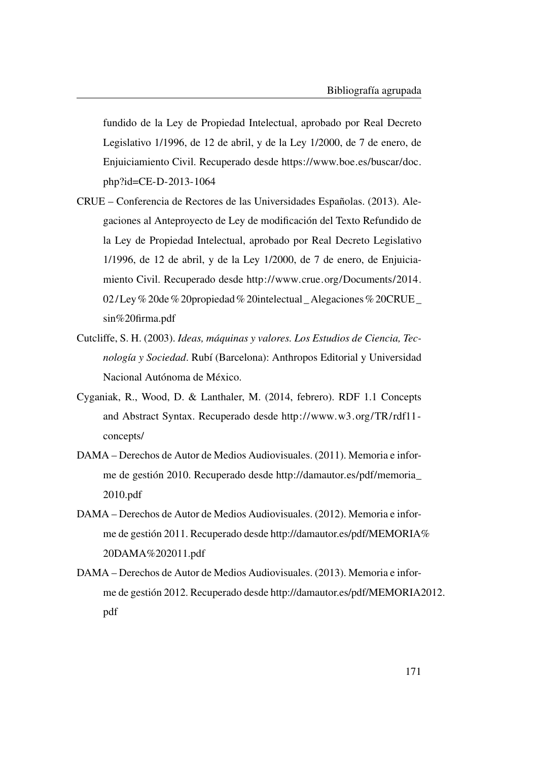fundido de la Ley de Propiedad Intelectual, aprobado por Real Decreto Legislativo 1/1996, de 12 de abril, y de la Ley 1/2000, de 7 de enero, de Enjuiciamiento Civil. Recuperado desde [https://www.boe.es/buscar/doc.](https://www.boe.es/buscar/doc.php?id=CE-D-2013-1064) [php?id=CE-D-2013-1064](https://www.boe.es/buscar/doc.php?id=CE-D-2013-1064)

- CRUE Conferencia de Rectores de las Universidades Españolas. (2013). Alegaciones al Anteproyecto de Ley de modificación del Texto Refundido de la Ley de Propiedad Intelectual, aprobado por Real Decreto Legislativo 1/1996, de 12 de abril, y de la Ley 1/2000, de 7 de enero, de Enjuiciamiento Civil. Recuperado desde [http://www.crue.org/Documents/2014.](http://www.crue.org/Documents/2014.02/Ley%20de%20propiedad%20intelectual_Alegaciones%20CRUE_sin%20firma.pdf) [02/ Ley% 20de% 20propiedad% 20intelectual \\_ Alegaciones% 20CRUE \\_](http://www.crue.org/Documents/2014.02/Ley%20de%20propiedad%20intelectual_Alegaciones%20CRUE_sin%20firma.pdf) [sin%20firma.pdf](http://www.crue.org/Documents/2014.02/Ley%20de%20propiedad%20intelectual_Alegaciones%20CRUE_sin%20firma.pdf)
- Cutcliffe, S. H. (2003). *Ideas, máquinas y valores. Los Estudios de Ciencia, Tecnología y Sociedad*. Rubí (Barcelona): Anthropos Editorial y Universidad Nacional Autónoma de México.
- Cyganiak, R., Wood, D. & Lanthaler, M. (2014, febrero). RDF 1.1 Concepts and Abstract Syntax. Recuperado desde [http://www.w3.org/TR/rdf11](http://www.w3.org/TR/rdf11-concepts/) [concepts/](http://www.w3.org/TR/rdf11-concepts/)
- DAMA Derechos de Autor de Medios Audiovisuales. (2011). Memoria e informe de gestión 2010. Recuperado desde [http://damautor.es/pdf/memoria\\_](http://damautor.es/pdf/memoria_2010.pdf) [2010.pdf](http://damautor.es/pdf/memoria_2010.pdf)
- DAMA Derechos de Autor de Medios Audiovisuales. (2012). Memoria e informe de gestión 2011. Recuperado desde [http://damautor.es/pdf/MEMORIA%](http://damautor.es/pdf/MEMORIA%20DAMA%202011.pdf) [20DAMA%202011.pdf](http://damautor.es/pdf/MEMORIA%20DAMA%202011.pdf)
- DAMA Derechos de Autor de Medios Audiovisuales. (2013). Memoria e informe de gestión 2012. Recuperado desde [http://damautor.es/pdf/MEMORIA2](http://damautor.es/pdf/MEMORIA2012.pdf)012. [pdf](http://damautor.es/pdf/MEMORIA2012.pdf)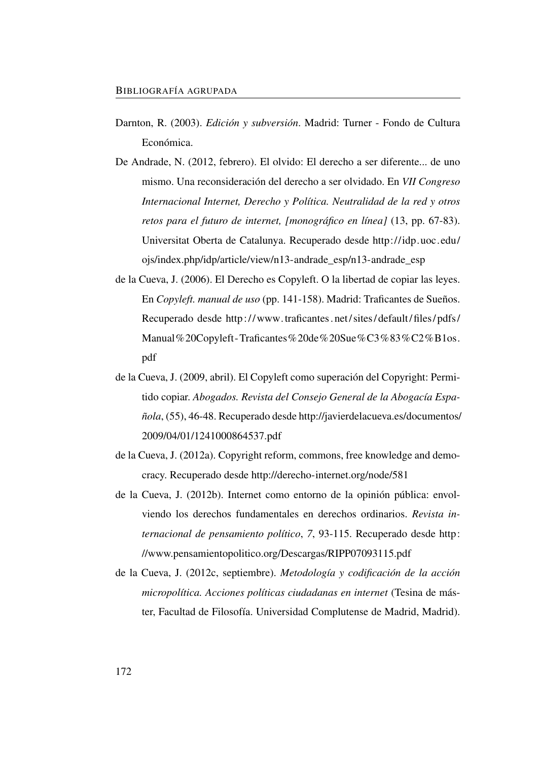- Darnton, R. (2003). *Edición y subversión*. Madrid: Turner Fondo de Cultura Económica.
- De Andrade, N. (2012, febrero). El olvido: El derecho a ser diferente... de uno mismo. Una reconsideración del derecho a ser olvidado. En *VII Congreso Internacional Internet, Derecho y Política. Neutralidad de la red y otros retos para el futuro de internet, [monográfico en línea]* (13, pp. 67-83). Universitat Oberta de Catalunya. Recuperado desde [http://idp.uoc.edu/](http://idp.uoc.edu/ojs/index.php/idp/article/view/n13-andrade_esp/n13-andrade_esp) [ojs/index.php/idp/article/view/n13-andrade\\_esp/n13-andrade\\_esp](http://idp.uoc.edu/ojs/index.php/idp/article/view/n13-andrade_esp/n13-andrade_esp)
- de la Cueva, J. (2006). El Derecho es Copyleft. O la libertad de copiar las leyes. En *Copyleft. manual de uso* (pp. 141-158). Madrid: Traficantes de Sueños. Recuperado desde [http:// www.traficantes. net/ sites/ default/ files/ pdfs/](http://www.traficantes.net/sites/default/files/pdfs/Manual%20Copyleft-Traficantes%20de%20Sue%C3%83%C2%B1os.pdf) [Manual%20Copyleft-Traficantes%20de%20Sue%C3%83%C2%B1os.](http://www.traficantes.net/sites/default/files/pdfs/Manual%20Copyleft-Traficantes%20de%20Sue%C3%83%C2%B1os.pdf) [pdf](http://www.traficantes.net/sites/default/files/pdfs/Manual%20Copyleft-Traficantes%20de%20Sue%C3%83%C2%B1os.pdf)
- de la Cueva, J. (2009, abril). El Copyleft como superación del Copyright: Permitido copiar. *Abogados. Revista del Consejo General de la Abogacía Española*, (55), 46-48. Recuperado desde [http://javierdelacueva.es/documentos/](http://javierdelacueva.es/documentos/2009/04/01/1241000864537.pdf) [2009/04/01/1241000864537.pdf](http://javierdelacueva.es/documentos/2009/04/01/1241000864537.pdf)
- de la Cueva, J. (2012a). Copyright reform, commons, free knowledge and democracy. Recuperado desde<http://derecho-internet.org/node/581>
- de la Cueva, J. (2012b). Internet como entorno de la opinión pública: envolviendo los derechos fundamentales en derechos ordinarios. *Revista internacional de pensamiento político*, *7*, 93-115. Recuperado desde [http:](http://www.pensamientopolitico.org/Descargas/RIPP07093115.pdf) [//www.pensamientopolitico.org/Descargas/RIPP07093115.pdf](http://www.pensamientopolitico.org/Descargas/RIPP07093115.pdf)
- de la Cueva, J. (2012c, septiembre). *Metodología y codificación de la acción micropolítica. Acciones políticas ciudadanas en internet* (Tesina de máster, Facultad de Filosofía. Universidad Complutense de Madrid, Madrid).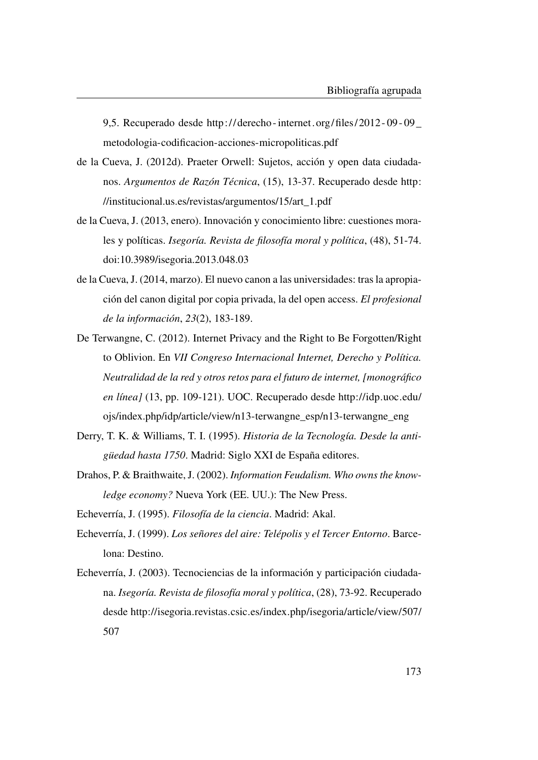9,5. Recuperado desde [http:// derecho - internet. org/files/ 2012 - 09 - 09 \\_](http://derecho-internet.org/files/2012-09-09_metodologia-codificacion-acciones-micropoliticas.pdf) [metodologia-codificacion-acciones-micropoliticas.pdf](http://derecho-internet.org/files/2012-09-09_metodologia-codificacion-acciones-micropoliticas.pdf)

- de la Cueva, J. (2012d). Praeter Orwell: Sujetos, acción y open data ciudadanos. *Argumentos de Razón Técnica*, (15), 13-37. Recuperado desde [http:](http://institucional.us.es/revistas/argumentos/15/art_1.pdf) [//institucional.us.es/revistas/argumentos/15/art\\_1.pdf](http://institucional.us.es/revistas/argumentos/15/art_1.pdf)
- de la Cueva, J. (2013, enero). Innovación y conocimiento libre: cuestiones morales y políticas. *Isegoría. Revista de filosofía moral y política*, (48), 51-74. doi[:10.3989/isegoria.2013.048.03](http://dx.doi.org/10.3989/isegoria.2013.048.03)
- de la Cueva, J. (2014, marzo). El nuevo canon a las universidades: tras la apropiación del canon digital por copia privada, la del open access. *El profesional de la información*, *23*(2), 183-189.
- De Terwangne, C. (2012). Internet Privacy and the Right to Be Forgotten/Right to Oblivion. En *VII Congreso Internacional Internet, Derecho y Política. Neutralidad de la red y otros retos para el futuro de internet, [monográfico en línea]* (13, pp. 109-121). UOC. Recuperado desde [http://idp.uoc.edu/](http://idp.uoc.edu/ojs/index.php/idp/article/view/n13-terwangne_esp/n13-terwangne_eng) [ojs/index.php/idp/article/view/n13-terwangne\\_esp/n13-terwangne\\_eng](http://idp.uoc.edu/ojs/index.php/idp/article/view/n13-terwangne_esp/n13-terwangne_eng)
- Derry, T. K. & Williams, T. I. (1995). *Historia de la Tecnología. Desde la antigüedad hasta 1750*. Madrid: Siglo XXI de España editores.
- Drahos, P. & Braithwaite, J. (2002). *Information Feudalism. Who owns the knowledge economy?* Nueva York (EE. UU.): The New Press.
- Echeverría, J. (1995). *Filosofía de la ciencia*. Madrid: Akal.
- Echeverría, J. (1999). *Los señores del aire: Telépolis y el Tercer Entorno*. Barcelona: Destino.
- Echeverría, J. (2003). Tecnociencias de la información y participación ciudadana. *Isegoría. Revista de filosofía moral y política*, (28), 73-92. Recuperado desde [http://isegoria.revistas.csic.es/index.php/isegoria/article/view/507/](http://isegoria.revistas.csic.es/index.php/isegoria/article/view/507/507) [507](http://isegoria.revistas.csic.es/index.php/isegoria/article/view/507/507)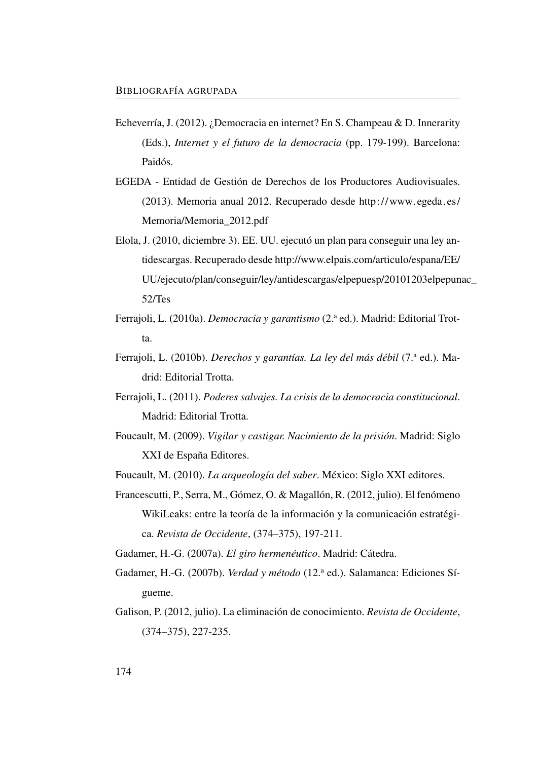- Echeverría, J. (2012). ¿Democracia en internet? En S. Champeau & D. Innerarity (Eds.), *Internet y el futuro de la democracia* (pp. 179-199). Barcelona: Paidós.
- EGEDA Entidad de Gestión de Derechos de los Productores Audiovisuales. (2013). Memoria anual 2012. Recuperado desde [http://www.egeda.es/](http://www.egeda.es/Memoria/Memoria_2012.pdf) [Memoria/Memoria\\_2012.pdf](http://www.egeda.es/Memoria/Memoria_2012.pdf)
- Elola, J. (2010, diciembre 3). EE. UU. ejecutó un plan para conseguir una ley antidescargas. Recuperado desde [http://www.elpais.com/articulo/espana/EE/](http://www.elpais.com/articulo/espana/EE/UU/ejecuto/plan/conseguir/ley/antidescargas/elpepuesp/20101203elpepunac_52/Tes) [UU/ejecuto/plan/conseguir/ley/antidescargas/elpepuesp/20101203elpepun](http://www.elpais.com/articulo/espana/EE/UU/ejecuto/plan/conseguir/ley/antidescargas/elpepuesp/20101203elpepunac_52/Tes)ac\_ [52/Tes](http://www.elpais.com/articulo/espana/EE/UU/ejecuto/plan/conseguir/ley/antidescargas/elpepuesp/20101203elpepunac_52/Tes)
- Ferrajoli, L. (2010a). *Democracia y garantismo* (2.<sup>a</sup> ed.). Madrid: Editorial Trotta.
- Ferrajoli, L. (2010b). *Derechos y garantías. La ley del más débil* (7.ª ed.). Madrid: Editorial Trotta.
- Ferrajoli, L. (2011). *Poderes salvajes. La crisis de la democracia constitucional*. Madrid: Editorial Trotta.
- Foucault, M. (2009). *Vigilar y castigar. Nacimiento de la prisión*. Madrid: Siglo XXI de España Editores.
- Foucault, M. (2010). *La arqueología del saber*. México: Siglo XXI editores.
- Francescutti, P., Serra, M., Gómez, O. & Magallón, R. (2012, julio). El fenómeno WikiLeaks: entre la teoría de la información y la comunicación estratégica. *Revista de Occidente*, (374–375), 197-211.
- Gadamer, H.-G. (2007a). *El giro hermenéutico*. Madrid: Cátedra.
- Gadamer, H.-G. (2007b). *Verdad y método* (12.ª ed.). Salamanca: Ediciones Sígueme.
- Galison, P. (2012, julio). La eliminación de conocimiento. *Revista de Occidente*, (374–375), 227-235.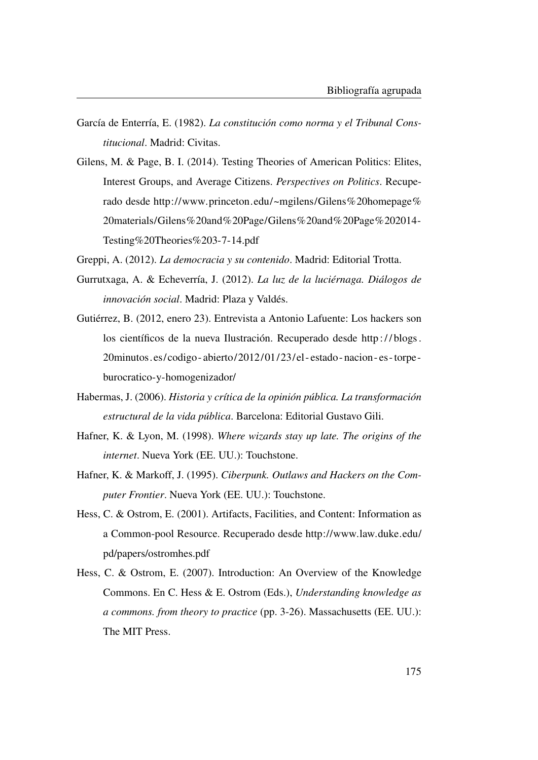- García de Enterría, E. (1982). *La constitución como norma y el Tribunal Constitucional*. Madrid: Civitas.
- Gilens, M. & Page, B. I. (2014). Testing Theories of American Politics: Elites, Interest Groups, and Average Citizens. *Perspectives on Politics*. Recuperado desde [http://www.princeton.edu/~mgilens/Gilens%20homepage%](http://www.princeton.edu/~mgilens/Gilens%20homepage%20materials/Gilens%20and%20Page/Gilens%20and%20Page%202014-Testing%20Theories%203-7-14.pdf) [20materials/Gilens%20and%20Page/Gilens%20and%20Page%202014-](http://www.princeton.edu/~mgilens/Gilens%20homepage%20materials/Gilens%20and%20Page/Gilens%20and%20Page%202014-Testing%20Theories%203-7-14.pdf) [Testing%20Theories%203-7-14.pdf](http://www.princeton.edu/~mgilens/Gilens%20homepage%20materials/Gilens%20and%20Page/Gilens%20and%20Page%202014-Testing%20Theories%203-7-14.pdf)
- Greppi, A. (2012). *La democracia y su contenido*. Madrid: Editorial Trotta.
- Gurrutxaga, A. & Echeverría, J. (2012). *La luz de la luciérnaga. Diálogos de innovación social*. Madrid: Plaza y Valdés.
- Gutiérrez, B. (2012, enero 23). Entrevista a Antonio Lafuente: Los hackers son los científicos de la nueva Ilustración. Recuperado desde http://blogs. [20minutos.es/codigo - abierto/2012/01/23/el - estado - nacion - es -torpe](http://blogs.20minutos.es/codigo-abierto/2012/01/23/el-estado-nacion-es-torpe-burocratico-y-homogenizador/)  [burocratico-y-homogenizador/](http://blogs.20minutos.es/codigo-abierto/2012/01/23/el-estado-nacion-es-torpe-burocratico-y-homogenizador/)
- Habermas, J. (2006). *Historia y crítica de la opinión pública. La transformación estructural de la vida pública*. Barcelona: Editorial Gustavo Gili.
- Hafner, K. & Lyon, M. (1998). *Where wizards stay up late. The origins of the internet*. Nueva York (EE. UU.): Touchstone.
- Hafner, K. & Markoff, J. (1995). *Ciberpunk. Outlaws and Hackers on the Computer Frontier*. Nueva York (EE. UU.): Touchstone.
- Hess, C. & Ostrom, E. (2001). Artifacts, Facilities, and Content: Information as a Common-pool Resource. Recuperado desde [http://www.law.duke.edu/](http://www.law.duke.edu/pd/papers/ostromhes.pdf) [pd/papers/ostromhes.pdf](http://www.law.duke.edu/pd/papers/ostromhes.pdf)
- Hess, C. & Ostrom, E. (2007). Introduction: An Overview of the Knowledge Commons. En C. Hess & E. Ostrom (Eds.), *Understanding knowledge as a commons. from theory to practice* (pp. 3-26). Massachusetts (EE. UU.): The MIT Press.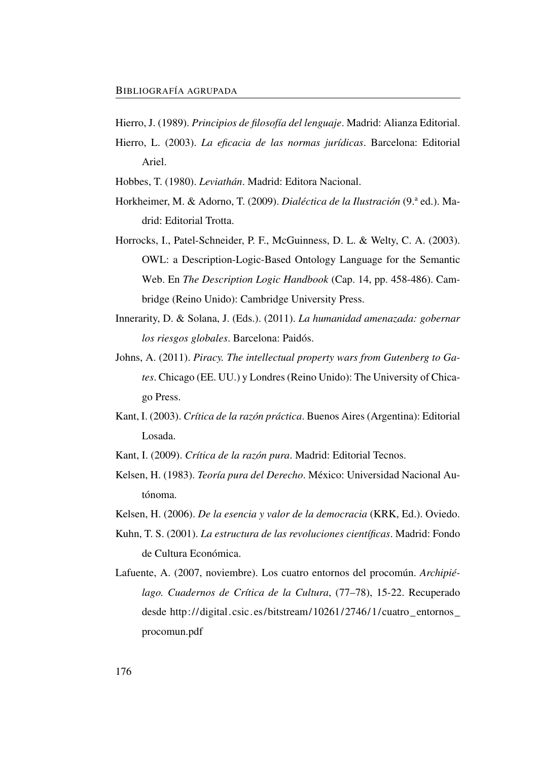- Hierro, J. (1989). *Principios de filosofía del lenguaje*. Madrid: Alianza Editorial.
- Hierro, L. (2003). *La eficacia de las normas jurídicas*. Barcelona: Editorial Ariel.
- Hobbes, T. (1980). *Leviathán*. Madrid: Editora Nacional.
- Horkheimer, M. & Adorno, T. (2009). *Dialéctica de la Ilustración* (9.ª ed.). Madrid: Editorial Trotta.
- Horrocks, I., Patel-Schneider, P. F., McGuinness, D. L. & Welty, C. A. (2003). OWL: a Description-Logic-Based Ontology Language for the Semantic Web. En *The Description Logic Handbook* (Cap. 14, pp. 458-486). Cambridge (Reino Unido): Cambridge University Press.
- Innerarity, D. & Solana, J. (Eds.). (2011). *La humanidad amenazada: gobernar los riesgos globales*. Barcelona: Paidós.
- Johns, A. (2011). *Piracy. The intellectual property wars from Gutenberg to Gates*. Chicago (EE. UU.) y Londres (Reino Unido): The University of Chicago Press.
- Kant, I. (2003). *Crítica de la razón práctica*. Buenos Aires (Argentina): Editorial Losada.
- Kant, I. (2009). *Crítica de la razón pura*. Madrid: Editorial Tecnos.
- Kelsen, H. (1983). *Teoría pura del Derecho*. México: Universidad Nacional Autónoma.
- Kelsen, H. (2006). *De la esencia y valor de la democracia* (KRK, Ed.). Oviedo.
- Kuhn, T. S. (2001). *La estructura de las revoluciones científicas*. Madrid: Fondo de Cultura Económica.
- Lafuente, A. (2007, noviembre). Los cuatro entornos del procomún. *Archipiélago. Cuadernos de Crítica de la Cultura*, (77–78), 15-22. Recuperado desde [http://digital.csic.es/bitstream/10261/2746/1/cuatro\\_entornos\\_](http://digital.csic.es/bitstream/10261/2746/1/cuatro_entornos_procomun.pdf) [procomun.pdf](http://digital.csic.es/bitstream/10261/2746/1/cuatro_entornos_procomun.pdf)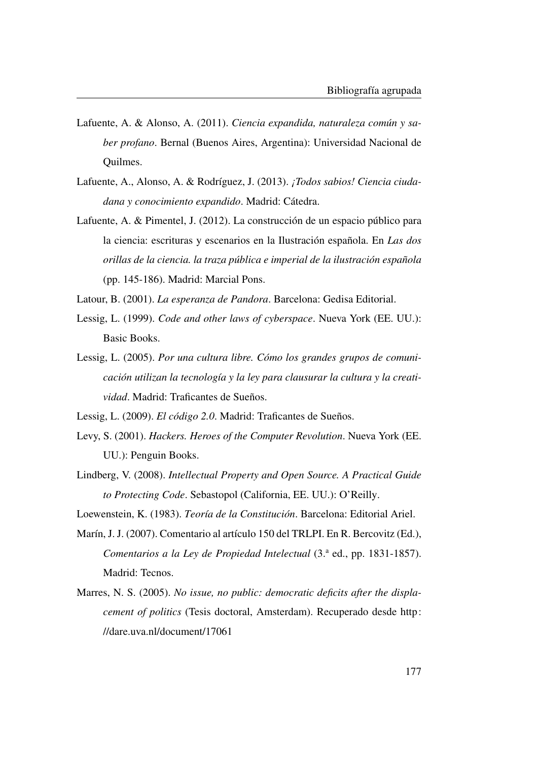- Lafuente, A. & Alonso, A. (2011). *Ciencia expandida, naturaleza común y saber profano*. Bernal (Buenos Aires, Argentina): Universidad Nacional de Quilmes.
- Lafuente, A., Alonso, A. & Rodríguez, J. (2013). *¡Todos sabios! Ciencia ciudadana y conocimiento expandido*. Madrid: Cátedra.
- Lafuente, A. & Pimentel, J. (2012). La construcción de un espacio público para la ciencia: escrituras y escenarios en la Ilustración española. En *Las dos orillas de la ciencia. la traza pública e imperial de la ilustración española* (pp. 145-186). Madrid: Marcial Pons.
- Latour, B. (2001). *La esperanza de Pandora*. Barcelona: Gedisa Editorial.
- Lessig, L. (1999). *Code and other laws of cyberspace*. Nueva York (EE. UU.): Basic Books.
- Lessig, L. (2005). *Por una cultura libre. Cómo los grandes grupos de comunicación utilizan la tecnología y la ley para clausurar la cultura y la creatividad*. Madrid: Traficantes de Sueños.
- Lessig, L. (2009). *El código 2.0*. Madrid: Traficantes de Sueños.
- Levy, S. (2001). *Hackers. Heroes of the Computer Revolution*. Nueva York (EE. UU.): Penguin Books.
- Lindberg, V. (2008). *Intellectual Property and Open Source. A Practical Guide to Protecting Code*. Sebastopol (California, EE. UU.): O'Reilly.
- Loewenstein, K. (1983). *Teoría de la Constitución*. Barcelona: Editorial Ariel.
- Marín, J. J. (2007). Comentario al artículo 150 del TRLPI. En R. Bercovitz (Ed.), *Comentarios a la Ley de Propiedad Intelectual* (3.ª ed., pp. 1831-1857). Madrid: Tecnos.
- Marres, N. S. (2005). *No issue, no public: democratic deficits after the displacement of politics* (Tesis doctoral, Amsterdam). Recuperado desde [http:](http://dare.uva.nl/document/17061) [//dare.uva.nl/document/17061](http://dare.uva.nl/document/17061)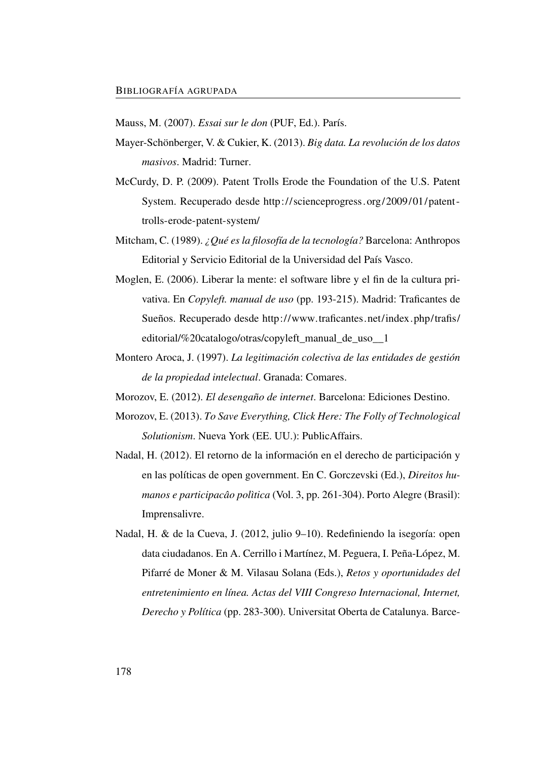Mauss, M. (2007). *Essai sur le don* (PUF, Ed.). París.

- Mayer-Schönberger, V. & Cukier, K. (2013). *Big data. La revolución de los datos masivos*. Madrid: Turner.
- McCurdy, D. P. (2009). Patent Trolls Erode the Foundation of the U.S. Patent System. Recuperado desde [http://scienceprogress.org/2009/01/patent](http://scienceprogress.org/2009/01/patent-trolls-erode-patent-system/)  [trolls-erode-patent-system/](http://scienceprogress.org/2009/01/patent-trolls-erode-patent-system/)
- Mitcham, C. (1989). *¿Qué es la filosofía de la tecnología?* Barcelona: Anthropos Editorial y Servicio Editorial de la Universidad del País Vasco.
- Moglen, E. (2006). Liberar la mente: el software libre y el fin de la cultura privativa. En *Copyleft. manual de uso* (pp. 193-215). Madrid: Traficantes de Sueños. Recuperado desde [http://www.traficantes.net/index.php/trafis/](http://www.traficantes.net/index.php/trafis/editorial/%20catalogo/otras/copyleft_manual_de_uso__1) [editorial/%20catalogo/otras/copyleft\\_manual\\_de\\_uso\\_\\_1](http://www.traficantes.net/index.php/trafis/editorial/%20catalogo/otras/copyleft_manual_de_uso__1)
- Montero Aroca, J. (1997). *La legitimación colectiva de las entidades de gestión de la propiedad intelectual*. Granada: Comares.
- Morozov, E. (2012). *El desengaño de internet*. Barcelona: Ediciones Destino.
- Morozov, E. (2013). *To Save Everything, Click Here: The Folly of Technological Solutionism*. Nueva York (EE. UU.): PublicAffairs.
- Nadal, H. (2012). El retorno de la información en el derecho de participación y en las políticas de open government. En C. Gorczevski (Ed.), *Direitos humanos e participacâo polìtica* (Vol. 3, pp. 261-304). Porto Alegre (Brasil): Imprensalivre.
- Nadal, H. & de la Cueva, J. (2012, julio 9–10). Redefiniendo la isegoría: open data ciudadanos. En A. Cerrillo i Martínez, M. Peguera, I. Peña-López, M. Pifarré de Moner & M. Vilasau Solana (Eds.), *Retos y oportunidades del entretenimiento en línea. Actas del VIII Congreso Internacional, Internet, Derecho y Política* (pp. 283-300). Universitat Oberta de Catalunya. Barce-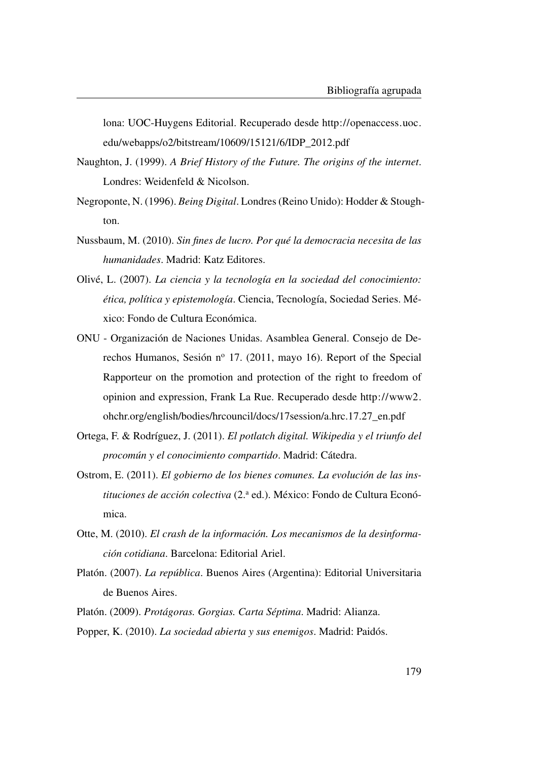lona: UOC-Huygens Editorial. Recuperado desde [http://openaccess.uoc.](http://openaccess.uoc.edu/webapps/o2/bitstream/10609/15121/6/IDP_2012.pdf) [edu/webapps/o2/bitstream/10609/15121/6/IDP\\_2012.pdf](http://openaccess.uoc.edu/webapps/o2/bitstream/10609/15121/6/IDP_2012.pdf)

- Naughton, J. (1999). *A Brief History of the Future. The origins of the internet*. Londres: Weidenfeld & Nicolson.
- Negroponte, N. (1996). *Being Digital*. Londres (Reino Unido): Hodder & Stoughton.
- Nussbaum, M. (2010). *Sin fines de lucro. Por qué la democracia necesita de las humanidades*. Madrid: Katz Editores.
- Olivé, L. (2007). *La ciencia y la tecnología en la sociedad del conocimiento: ética, política y epistemología*. Ciencia, Tecnología, Sociedad Series. México: Fondo de Cultura Económica.
- ONU Organización de Naciones Unidas. Asamblea General. Consejo de Derechos Humanos, Sesión nº 17. (2011, mayo 16). Report of the Special Rapporteur on the promotion and protection of the right to freedom of opinion and expression, Frank La Rue. Recuperado desde [http://www2.](http://www2.ohchr.org/english/bodies/hrcouncil/docs/17session/a.hrc.17.27_en.pdf) [ohchr.org/english/bodies/hrcouncil/docs/17session/a.hrc.17.27\\_en.pdf](http://www2.ohchr.org/english/bodies/hrcouncil/docs/17session/a.hrc.17.27_en.pdf)
- Ortega, F. & Rodríguez, J. (2011). *El potlatch digital. Wikipedia y el triunfo del procomún y el conocimiento compartido*. Madrid: Cátedra.
- Ostrom, E. (2011). *El gobierno de los bienes comunes. La evolución de las instituciones de acción colectiva* (2.<sup>a</sup> ed.). México: Fondo de Cultura Económica.
- Otte, M. (2010). *El crash de la información. Los mecanismos de la desinformación cotidiana*. Barcelona: Editorial Ariel.
- Platón. (2007). *La república*. Buenos Aires (Argentina): Editorial Universitaria de Buenos Aires.
- Platón. (2009). *Protágoras. Gorgias. Carta Séptima*. Madrid: Alianza.
- Popper, K. (2010). *La sociedad abierta y sus enemigos*. Madrid: Paidós.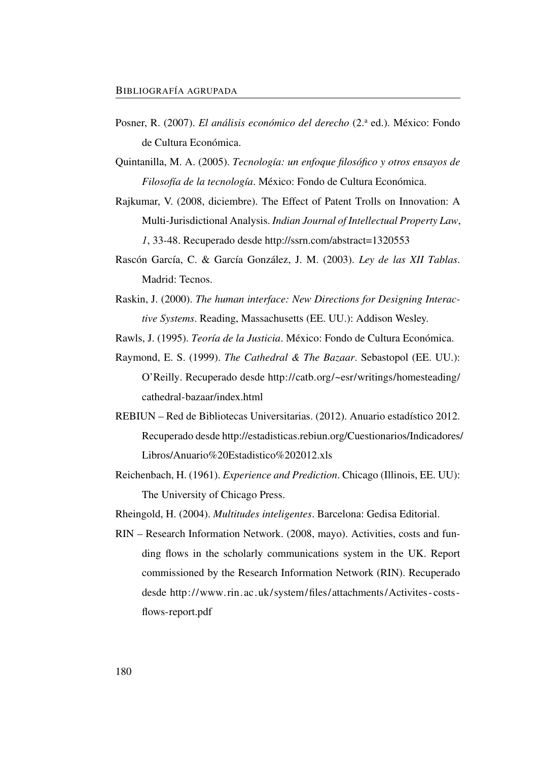- Posner, R. (2007). *El análisis económico del derecho* (2.ª ed.). México: Fondo de Cultura Económica.
- Quintanilla, M. A. (2005). *Tecnología: un enfoque filosófico y otros ensayos de Filosofía de la tecnología*. México: Fondo de Cultura Económica.
- Rajkumar, V. (2008, diciembre). The Effect of Patent Trolls on Innovation: A Multi-Jurisdictional Analysis. *Indian Journal of Intellectual Property Law*, *1*, 33-48. Recuperado desde<http://ssrn.com/abstract=1320553>
- Rascón García, C. & García González, J. M. (2003). *Ley de las XII Tablas*. Madrid: Tecnos.
- Raskin, J. (2000). *The human interface: New Directions for Designing Interactive Systems*. Reading, Massachusetts (EE. UU.): Addison Wesley.

Rawls, J. (1995). *Teoría de la Justicia*. México: Fondo de Cultura Económica.

- Raymond, E. S. (1999). *The Cathedral & The Bazaar*. Sebastopol (EE. UU.): O'Reilly. Recuperado desde [http://catb.org/~esr/writings/homesteading/](http://catb.org/~esr/writings/homesteading/cathedral-bazaar/index.html) [cathedral-bazaar/index.html](http://catb.org/~esr/writings/homesteading/cathedral-bazaar/index.html)
- REBIUN Red de Bibliotecas Universitarias. (2012). Anuario estadístico 2012. Recuperado desde [http://estadisticas.rebiun.org/Cuestionarios/Indicadores/](http://estadisticas.rebiun.org/Cuestionarios/Indicadores/Libros/Anuario%20Estadistico%202012.xls) [Libros/Anuario%20Estadistico%202012.xls](http://estadisticas.rebiun.org/Cuestionarios/Indicadores/Libros/Anuario%20Estadistico%202012.xls)
- Reichenbach, H. (1961). *Experience and Prediction*. Chicago (Illinois, EE. UU): The University of Chicago Press.
- Rheingold, H. (2004). *Multitudes inteligentes*. Barcelona: Gedisa Editorial.
- RIN Research Information Network. (2008, mayo). Activities, costs and funding flows in the scholarly communications system in the UK. Report commissioned by the Research Information Network (RIN). Recuperado desde [http://www. rin.ac.uk/system/files/attachments/Activites - costs](http://www.rin.ac.uk/system/files/attachments/Activites-costs-flows-report.pdf)  [flows-report.pdf](http://www.rin.ac.uk/system/files/attachments/Activites-costs-flows-report.pdf)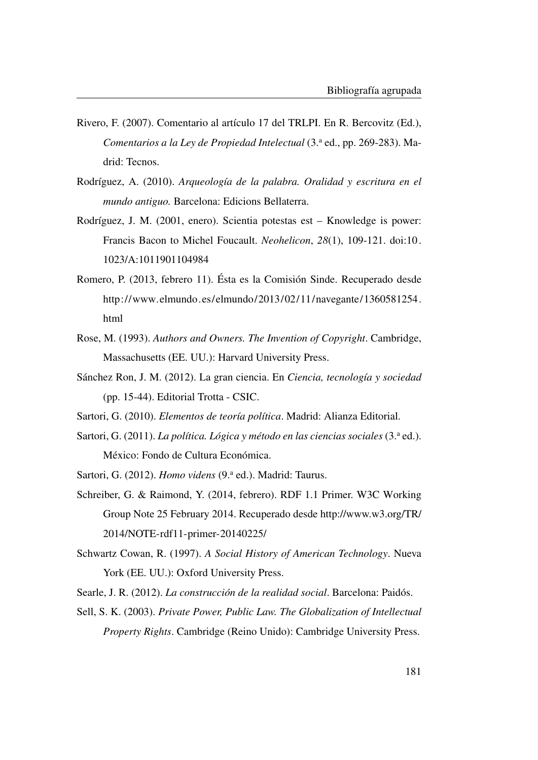- Rivero, F. (2007). Comentario al artículo 17 del TRLPI. En R. Bercovitz (Ed.), *Comentarios a la Ley de Propiedad Intelectual* (3.<sup>a</sup> ed., pp. 269-283). Madrid: Tecnos.
- Rodríguez, A. (2010). *Arqueología de la palabra. Oralidad y escritura en el mundo antiguo.* Barcelona: Edicions Bellaterra.
- Rodríguez, J. M. (2001, enero). Scientia potestas est Knowledge is power: Francis Bacon to Michel Foucault. *Neohelicon*, *28*(1), 109-121. doi[:10.](http://dx.doi.org/10.1023/A:1011901104984) [1023/A:1011901104984](http://dx.doi.org/10.1023/A:1011901104984)
- Romero, P. (2013, febrero 11). Ésta es la Comisión Sinde. Recuperado desde [http://www.elmundo.es/elmundo/2013/02/11/navegante/1360581254.](http://www.elmundo.es/elmundo/2013/02/11/navegante/1360581254.html) [html](http://www.elmundo.es/elmundo/2013/02/11/navegante/1360581254.html)
- Rose, M. (1993). *Authors and Owners. The Invention of Copyright*. Cambridge, Massachusetts (EE. UU.): Harvard University Press.
- Sánchez Ron, J. M. (2012). La gran ciencia. En *Ciencia, tecnología y sociedad* (pp. 15-44). Editorial Trotta - CSIC.
- Sartori, G. (2010). *Elementos de teoría política*. Madrid: Alianza Editorial.
- Sartori, G. (2011). *La política. Lógica y método en las ciencias sociales* (3.ª ed.). México: Fondo de Cultura Económica.
- Sartori, G. (2012). *Homo videns* (9.ª ed.). Madrid: Taurus.
- Schreiber, G. & Raimond, Y. (2014, febrero). RDF 1.1 Primer. W3C Working Group Note 25 February 2014. Recuperado desde [http://www.w3.org/TR/](http://www.w3.org/TR/2014/NOTE-rdf11-primer-20140225/) [2014/NOTE-rdf11-primer-20140225/](http://www.w3.org/TR/2014/NOTE-rdf11-primer-20140225/)
- Schwartz Cowan, R. (1997). *A Social History of American Technology*. Nueva York (EE. UU.): Oxford University Press.
- Searle, J. R. (2012). *La construcción de la realidad social*. Barcelona: Paidós.
- Sell, S. K. (2003). *Private Power, Public Law. The Globalization of Intellectual Property Rights*. Cambridge (Reino Unido): Cambridge University Press.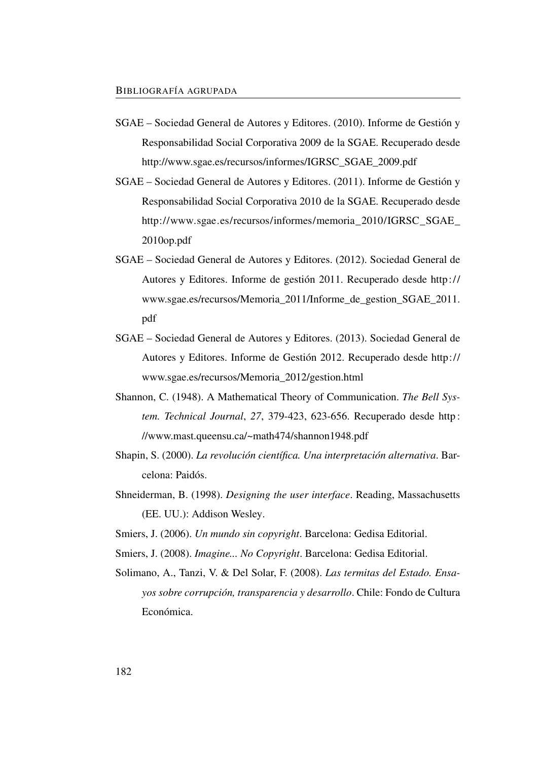- SGAE Sociedad General de Autores y Editores. (2010). Informe de Gestión y Responsabilidad Social Corporativa 2009 de la SGAE. Recuperado desde [http://www.sgae.es/recursos/informes/IGRSC\\_SGAE\\_2009.pdf](http://www.sgae.es/recursos/informes/IGRSC_SGAE_2009.pdf)
- SGAE Sociedad General de Autores y Editores. (2011). Informe de Gestión y Responsabilidad Social Corporativa 2010 de la SGAE. Recuperado desde [http://www.sgae.es/recursos/informes/memoria\\_2010/IGRSC\\_SGAE\\_](http://www.sgae.es/recursos/informes/memoria_2010/IGRSC_SGAE_2010op.pdf) [2010op.pdf](http://www.sgae.es/recursos/informes/memoria_2010/IGRSC_SGAE_2010op.pdf)
- SGAE Sociedad General de Autores y Editores. (2012). Sociedad General de Autores y Editores. Informe de gestión 2011. Recuperado desde [http://](http://www.sgae.es/recursos/Memoria_2011/Informe_de_gestion_SGAE_2011.pdf) [www.sgae.es/recursos/Memoria\\_2011/Informe\\_de\\_gestion\\_SGAE\\_2011.](http://www.sgae.es/recursos/Memoria_2011/Informe_de_gestion_SGAE_2011.pdf) [pdf](http://www.sgae.es/recursos/Memoria_2011/Informe_de_gestion_SGAE_2011.pdf)
- SGAE Sociedad General de Autores y Editores. (2013). Sociedad General de Autores y Editores. Informe de Gestión 2012. Recuperado desde [http://](http://www.sgae.es/recursos/Memoria_2012/gestion.html) [www.sgae.es/recursos/Memoria\\_2012/gestion.html](http://www.sgae.es/recursos/Memoria_2012/gestion.html)
- Shannon, C. (1948). A Mathematical Theory of Communication. *The Bell System. Technical Journal*, *27*, 379-423, 623-656. Recuperado desde [http :](http://www.mast.queensu.ca/~math474/shannon1948.pdf) [//www.mast.queensu.ca/~math474/shannon1948.pdf](http://www.mast.queensu.ca/~math474/shannon1948.pdf)
- Shapin, S. (2000). *La revolución científica. Una interpretación alternativa*. Barcelona: Paidós.
- Shneiderman, B. (1998). *Designing the user interface*. Reading, Massachusetts (EE. UU.): Addison Wesley.
- Smiers, J. (2006). *Un mundo sin copyright*. Barcelona: Gedisa Editorial.
- Smiers, J. (2008). *Imagine... No Copyright*. Barcelona: Gedisa Editorial.
- Solimano, A., Tanzi, V. & Del Solar, F. (2008). *Las termitas del Estado. Ensayos sobre corrupción, transparencia y desarrollo*. Chile: Fondo de Cultura Económica.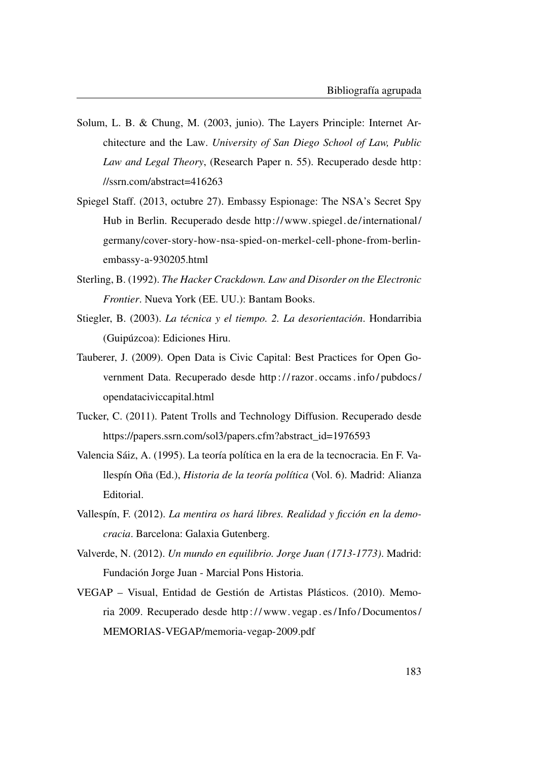- Solum, L. B. & Chung, M. (2003, junio). The Layers Principle: Internet Architecture and the Law. *University of San Diego School of Law, Public Law and Legal Theory*, (Research Paper n. 55). Recuperado desde [http:](http://ssrn.com/abstract=416263) [//ssrn.com/abstract=416263](http://ssrn.com/abstract=416263)
- Spiegel Staff. (2013, octubre 27). Embassy Espionage: The NSA's Secret Spy Hub in Berlin. Recuperado desde [http://www. spiegel. de/international/](http://www.spiegel.de/international/germany/cover-story-how-nsa-spied-on-merkel-cell-phone-from-berlin-embassy-a-930205.html) [germany/cover-story-how-nsa-spied-on-merkel-cell-phone-from-berlin](http://www.spiegel.de/international/germany/cover-story-how-nsa-spied-on-merkel-cell-phone-from-berlin-embassy-a-930205.html)[embassy-a-930205.html](http://www.spiegel.de/international/germany/cover-story-how-nsa-spied-on-merkel-cell-phone-from-berlin-embassy-a-930205.html)
- Sterling, B. (1992). *The Hacker Crackdown. Law and Disorder on the Electronic Frontier*. Nueva York (EE. UU.): Bantam Books.
- Stiegler, B. (2003). *La técnica y el tiempo. 2. La desorientación*. Hondarribia (Guipúzcoa): Ediciones Hiru.
- Tauberer, J. (2009). Open Data is Civic Capital: Best Practices for Open Government Data. Recuperado desde [http : / / razor. occams . info / pubdocs /](http://razor.occams.info/pubdocs/opendataciviccapital.html) [opendataciviccapital.html](http://razor.occams.info/pubdocs/opendataciviccapital.html)
- Tucker, C. (2011). Patent Trolls and Technology Diffusion. Recuperado desde [https://papers.ssrn.com/sol3/papers.cfm?abstract\\_id=1976593](https://papers.ssrn.com/sol3/papers.cfm?abstract_id=1976593)
- Valencia Sáiz, A. (1995). La teoría política en la era de la tecnocracia. En F. Vallespín Oña (Ed.), *Historia de la teoría política* (Vol. 6). Madrid: Alianza Editorial.
- Vallespín, F. (2012). *La mentira os hará libres. Realidad y ficción en la democracia*. Barcelona: Galaxia Gutenberg.
- Valverde, N. (2012). *Un mundo en equilibrio. Jorge Juan (1713-1773)*. Madrid: Fundación Jorge Juan - Marcial Pons Historia.
- VEGAP Visual, Entidad de Gestión de Artistas Plásticos. (2010). Memoria 2009. Recuperado desde [http : / / www. vegap . es / Info / Documentos /](http://www.vegap.es/Info/Documentos/MEMORIAS-VEGAP/memoria-vegap-2009.pdf) [MEMORIAS-VEGAP/memoria-vegap-2009.pdf](http://www.vegap.es/Info/Documentos/MEMORIAS-VEGAP/memoria-vegap-2009.pdf)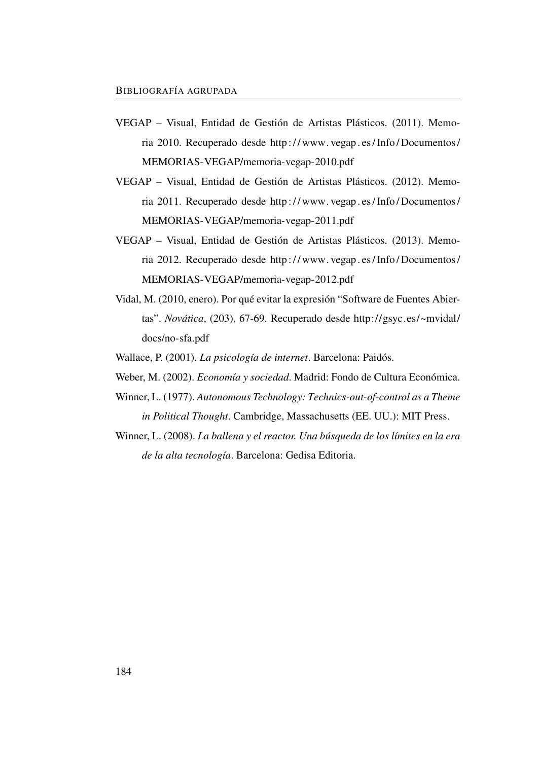- VEGAP Visual, Entidad de Gestión de Artistas Plásticos. (2011). Memoria 2010. Recuperado desde [http : / / www. vegap . es / Info / Documentos /](http://www.vegap.es/Info/Documentos/MEMORIAS-VEGAP/memoria-vegap-2010.pdf) [MEMORIAS-VEGAP/memoria-vegap-2010.pdf](http://www.vegap.es/Info/Documentos/MEMORIAS-VEGAP/memoria-vegap-2010.pdf)
- VEGAP Visual, Entidad de Gestión de Artistas Plásticos. (2012). Memoria 2011. Recuperado desde [http : / / www. vegap . es / Info / Documentos /](http://www.vegap.es/Info/Documentos/MEMORIAS-VEGAP/memoria-vegap-2011.pdf) [MEMORIAS-VEGAP/memoria-vegap-2011.pdf](http://www.vegap.es/Info/Documentos/MEMORIAS-VEGAP/memoria-vegap-2011.pdf)
- VEGAP Visual, Entidad de Gestión de Artistas Plásticos. (2013). Memoria 2012. Recuperado desde [http : / / www. vegap . es / Info / Documentos /](http://www.vegap.es/Info/Documentos/MEMORIAS-VEGAP/memoria-vegap-2012.pdf) [MEMORIAS-VEGAP/memoria-vegap-2012.pdf](http://www.vegap.es/Info/Documentos/MEMORIAS-VEGAP/memoria-vegap-2012.pdf)
- Vidal, M. (2010, enero). Por qué evitar la expresión "Software de Fuentes Abiertas". *Novática*, (203), 67-69. Recuperado desde [http://gsyc.es/~mvidal/](http://gsyc.es/~mvidal/docs/no-sfa.pdf) [docs/no-sfa.pdf](http://gsyc.es/~mvidal/docs/no-sfa.pdf)
- Wallace, P. (2001). *La psicología de internet*. Barcelona: Paidós.
- Weber, M. (2002). *Economía y sociedad*. Madrid: Fondo de Cultura Económica.
- Winner, L. (1977). *Autonomous Technology: Technics-out-of-control as a Theme in Political Thought*. Cambridge, Massachusetts (EE. UU.): MIT Press.
- Winner, L. (2008). *La ballena y el reactor. Una búsqueda de los límites en la era de la alta tecnología*. Barcelona: Gedisa Editoria.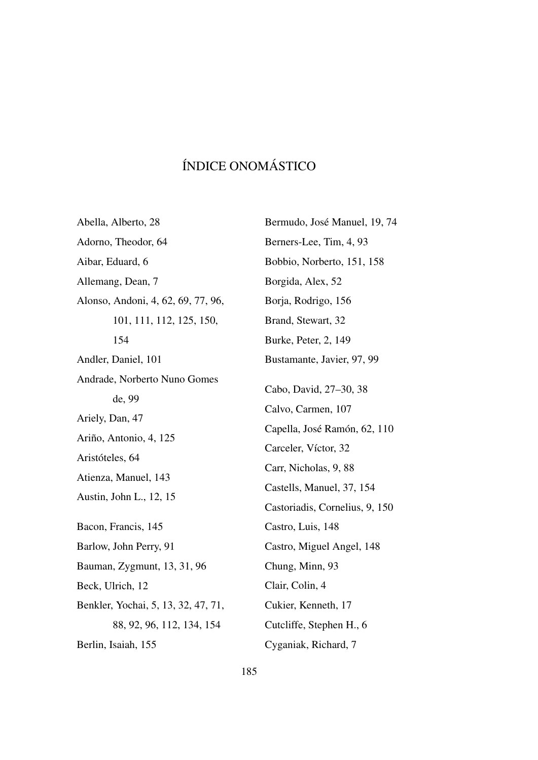## ÍNDICE ONOMÁSTICO

Abella, Alberto, [28](#page-57-0) Adorno, Theodor, [64](#page-93-0) Aibar, Eduard, [6](#page-35-0) Allemang, Dean, [7](#page-36-0) Alonso, Andoni, [4,](#page-33-0) [62,](#page-91-0) [69,](#page-98-0) [77,](#page-106-0) [96,](#page-125-0) [101,](#page-130-0) [111,](#page-140-0) [112,](#page-141-0) [125,](#page-154-0) [150,](#page-179-0) [154](#page-183-0) Andler, Daniel, [101](#page-130-0) Andrade, Norberto Nuno Gomes de, [99](#page-128-0) Ariely, Dan, [47](#page-76-0) Ariño, Antonio, [4,](#page-33-0) [125](#page-154-0) Aristóteles, [64](#page-93-0) Atienza, Manuel, [143](#page-172-0) Austin, John L., [12,](#page-41-0) [15](#page-44-0) Bacon, Francis, [145](#page-174-0) Barlow, John Perry, [91](#page-120-0) Bauman, Zygmunt, [13,](#page-42-0) [31,](#page-60-0) [96](#page-125-0) Beck, Ulrich, [12](#page-41-0) Benkler, Yochai, [5,](#page-34-0) [13,](#page-42-0) [32,](#page-61-0) [47,](#page-76-0) [71,](#page-100-0) [88,](#page-117-0) [92,](#page-121-0) [96,](#page-125-0) [112,](#page-141-0) [134,](#page-163-0) [154](#page-183-0) Berlin, Isaiah, [155](#page-184-1) Cyganiak, Richard, [7](#page-36-0)

Bermudo, José Manuel, [19,](#page-48-0) [74](#page-103-0) Berners-Lee, Tim, [4,](#page-33-0) [93](#page-122-0) Bobbio, Norberto, [151,](#page-180-3) [158](#page-187-0) Borgida, Alex, [52](#page-81-0) Borja, Rodrigo, [156](#page-185-0) Brand, Stewart, [32](#page-61-0) Burke, Peter, [2,](#page-31-0) [149](#page-178-0) Bustamante, Javier, [97,](#page-126-0) [99](#page-128-0) Cabo, David, [27](#page-56-0)[–30,](#page-59-0) [38](#page-67-0) Calvo, Carmen, [107](#page-136-0) Capella, José Ramón, [62,](#page-91-0) [110](#page-139-1) Carceler, Víctor, [32](#page-61-0) Carr, Nicholas, [9,](#page-38-0) [88](#page-117-0) Castells, Manuel, [37,](#page-66-0) [154](#page-183-0) Castoriadis, Cornelius, [9,](#page-38-0) [150](#page-179-0) Castro, Luis, [148](#page-177-0) Castro, Miguel Angel, [148](#page-177-0) Chung, Minn, [93](#page-122-0) Clair, Colin, [4](#page-33-0) Cukier, Kenneth, [17](#page-46-0) Cutcliffe, Stephen H., [6](#page-35-0)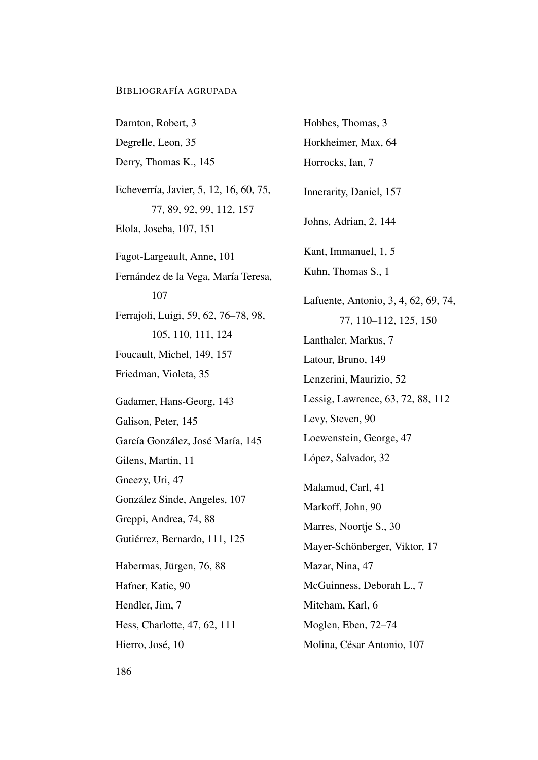Darnton, Robert, [3](#page-32-0) Degrelle, Leon, [35](#page-64-0) Derry, Thomas K., [145](#page-174-0) Echeverría, Javier, [5,](#page-34-0) [12,](#page-41-0) [16,](#page-45-0) [60,](#page-89-0) [75,](#page-104-0) [77,](#page-106-0) [89,](#page-118-0) [92,](#page-121-0) [99,](#page-128-0) [112,](#page-141-0) [157](#page-186-1) Elola, Joseba, [107,](#page-136-0) [151](#page-180-3) Fagot-Largeault, Anne, [101](#page-130-0) Fernández de la Vega, María Teresa, [107](#page-136-0) Ferrajoli, Luigi, [59,](#page-88-0) [62,](#page-91-0) [76–](#page-105-0)[78,](#page-107-0) [98,](#page-127-0) [105,](#page-134-0) [110,](#page-139-1) [111,](#page-140-0) [124](#page-153-0) Foucault, Michel, [149,](#page-178-0) [157](#page-186-1) Friedman, Violeta, [35](#page-64-0) Gadamer, Hans-Georg, [143](#page-172-0) Galison, Peter, [145](#page-174-0) García González, José María, [145](#page-174-0) Gilens, Martin, [11](#page-40-0) Gneezy, Uri, [47](#page-76-0) González Sinde, Angeles, [107](#page-136-0) Greppi, Andrea, [74,](#page-103-0) [88](#page-117-0) Gutiérrez, Bernardo, [111,](#page-140-0) [125](#page-154-0) Habermas, Jürgen, [76,](#page-105-0) [88](#page-117-0) Hafner, Katie, [90](#page-119-0) Hendler, Jim, [7](#page-36-0) Hess, Charlotte, [47,](#page-76-0) [62,](#page-91-0) [111](#page-140-0) Hierro, José, [10](#page-39-0)

Hobbes, Thomas, [3](#page-32-0) Horkheimer, Max, [64](#page-93-0) Horrocks, Ian, [7](#page-36-0) Innerarity, Daniel, [157](#page-186-1) Johns, Adrian, [2,](#page-31-0) [144](#page-173-0) Kant, Immanuel, [1,](#page-30-1) [5](#page-34-0) Kuhn, Thomas S., [1](#page-30-1) Lafuente, Antonio, [3,](#page-32-0) [4,](#page-33-0) [62,](#page-91-0) [69,](#page-98-0) [74,](#page-103-0) [77,](#page-106-0) [110–](#page-139-1)[112,](#page-141-0) [125,](#page-154-0) [150](#page-179-0) Lanthaler, Markus, [7](#page-36-0) Latour, Bruno, [149](#page-178-0) Lenzerini, Maurizio, [52](#page-81-0) Lessig, Lawrence, [63,](#page-92-0) [72,](#page-101-0) [88,](#page-117-0) [112](#page-141-0) Levy, Steven, [90](#page-119-0) Loewenstein, George, [47](#page-76-0) López, Salvador, [32](#page-61-0) Malamud, Carl, [41](#page-70-0) Markoff, John, [90](#page-119-0) Marres, Noortje S., [30](#page-59-0) Mayer-Schönberger, Viktor, [17](#page-46-0) Mazar, Nina, [47](#page-76-0) McGuinness, Deborah L., [7](#page-36-0) Mitcham, Karl, [6](#page-35-0) Moglen, Eben, [72–](#page-101-0)[74](#page-103-0) Molina, César Antonio, [107](#page-136-0)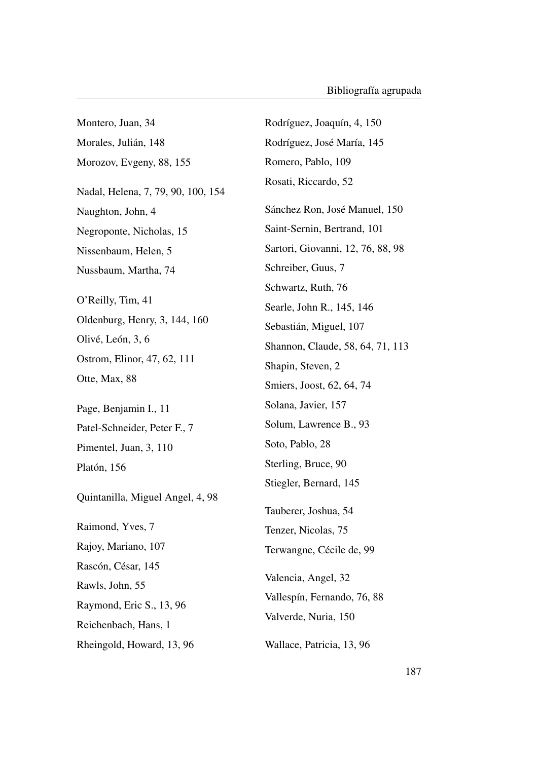Montero, Juan, [34](#page-63-0) Morales, Julián, [148](#page-177-0) Morozov, Evgeny, [88,](#page-117-0) [155](#page-184-0) Nadal, Helena, [7,](#page-36-0) [79,](#page-108-0) [90,](#page-119-0) [100,](#page-129-0) [154](#page-183-0) Naughton, John, [4](#page-33-0) Negroponte, Nicholas, [15](#page-44-0) Nissenbaum, Helen, [5](#page-34-0) Nussbaum, Martha, [74](#page-103-0) O'Reilly, Tim, [41](#page-70-0) Oldenburg, Henry, [3,](#page-32-0) [144,](#page-173-0) [160](#page-189-0) Olivé, León, [3,](#page-32-0) [6](#page-35-0) Ostrom, Elinor, [47,](#page-76-0) [62,](#page-91-0) [111](#page-140-0) Otte, Max, [88](#page-117-0) Page, Benjamin I., [11](#page-40-0) Patel-Schneider, Peter F., [7](#page-36-0) Pimentel, Juan, [3,](#page-32-0) [110](#page-139-0) Platón, [156](#page-185-0) Quintanilla, Miguel Angel, [4,](#page-33-0) [98](#page-127-0) Raimond, Yves, [7](#page-36-0) Rajoy, Mariano, [107](#page-136-0) Rascón, César, [145](#page-174-0) Rawls, John, [55](#page-84-0) Raymond, Eric S., [13,](#page-42-0) [96](#page-125-0) Reichenbach, Hans, [1](#page-30-0) Rheingold, Howard, [13,](#page-42-0) [96](#page-125-0) Rodríguez, Joaquín, [4,](#page-33-0) [150](#page-179-0) Rodríguez, José María, [145](#page-174-0) Romero, Pablo, [109](#page-138-0) Rosati, Riccardo, [52](#page-81-0) Sánchez Ron, José Manuel, [150](#page-179-0) Saint-Sernin, Bertrand, [101](#page-130-0) Sartori, Giovanni, [12,](#page-41-0) [76,](#page-105-0) [88,](#page-117-0) [98](#page-127-0) Schreiber, Guus, [7](#page-36-0) Schwartz, Ruth, [76](#page-105-0) Searle, John R., [145,](#page-174-0) [146](#page-175-0) Sebastián, Miguel, [107](#page-136-0) Shannon, Claude, [58,](#page-87-0) [64,](#page-93-0) [71,](#page-100-0) [113](#page-142-0) Shapin, Steven, [2](#page-31-0) Smiers, Joost, [62,](#page-91-0) [64,](#page-93-0) [74](#page-103-0) Solana, Javier, [157](#page-186-0) Solum, Lawrence B., [93](#page-122-0) Soto, Pablo, [28](#page-57-0) Sterling, Bruce, [90](#page-119-0) Stiegler, Bernard, [145](#page-174-0) Tauberer, Joshua, [54](#page-83-0) Tenzer, Nicolas, [75](#page-104-0) Terwangne, Cécile de, [99](#page-128-0) Valencia, Angel, [32](#page-61-0) Vallespín, Fernando, [76,](#page-105-0) [88](#page-117-0) Valverde, Nuria, [150](#page-179-0) Wallace, Patricia, [13,](#page-42-0) [96](#page-125-0)